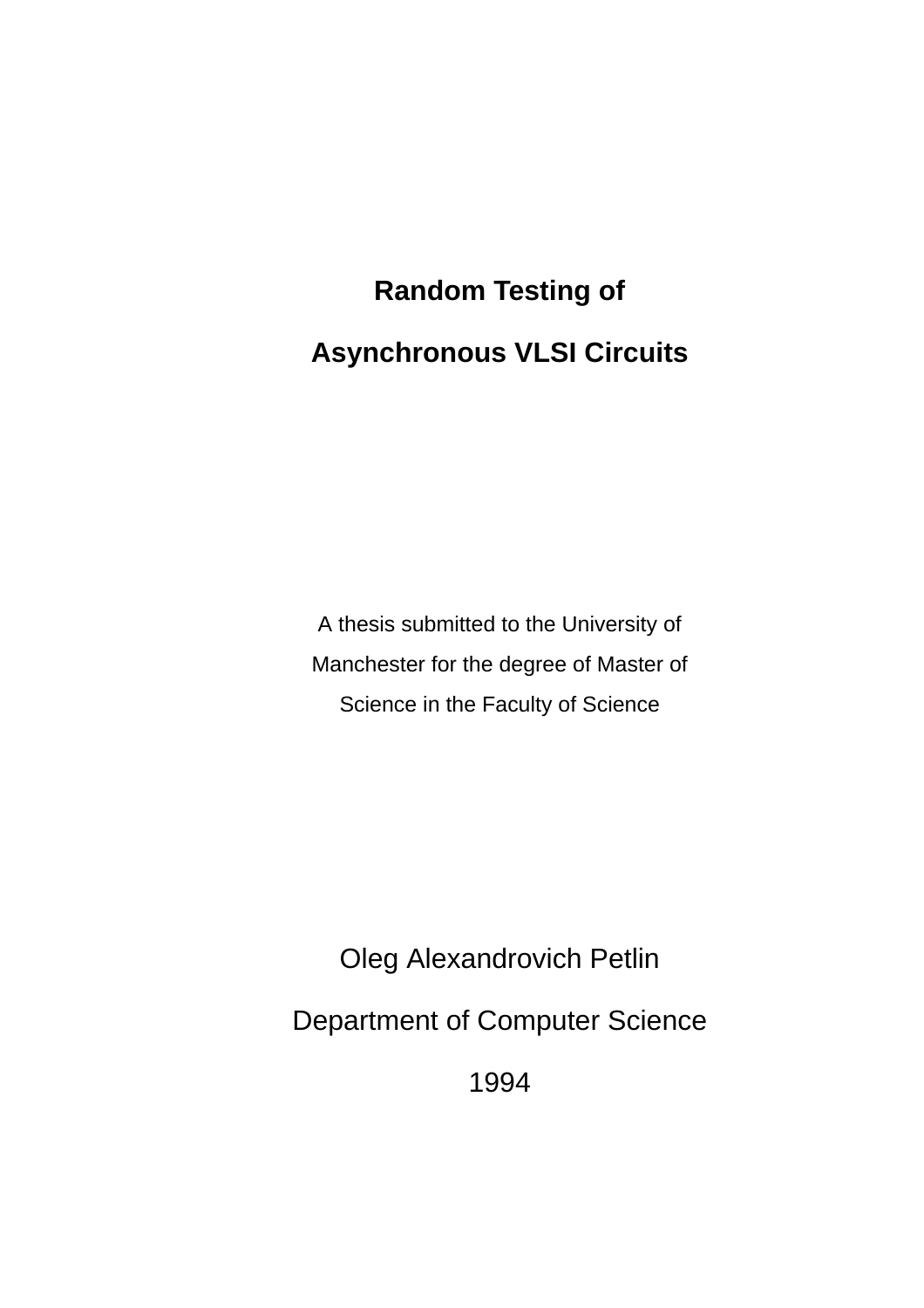# **Random Testing of Asynchronous VLSI Circuits**

A thesis submitted to the University of Manchester for the degree of Master of Science in the Faculty of Science

Oleg Alexandrovich Petlin

Department of Computer Science

1994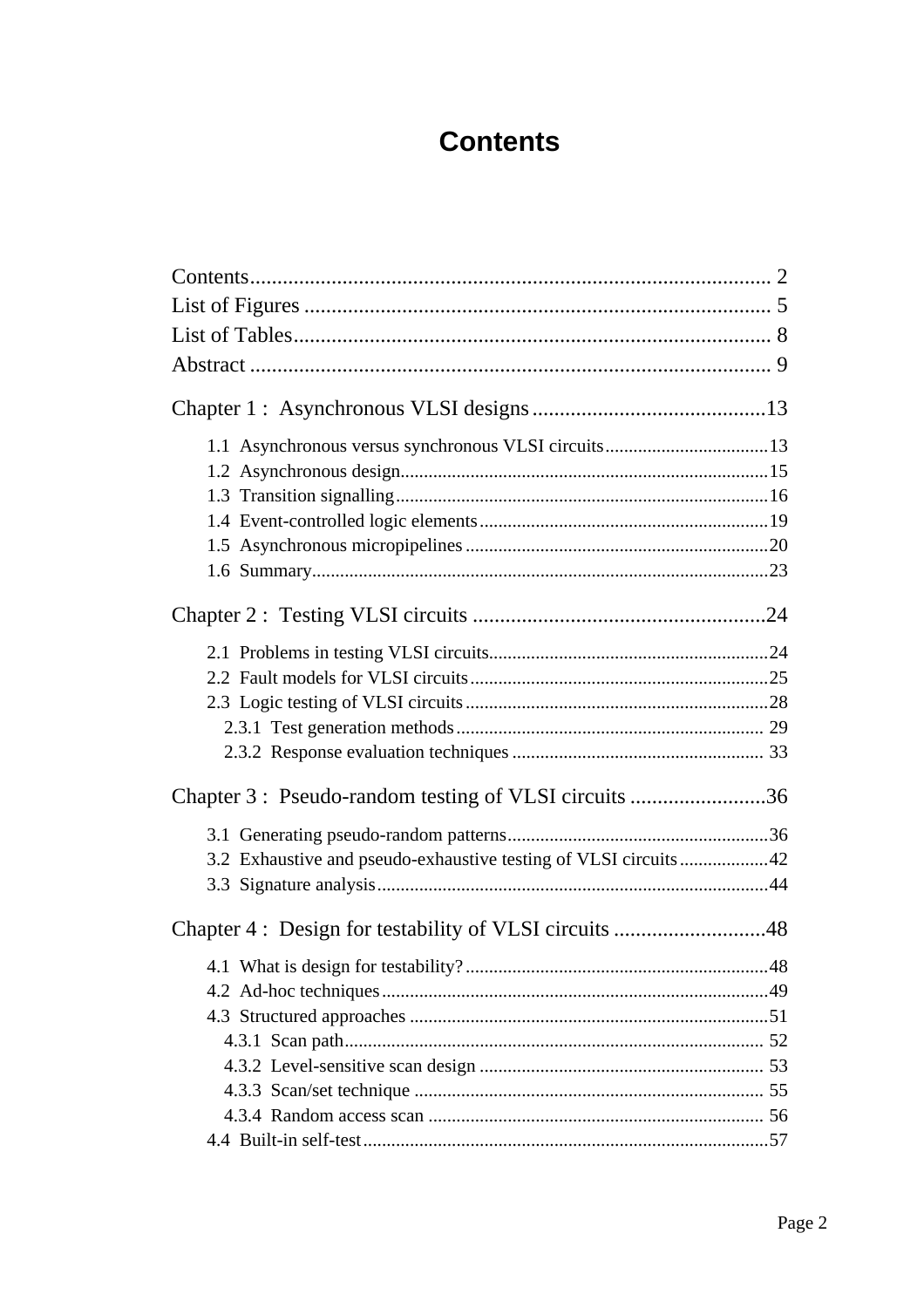## **Contents**

| Chapter 3: Pseudo-random testing of VLSI circuits 36             |  |
|------------------------------------------------------------------|--|
|                                                                  |  |
| 3.2 Exhaustive and pseudo-exhaustive testing of VLSI circuits 42 |  |
|                                                                  |  |
|                                                                  |  |
|                                                                  |  |
|                                                                  |  |
|                                                                  |  |
|                                                                  |  |
|                                                                  |  |
|                                                                  |  |
|                                                                  |  |
|                                                                  |  |
|                                                                  |  |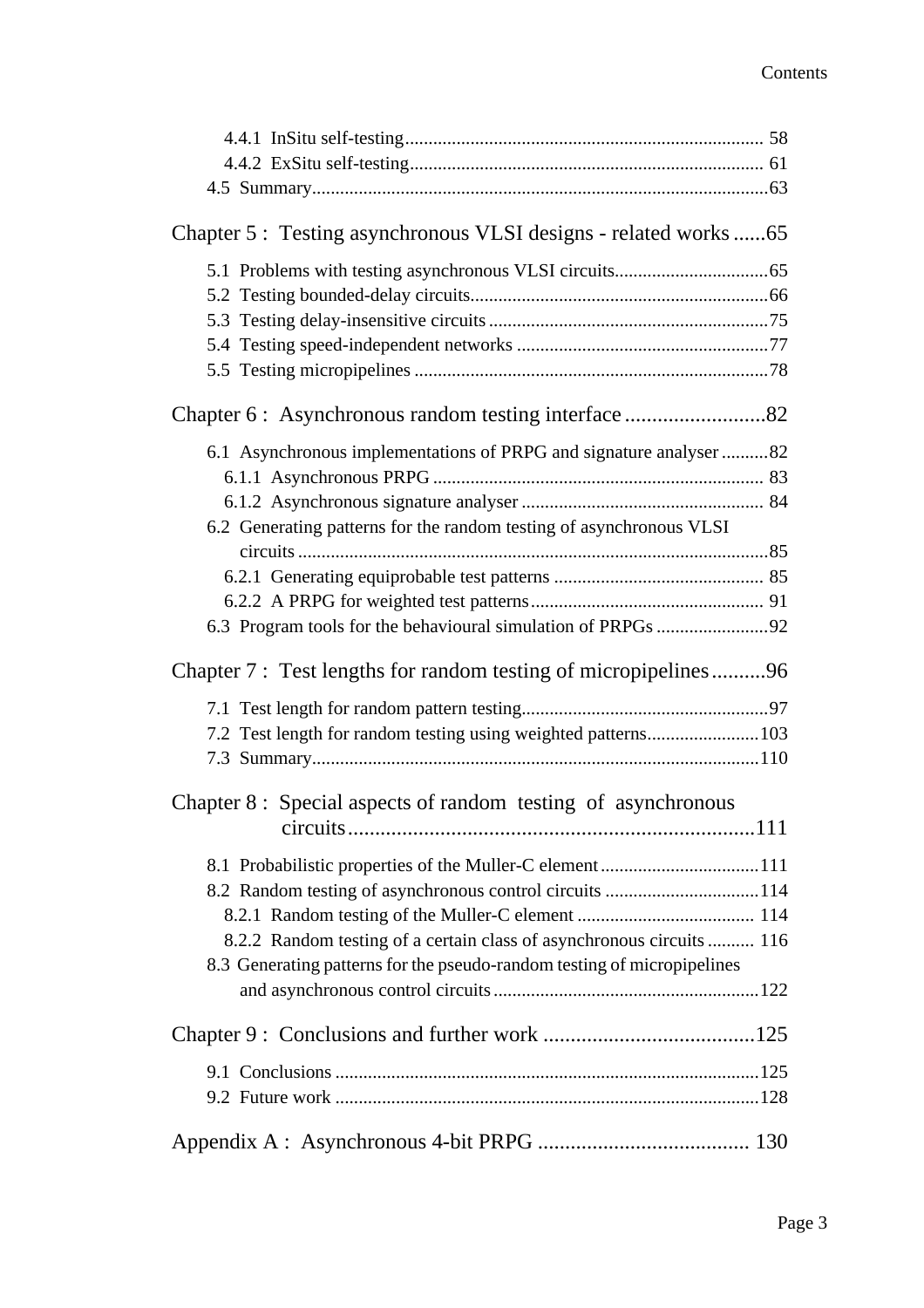| Chapter 5: Testing asynchronous VLSI designs - related works65          |  |
|-------------------------------------------------------------------------|--|
|                                                                         |  |
|                                                                         |  |
|                                                                         |  |
|                                                                         |  |
|                                                                         |  |
|                                                                         |  |
| 6.1 Asynchronous implementations of PRPG and signature analyser 82      |  |
|                                                                         |  |
|                                                                         |  |
| 6.2 Generating patterns for the random testing of asynchronous VLSI     |  |
|                                                                         |  |
|                                                                         |  |
|                                                                         |  |
|                                                                         |  |
| Chapter 7: Test lengths for random testing of micropipelines96          |  |
|                                                                         |  |
|                                                                         |  |
|                                                                         |  |
| 7.2 Test length for random testing using weighted patterns 103          |  |
|                                                                         |  |
| Chapter 8 : Special aspects of random testing of asynchronous           |  |
|                                                                         |  |
| 8.1 Probabilistic properties of the Muller-C element111                 |  |
|                                                                         |  |
|                                                                         |  |
| 8.2.2 Random testing of a certain class of asynchronous circuits  116   |  |
| 8.3 Generating patterns for the pseudo-random testing of micropipelines |  |
|                                                                         |  |
|                                                                         |  |
|                                                                         |  |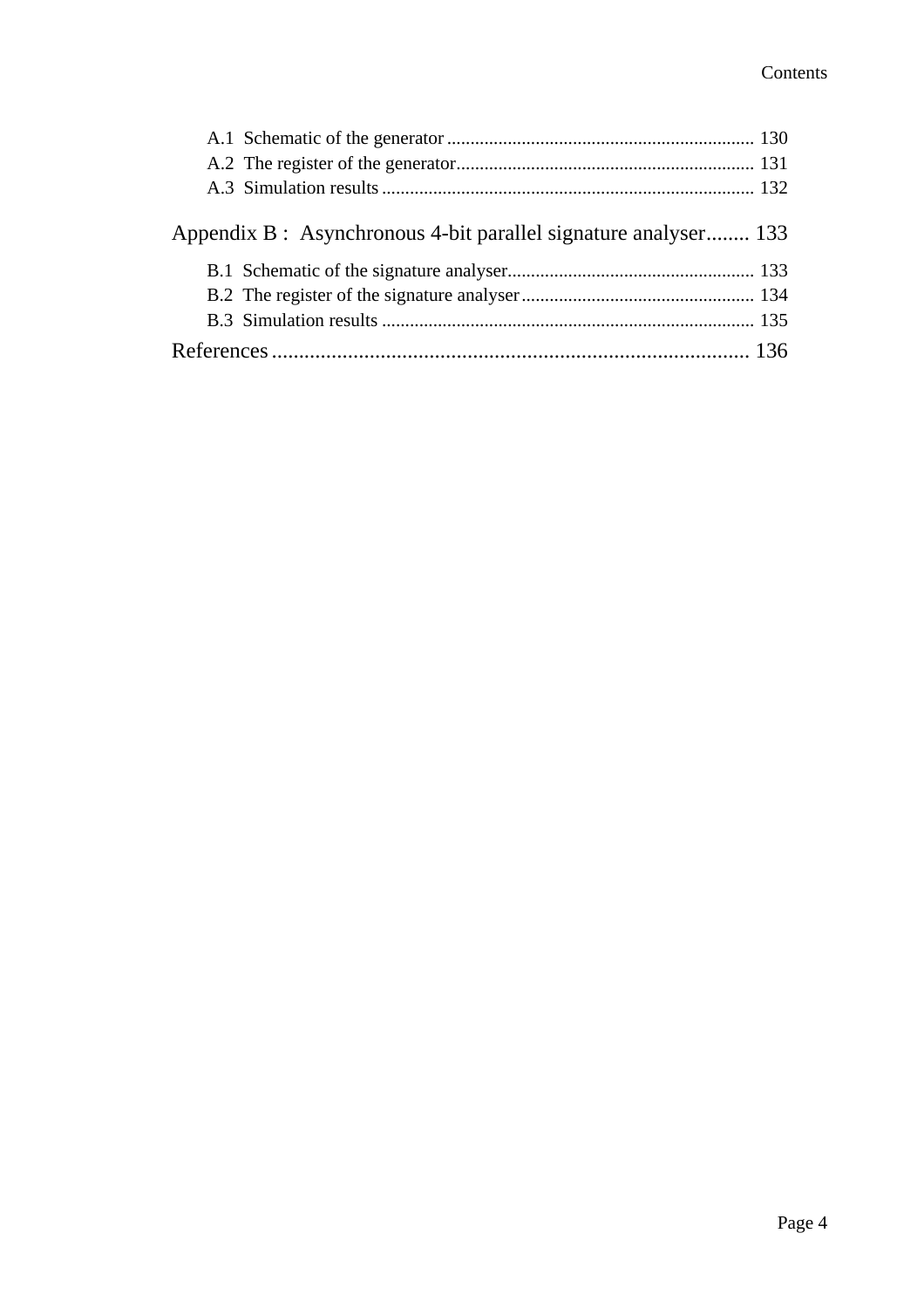| Appendix B : Asynchronous 4-bit parallel signature analyser 133 |  |
|-----------------------------------------------------------------|--|
|                                                                 |  |
|                                                                 |  |
|                                                                 |  |
|                                                                 |  |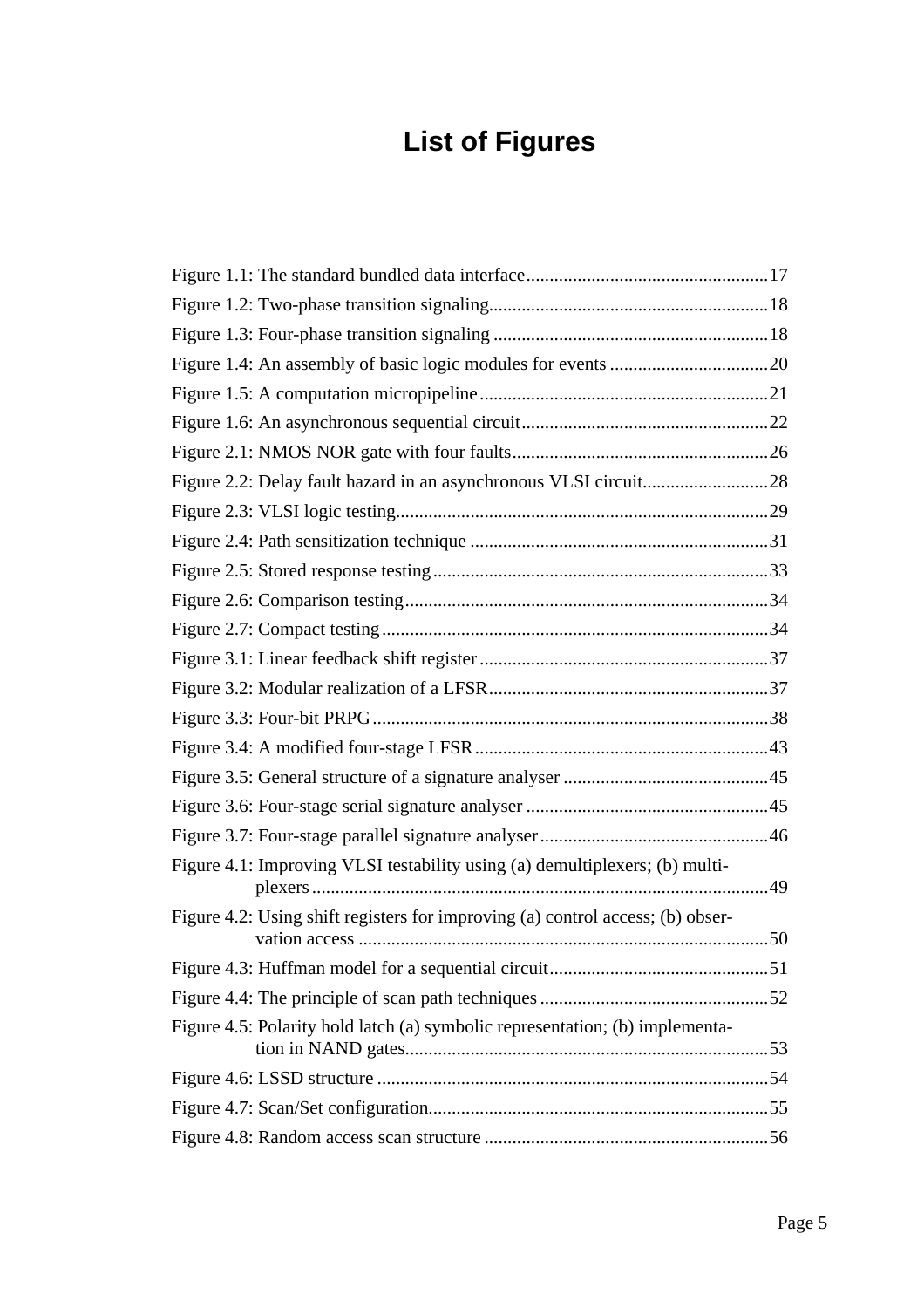# **List of Figures**

| Figure 4.1: Improving VLSI testability using (a) demultiplexers; (b) multi-    |  |
|--------------------------------------------------------------------------------|--|
| Figure 4.2: Using shift registers for improving (a) control access; (b) obser- |  |
|                                                                                |  |
|                                                                                |  |
| Figure 4.5: Polarity hold latch (a) symbolic representation; (b) implementa-   |  |
|                                                                                |  |
|                                                                                |  |
|                                                                                |  |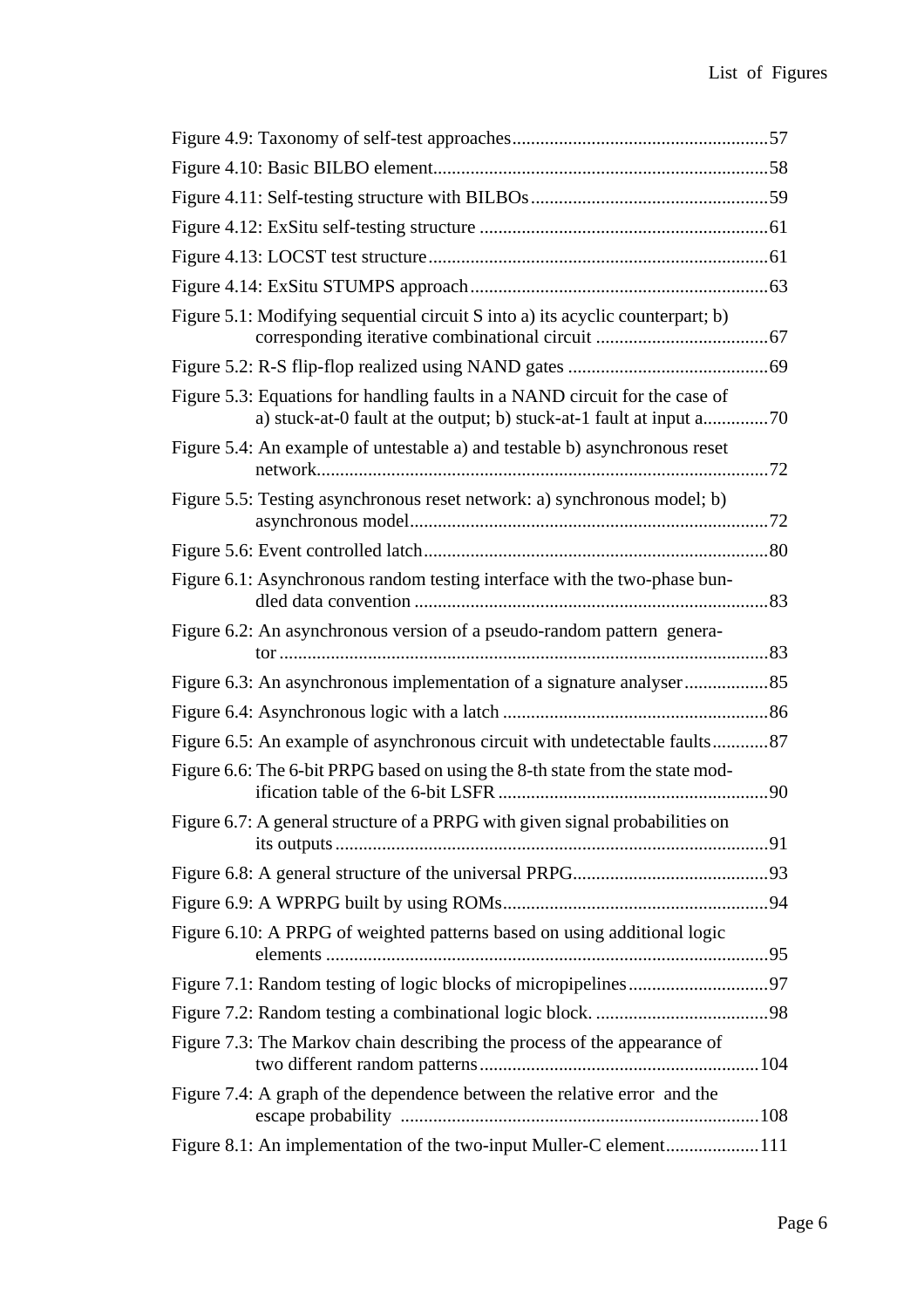| Figure 5.1: Modifying sequential circuit S into a) its acyclic counterpart; b)                                                                     |  |
|----------------------------------------------------------------------------------------------------------------------------------------------------|--|
|                                                                                                                                                    |  |
| Figure 5.3: Equations for handling faults in a NAND circuit for the case of<br>a) stuck-at-0 fault at the output; b) stuck-at-1 fault at input a70 |  |
| Figure 5.4: An example of untestable a) and testable b) asynchronous reset                                                                         |  |
| Figure 5.5: Testing asynchronous reset network: a) synchronous model; b)                                                                           |  |
|                                                                                                                                                    |  |
| Figure 6.1: Asynchronous random testing interface with the two-phase bun-                                                                          |  |
| Figure 6.2: An asynchronous version of a pseudo-random pattern genera-                                                                             |  |
|                                                                                                                                                    |  |
|                                                                                                                                                    |  |
| Figure 6.5: An example of asynchronous circuit with undetectable faults87                                                                          |  |
| Figure 6.6: The 6-bit PRPG based on using the 8-th state from the state mod-                                                                       |  |
| Figure 6.7: A general structure of a PRPG with given signal probabilities on                                                                       |  |
|                                                                                                                                                    |  |
|                                                                                                                                                    |  |
| Figure 6.10: A PRPG of weighted patterns based on using additional logic                                                                           |  |
|                                                                                                                                                    |  |
|                                                                                                                                                    |  |
| Figure 7.3: The Markov chain describing the process of the appearance of                                                                           |  |
| Figure 7.4: A graph of the dependence between the relative error and the                                                                           |  |
| Figure 8.1: An implementation of the two-input Muller-C element111                                                                                 |  |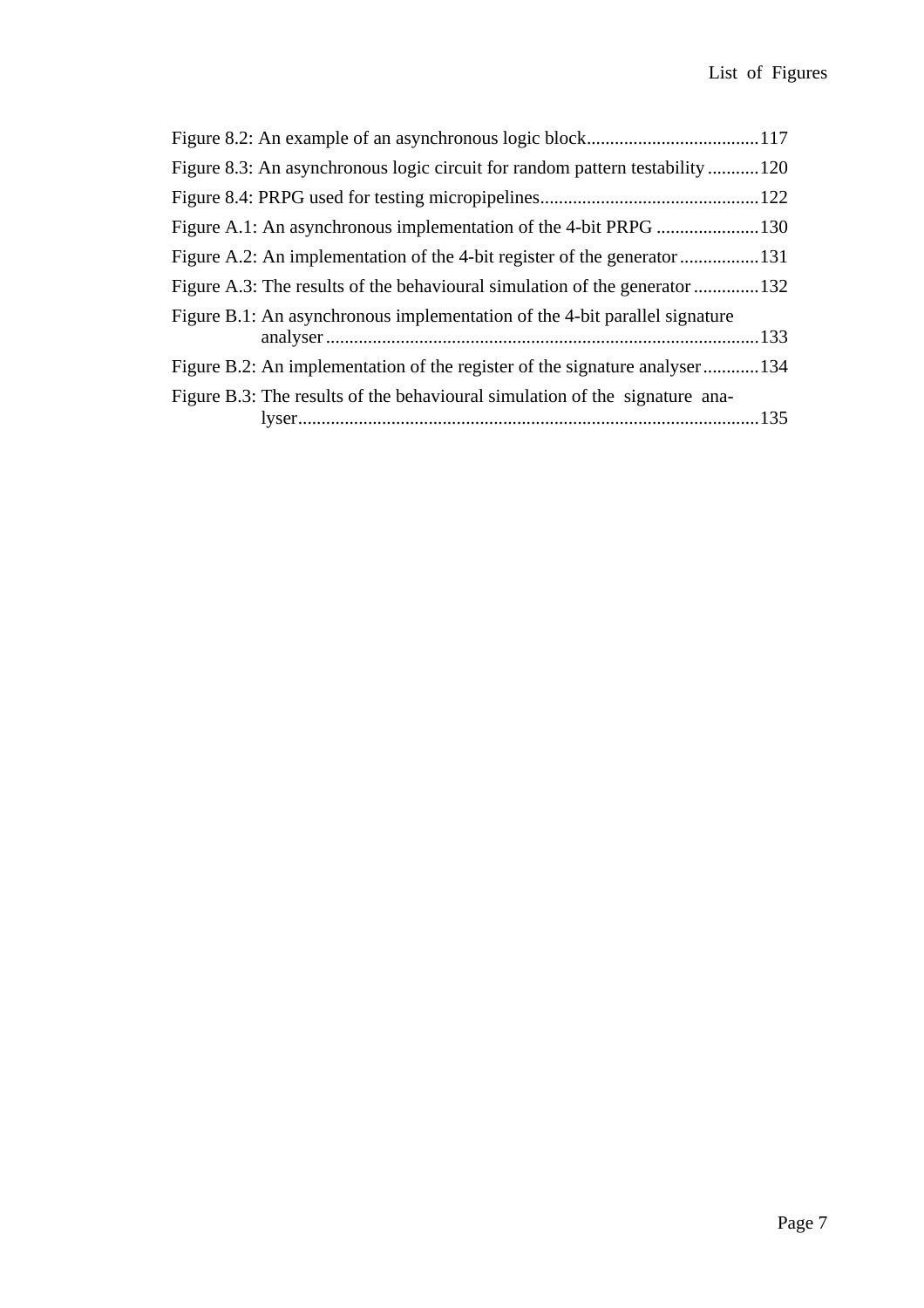| Figure 8.3: An asynchronous logic circuit for random pattern testability 120 |  |
|------------------------------------------------------------------------------|--|
|                                                                              |  |
|                                                                              |  |
|                                                                              |  |
| Figure A.3: The results of the behavioural simulation of the generator 132   |  |
| Figure B.1: An asynchronous implementation of the 4-bit parallel signature   |  |
|                                                                              |  |
| Figure B.2: An implementation of the register of the signature analyser134   |  |
| Figure B.3: The results of the behavioural simulation of the signature ana-  |  |
|                                                                              |  |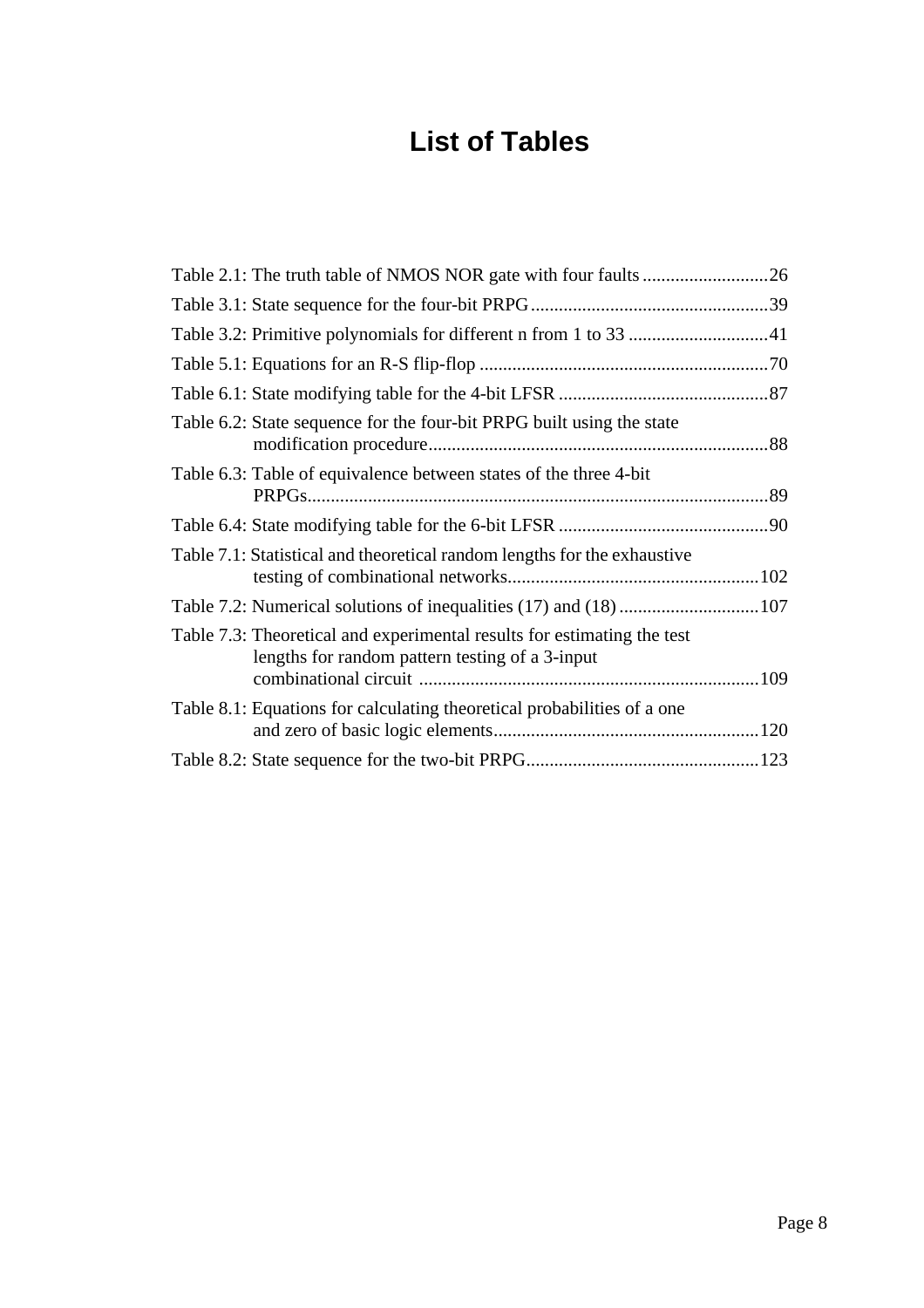## **List of Tables**

| Table 6.2: State sequence for the four-bit PRPG built using the state                                                      |  |
|----------------------------------------------------------------------------------------------------------------------------|--|
| Table 6.3: Table of equivalence between states of the three 4-bit                                                          |  |
|                                                                                                                            |  |
| Table 7.1: Statistical and theoretical random lengths for the exhaustive                                                   |  |
| Table 7.2: Numerical solutions of inequalities (17) and (18) 107                                                           |  |
| Table 7.3: Theoretical and experimental results for estimating the test<br>lengths for random pattern testing of a 3-input |  |
| Table 8.1: Equations for calculating theoretical probabilities of a one                                                    |  |
|                                                                                                                            |  |
|                                                                                                                            |  |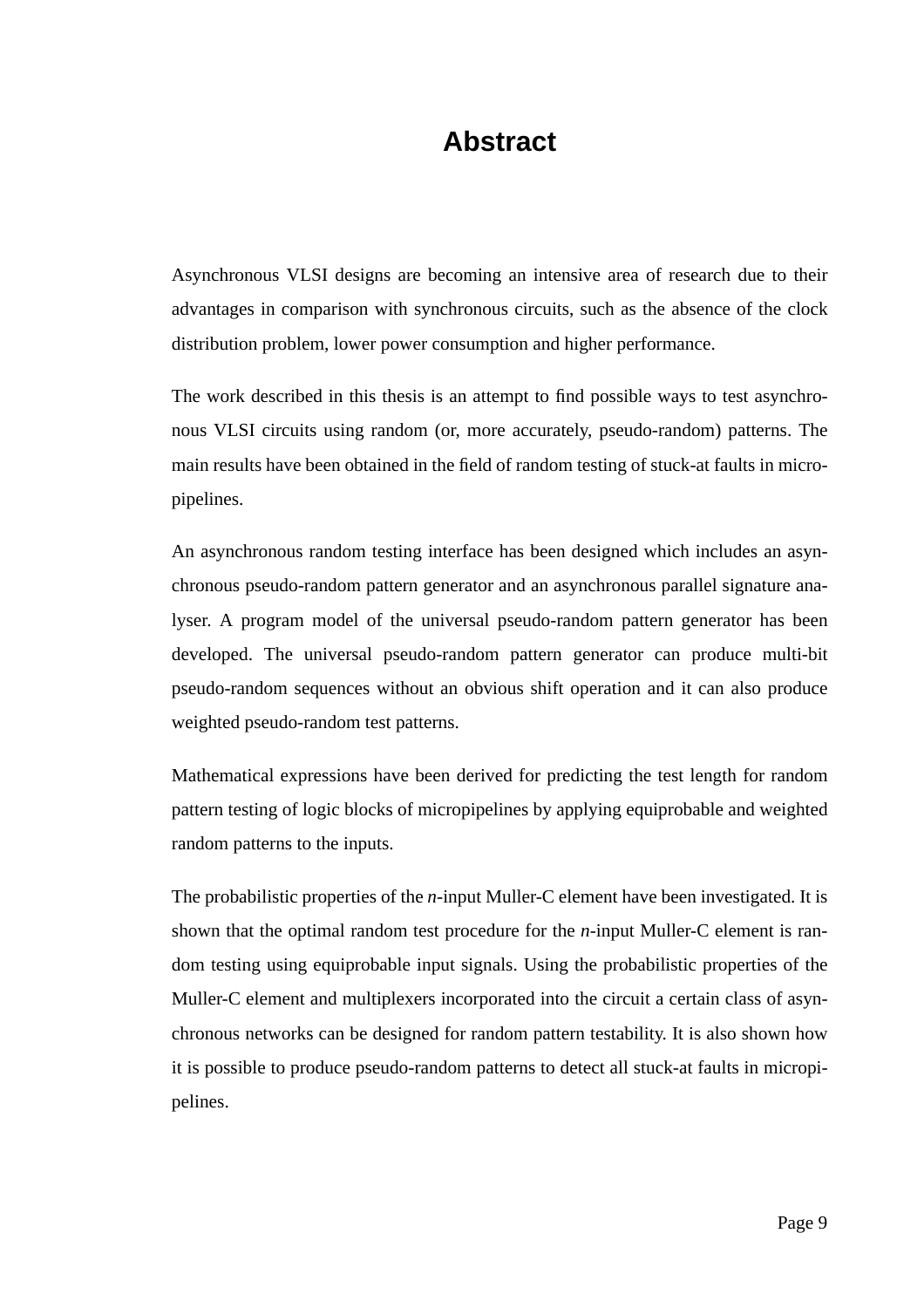### **Abstract**

Asynchronous VLSI designs are becoming an intensive area of research due to their advantages in comparison with synchronous circuits, such as the absence of the clock distribution problem, lower power consumption and higher performance.

The work described in this thesis is an attempt to find possible ways to test asynchronous VLSI circuits using random (or, more accurately, pseudo-random) patterns. The main results have been obtained in the field of random testing of stuck-at faults in micropipelines.

An asynchronous random testing interface has been designed which includes an asynchronous pseudo-random pattern generator and an asynchronous parallel signature analyser. A program model of the universal pseudo-random pattern generator has been developed. The universal pseudo-random pattern generator can produce multi-bit pseudo-random sequences without an obvious shift operation and it can also produce weighted pseudo-random test patterns.

Mathematical expressions have been derived for predicting the test length for random pattern testing of logic blocks of micropipelines by applying equiprobable and weighted random patterns to the inputs.

The probabilistic properties of the *n*-input Muller-C element have been investigated. It is shown that the optimal random test procedure for the *n*-input Muller-C element is random testing using equiprobable input signals. Using the probabilistic properties of the Muller-C element and multiplexers incorporated into the circuit a certain class of asynchronous networks can be designed for random pattern testability. It is also shown how it is possible to produce pseudo-random patterns to detect all stuck-at faults in micropipelines.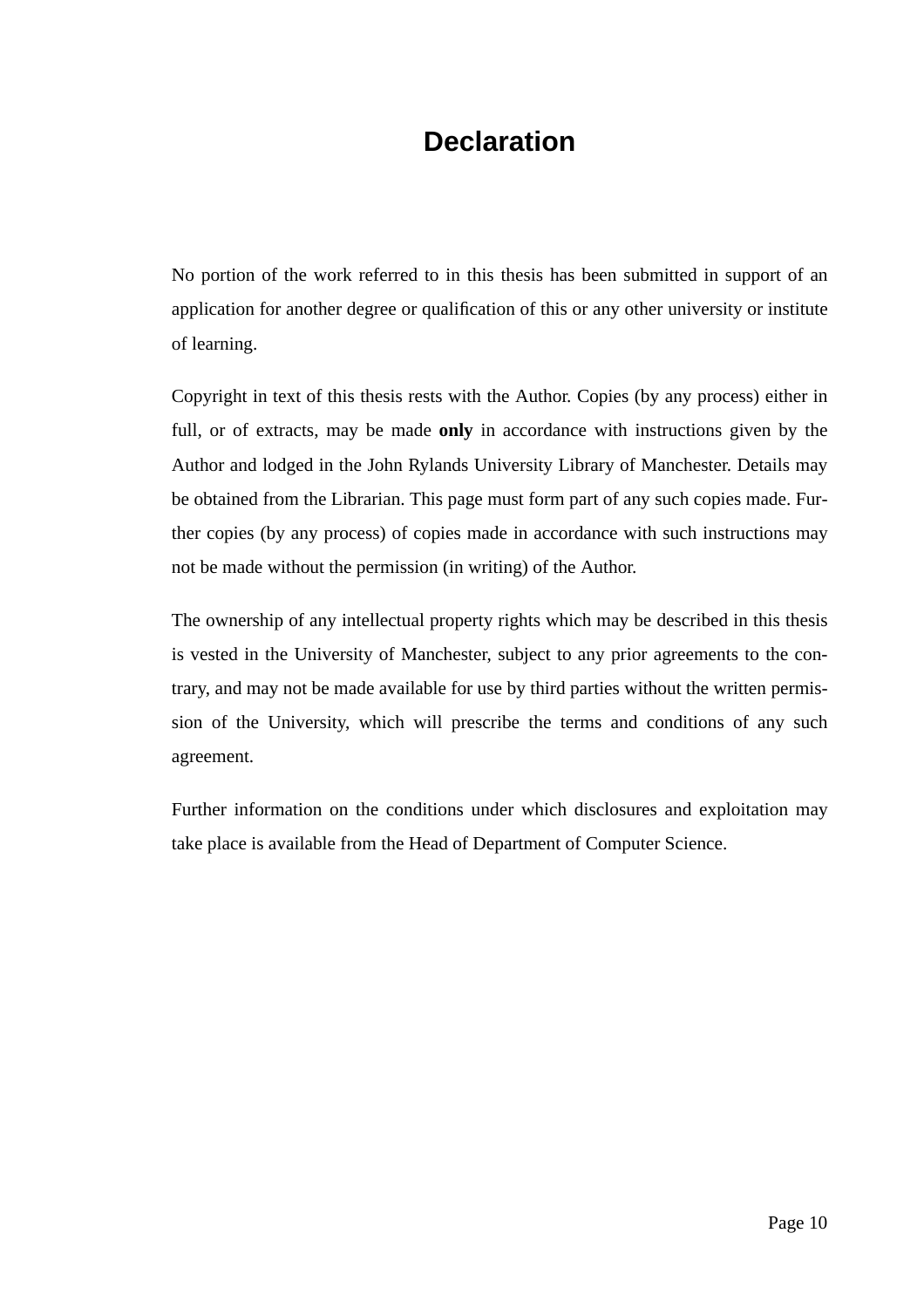### **Declaration**

No portion of the work referred to in this thesis has been submitted in support of an application for another degree or qualification of this or any other university or institute of learning.

Copyright in text of this thesis rests with the Author. Copies (by any process) either in full, or of extracts, may be made **only** in accordance with instructions given by the Author and lodged in the John Rylands University Library of Manchester. Details may be obtained from the Librarian. This page must form part of any such copies made. Further copies (by any process) of copies made in accordance with such instructions may not be made without the permission (in writing) of the Author.

The ownership of any intellectual property rights which may be described in this thesis is vested in the University of Manchester, subject to any prior agreements to the contrary, and may not be made available for use by third parties without the written permission of the University, which will prescribe the terms and conditions of any such agreement.

Further information on the conditions under which disclosures and exploitation may take place is available from the Head of Department of Computer Science.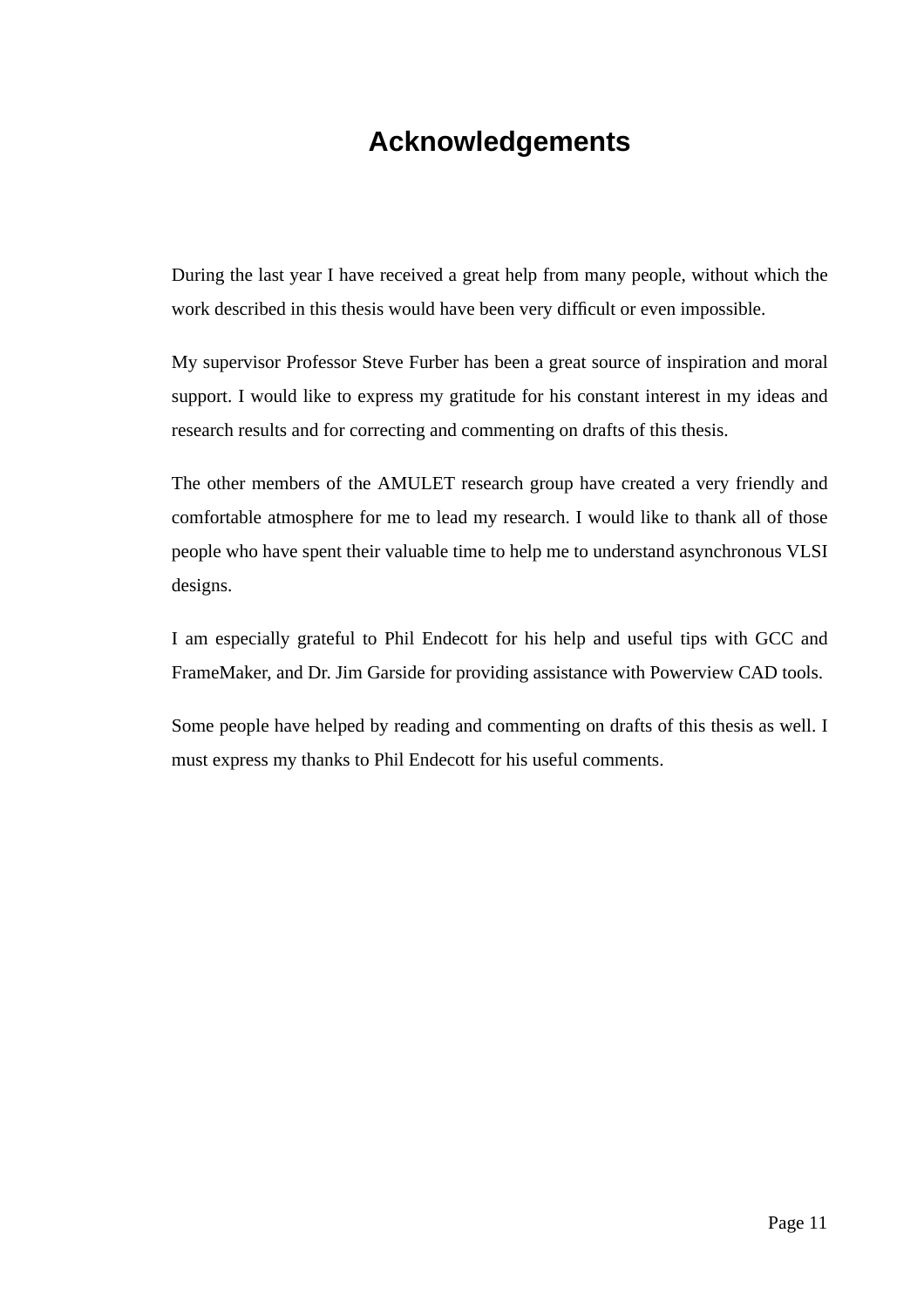### **Acknowledgements**

During the last year I have received a great help from many people, without which the work described in this thesis would have been very difficult or even impossible.

My supervisor Professor Steve Furber has been a great source of inspiration and moral support. I would like to express my gratitude for his constant interest in my ideas and research results and for correcting and commenting on drafts of this thesis.

The other members of the AMULET research group have created a very friendly and comfortable atmosphere for me to lead my research. I would like to thank all of those people who have spent their valuable time to help me to understand asynchronous VLSI designs.

I am especially grateful to Phil Endecott for his help and useful tips with GCC and FrameMaker, and Dr. Jim Garside for providing assistance with Powerview CAD tools.

Some people have helped by reading and commenting on drafts of this thesis as well. I must express my thanks to Phil Endecott for his useful comments.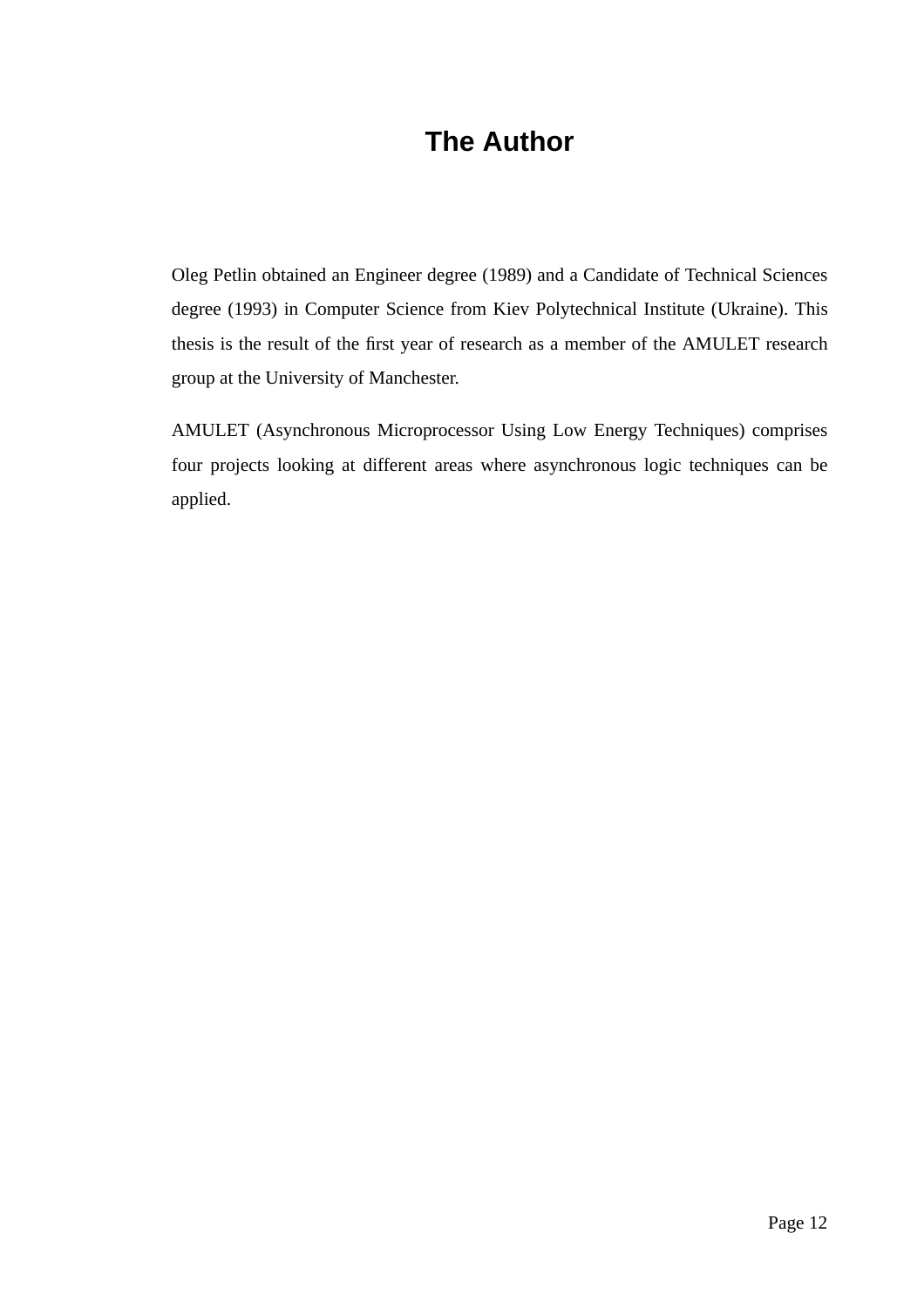### **The Author**

Oleg Petlin obtained an Engineer degree (1989) and a Candidate of Technical Sciences degree (1993) in Computer Science from Kiev Polytechnical Institute (Ukraine). This thesis is the result of the first year of research as a member of the AMULET research group at the University of Manchester.

AMULET (Asynchronous Microprocessor Using Low Energy Techniques) comprises four projects looking at different areas where asynchronous logic techniques can be applied.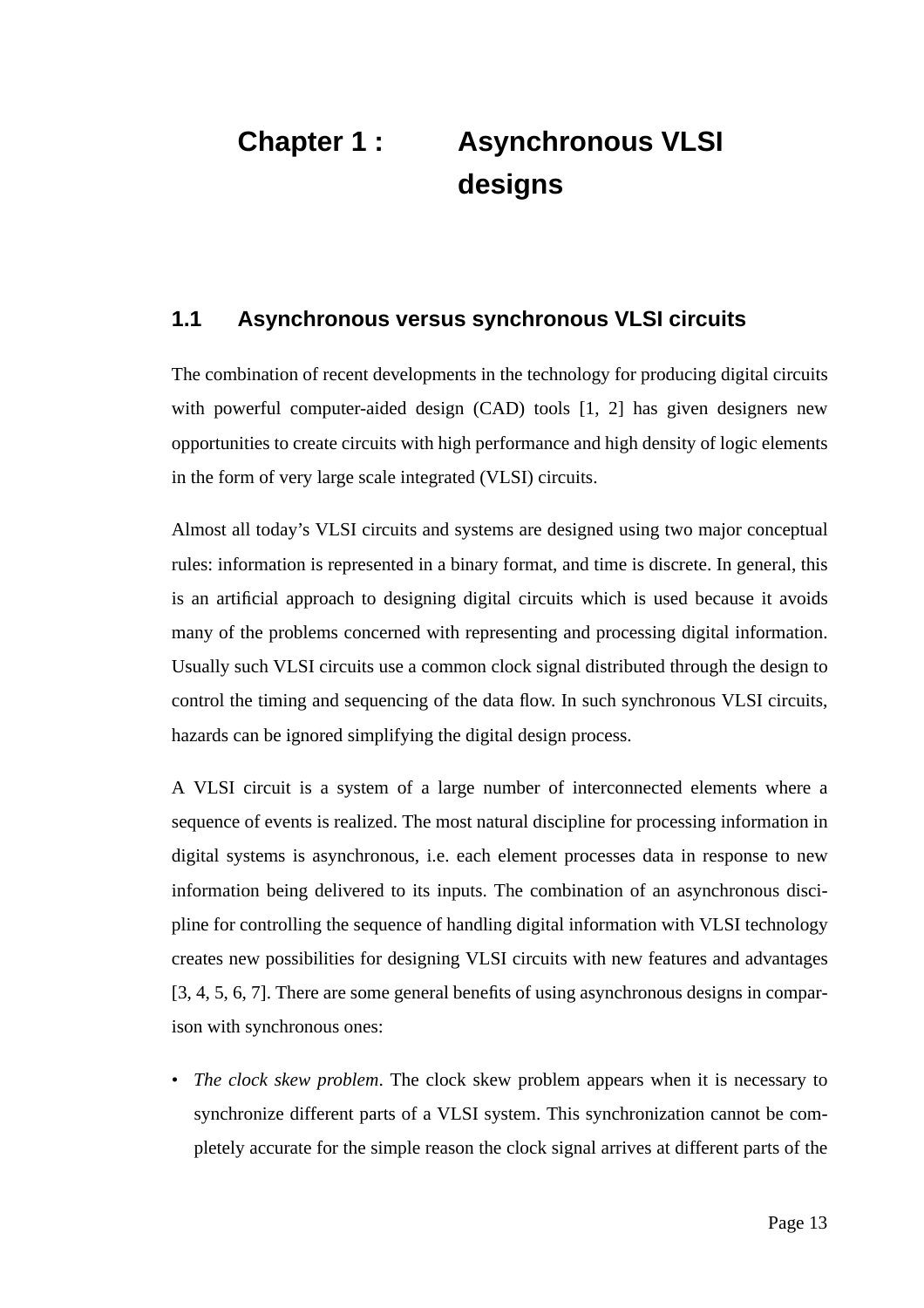# **Chapter 1 : Asynchronous VLSI designs**

#### **1.1 Asynchronous versus synchronous VLSI circuits**

The combination of recent developments in the technology for producing digital circuits with powerful computer-aided design (CAD) tools [1, 2] has given designers new opportunities to create circuits with high performance and high density of logic elements in the form of very large scale integrated (VLSI) circuits.

Almost all today's VLSI circuits and systems are designed using two major conceptual rules: information is represented in a binary format, and time is discrete. In general, this is an artificial approach to designing digital circuits which is used because it avoids many of the problems concerned with representing and processing digital information. Usually such VLSI circuits use a common clock signal distributed through the design to control the timing and sequencing of the data flow. In such synchronous VLSI circuits, hazards can be ignored simplifying the digital design process.

A VLSI circuit is a system of a large number of interconnected elements where a sequence of events is realized. The most natural discipline for processing information in digital systems is asynchronous, i.e. each element processes data in response to new information being delivered to its inputs. The combination of an asynchronous discipline for controlling the sequence of handling digital information with VLSI technology creates new possibilities for designing VLSI circuits with new features and advantages [3, 4, 5, 6, 7]. There are some general benefits of using asynchronous designs in comparison with synchronous ones:

• *The clock skew problem*. The clock skew problem appears when it is necessary to synchronize different parts of a VLSI system. This synchronization cannot be completely accurate for the simple reason the clock signal arrives at different parts of the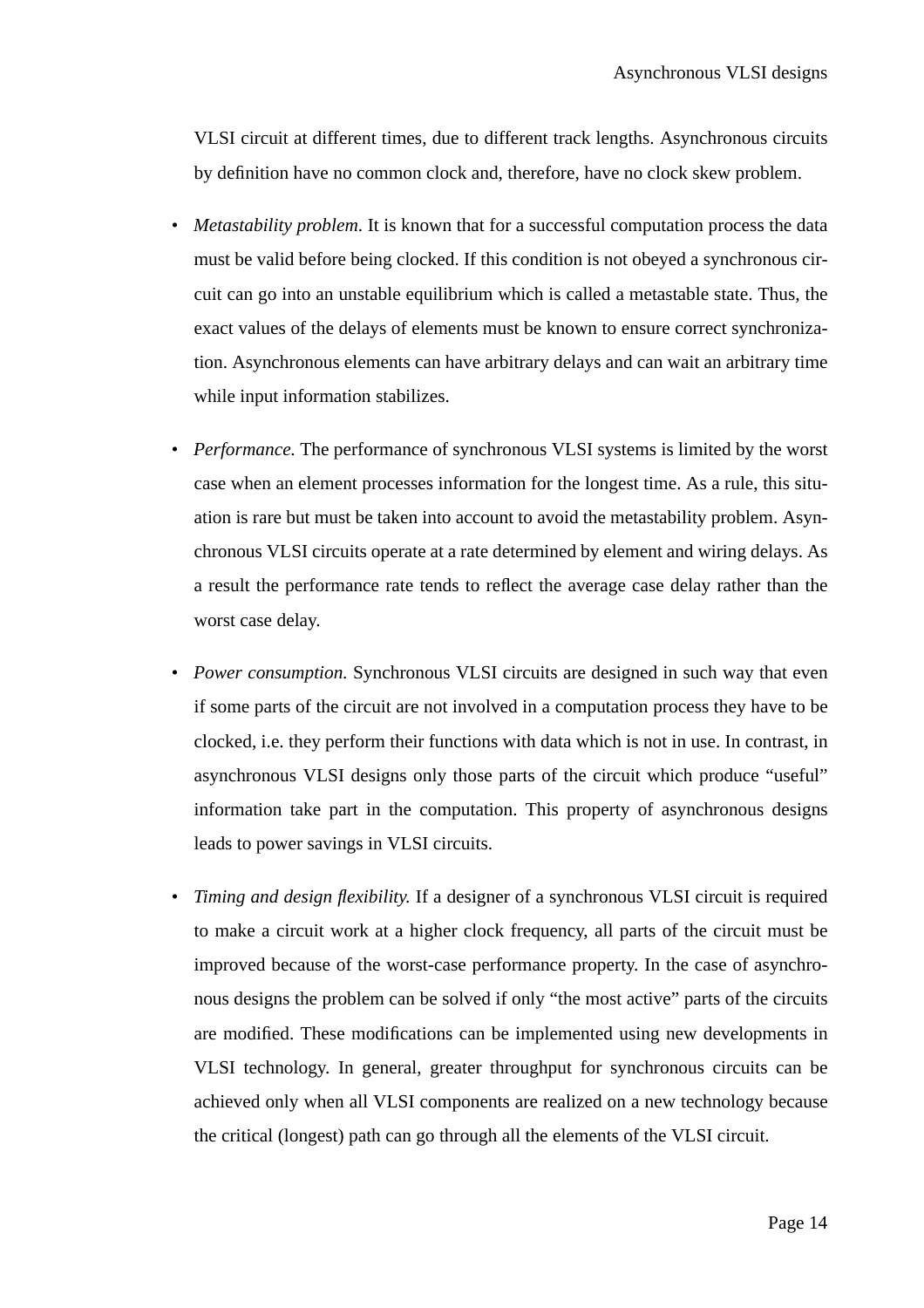VLSI circuit at different times, due to different track lengths. Asynchronous circuits by definition have no common clock and, therefore, have no clock skew problem.

- *Metastability problem*. It is known that for a successful computation process the data must be valid before being clocked. If this condition is not obeyed a synchronous circuit can go into an unstable equilibrium which is called a metastable state. Thus, the exact values of the delays of elements must be known to ensure correct synchronization. Asynchronous elements can have arbitrary delays and can wait an arbitrary time while input information stabilizes.
- *Performance.* The performance of synchronous VLSI systems is limited by the worst case when an element processes information for the longest time. As a rule, this situation is rare but must be taken into account to avoid the metastability problem. Asynchronous VLSI circuits operate at a rate determined by element and wiring delays. As a result the performance rate tends to reflect the average case delay rather than the worst case delay.
- *Power consumption.* Synchronous VLSI circuits are designed in such way that even if some parts of the circuit are not involved in a computation process they have to be clocked, i.e. they perform their functions with data which is not in use. In contrast, in asynchronous VLSI designs only those parts of the circuit which produce "useful" information take part in the computation. This property of asynchronous designs leads to power savings in VLSI circuits.
- *Timing and design flexibility.* If a designer of a synchronous VLSI circuit is required to make a circuit work at a higher clock frequency, all parts of the circuit must be improved because of the worst-case performance property. In the case of asynchronous designs the problem can be solved if only "the most active" parts of the circuits are modified. These modifications can be implemented using new developments in VLSI technology. In general, greater throughput for synchronous circuits can be achieved only when all VLSI components are realized on a new technology because the critical (longest) path can go through all the elements of the VLSI circuit.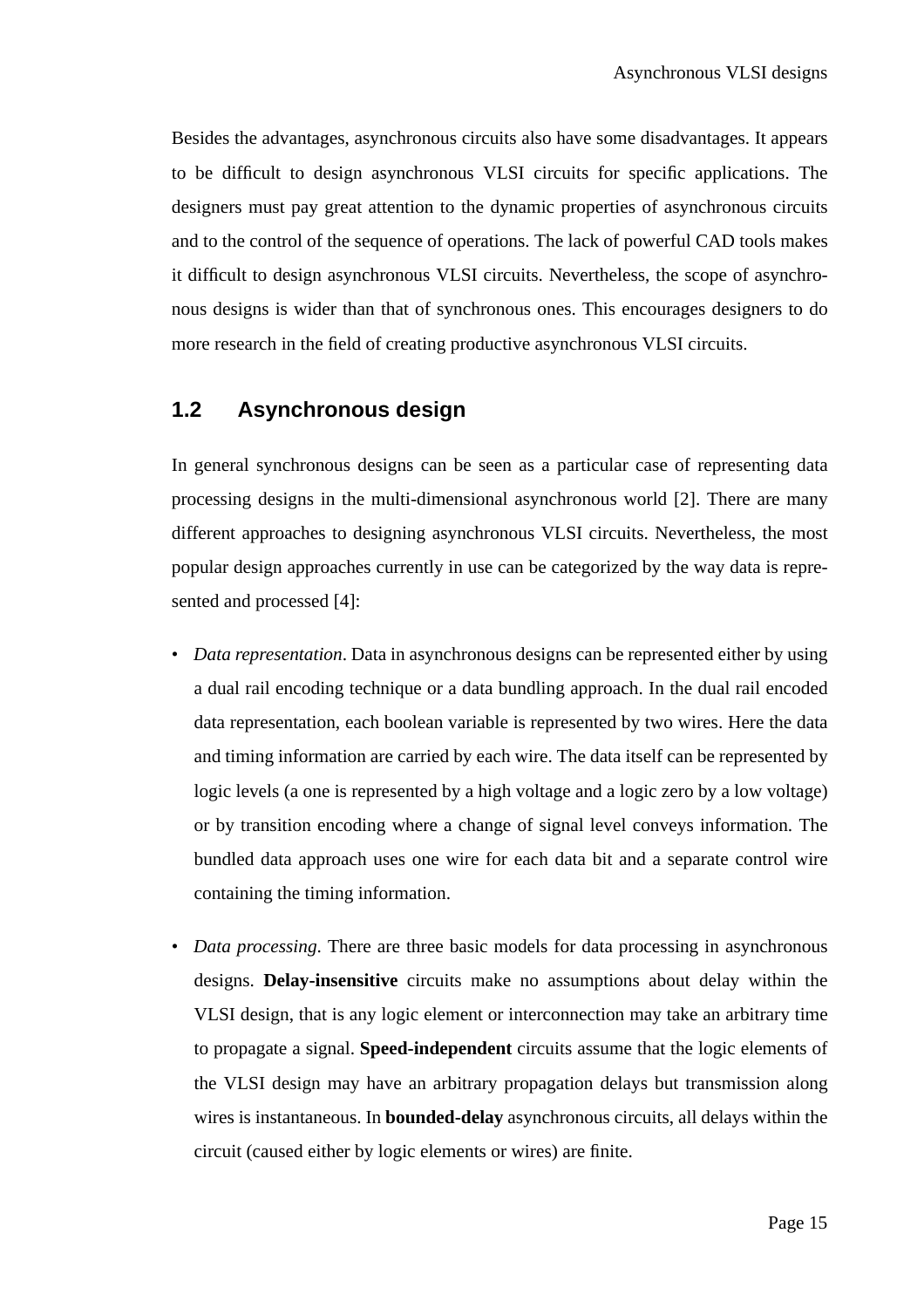Besides the advantages, asynchronous circuits also have some disadvantages. It appears to be difficult to design asynchronous VLSI circuits for specific applications. The designers must pay great attention to the dynamic properties of asynchronous circuits and to the control of the sequence of operations. The lack of powerful CAD tools makes it difficult to design asynchronous VLSI circuits. Nevertheless, the scope of asynchronous designs is wider than that of synchronous ones. This encourages designers to do more research in the field of creating productive asynchronous VLSI circuits.

#### **1.2 Asynchronous design**

In general synchronous designs can be seen as a particular case of representing data processing designs in the multi-dimensional asynchronous world [2]. There are many different approaches to designing asynchronous VLSI circuits. Nevertheless, the most popular design approaches currently in use can be categorized by the way data is represented and processed [4]:

- *Data representation*. Data in asynchronous designs can be represented either by using a dual rail encoding technique or a data bundling approach. In the dual rail encoded data representation, each boolean variable is represented by two wires. Here the data and timing information are carried by each wire. The data itself can be represented by logic levels (a one is represented by a high voltage and a logic zero by a low voltage) or by transition encoding where a change of signal level conveys information. The bundled data approach uses one wire for each data bit and a separate control wire containing the timing information.
- *Data processing*. There are three basic models for data processing in asynchronous designs. **Delay-insensitive** circuits make no assumptions about delay within the VLSI design, that is any logic element or interconnection may take an arbitrary time to propagate a signal. **Speed-independent** circuits assume that the logic elements of the VLSI design may have an arbitrary propagation delays but transmission along wires is instantaneous. In **bounded-delay** asynchronous circuits, all delays within the circuit (caused either by logic elements or wires) are finite.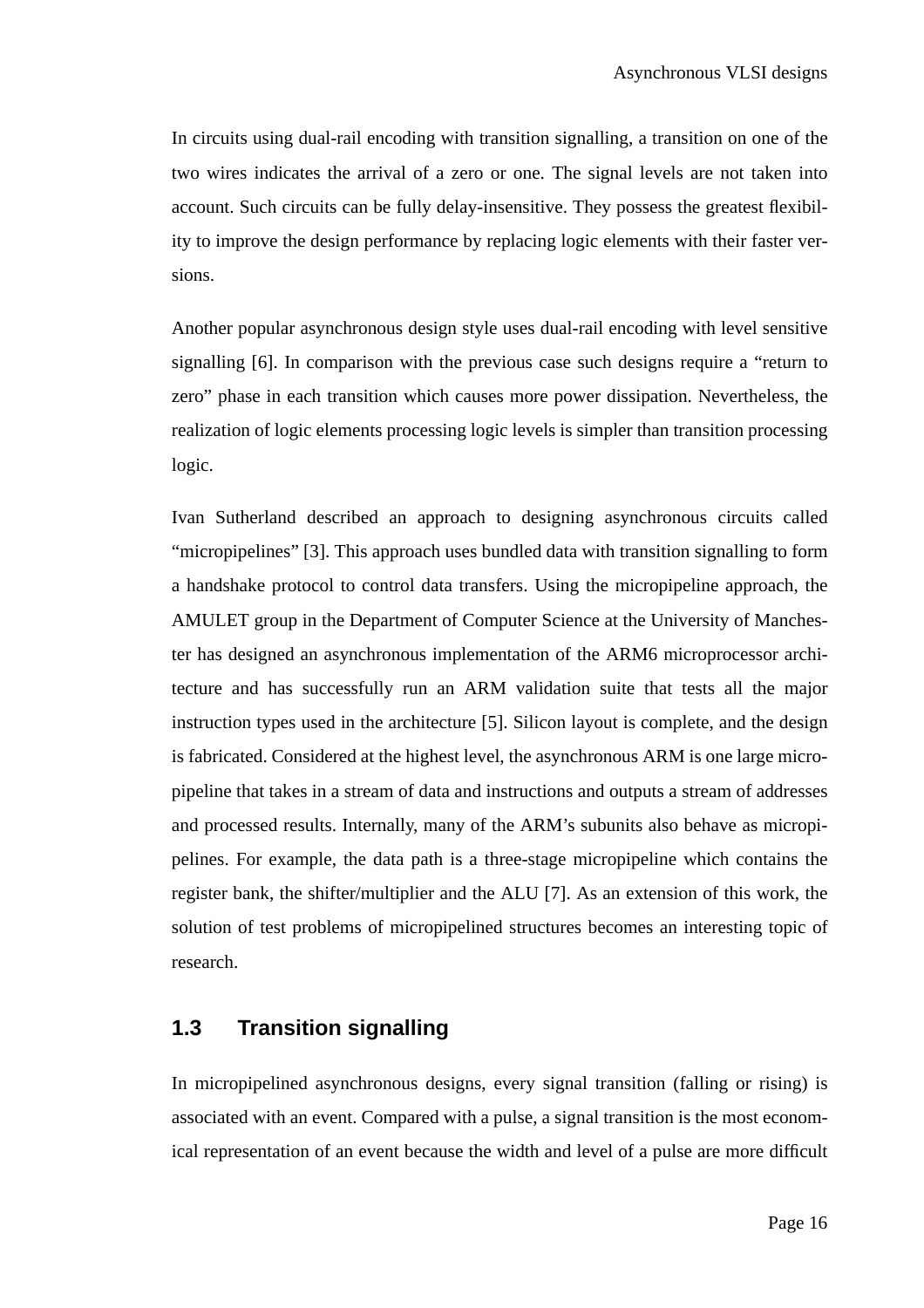In circuits using dual-rail encoding with transition signalling, a transition on one of the two wires indicates the arrival of a zero or one. The signal levels are not taken into account. Such circuits can be fully delay-insensitive. They possess the greatest flexibility to improve the design performance by replacing logic elements with their faster versions.

Another popular asynchronous design style uses dual-rail encoding with level sensitive signalling [6]. In comparison with the previous case such designs require a "return to zero" phase in each transition which causes more power dissipation. Nevertheless, the realization of logic elements processing logic levels is simpler than transition processing logic.

Ivan Sutherland described an approach to designing asynchronous circuits called "micropipelines" [3]. This approach uses bundled data with transition signalling to form a handshake protocol to control data transfers. Using the micropipeline approach, the AMULET group in the Department of Computer Science at the University of Manchester has designed an asynchronous implementation of the ARM6 microprocessor architecture and has successfully run an ARM validation suite that tests all the major instruction types used in the architecture [5]. Silicon layout is complete, and the design is fabricated. Considered at the highest level, the asynchronous ARM is one large micropipeline that takes in a stream of data and instructions and outputs a stream of addresses and processed results. Internally, many of the ARM's subunits also behave as micropipelines. For example, the data path is a three-stage micropipeline which contains the register bank, the shifter/multiplier and the ALU [7]. As an extension of this work, the solution of test problems of micropipelined structures becomes an interesting topic of research.

#### **1.3 Transition signalling**

In micropipelined asynchronous designs, every signal transition (falling or rising) is associated with an event. Compared with a pulse, a signal transition is the most economical representation of an event because the width and level of a pulse are more difficult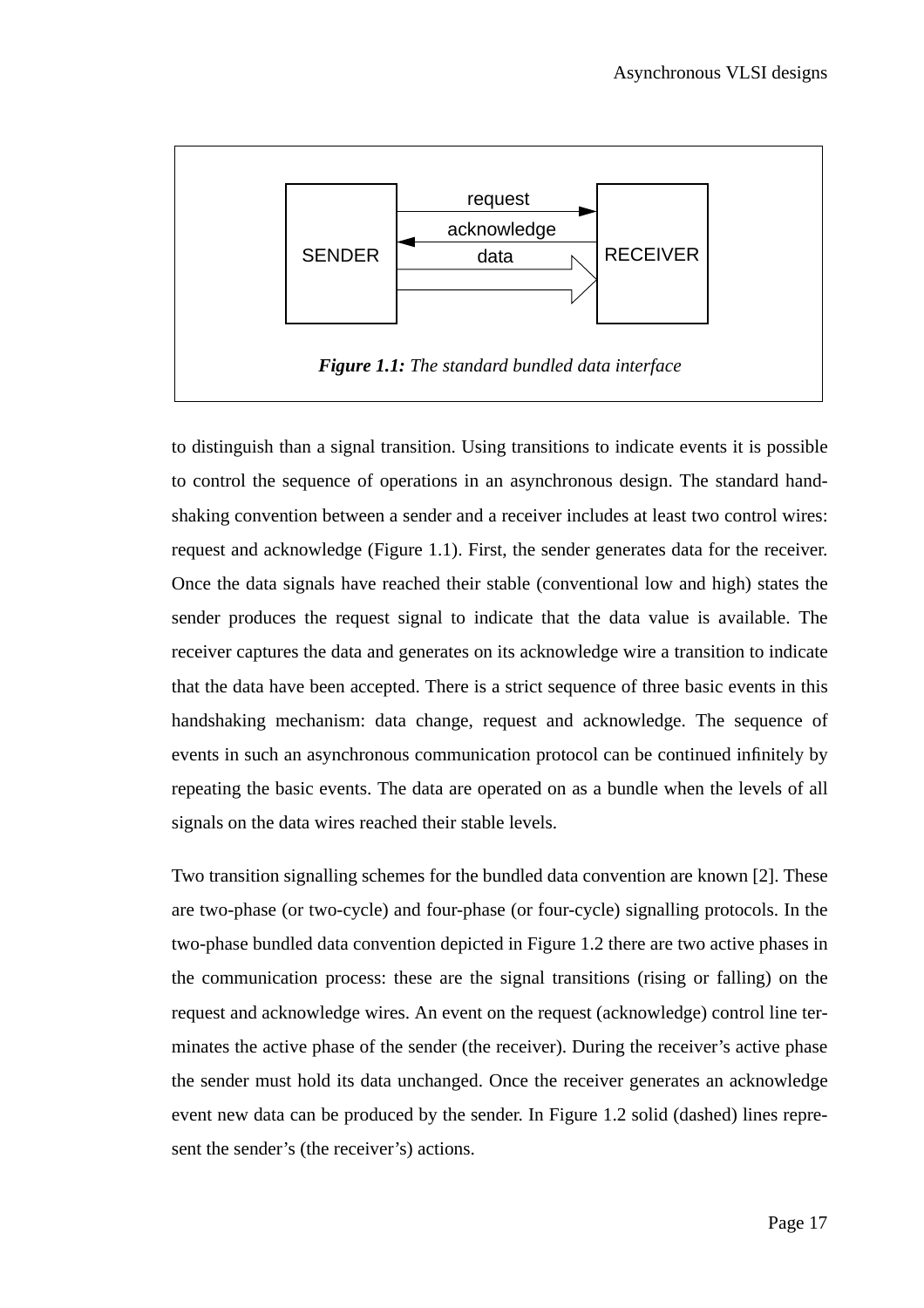

to distinguish than a signal transition. Using transitions to indicate events it is possible to control the sequence of operations in an asynchronous design. The standard handshaking convention between a sender and a receiver includes at least two control wires: request and acknowledge (Figure 1.1). First, the sender generates data for the receiver. Once the data signals have reached their stable (conventional low and high) states the sender produces the request signal to indicate that the data value is available. The receiver captures the data and generates on its acknowledge wire a transition to indicate that the data have been accepted. There is a strict sequence of three basic events in this handshaking mechanism: data change, request and acknowledge. The sequence of events in such an asynchronous communication protocol can be continued infinitely by repeating the basic events. The data are operated on as a bundle when the levels of all signals on the data wires reached their stable levels.

Two transition signalling schemes for the bundled data convention are known [2]. These are two-phase (or two-cycle) and four-phase (or four-cycle) signalling protocols. In the two-phase bundled data convention depicted in Figure 1.2 there are two active phases in the communication process: these are the signal transitions (rising or falling) on the request and acknowledge wires. An event on the request (acknowledge) control line terminates the active phase of the sender (the receiver). During the receiver's active phase the sender must hold its data unchanged. Once the receiver generates an acknowledge event new data can be produced by the sender. In Figure 1.2 solid (dashed) lines represent the sender's (the receiver's) actions.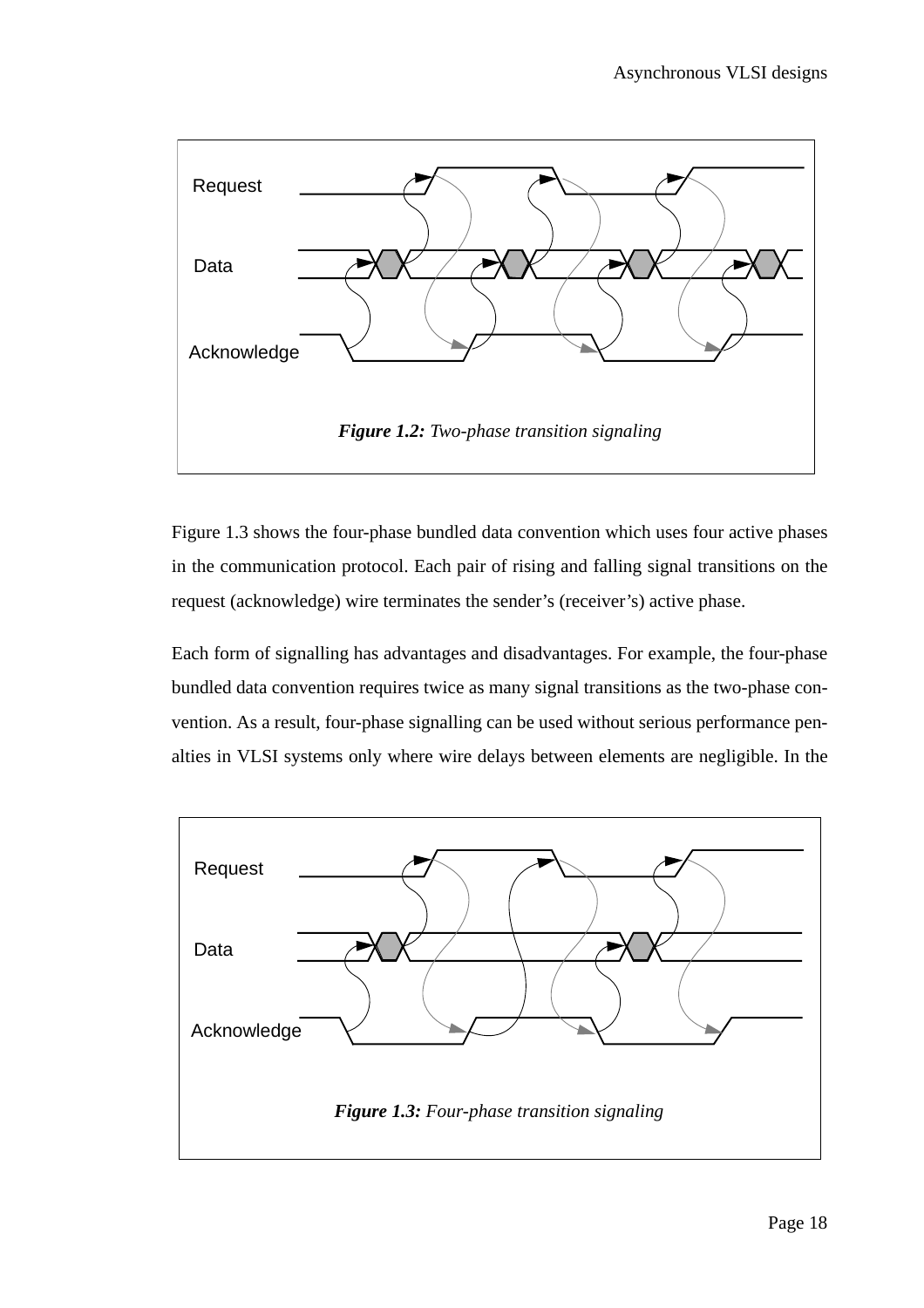

Figure 1.3 shows the four-phase bundled data convention which uses four active phases in the communication protocol. Each pair of rising and falling signal transitions on the request (acknowledge) wire terminates the sender's (receiver's) active phase.

Each form of signalling has advantages and disadvantages. For example, the four-phase bundled data convention requires twice as many signal transitions as the two-phase convention. As a result, four-phase signalling can be used without serious performance penalties in VLSI systems only where wire delays between elements are negligible. In the

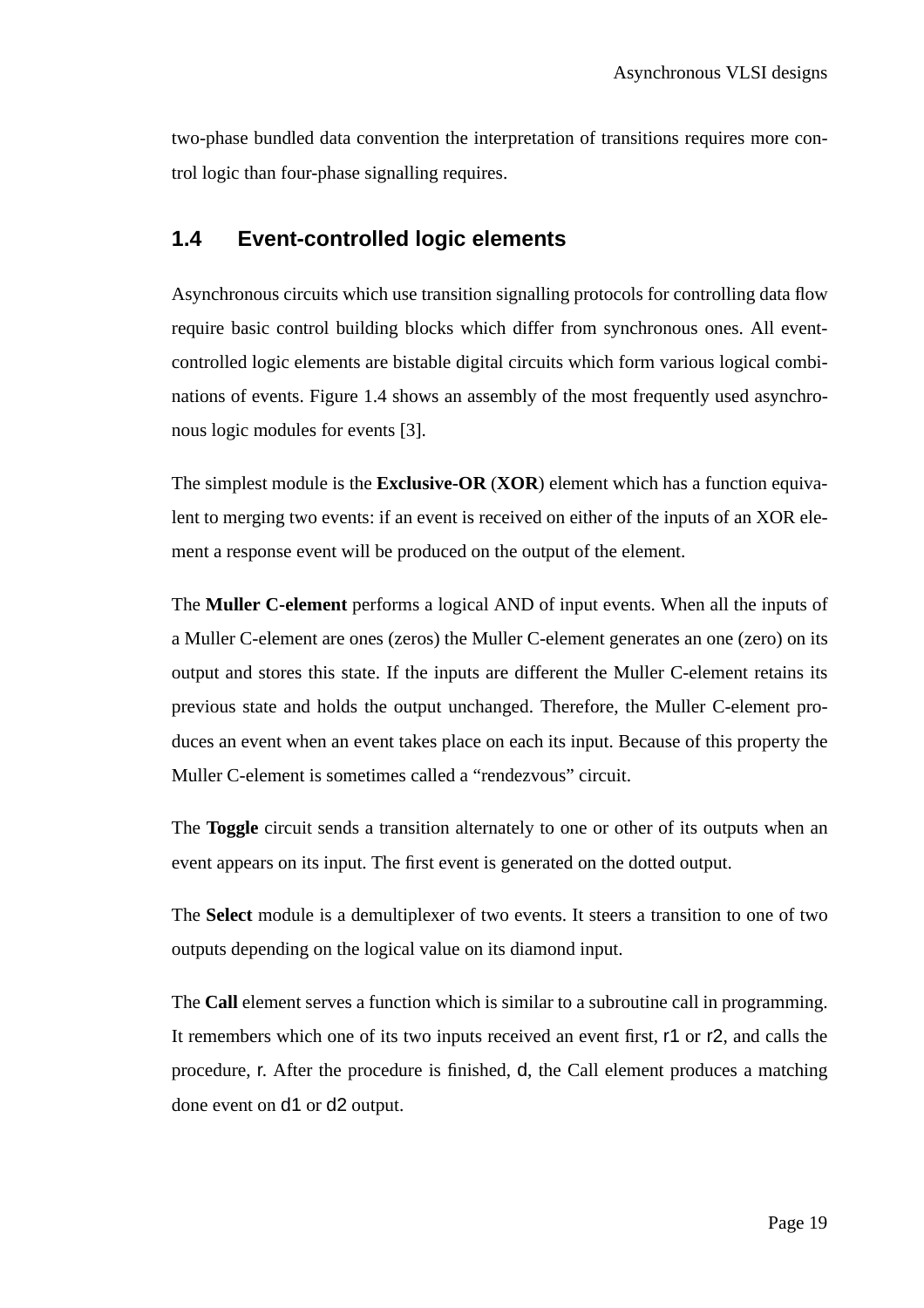two-phase bundled data convention the interpretation of transitions requires more control logic than four-phase signalling requires.

#### **1.4 Event-controlled logic elements**

Asynchronous circuits which use transition signalling protocols for controlling data flow require basic control building blocks which differ from synchronous ones. All eventcontrolled logic elements are bistable digital circuits which form various logical combinations of events. Figure 1.4 shows an assembly of the most frequently used asynchronous logic modules for events [3].

The simplest module is the **Exclusive-OR** (**XOR**) element which has a function equivalent to merging two events: if an event is received on either of the inputs of an XOR element a response event will be produced on the output of the element.

The **Muller C-element** performs a logical AND of input events. When all the inputs of a Muller C-element are ones (zeros) the Muller C-element generates an one (zero) on its output and stores this state. If the inputs are different the Muller C-element retains its previous state and holds the output unchanged. Therefore, the Muller C-element produces an event when an event takes place on each its input. Because of this property the Muller C-element is sometimes called a "rendezvous" circuit.

The **Toggle** circuit sends a transition alternately to one or other of its outputs when an event appears on its input. The first event is generated on the dotted output.

The **Select** module is a demultiplexer of two events. It steers a transition to one of two outputs depending on the logical value on its diamond input.

The **Call** element serves a function which is similar to a subroutine call in programming. It remembers which one of its two inputs received an event first, r1 or r2, and calls the procedure, r. After the procedure is finished, d, the Call element produces a matching done event on d1 or d2 output.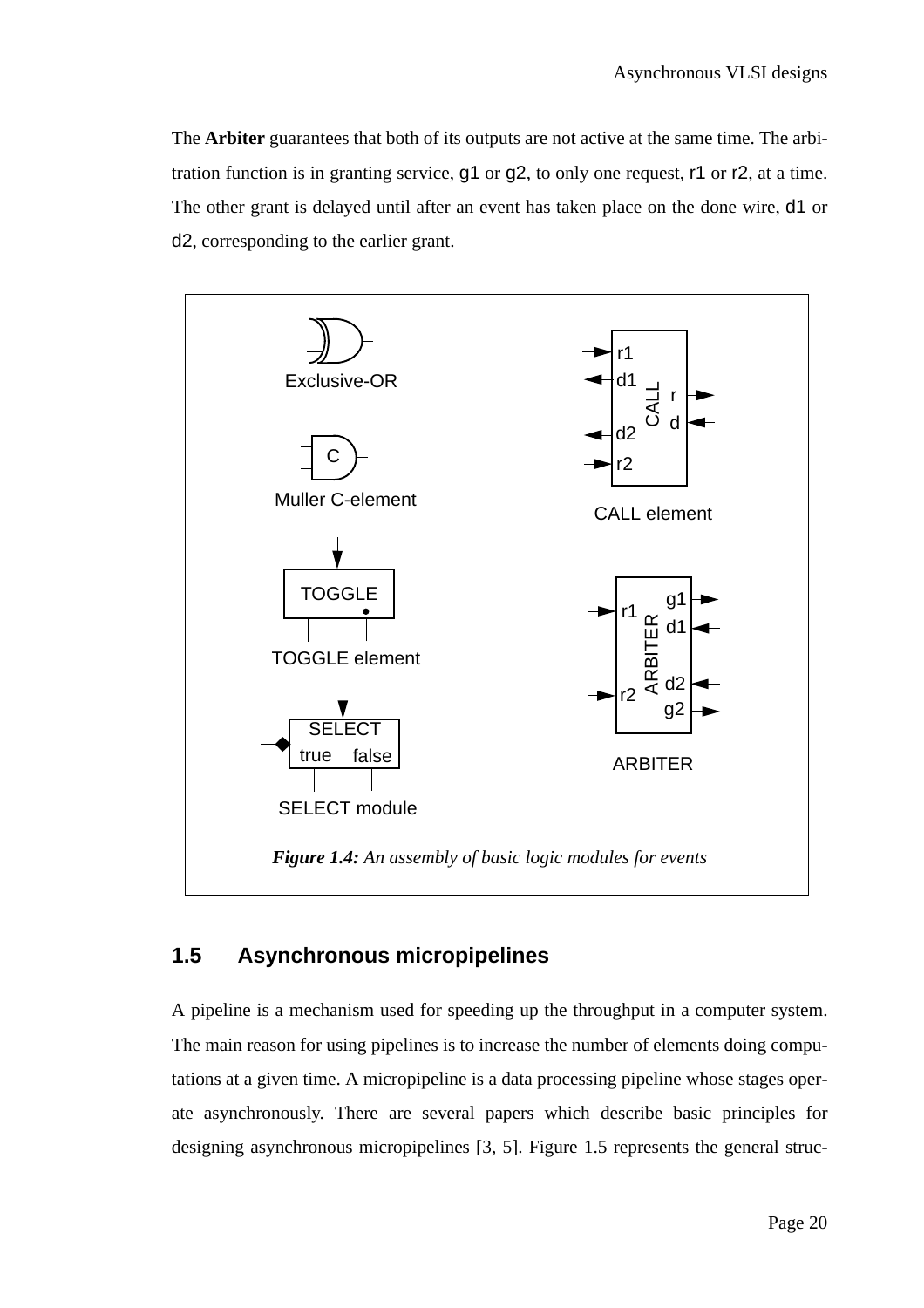The **Arbiter** guarantees that both of its outputs are not active at the same time. The arbitration function is in granting service, g1 or g2, to only one request, r1 or r2, at a time. The other grant is delayed until after an event has taken place on the done wire, d1 or d2, corresponding to the earlier grant.



### **1.5 Asynchronous micropipelines**

A pipeline is a mechanism used for speeding up the throughput in a computer system. The main reason for using pipelines is to increase the number of elements doing computations at a given time. A micropipeline is a data processing pipeline whose stages operate asynchronously. There are several papers which describe basic principles for designing asynchronous micropipelines [3, 5]. Figure 1.5 represents the general struc-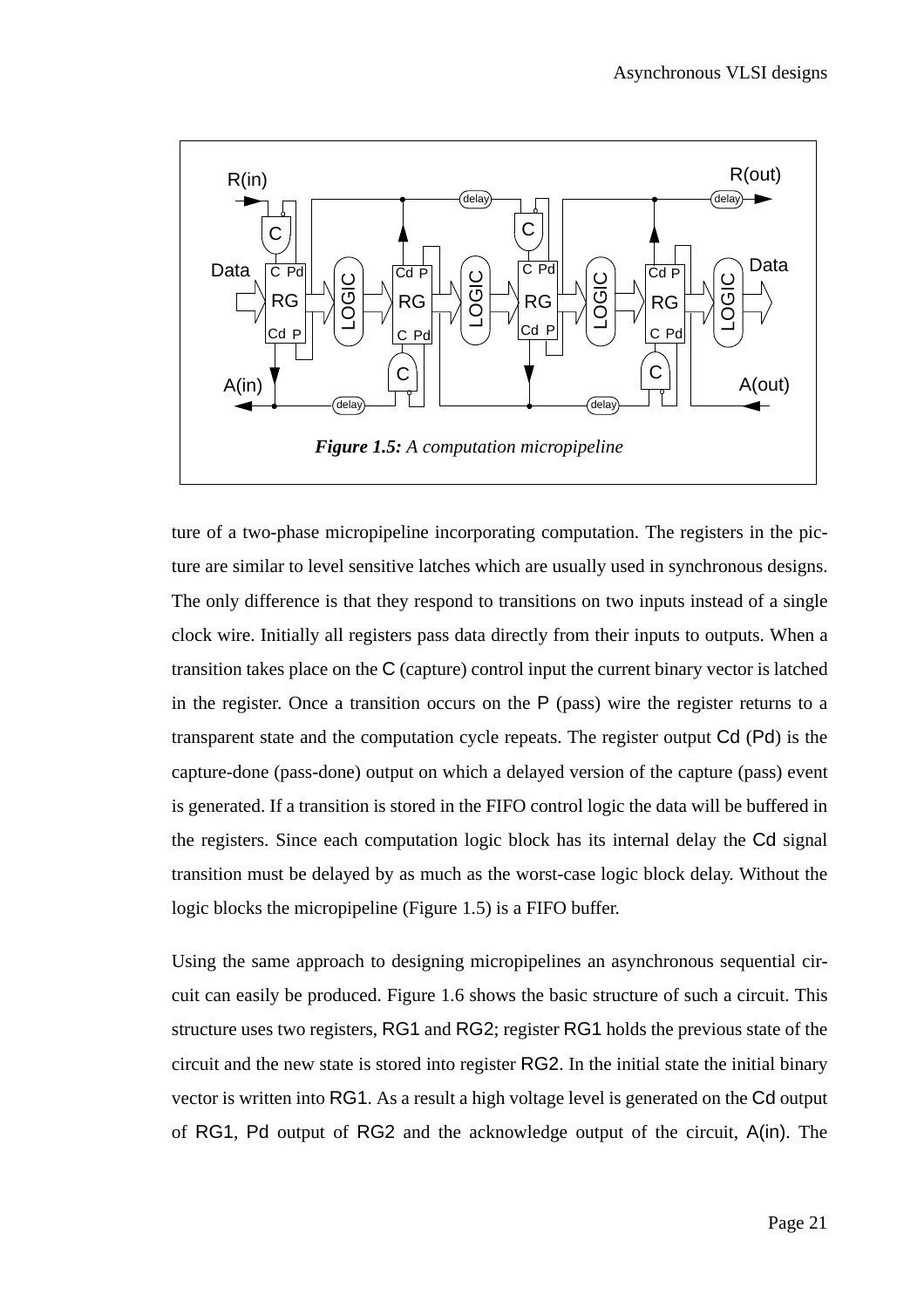

ture of a two-phase micropipeline incorporating computation. The registers in the picture are similar to level sensitive latches which are usually used in synchronous designs. The only difference is that they respond to transitions on two inputs instead of a single clock wire. Initially all registers pass data directly from their inputs to outputs. When a transition takes place on the C (capture) control input the current binary vector is latched in the register. Once a transition occurs on the  $P$  (pass) wire the register returns to a transparent state and the computation cycle repeats. The register output Cd (Pd) is the capture-done (pass-done) output on which a delayed version of the capture (pass) event is generated. If a transition is stored in the FIFO control logic the data will be buffered in the registers. Since each computation logic block has its internal delay the Cd signal transition must be delayed by as much as the worst-case logic block delay. Without the logic blocks the micropipeline (Figure 1.5) is a FIFO buffer.

Using the same approach to designing micropipelines an asynchronous sequential circuit can easily be produced. Figure 1.6 shows the basic structure of such a circuit. This structure uses two registers, RG1 and RG2; register RG1 holds the previous state of the circuit and the new state is stored into register RG2. In the initial state the initial binary vector is written into RG1. As a result a high voltage level is generated on the Cd output of RG1, Pd output of RG2 and the acknowledge output of the circuit, A(in). The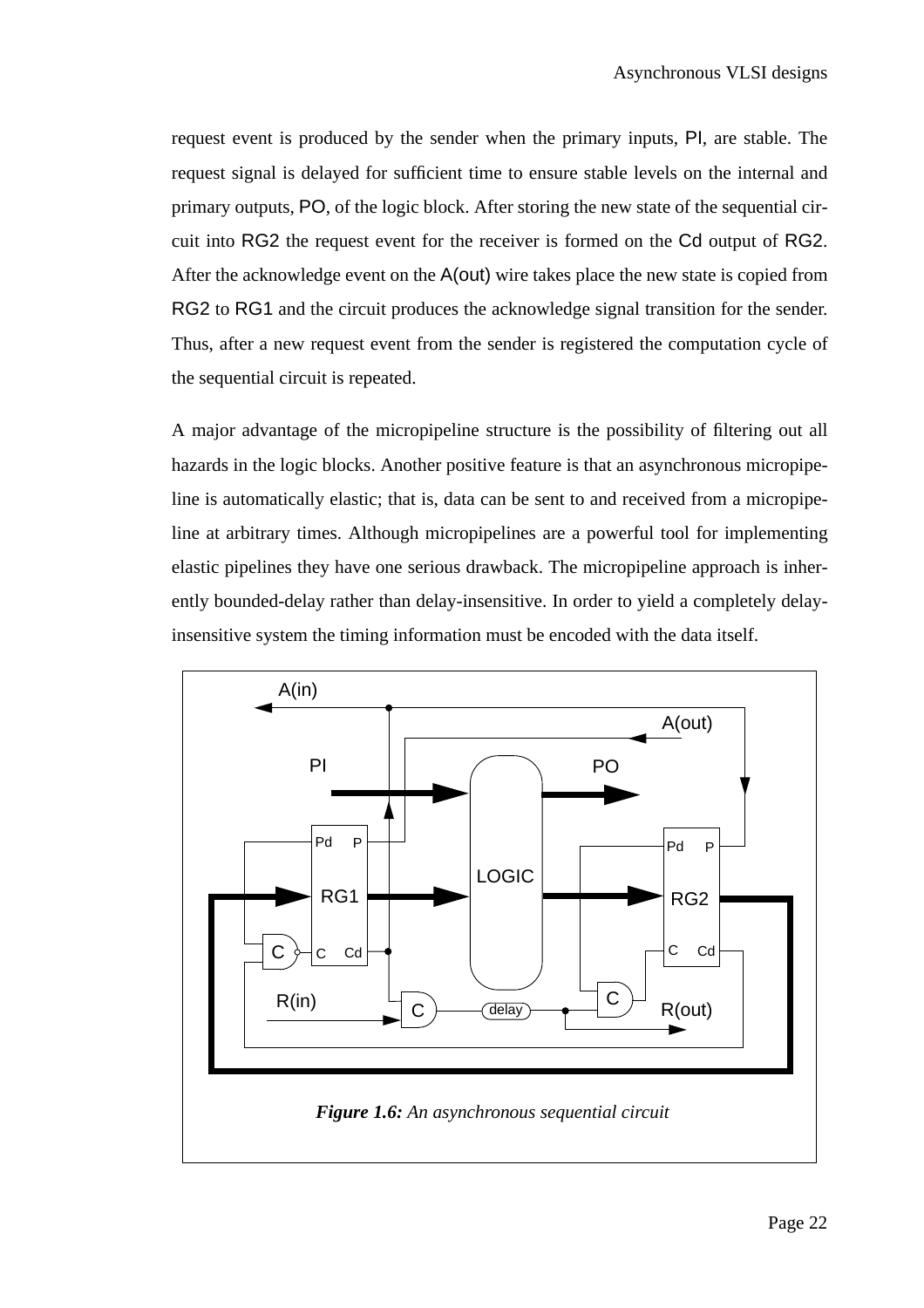request event is produced by the sender when the primary inputs, PI, are stable. The request signal is delayed for sufficient time to ensure stable levels on the internal and primary outputs, PO, of the logic block. After storing the new state of the sequential circuit into RG2 the request event for the receiver is formed on the Cd output of RG2. After the acknowledge event on the A(out) wire takes place the new state is copied from RG2 to RG1 and the circuit produces the acknowledge signal transition for the sender. Thus, after a new request event from the sender is registered the computation cycle of the sequential circuit is repeated.

A major advantage of the micropipeline structure is the possibility of filtering out all hazards in the logic blocks. Another positive feature is that an asynchronous micropipeline is automatically elastic; that is, data can be sent to and received from a micropipeline at arbitrary times. Although micropipelines are a powerful tool for implementing elastic pipelines they have one serious drawback. The micropipeline approach is inherently bounded-delay rather than delay-insensitive. In order to yield a completely delayinsensitive system the timing information must be encoded with the data itself.

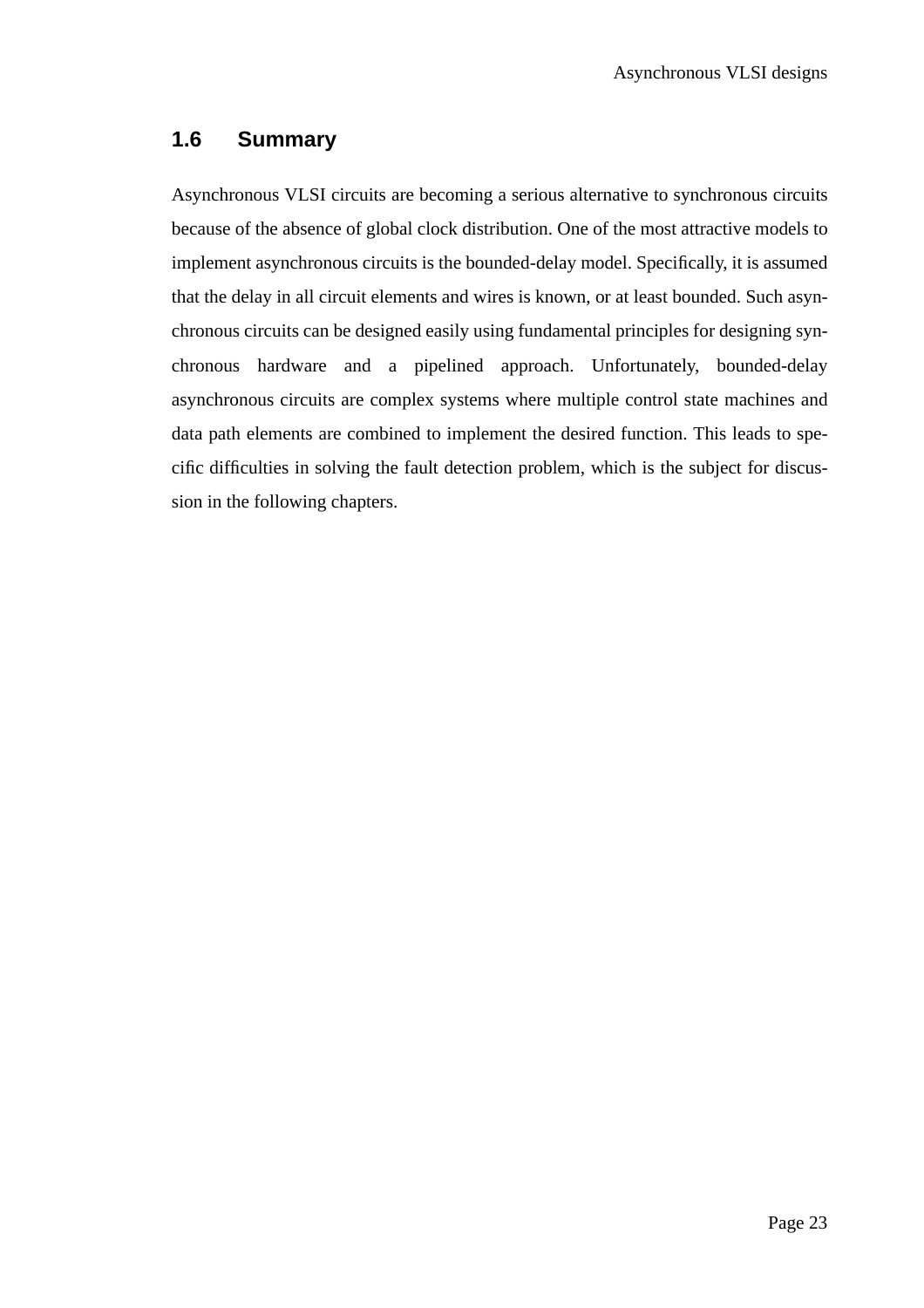### **1.6 Summary**

Asynchronous VLSI circuits are becoming a serious alternative to synchronous circuits because of the absence of global clock distribution. One of the most attractive models to implement asynchronous circuits is the bounded-delay model. Specifically, it is assumed that the delay in all circuit elements and wires is known, or at least bounded. Such asynchronous circuits can be designed easily using fundamental principles for designing synchronous hardware and a pipelined approach. Unfortunately, bounded-delay asynchronous circuits are complex systems where multiple control state machines and data path elements are combined to implement the desired function. This leads to specific difficulties in solving the fault detection problem, which is the subject for discussion in the following chapters.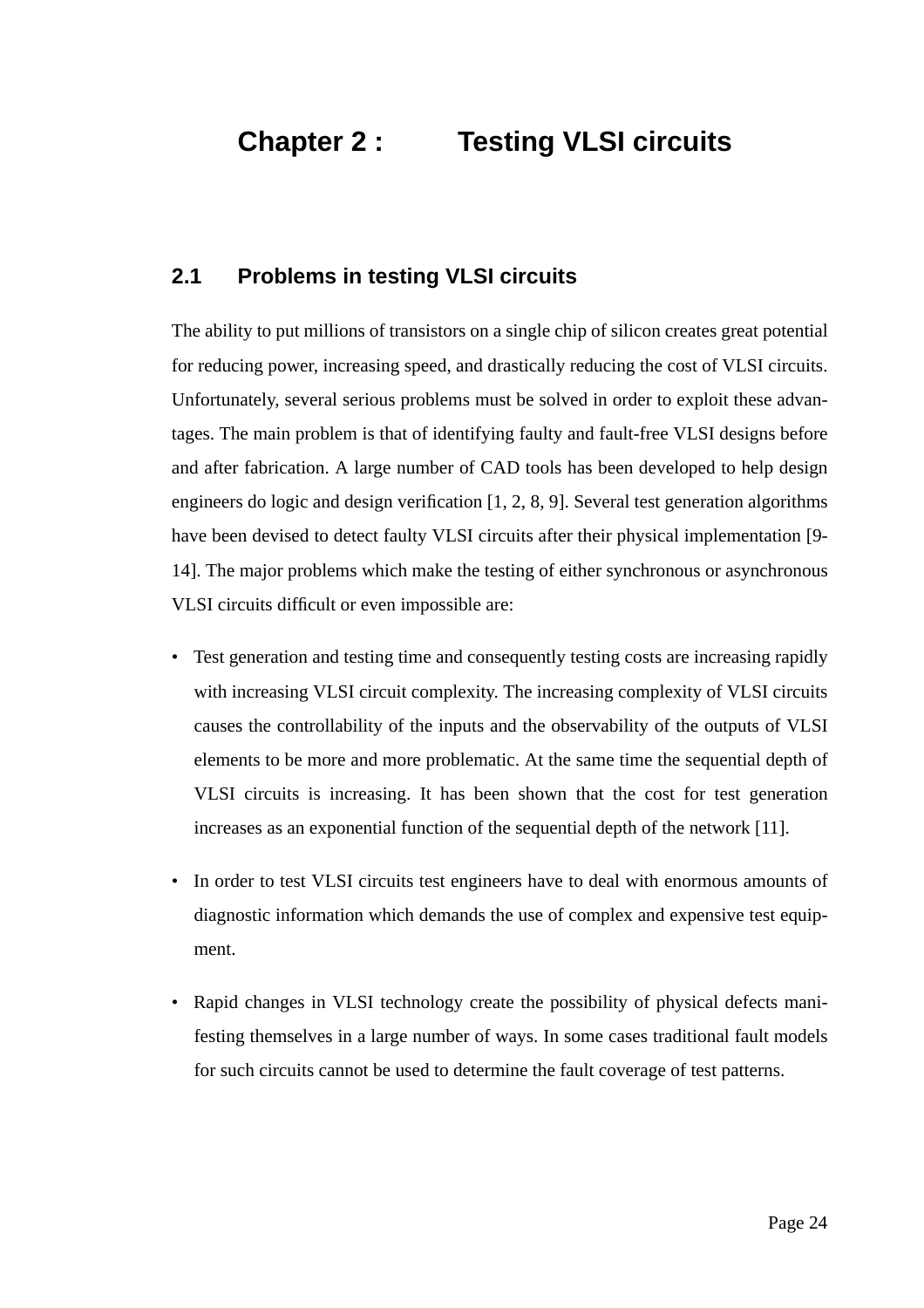### **Chapter 2 : Testing VLSI circuits**

#### **2.1 Problems in testing VLSI circuits**

The ability to put millions of transistors on a single chip of silicon creates great potential for reducing power, increasing speed, and drastically reducing the cost of VLSI circuits. Unfortunately, several serious problems must be solved in order to exploit these advantages. The main problem is that of identifying faulty and fault-free VLSI designs before and after fabrication. A large number of CAD tools has been developed to help design engineers do logic and design verification [1, 2, 8, 9]. Several test generation algorithms have been devised to detect faulty VLSI circuits after their physical implementation [9- 14]. The major problems which make the testing of either synchronous or asynchronous VLSI circuits difficult or even impossible are:

- Test generation and testing time and consequently testing costs are increasing rapidly with increasing VLSI circuit complexity. The increasing complexity of VLSI circuits causes the controllability of the inputs and the observability of the outputs of VLSI elements to be more and more problematic. At the same time the sequential depth of VLSI circuits is increasing. It has been shown that the cost for test generation increases as an exponential function of the sequential depth of the network [11].
- In order to test VLSI circuits test engineers have to deal with enormous amounts of diagnostic information which demands the use of complex and expensive test equipment.
- Rapid changes in VLSI technology create the possibility of physical defects manifesting themselves in a large number of ways. In some cases traditional fault models for such circuits cannot be used to determine the fault coverage of test patterns.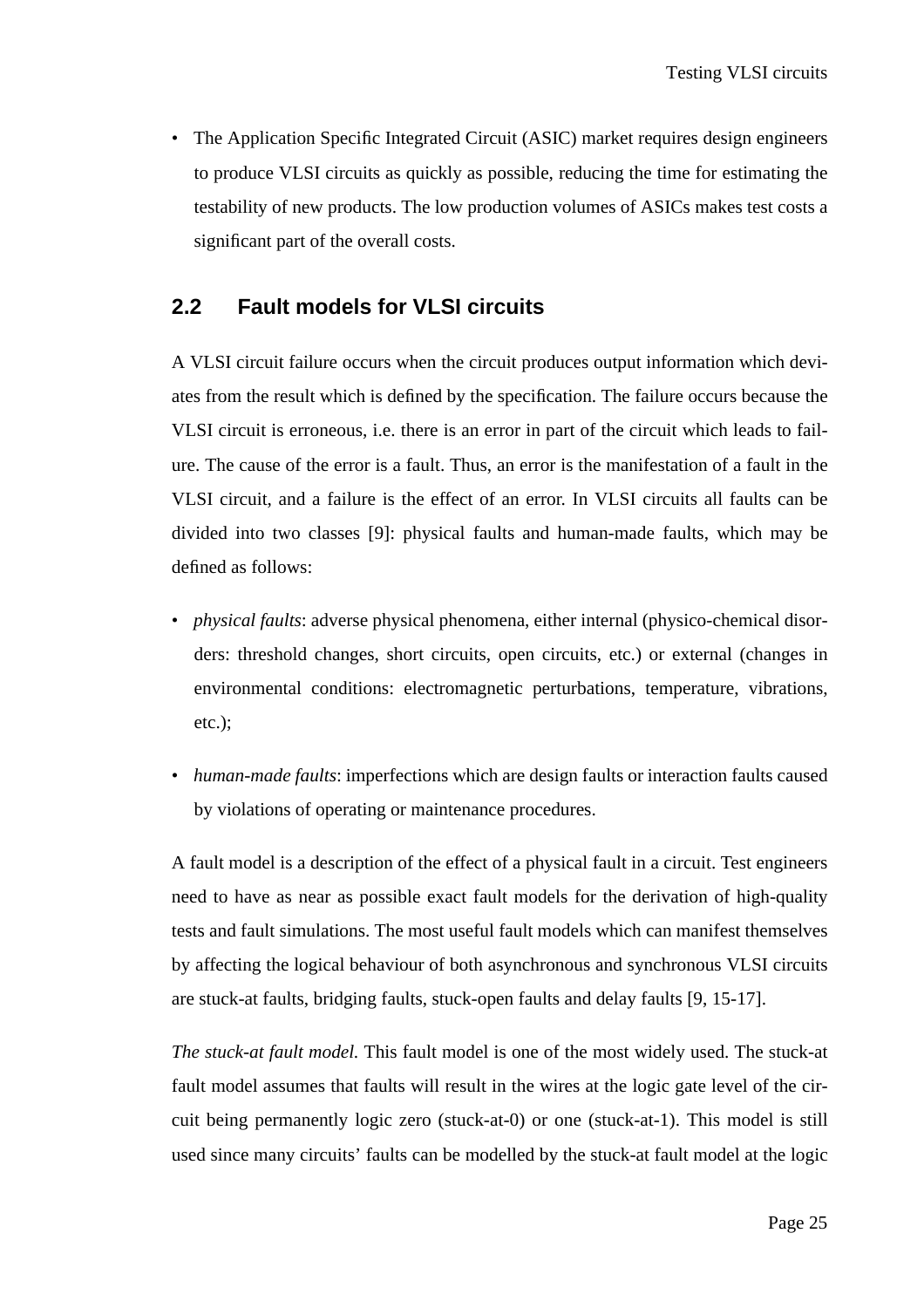• The Application Specific Integrated Circuit (ASIC) market requires design engineers to produce VLSI circuits as quickly as possible, reducing the time for estimating the testability of new products. The low production volumes of ASICs makes test costs a significant part of the overall costs.

#### **2.2 Fault models for VLSI circuits**

A VLSI circuit failure occurs when the circuit produces output information which deviates from the result which is defined by the specification. The failure occurs because the VLSI circuit is erroneous, i.e. there is an error in part of the circuit which leads to failure. The cause of the error is a fault. Thus, an error is the manifestation of a fault in the VLSI circuit, and a failure is the effect of an error. In VLSI circuits all faults can be divided into two classes [9]: physical faults and human-made faults, which may be defined as follows:

- *physical faults*: adverse physical phenomena, either internal (physico-chemical disorders: threshold changes, short circuits, open circuits, etc.) or external (changes in environmental conditions: electromagnetic perturbations, temperature, vibrations, etc.);
- *human-made faults*: imperfections which are design faults or interaction faults caused by violations of operating or maintenance procedures.

A fault model is a description of the effect of a physical fault in a circuit. Test engineers need to have as near as possible exact fault models for the derivation of high-quality tests and fault simulations. The most useful fault models which can manifest themselves by affecting the logical behaviour of both asynchronous and synchronous VLSI circuits are stuck-at faults, bridging faults, stuck-open faults and delay faults [9, 15-17].

*The stuck-at fault model.* This fault model is one of the most widely used. The stuck-at fault model assumes that faults will result in the wires at the logic gate level of the circuit being permanently logic zero (stuck-at-0) or one (stuck-at-1). This model is still used since many circuits' faults can be modelled by the stuck-at fault model at the logic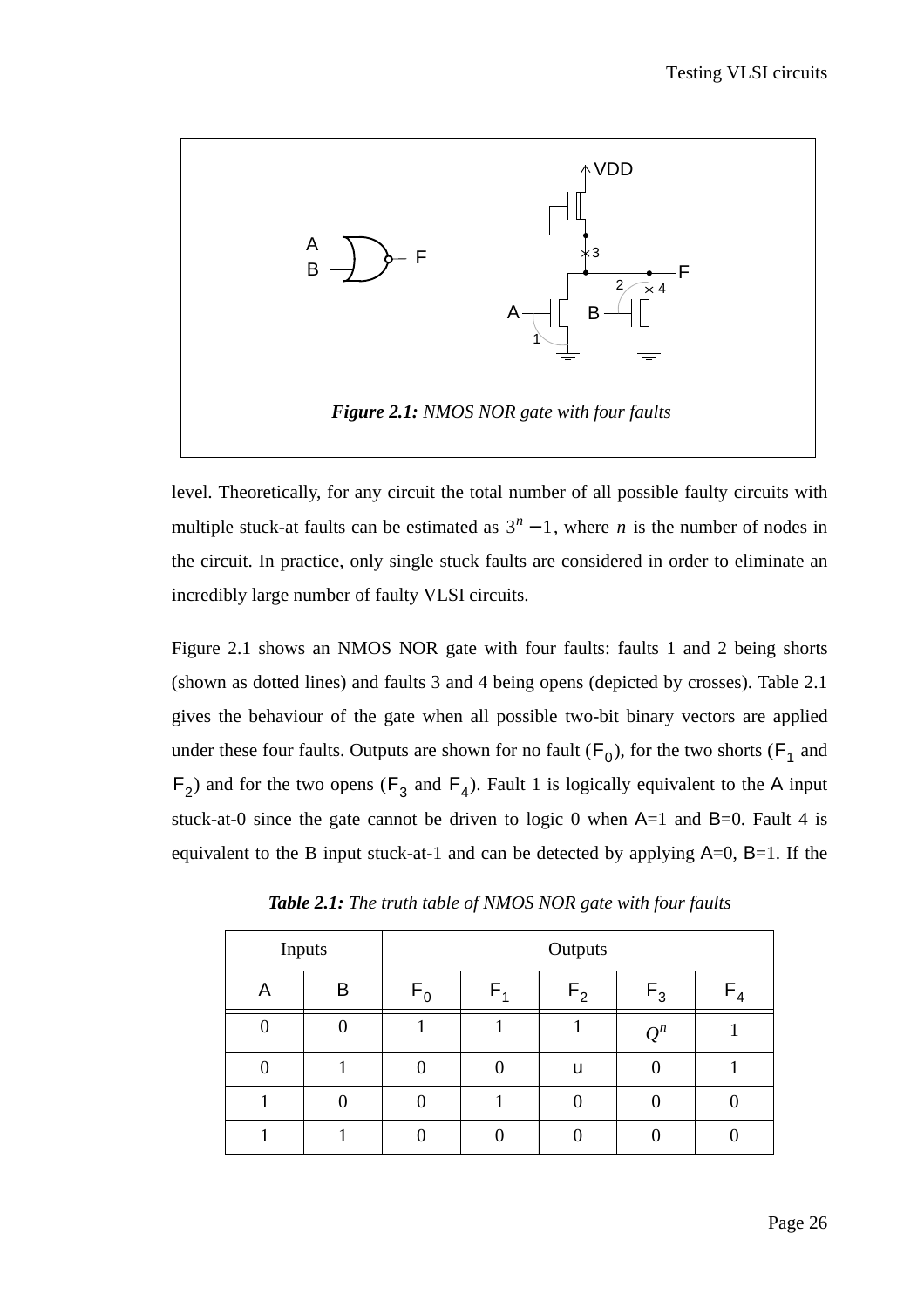

level. Theoretically, for any circuit the total number of all possible faulty circuits with multiple stuck-at faults can be estimated as  $3<sup>n</sup> - 1$ , where *n* is the number of nodes in the circuit. In practice, only single stuck faults are considered in order to eliminate an incredibly large number of faulty VLSI circuits.

Figure 2.1 shows an NMOS NOR gate with four faults: faults 1 and 2 being shorts (shown as dotted lines) and faults 3 and 4 being opens (depicted by crosses). Table 2.1 gives the behaviour of the gate when all possible two-bit binary vectors are applied under these four faults. Outputs are shown for no fault  $(F_0)$ , for the two shorts  $(F_1$  and  $F_2$ ) and for the two opens ( $F_3$  and  $F_4$ ). Fault 1 is logically equivalent to the A input stuck-at-0 since the gate cannot be driven to logic 0 when  $A=1$  and  $B=0$ . Fault 4 is equivalent to the B input stuck-at-1 and can be detected by applying  $A=0$ ,  $B=1$ . If the

| Inputs |   | Outputs |         |                |       |         |
|--------|---|---------|---------|----------------|-------|---------|
| Α      | B | $F_0$   | $F_{4}$ | F <sub>2</sub> | $F_3$ | $F_{4}$ |
|        |   |         |         |                | $Q^n$ |         |
|        |   |         |         | u              |       |         |
|        |   |         |         |                |       |         |
|        |   |         |         |                |       |         |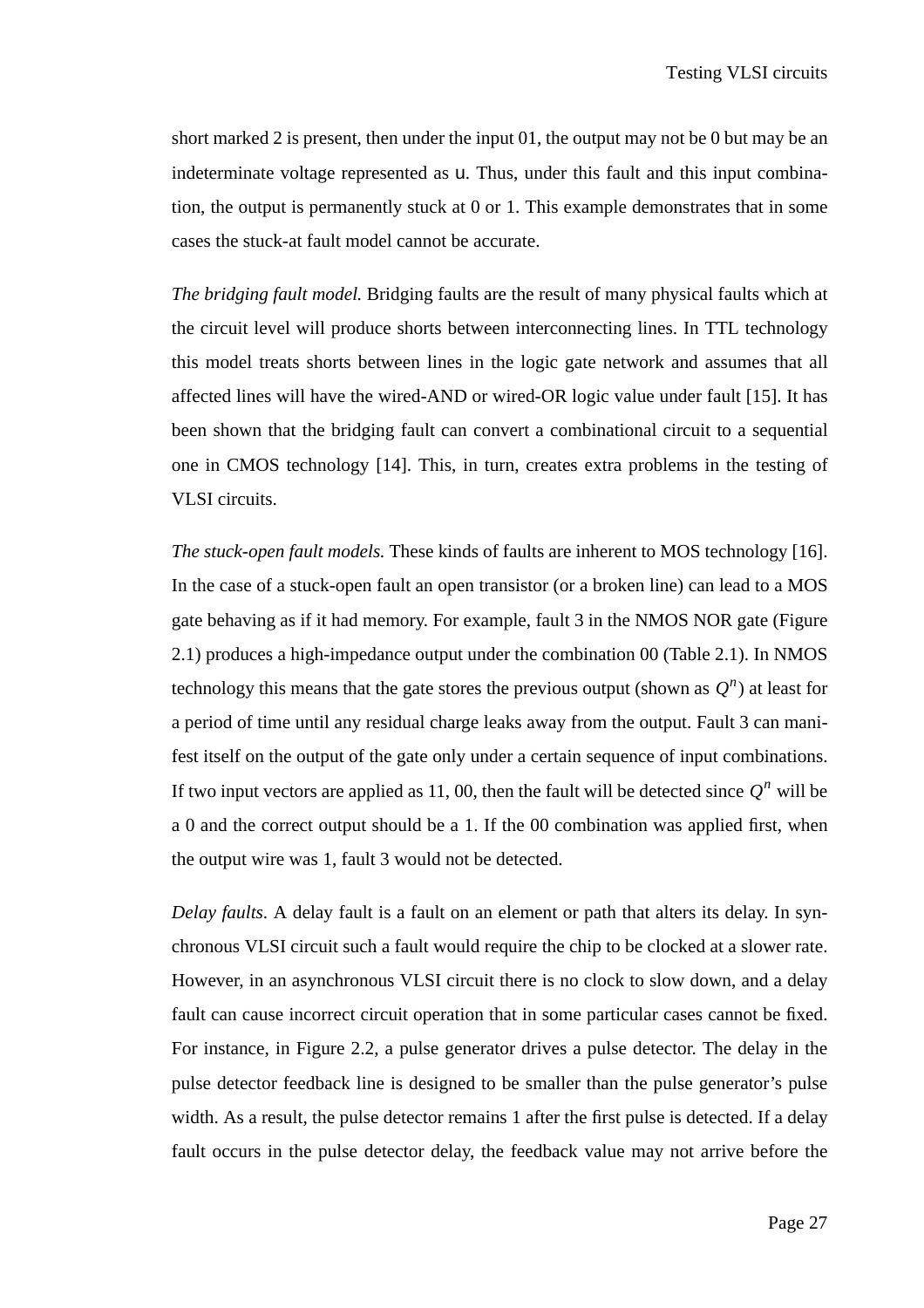short marked 2 is present, then under the input 01, the output may not be 0 but may be an indeterminate voltage represented as u. Thus, under this fault and this input combination, the output is permanently stuck at 0 or 1. This example demonstrates that in some cases the stuck-at fault model cannot be accurate.

*The bridging fault model.* Bridging faults are the result of many physical faults which at the circuit level will produce shorts between interconnecting lines. In TTL technology this model treats shorts between lines in the logic gate network and assumes that all affected lines will have the wired-AND or wired-OR logic value under fault [15]. It has been shown that the bridging fault can convert a combinational circuit to a sequential one in CMOS technology [14]. This, in turn, creates extra problems in the testing of VLSI circuits.

*The stuck-open fault models.* These kinds of faults are inherent to MOS technology [16]. In the case of a stuck-open fault an open transistor (or a broken line) can lead to a MOS gate behaving as if it had memory. For example, fault 3 in the NMOS NOR gate (Figure 2.1) produces a high-impedance output under the combination 00 (Table 2.1). In NMOS technology this means that the gate stores the previous output (shown as  $Q^n$ ) at least for a period of time until any residual charge leaks away from the output. Fault 3 can manifest itself on the output of the gate only under a certain sequence of input combinations. If two input vectors are applied as 11, 00, then the fault will be detected since  $Q^n$  will be a 0 and the correct output should be a 1. If the 00 combination was applied first, when the output wire was 1, fault 3 would not be detected.

*Delay faults*. A delay fault is a fault on an element or path that alters its delay. In synchronous VLSI circuit such a fault would require the chip to be clocked at a slower rate. However, in an asynchronous VLSI circuit there is no clock to slow down, and a delay fault can cause incorrect circuit operation that in some particular cases cannot be fixed. For instance, in Figure 2.2, a pulse generator drives a pulse detector. The delay in the pulse detector feedback line is designed to be smaller than the pulse generator's pulse width. As a result, the pulse detector remains 1 after the first pulse is detected. If a delay fault occurs in the pulse detector delay, the feedback value may not arrive before the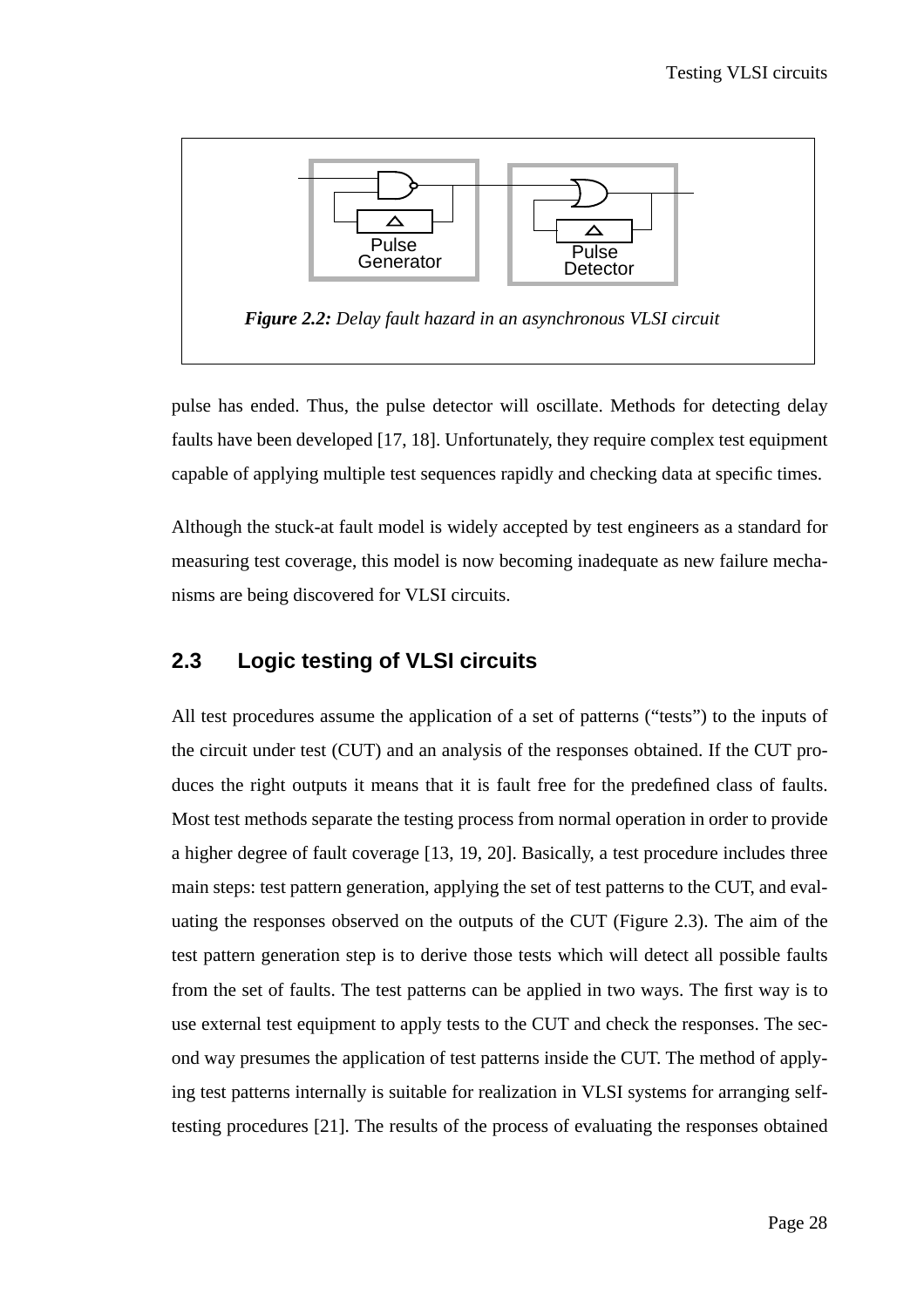

pulse has ended. Thus, the pulse detector will oscillate. Methods for detecting delay faults have been developed [17, 18]. Unfortunately, they require complex test equipment capable of applying multiple test sequences rapidly and checking data at specific times.

Although the stuck-at fault model is widely accepted by test engineers as a standard for measuring test coverage, this model is now becoming inadequate as new failure mechanisms are being discovered for VLSI circuits.

### **2.3 Logic testing of VLSI circuits**

All test procedures assume the application of a set of patterns ("tests") to the inputs of the circuit under test (CUT) and an analysis of the responses obtained. If the CUT produces the right outputs it means that it is fault free for the predefined class of faults. Most test methods separate the testing process from normal operation in order to provide a higher degree of fault coverage [13, 19, 20]. Basically, a test procedure includes three main steps: test pattern generation, applying the set of test patterns to the CUT, and evaluating the responses observed on the outputs of the CUT (Figure 2.3). The aim of the test pattern generation step is to derive those tests which will detect all possible faults from the set of faults. The test patterns can be applied in two ways. The first way is to use external test equipment to apply tests to the CUT and check the responses. The second way presumes the application of test patterns inside the CUT. The method of applying test patterns internally is suitable for realization in VLSI systems for arranging selftesting procedures [21]. The results of the process of evaluating the responses obtained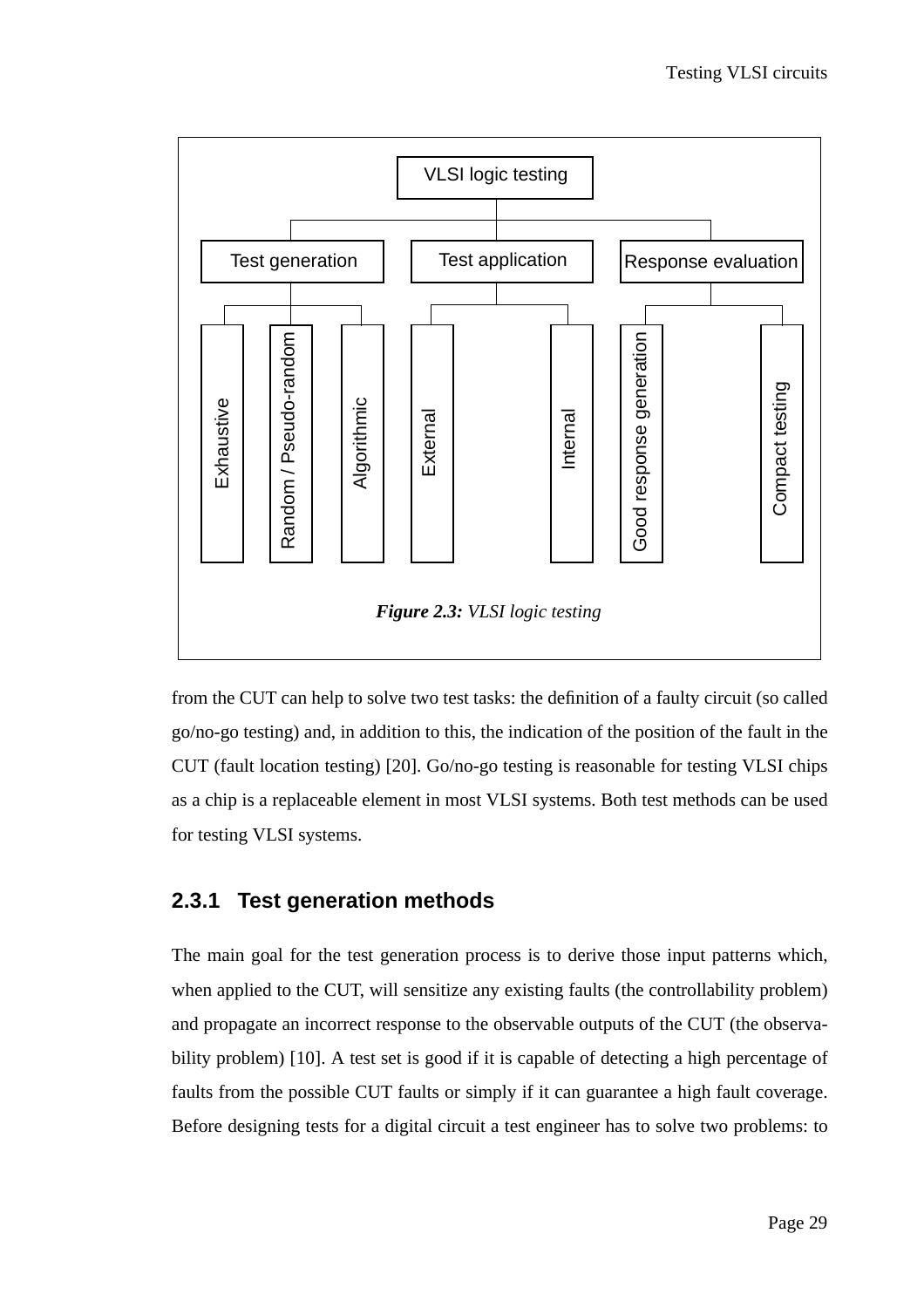

from the CUT can help to solve two test tasks: the definition of a faulty circuit (so called go/no-go testing) and, in addition to this, the indication of the position of the fault in the CUT (fault location testing) [20]. Go/no-go testing is reasonable for testing VLSI chips as a chip is a replaceable element in most VLSI systems. Both test methods can be used for testing VLSI systems.

### **2.3.1 Test generation methods**

The main goal for the test generation process is to derive those input patterns which, when applied to the CUT, will sensitize any existing faults (the controllability problem) and propagate an incorrect response to the observable outputs of the CUT (the observability problem) [10]. A test set is good if it is capable of detecting a high percentage of faults from the possible CUT faults or simply if it can guarantee a high fault coverage.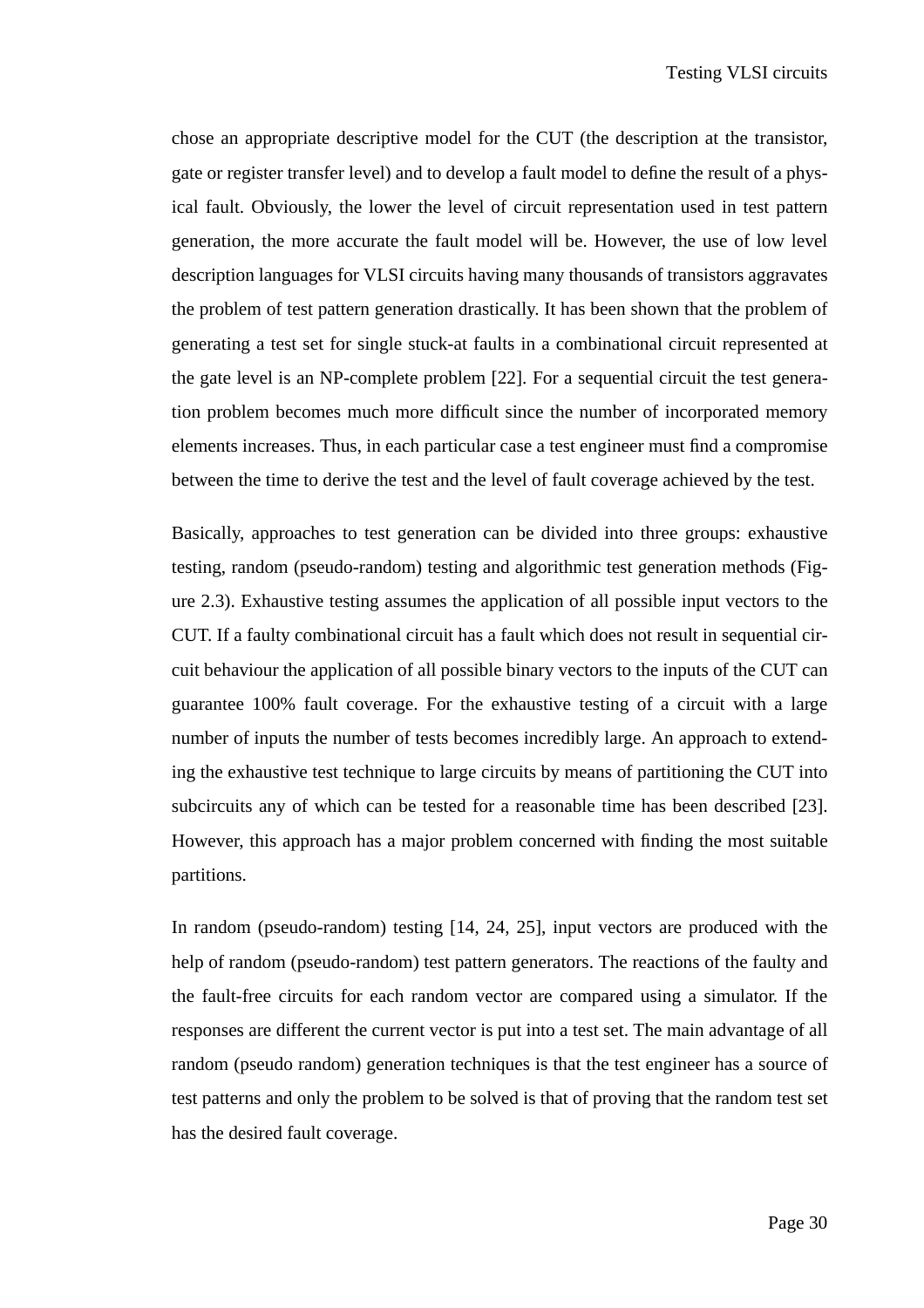chose an appropriate descriptive model for the CUT (the description at the transistor, gate or register transfer level) and to develop a fault model to define the result of a physical fault. Obviously, the lower the level of circuit representation used in test pattern generation, the more accurate the fault model will be. However, the use of low level description languages for VLSI circuits having many thousands of transistors aggravates the problem of test pattern generation drastically. It has been shown that the problem of generating a test set for single stuck-at faults in a combinational circuit represented at the gate level is an NP-complete problem [22]. For a sequential circuit the test generation problem becomes much more difficult since the number of incorporated memory elements increases. Thus, in each particular case a test engineer must find a compromise between the time to derive the test and the level of fault coverage achieved by the test.

Basically, approaches to test generation can be divided into three groups: exhaustive testing, random (pseudo-random) testing and algorithmic test generation methods (Figure 2.3). Exhaustive testing assumes the application of all possible input vectors to the CUT. If a faulty combinational circuit has a fault which does not result in sequential circuit behaviour the application of all possible binary vectors to the inputs of the CUT can guarantee 100% fault coverage. For the exhaustive testing of a circuit with a large number of inputs the number of tests becomes incredibly large. An approach to extending the exhaustive test technique to large circuits by means of partitioning the CUT into subcircuits any of which can be tested for a reasonable time has been described [23]. However, this approach has a major problem concerned with finding the most suitable partitions.

In random (pseudo-random) testing [14, 24, 25], input vectors are produced with the help of random (pseudo-random) test pattern generators. The reactions of the faulty and the fault-free circuits for each random vector are compared using a simulator. If the responses are different the current vector is put into a test set. The main advantage of all random (pseudo random) generation techniques is that the test engineer has a source of test patterns and only the problem to be solved is that of proving that the random test set has the desired fault coverage.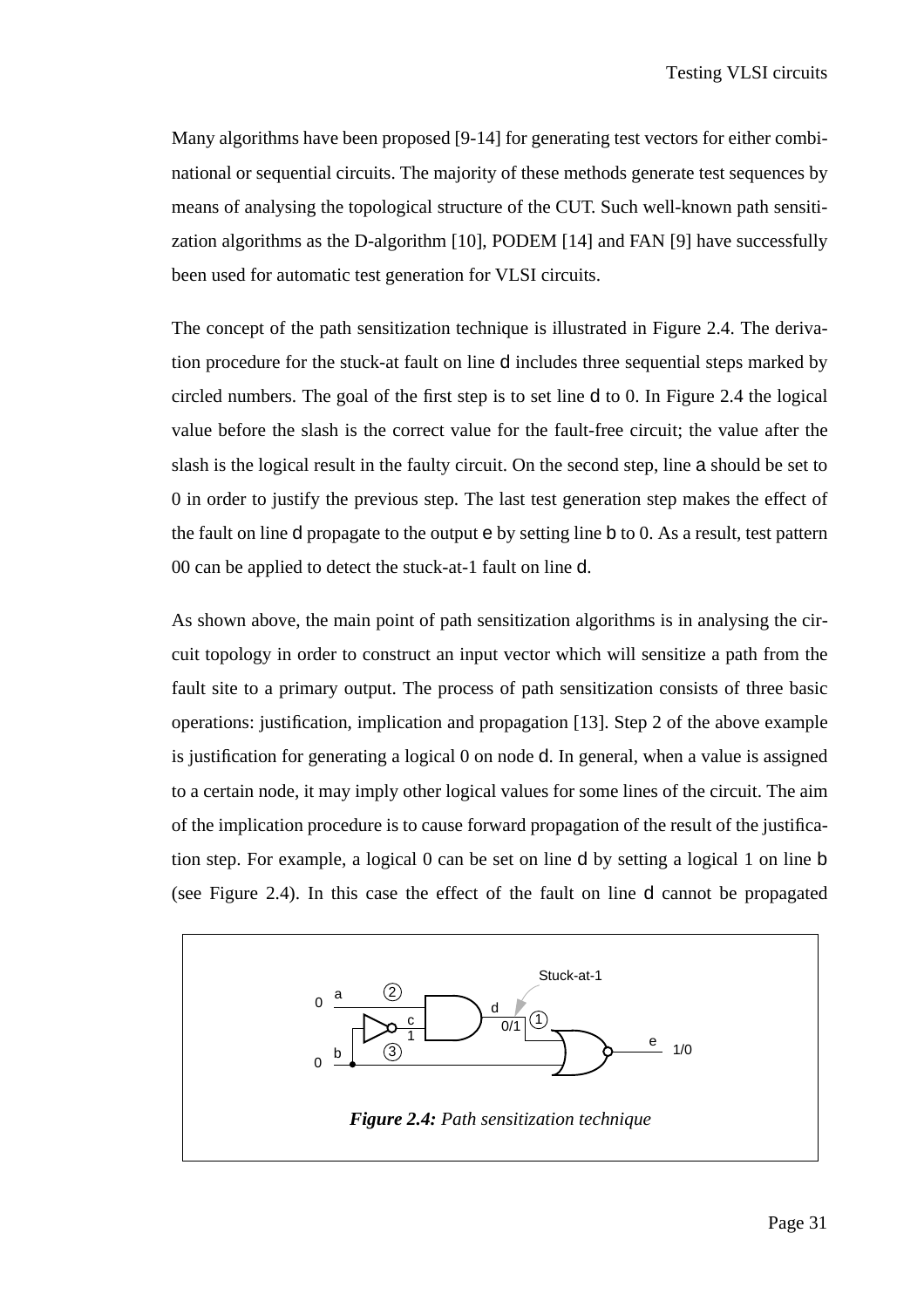Many algorithms have been proposed [9-14] for generating test vectors for either combinational or sequential circuits. The majority of these methods generate test sequences by means of analysing the topological structure of the CUT. Such well-known path sensitization algorithms as the D-algorithm [10], PODEM [14] and FAN [9] have successfully been used for automatic test generation for VLSI circuits.

The concept of the path sensitization technique is illustrated in Figure 2.4. The derivation procedure for the stuck-at fault on line d includes three sequential steps marked by circled numbers. The goal of the first step is to set line d to 0. In Figure 2.4 the logical value before the slash is the correct value for the fault-free circuit; the value after the slash is the logical result in the faulty circuit. On the second step, line a should be set to 0 in order to justify the previous step. The last test generation step makes the effect of the fault on line d propagate to the output e by setting line b to 0. As a result, test pattern 00 can be applied to detect the stuck-at-1 fault on line d.

As shown above, the main point of path sensitization algorithms is in analysing the circuit topology in order to construct an input vector which will sensitize a path from the fault site to a primary output. The process of path sensitization consists of three basic operations: justification, implication and propagation [13]. Step 2 of the above example is justification for generating a logical 0 on node d. In general, when a value is assigned to a certain node, it may imply other logical values for some lines of the circuit. The aim of the implication procedure is to cause forward propagation of the result of the justification step. For example, a logical 0 can be set on line d by setting a logical 1 on line b (see Figure 2.4). In this case the effect of the fault on line d cannot be propagated

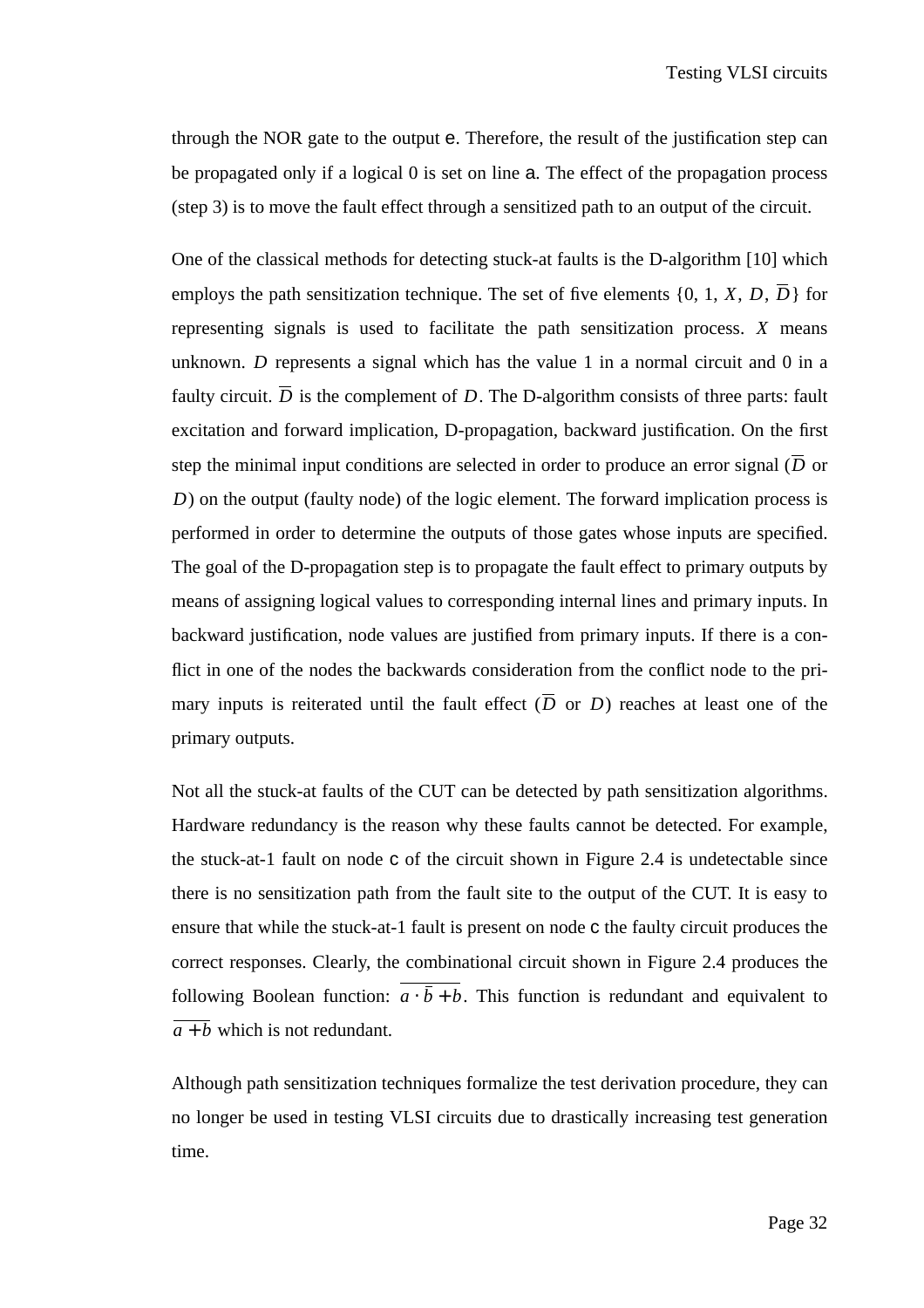through the NOR gate to the output e. Therefore, the result of the justification step can be propagated only if a logical 0 is set on line a. The effect of the propagation process (step 3) is to move the fault effect through a sensitized path to an output of the circuit.

One of the classical methods for detecting stuck-at faults is the D-algorithm [10] which employs the path sensitization technique. The set of five elements  $\{0, 1, X, D, D\}$  for representing signals is used to facilitate the path sensitization process.  $X$  means unknown. D represents a signal which has the value 1 in a normal circuit and 0 in a faulty circuit. *D* is the complement of *D*. The D-algorithm consists of three parts: fault excitation and forward implication, D-propagation, backward justification. On the first step the minimal input conditions are selected in order to produce an error signal (*D* or ) on the output (faulty node) of the logic element. The forward implication process is *D* performed in order to determine the outputs of those gates whose inputs are specified. The goal of the D-propagation step is to propagate the fault effect to primary outputs by means of assigning logical values to corresponding internal lines and primary inputs. In backward justification, node values are justified from primary inputs. If there is a conflict in one of the nodes the backwards consideration from the conflict node to the primary inputs is reiterated until the fault effect  $(D \text{ or } D)$  reaches at least one of the primary outputs.

Not all the stuck-at faults of the CUT can be detected by path sensitization algorithms. Hardware redundancy is the reason why these faults cannot be detected. For example, the stuck-at-1 fault on node c of the circuit shown in Figure 2.4 is undetectable since there is no sensitization path from the fault site to the output of the CUT. It is easy to ensure that while the stuck-at-1 fault is present on node c the faulty circuit produces the correct responses. Clearly, the combinational circuit shown in Figure 2.4 produces the following Boolean function:  $a \cdot b + b$ . This function is redundant and equivalent to  $a + b$  which is not redundant.

Although path sensitization techniques formalize the test derivation procedure, they can no longer be used in testing VLSI circuits due to drastically increasing test generation time.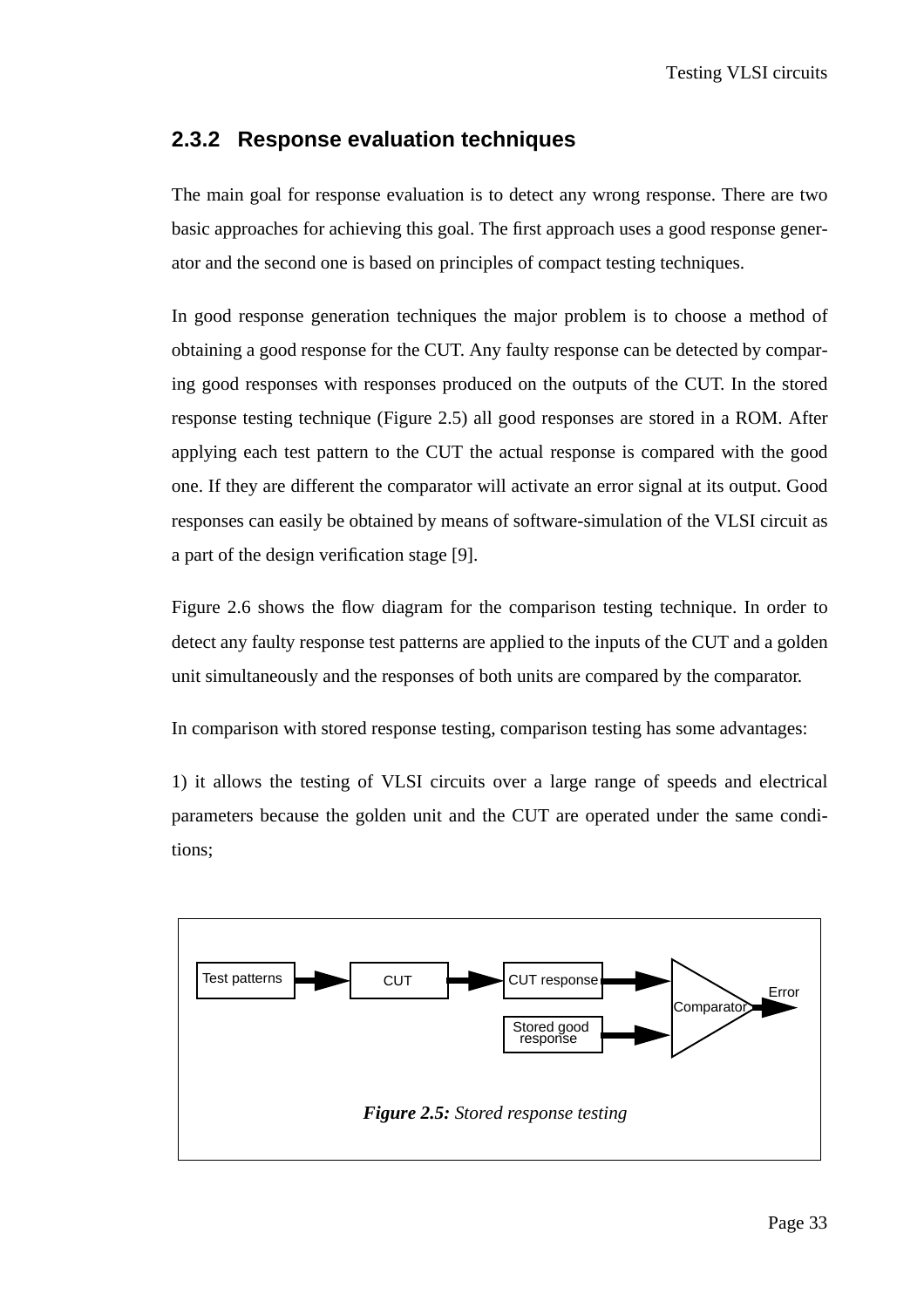#### **2.3.2 Response evaluation techniques**

The main goal for response evaluation is to detect any wrong response. There are two basic approaches for achieving this goal. The first approach uses a good response generator and the second one is based on principles of compact testing techniques.

In good response generation techniques the major problem is to choose a method of obtaining a good response for the CUT. Any faulty response can be detected by comparing good responses with responses produced on the outputs of the CUT. In the stored response testing technique (Figure 2.5) all good responses are stored in a ROM. After applying each test pattern to the CUT the actual response is compared with the good one. If they are different the comparator will activate an error signal at its output. Good responses can easily be obtained by means of software-simulation of the VLSI circuit as a part of the design verification stage [9].

Figure 2.6 shows the flow diagram for the comparison testing technique. In order to detect any faulty response test patterns are applied to the inputs of the CUT and a golden unit simultaneously and the responses of both units are compared by the comparator.

In comparison with stored response testing, comparison testing has some advantages:

1) it allows the testing of VLSI circuits over a large range of speeds and electrical parameters because the golden unit and the CUT are operated under the same conditions;

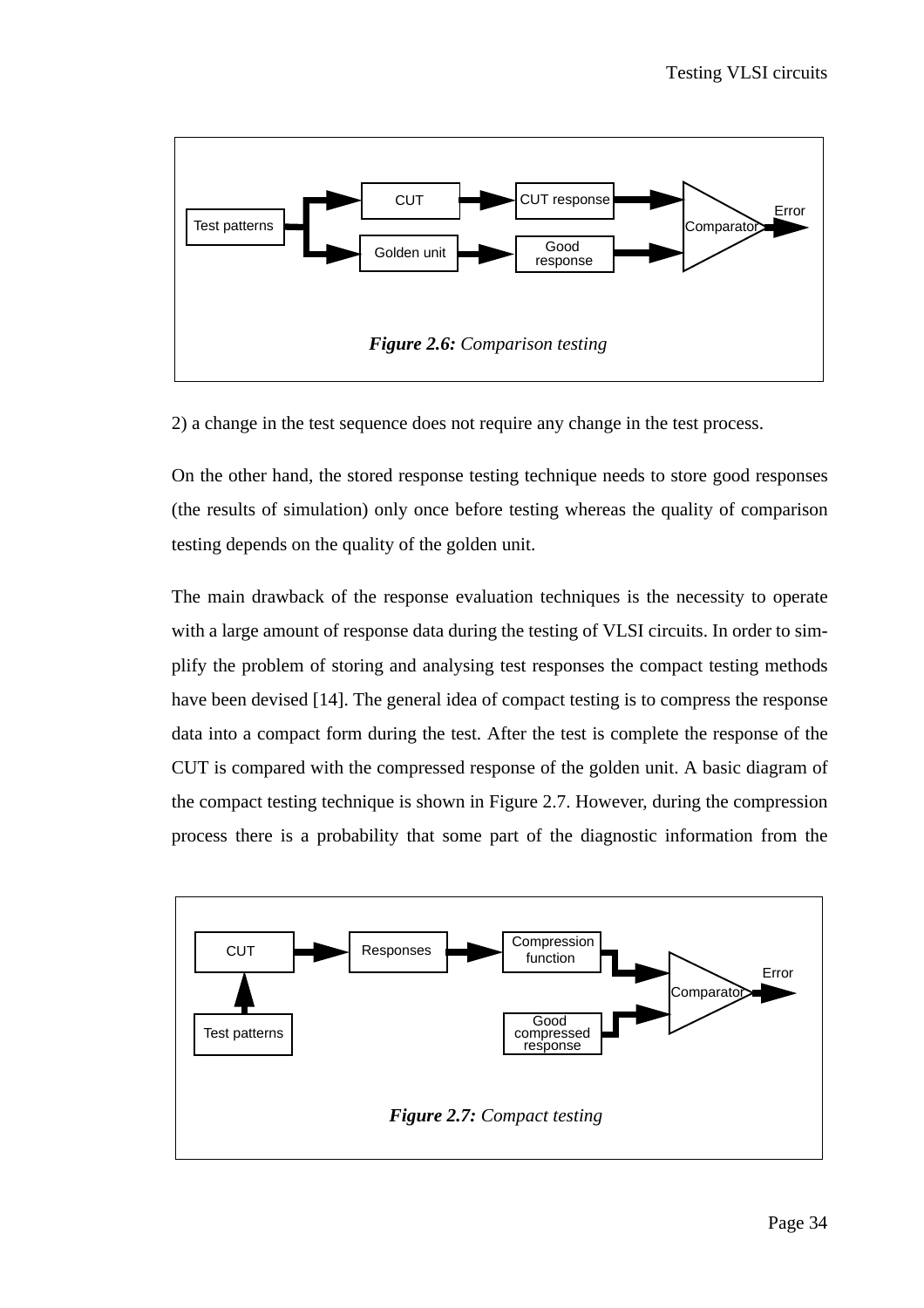

2) a change in the test sequence does not require any change in the test process.

On the other hand, the stored response testing technique needs to store good responses (the results of simulation) only once before testing whereas the quality of comparison testing depends on the quality of the golden unit.

The main drawback of the response evaluation techniques is the necessity to operate with a large amount of response data during the testing of VLSI circuits. In order to simplify the problem of storing and analysing test responses the compact testing methods have been devised [14]. The general idea of compact testing is to compress the response data into a compact form during the test. After the test is complete the response of the CUT is compared with the compressed response of the golden unit. A basic diagram of the compact testing technique is shown in Figure 2.7. However, during the compression process there is a probability that some part of the diagnostic information from the

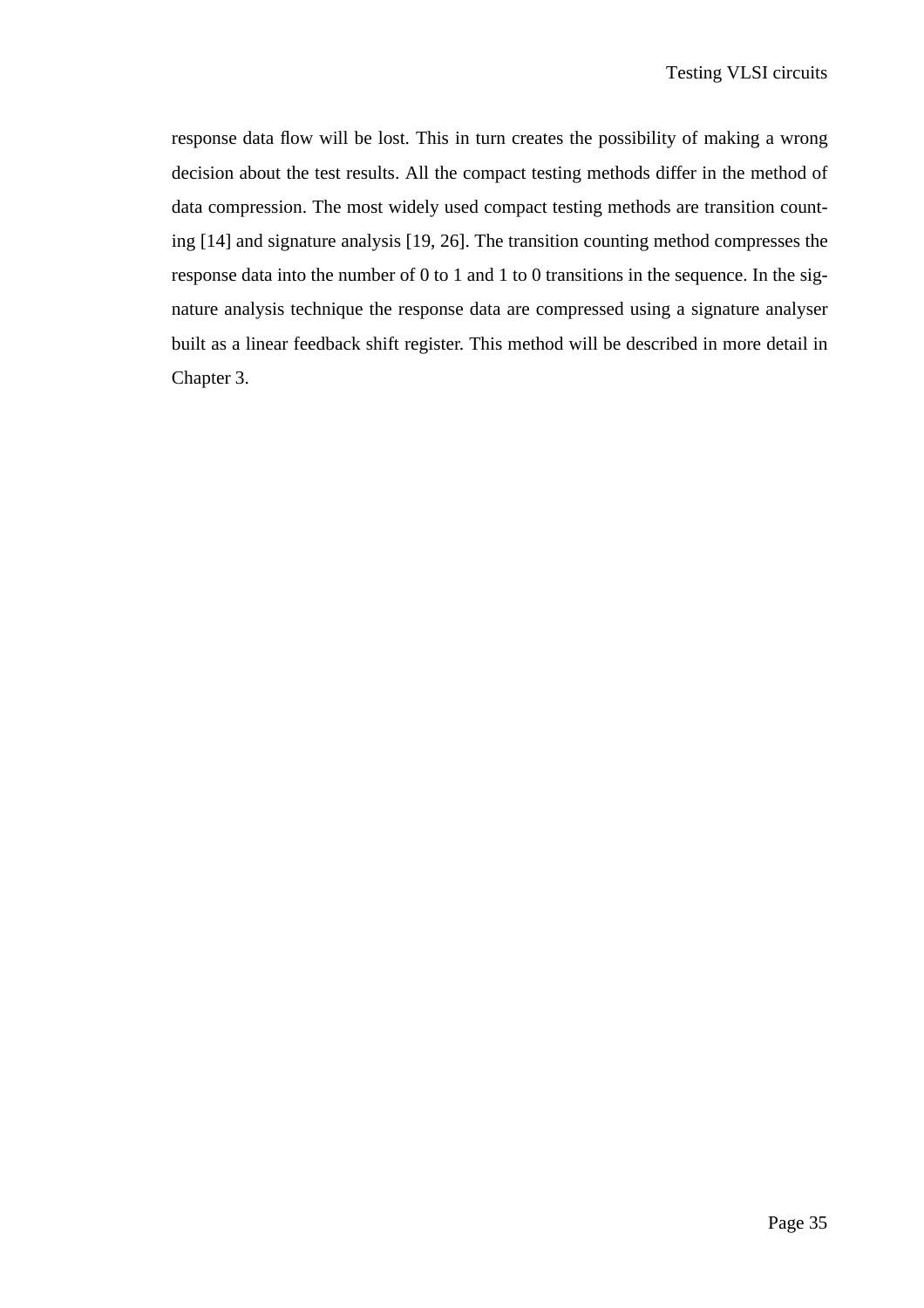response data flow will be lost. This in turn creates the possibility of making a wrong decision about the test results. All the compact testing methods differ in the method of data compression. The most widely used compact testing methods are transition counting [14] and signature analysis [19, 26]. The transition counting method compresses the response data into the number of 0 to 1 and 1 to 0 transitions in the sequence. In the signature analysis technique the response data are compressed using a signature analyser built as a linear feedback shift register. This method will be described in more detail in Chapter 3.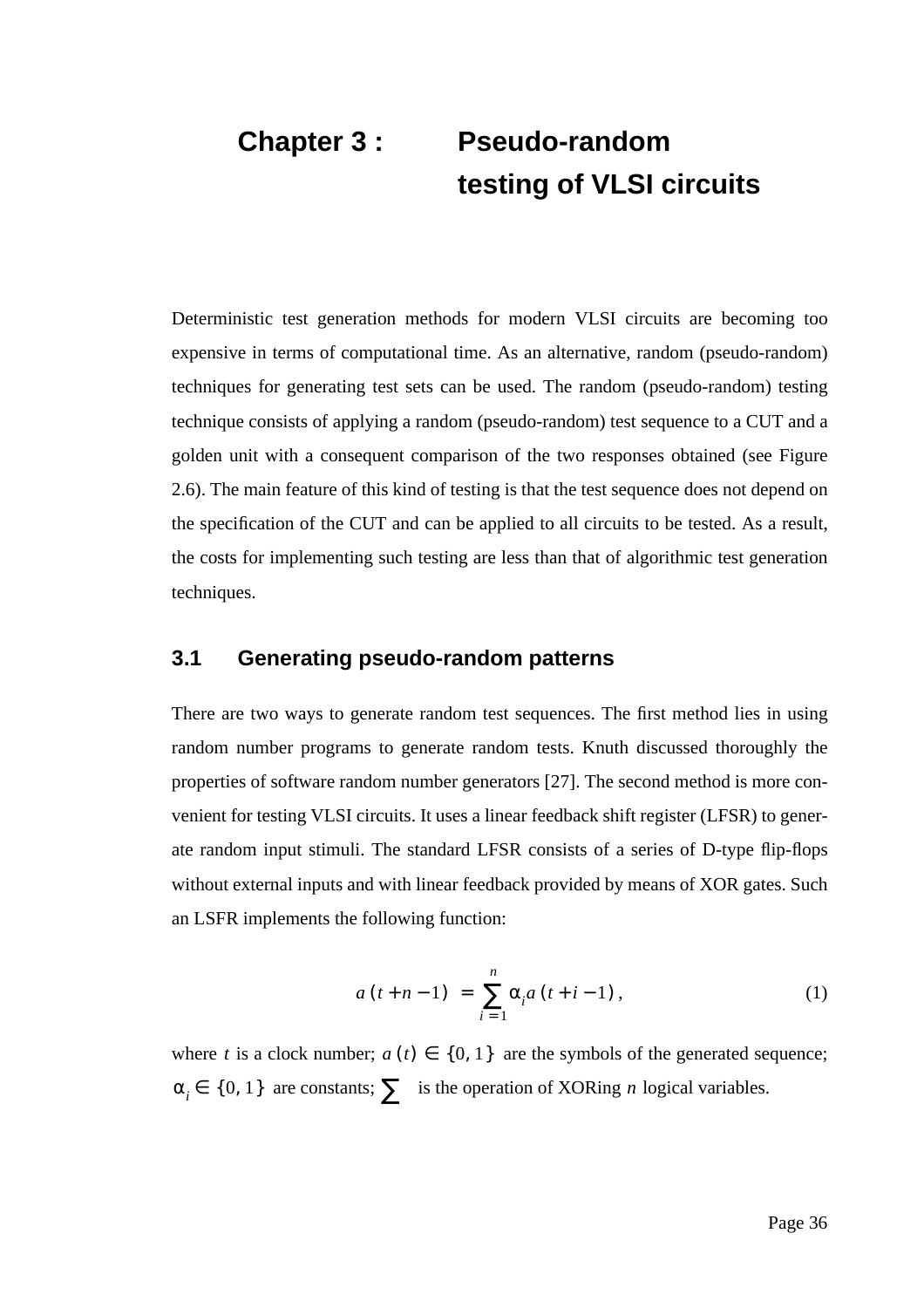# **Chapter 3 : Pseudo-random testing of VLSI circuits**

Deterministic test generation methods for modern VLSI circuits are becoming too expensive in terms of computational time. As an alternative, random (pseudo-random) techniques for generating test sets can be used. The random (pseudo-random) testing technique consists of applying a random (pseudo-random) test sequence to a CUT and a golden unit with a consequent comparison of the two responses obtained (see Figure 2.6). The main feature of this kind of testing is that the test sequence does not depend on the specification of the CUT and can be applied to all circuits to be tested. As a result, the costs for implementing such testing are less than that of algorithmic test generation techniques.

#### **3.1 Generating pseudo-random patterns**

There are two ways to generate random test sequences. The first method lies in using random number programs to generate random tests. Knuth discussed thoroughly the properties of software random number generators [27]. The second method is more convenient for testing VLSI circuits. It uses a linear feedback shift register (LFSR) to generate random input stimuli. The standard LFSR consists of a series of D-type flip-flops without external inputs and with linear feedback provided by means of XOR gates. Such an LSFR implements the following function:

$$
a(t+n-1) = \sum_{i=1}^{n} \alpha_i a(t+i-1), \qquad (1)
$$

where t is a clock number;  $a(t) \in \{0, 1\}$  are the symbols of the generated sequence;  $\alpha_i \in \{0, 1\}$  are constants;  $\sum$  is the operation of XORing *n* logical variables.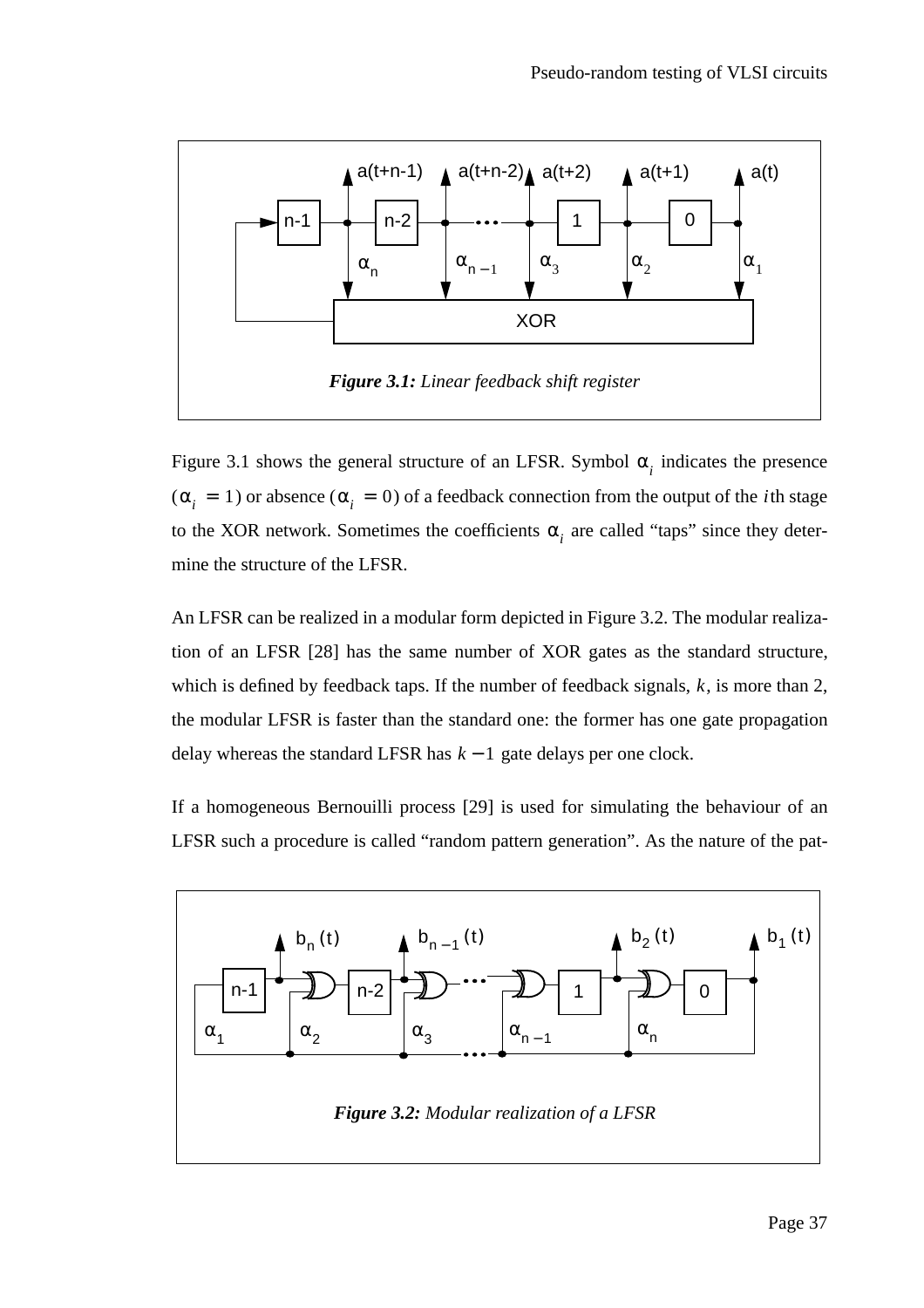

Figure 3.1 shows the general structure of an LFSR. Symbol  $\alpha_i$  indicates the presence  $(\alpha_i = 1)$  or absence  $(\alpha_i = 0)$  of a feedback connection from the output of the *i*th stage to the XOR network. Sometimes the coefficients  $\alpha_i$  are called "taps" since they determine the structure of the LFSR.

An LFSR can be realized in a modular form depicted in Figure 3.2. The modular realization of an LFSR [28] has the same number of XOR gates as the standard structure, which is defined by feedback taps. If the number of feedback signals,  $k$ , is more than 2, the modular LFSR is faster than the standard one: the former has one gate propagation delay whereas the standard LFSR has  $k - 1$  gate delays per one clock.

If a homogeneous Bernouilli process [29] is used for simulating the behaviour of an LFSR such a procedure is called "random pattern generation". As the nature of the pat-

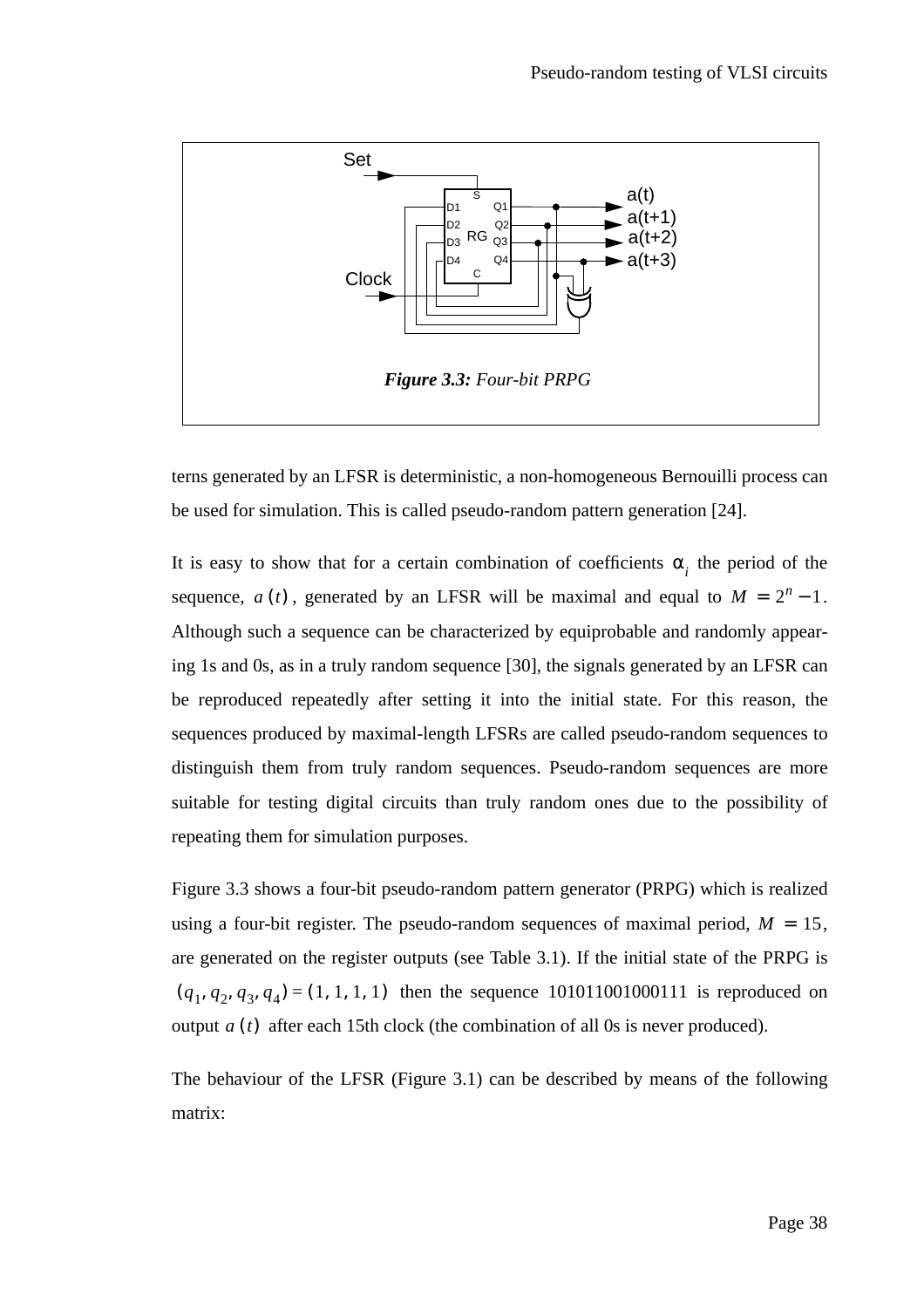

terns generated by an LFSR is deterministic, a non-homogeneous Bernouilli process can be used for simulation. This is called pseudo-random pattern generation [24].

It is easy to show that for a certain combination of coefficients  $\alpha_i$  the period of the sequence,  $a(t)$ , generated by an LFSR will be maximal and equal to  $M = 2<sup>n</sup> - 1$ . Although such a sequence can be characterized by equiprobable and randomly appearing 1s and 0s, as in a truly random sequence [30], the signals generated by an LFSR can be reproduced repeatedly after setting it into the initial state. For this reason, the sequences produced by maximal-length LFSRs are called pseudo-random sequences to distinguish them from truly random sequences. Pseudo-random sequences are more suitable for testing digital circuits than truly random ones due to the possibility of repeating them for simulation purposes.

Figure 3.3 shows a four-bit pseudo-random pattern generator (PRPG) which is realized using a four-bit register. The pseudo-random sequences of maximal period,  $M = 15$ , are generated on the register outputs (see Table 3.1). If the initial state of the PRPG is  $(q_1, q_2, q_3, q_4) = (1, 1, 1, 1)$  then the sequence 101011001000111 is reproduced on output  $a(t)$  after each 15th clock (the combination of all 0s is never produced).

The behaviour of the LFSR (Figure 3.1) can be described by means of the following matrix: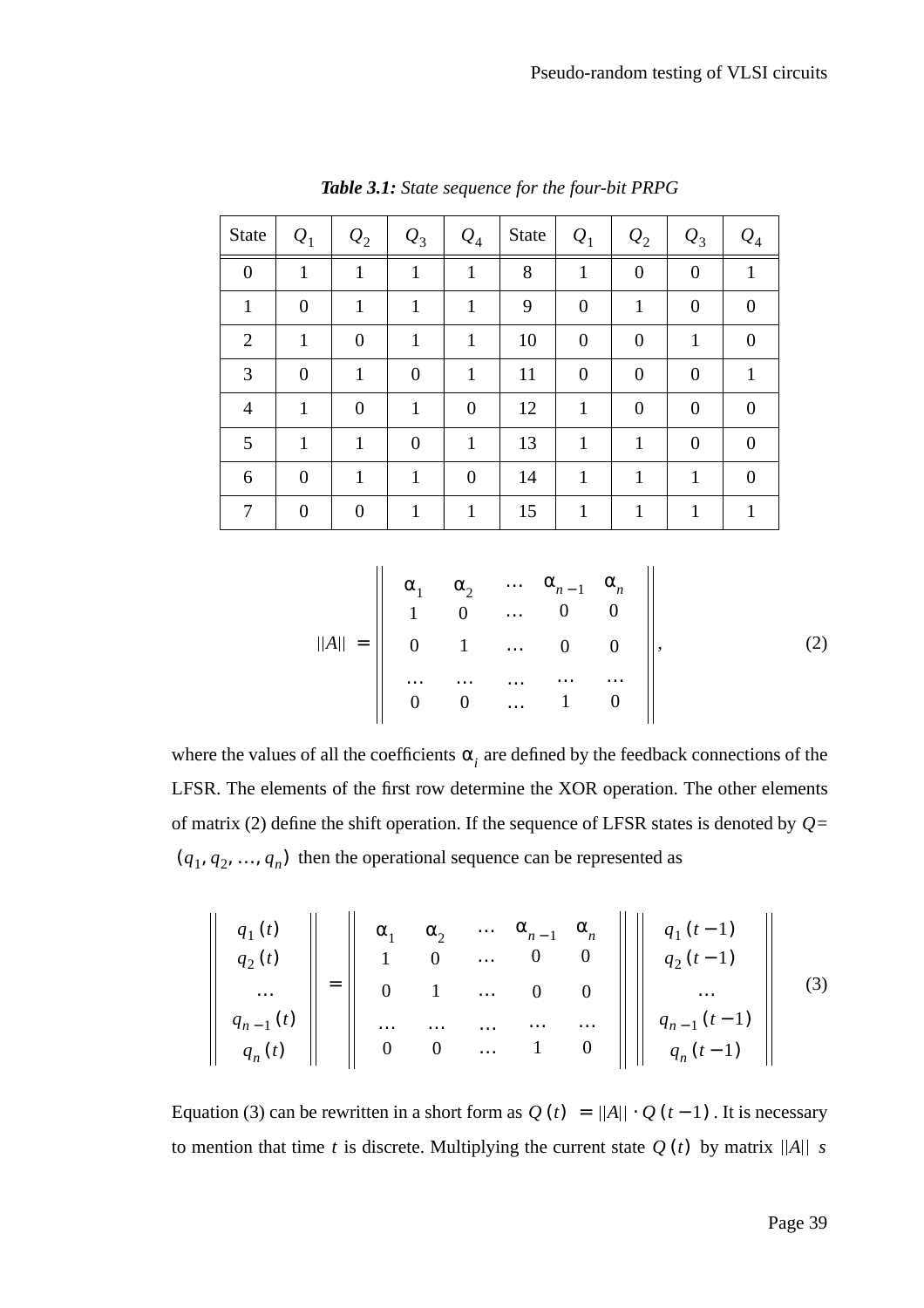| State          | $Q_1$          | $Q_2$            | $\mathcal{Q}_3$ | $Q_4$          | <b>State</b> | $Q_1$          | $Q_2$            | $Q_3$            | $Q_4$    |
|----------------|----------------|------------------|-----------------|----------------|--------------|----------------|------------------|------------------|----------|
| $\overline{0}$ | $\mathbf{1}$   | $\mathbf{1}$     | 1               | $\mathbf{1}$   | 8            | $\mathbf{1}$   | $\overline{0}$   | $\boldsymbol{0}$ | 1        |
| 1              | $\overline{0}$ | 1                | 1               | 1              | 9            | $\overline{0}$ | 1                | $\overline{0}$   | 0        |
| $\overline{2}$ | 1              | $\boldsymbol{0}$ | 1               | 1              | 10           | $\overline{0}$ | $\boldsymbol{0}$ | $\mathbf{1}$     | 0        |
| 3              | $\theta$       | 1                | $\overline{0}$  | 1              | 11           | $\overline{0}$ | $\overline{0}$   | $\overline{0}$   |          |
| $\overline{4}$ | 1              | $\overline{0}$   | 1               | $\theta$       | 12           | 1              | $\overline{0}$   | $\overline{0}$   | $\Omega$ |
| 5              | 1              | 1                | $\overline{0}$  | $\mathbf{1}$   | 13           | 1              | 1                | $\overline{0}$   | $\Omega$ |
| 6              | $\theta$       | 1                |                 | $\overline{0}$ | 14           | 1              | 1                | 1                | 0        |
|                | $\Omega$       | 0                |                 |                | 15           |                |                  |                  |          |

*Table 3.1: State sequence for the four-bit PRPG*

$$
||A|| = \begin{vmatrix} \alpha_1 & \alpha_2 & \cdots & \alpha_{n-1} & \alpha_n \\ 1 & 0 & \cdots & 0 & 0 \\ 0 & 1 & \cdots & 0 & 0 \\ \cdots & \cdots & \cdots & \cdots & \cdots \\ 0 & 0 & \cdots & 1 & 0 \end{vmatrix}, \qquad (2)
$$

where the values of all the coefficients  $\alpha_i$  are defined by the feedback connections of the LFSR. The elements of the first row determine the XOR operation. The other elements of matrix (2) define the shift operation. If the sequence of LFSR states is denoted by  $Q=$  $(q_1, q_2, ..., q_n)$  then the operational sequence can be represented as

$$
\begin{array}{c}\n q_1(t) \\
 q_2(t) \\
 \dots \\
 q_{n-1}(t) \\
 q_n(t)\n\end{array}\n=\n\begin{array}{c}\n\alpha_1 & \alpha_2 & \dots & \alpha_{n-1} & \alpha_n \\
1 & 0 & \dots & 0 & 0 \\
0 & 1 & \dots & 0 & 0 \\
\vdots & \vdots & \ddots & \vdots & \vdots \\
0 & 0 & \dots & 1 & 0\n\end{array}\n\begin{array}{c}\n\alpha_n \\
 q_1(t-1) \\
 q_2(t-1) \\
 \vdots \\
 q_{n-1}(t-1) \\
 q_n(t-1)\n\end{array}\n\begin{array}{c}\n\end{array}\n\tag{3}
$$

Equation (3) can be rewritten in a short form as  $Q(t) = ||A|| \cdot Q(t-1)$ . It is necessary to mention that time t is discrete. Multiplying the current state  $Q(t)$  by matrix  $||A||$  is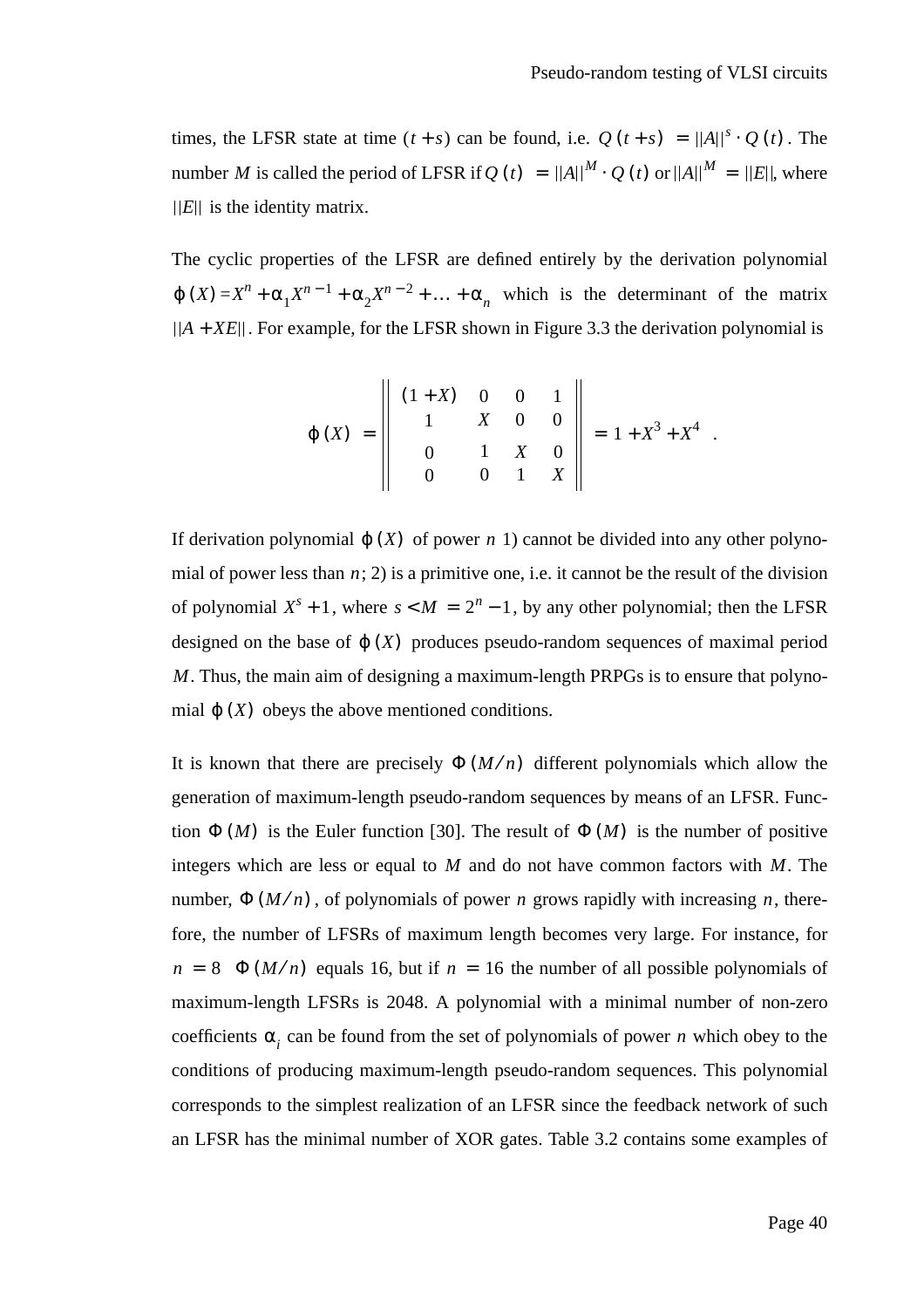times, the LFSR state at time  $(t + s)$  can be found, i.e.  $Q(t + s) = ||A||^s \cdot Q(t)$ . The number M is called the period of LFSR if  $Q(t) = ||A||^M \cdot Q(t)$  or  $||A||^M = ||E||$ , where  $E||$  is the identity matrix.

The cyclic properties of the LFSR are defined entirely by the derivation polynomial  $\varphi$  (*X*) =  $X^n + \alpha_1 X^{n-1} + \alpha_2 X^{n-2} + \dots + \alpha_n$  which is the determinant of the matrix . For example, for the LFSR shown in Figure 3.3 the derivation polynomial is *A* + *XE*

$$
\varphi(X) = \begin{vmatrix} (1+X) & 0 & 0 & 1 \\ 1 & X & 0 & 0 \\ 0 & 1 & X & 0 \\ 0 & 0 & 1 & X \end{vmatrix} = 1 + X^3 + X^4.
$$

If derivation polynomial  $\varphi$  (X) of power *n* 1) cannot be divided into any other polynomial of power less than  $n$ ; 2) is a primitive one, i.e. it cannot be the result of the division of polynomial  $X^s + 1$ , where  $s < M = 2^n - 1$ , by any other polynomial; then the LFSR designed on the base of  $\varphi(X)$  produces pseudo-random sequences of maximal period . Thus, the main aim of designing a maximum-length PRPGs is to ensure that polyno-*M* mial  $\varphi(X)$  obeys the above mentioned conditions.

It is known that there are precisely  $\Phi(M/n)$  different polynomials which allow the generation of maximum-length pseudo-random sequences by means of an LFSR. Function  $\Phi(M)$  is the Euler function [30]. The result of  $\Phi(M)$  is the number of positive integers which are less or equal to  $M$  and do not have common factors with  $M$ . The number,  $\Phi(M/n)$ , of polynomials of power *n* grows rapidly with increasing *n*, therefore, the number of LFSRs of maximum length becomes very large. For instance, for  $n = 8$   $\Phi(M/n)$  equals 16, but if  $n = 16$  the number of all possible polynomials of maximum-length LFSRs is 2048. A polynomial with a minimal number of non-zero coefficients  $\alpha_i$  can be found from the set of polynomials of power *n* which obey to the conditions of producing maximum-length pseudo-random sequences. This polynomial corresponds to the simplest realization of an LFSR since the feedback network of such an LFSR has the minimal number of XOR gates. Table 3.2 contains some examples of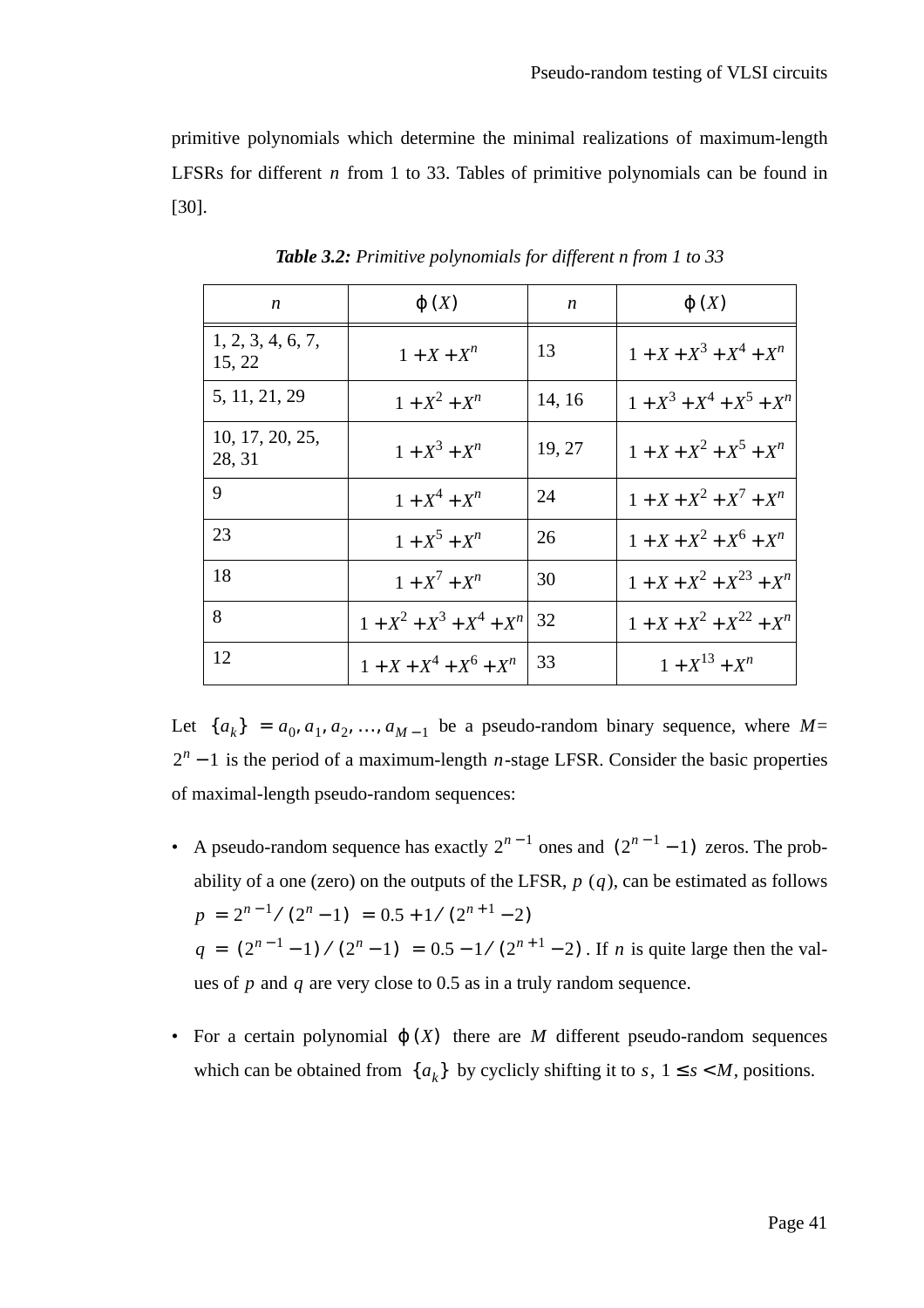primitive polynomials which determine the minimal realizations of maximum-length LFSRs for different *n* from 1 to 33. Tables of primitive polynomials can be found in [30].

| n                           | $\varphi(X)$                | n      | $\varphi(X)$                 |
|-----------------------------|-----------------------------|--------|------------------------------|
| 1, 2, 3, 4, 6, 7,<br>15, 22 | $1 + X + X^n$               | 13     | $1 + X + X3 + X4 + Xn$       |
| 5, 11, 21, 29               | $1 + X^2 + X^n$             | 14, 16 | $1 + X^3 + X^4 + X^5 + X^n$  |
| 10, 17, 20, 25,<br>28, 31   | $1 + X^3 + X^n$             | 19, 27 | $1 + X + X^2 + X^5 + X^n$    |
| 9                           | $1 + X^4 + X^n$             | 24     | $1 + X + X^2 + X^7 + X^n$    |
| 23                          | $1 + X^5 + X^n$             | 26     | $1 + X + X^2 + X^6 + X^n$    |
| 18                          | $1 + X^7 + X^n$             | 30     | $1 + X + X^2 + X^{23} + X^n$ |
| 8                           | $1 + X^2 + X^3 + X^4 + X^n$ | 32     | $1 + X + X^2 + X^{22} + X^n$ |
| 12                          | $1 + X + X4 + X6 + Xn$      | 33     | $1 + X^{13} + X^n$           |

*Table 3.2: Primitive polynomials for different n from 1 to 33*

Let  $\{a_k\} = a_0, a_1, a_2, ..., a_{M-1}$  be a pseudo-random binary sequence, where M=  $2<sup>n</sup> - 1$  is the period of a maximum-length *n*-stage LFSR. Consider the basic properties of maximal-length pseudo-random sequences:

- A pseudo-random sequence has exactly  $2^{n-1}$  ones and  $(2^{n-1}-1)$  zeros. The probability of a one (zero) on the outputs of the LFSR,  $p(q)$ , can be estimated as follows  $q = (2^{n-1} - 1) / (2^n - 1) = 0.5 - 1 / (2^{n+1} - 2)$ . If *n* is quite large then the values of p and q are very close to 0.5 as in a truly random sequence.  $p = 2^{n-1} / (2^n - 1) = 0.5 + 1 / (2^{n+1} - 2)$
- For a certain polynomial  $\varphi(X)$  there are M different pseudo-random sequences which can be obtained from  $\{a_k\}$  by cyclicly shifting it to *s*,  $1 \le s \le M$ , positions.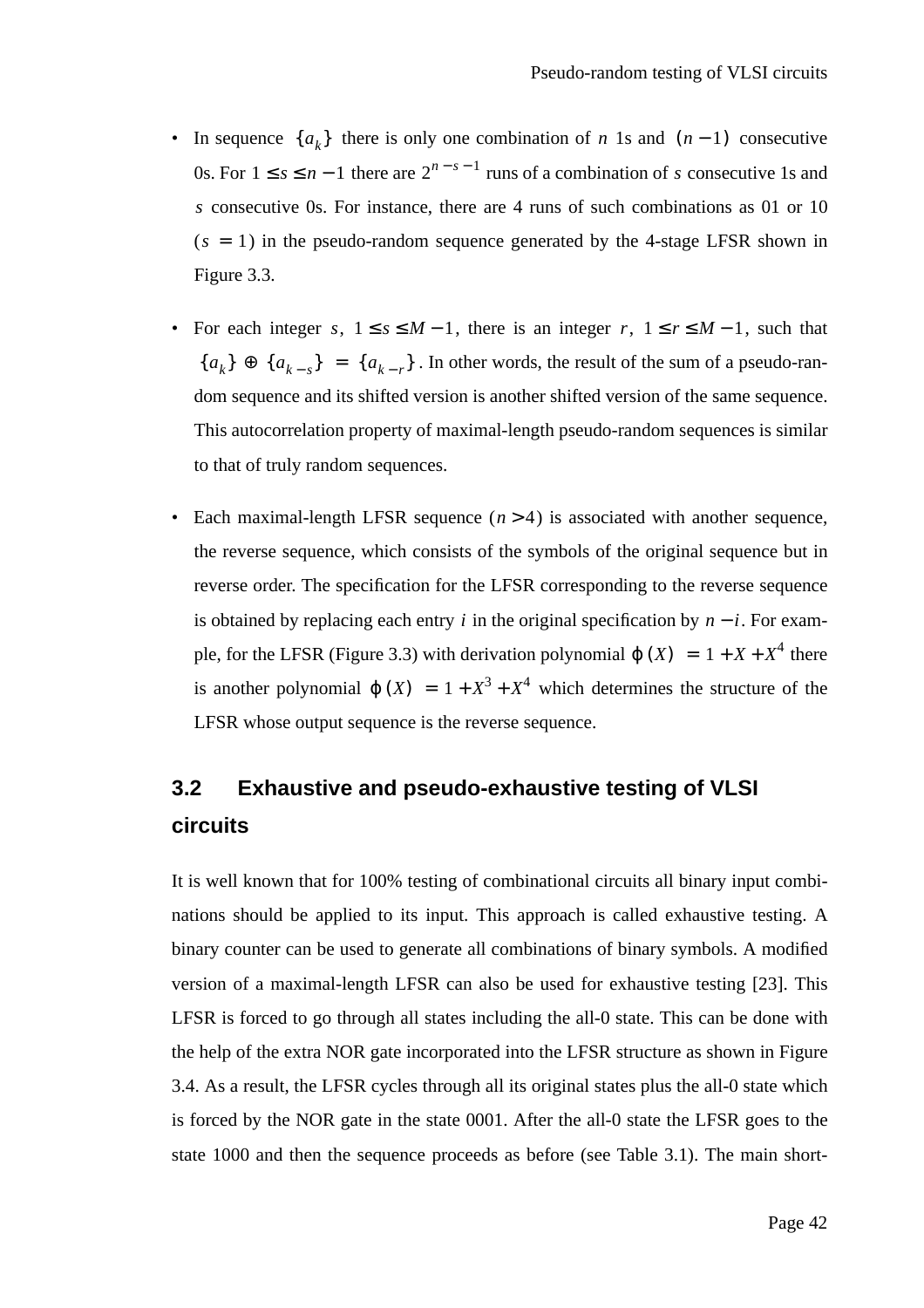- In sequence  $\{a_k\}$  there is only one combination of *n* 1s and  $(n-1)$  consecutive 0s. For  $1 \le s \le n - 1$  there are  $2^{n - s - 1}$  runs of a combination of s consecutive 1s and consecutive 0s. For instance, there are 4 runs of such combinations as 01 or 10 *s*  $(s = 1)$  in the pseudo-random sequence generated by the 4-stage LFSR shown in Figure 3.3.
- For each integer *s*,  $1 \le s \le M 1$ , there is an integer *r*,  $1 \le r \le M 1$ , such that  ${a_k} \oplus {a_{k-s}} = {a_{k-r}}$ . In other words, the result of the sum of a pseudo-random sequence and its shifted version is another shifted version of the same sequence. This autocorrelation property of maximal-length pseudo-random sequences is similar to that of truly random sequences.
- Each maximal-length LFSR sequence  $(n > 4)$  is associated with another sequence, the reverse sequence, which consists of the symbols of the original sequence but in reverse order. The specification for the LFSR corresponding to the reverse sequence is obtained by replacing each entry  $i$  in the original specification by  $n - i$ . For example, for the LFSR (Figure 3.3) with derivation polynomial  $\varphi(X) = 1 + X + X^4$  there is another polynomial  $\varphi(X) = 1 + X^3 + X^4$  which determines the structure of the LFSR whose output sequence is the reverse sequence.

## **3.2 Exhaustive and pseudo-exhaustive testing of VLSI circuits**

It is well known that for 100% testing of combinational circuits all binary input combinations should be applied to its input. This approach is called exhaustive testing. A binary counter can be used to generate all combinations of binary symbols. A modified version of a maximal-length LFSR can also be used for exhaustive testing [23]. This LFSR is forced to go through all states including the all-0 state. This can be done with the help of the extra NOR gate incorporated into the LFSR structure as shown in Figure 3.4. As a result, the LFSR cycles through all its original states plus the all-0 state which is forced by the NOR gate in the state 0001. After the all-0 state the LFSR goes to the state 1000 and then the sequence proceeds as before (see Table 3.1). The main short-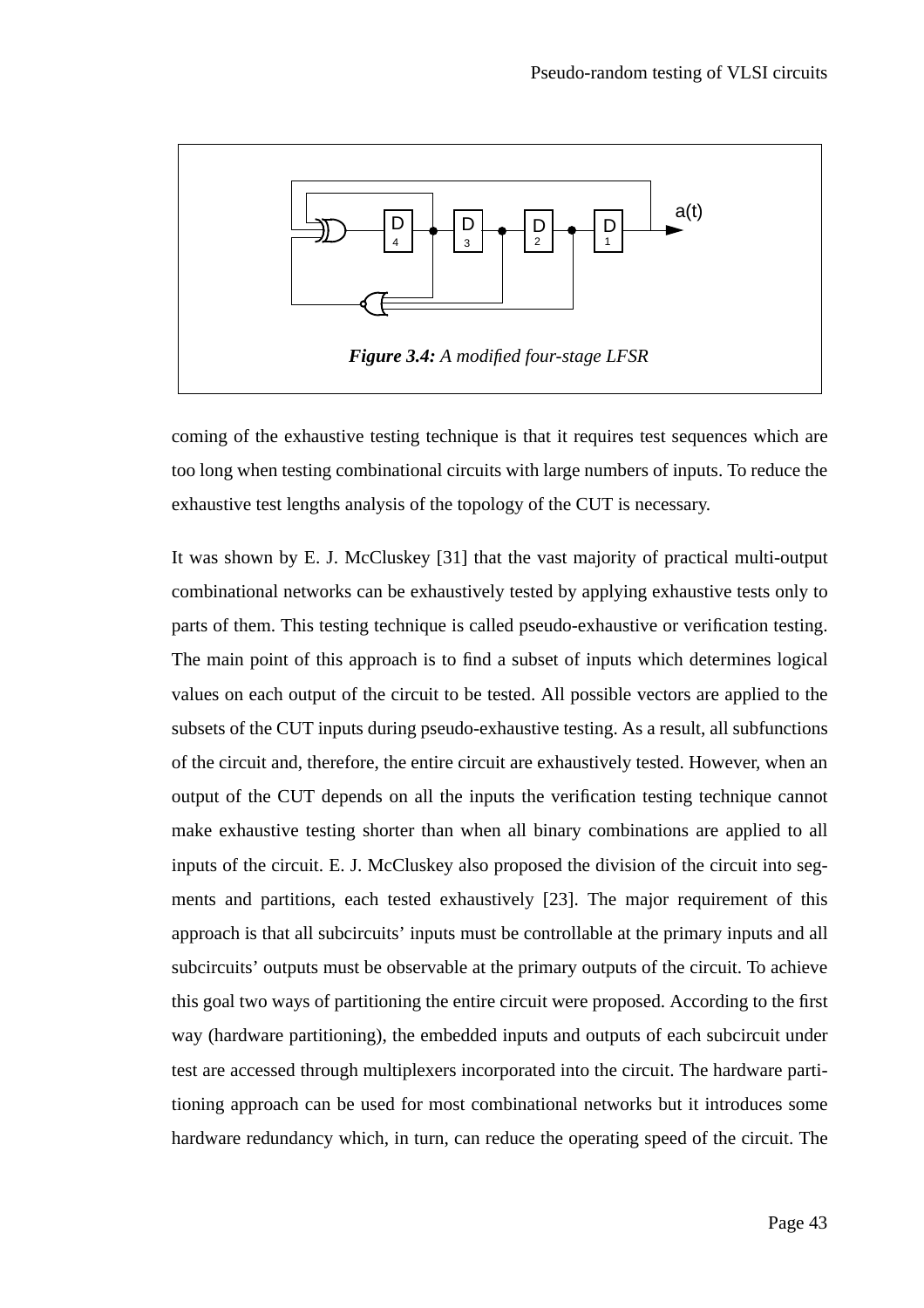

coming of the exhaustive testing technique is that it requires test sequences which are too long when testing combinational circuits with large numbers of inputs. To reduce the exhaustive test lengths analysis of the topology of the CUT is necessary.

It was shown by E. J. McCluskey [31] that the vast majority of practical multi-output combinational networks can be exhaustively tested by applying exhaustive tests only to parts of them. This testing technique is called pseudo-exhaustive or verification testing. The main point of this approach is to find a subset of inputs which determines logical values on each output of the circuit to be tested. All possible vectors are applied to the subsets of the CUT inputs during pseudo-exhaustive testing. As a result, all subfunctions of the circuit and, therefore, the entire circuit are exhaustively tested. However, when an output of the CUT depends on all the inputs the verification testing technique cannot make exhaustive testing shorter than when all binary combinations are applied to all inputs of the circuit. E. J. McCluskey also proposed the division of the circuit into segments and partitions, each tested exhaustively [23]. The major requirement of this approach is that all subcircuits' inputs must be controllable at the primary inputs and all subcircuits' outputs must be observable at the primary outputs of the circuit. To achieve this goal two ways of partitioning the entire circuit were proposed. According to the first way (hardware partitioning), the embedded inputs and outputs of each subcircuit under test are accessed through multiplexers incorporated into the circuit. The hardware partitioning approach can be used for most combinational networks but it introduces some hardware redundancy which, in turn, can reduce the operating speed of the circuit. The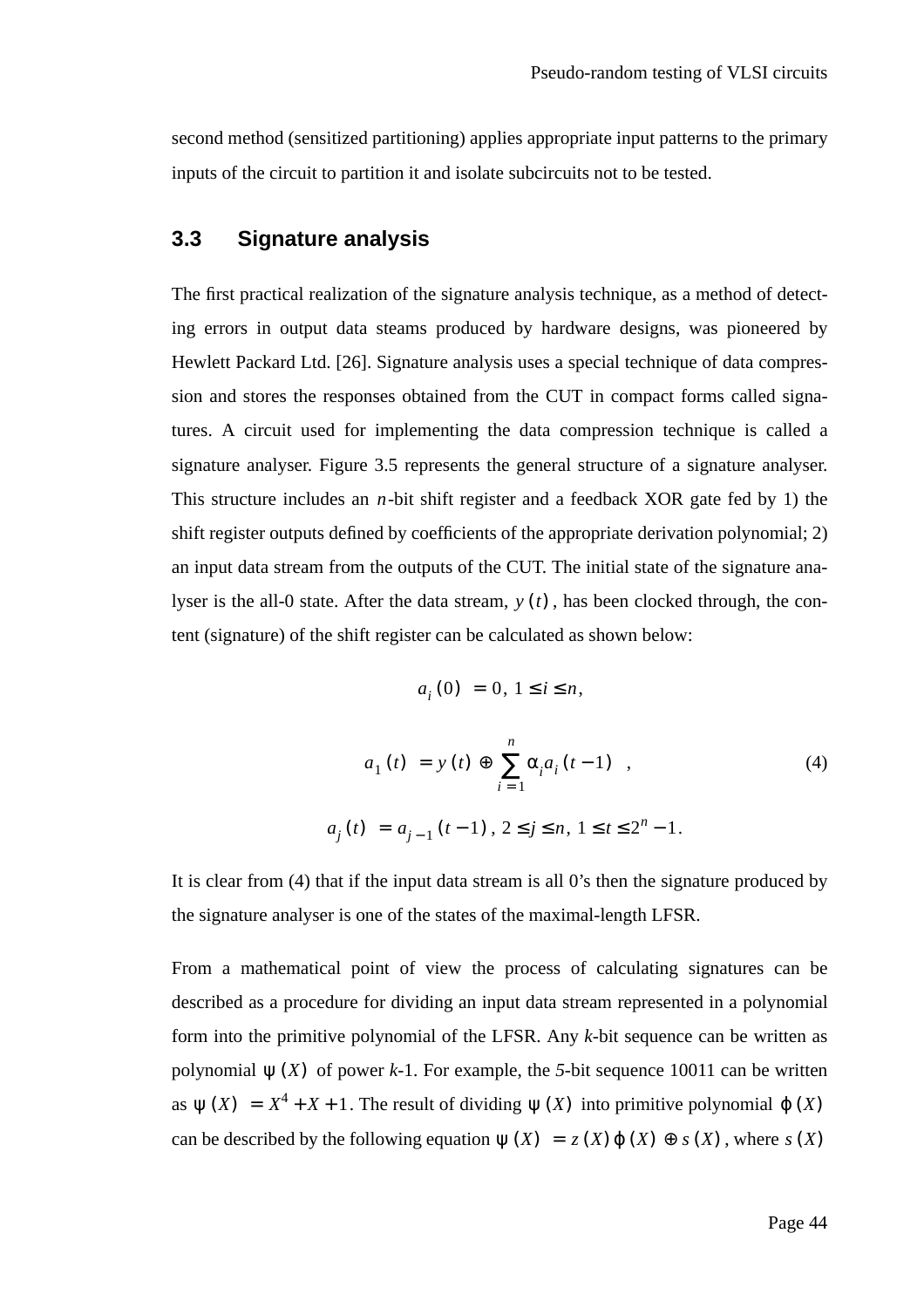second method (sensitized partitioning) applies appropriate input patterns to the primary inputs of the circuit to partition it and isolate subcircuits not to be tested.

#### **3.3 Signature analysis**

The first practical realization of the signature analysis technique, as a method of detecting errors in output data steams produced by hardware designs, was pioneered by Hewlett Packard Ltd. [26]. Signature analysis uses a special technique of data compression and stores the responses obtained from the CUT in compact forms called signatures. A circuit used for implementing the data compression technique is called a signature analyser. Figure 3.5 represents the general structure of a signature analyser. This structure includes an  $n$ -bit shift register and a feedback XOR gate fed by 1) the shift register outputs defined by coefficients of the appropriate derivation polynomial; 2) an input data stream from the outputs of the CUT. The initial state of the signature analyser is the all-0 state. After the data stream,  $y(t)$ , has been clocked through, the content (signature) of the shift register can be calculated as shown below:

$$
a_i(0) = 0, \, 1 \leq i \leq n,
$$

$$
a_1(t) = y(t) \oplus \sum_{i=1}^{n} \alpha_i a_i(t-1) ,
$$
\n
$$
a_j(t) = a_{j-1}(t-1), 2 \le j \le n, 1 \le t \le 2^n - 1.
$$
\n(4)

It is clear from (4) that if the input data stream is all 0's then the signature produced by the signature analyser is one of the states of the maximal-length LFSR.

From a mathematical point of view the process of calculating signatures can be described as a procedure for dividing an input data stream represented in a polynomial form into the primitive polynomial of the LFSR. Any *k*-bit sequence can be written as polynomial  $\psi(X)$  of power *k*-1. For example, the 5-bit sequence 10011 can be written as  $\psi(X) = X^4 + X + 1$ . The result of dividing  $\psi(X)$  into primitive polynomial  $\phi(X)$ can be described by the following equation  $\psi(X) = z(X) \varphi(X) \oplus s(X)$ , where  $s(X)$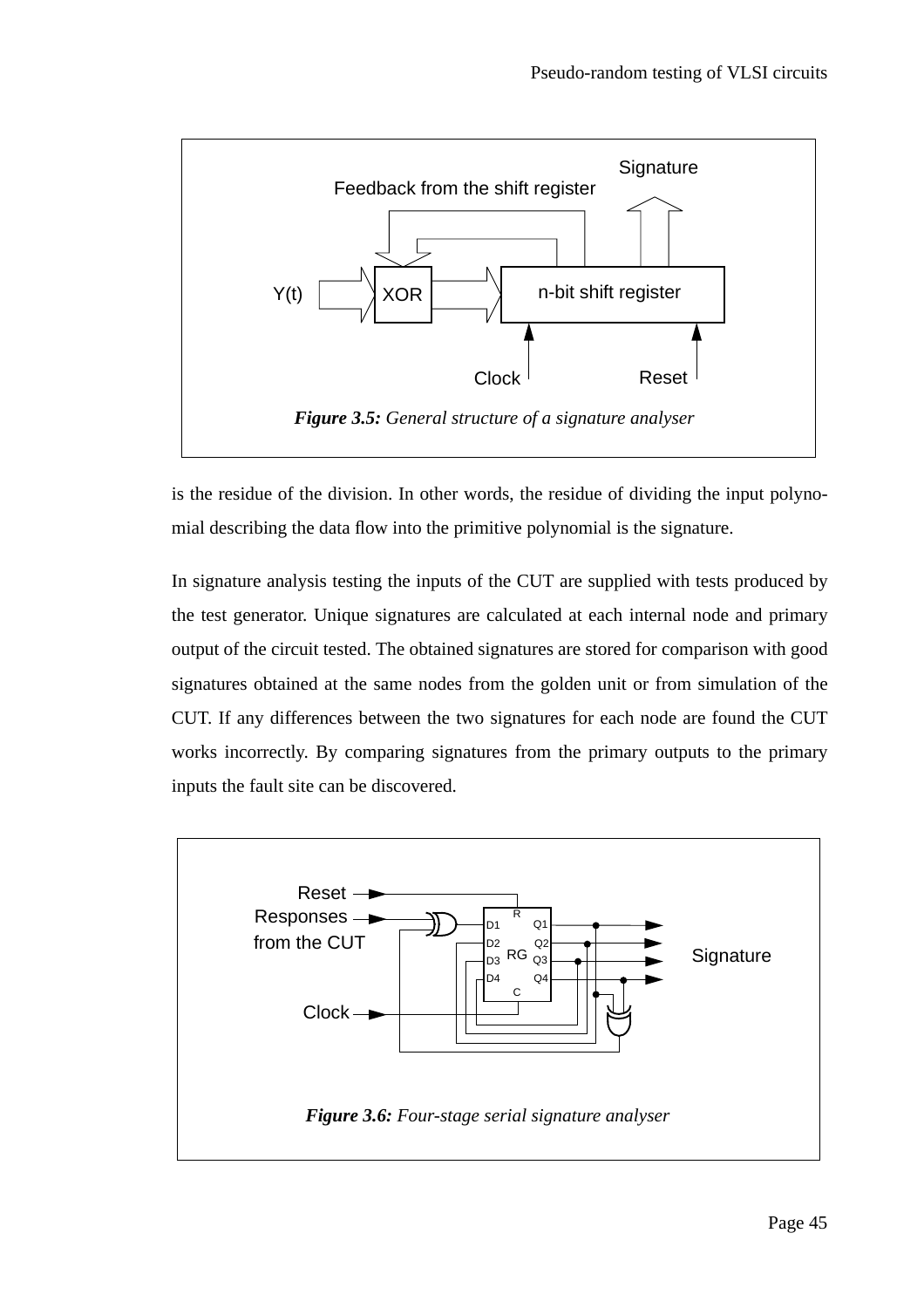

is the residue of the division. In other words, the residue of dividing the input polynomial describing the data flow into the primitive polynomial is the signature.

In signature analysis testing the inputs of the CUT are supplied with tests produced by the test generator. Unique signatures are calculated at each internal node and primary output of the circuit tested. The obtained signatures are stored for comparison with good signatures obtained at the same nodes from the golden unit or from simulation of the CUT. If any differences between the two signatures for each node are found the CUT works incorrectly. By comparing signatures from the primary outputs to the primary inputs the fault site can be discovered.

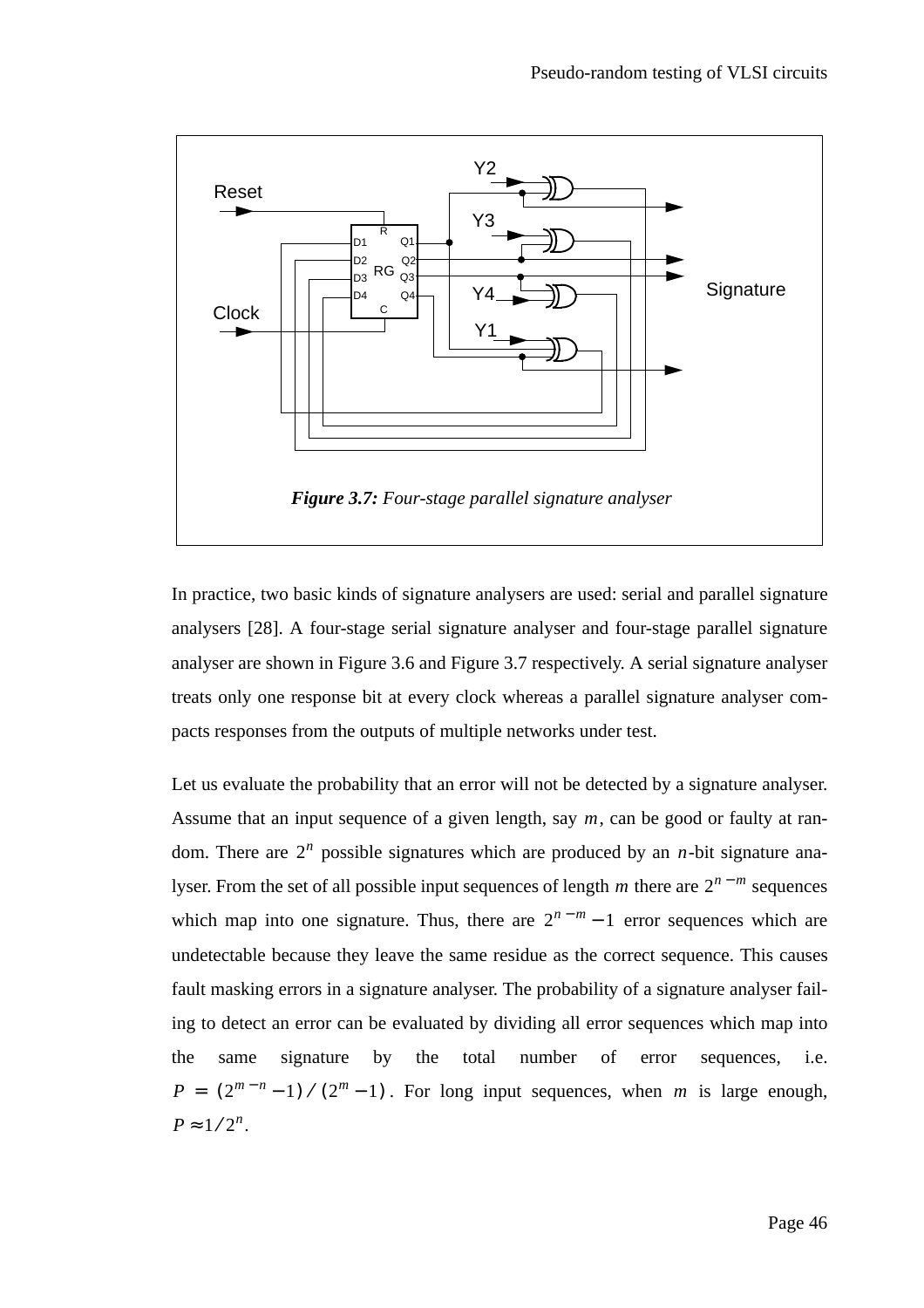

In practice, two basic kinds of signature analysers are used: serial and parallel signature analysers [28]. A four-stage serial signature analyser and four-stage parallel signature analyser are shown in Figure 3.6 and Figure 3.7 respectively. A serial signature analyser treats only one response bit at every clock whereas a parallel signature analyser compacts responses from the outputs of multiple networks under test.

Let us evaluate the probability that an error will not be detected by a signature analyser. Assume that an input sequence of a given length, say  $m$ , can be good or faulty at random. There are  $2^n$  possible signatures which are produced by an *n*-bit signature analyser. From the set of all possible input sequences of length m there are  $2^{n-m}$  sequences which map into one signature. Thus, there are  $2^{n-m} - 1$  error sequences which are undetectable because they leave the same residue as the correct sequence. This causes fault masking errors in a signature analyser. The probability of a signature analyser failing to detect an error can be evaluated by dividing all error sequences which map into the same signature by the total number of error sequences, i.e.  $P = (2^{m-n}-1) \setminus (2^m-1)$ . For long input sequences, when *m* is large enough,  $P \approx 1/2^n$ .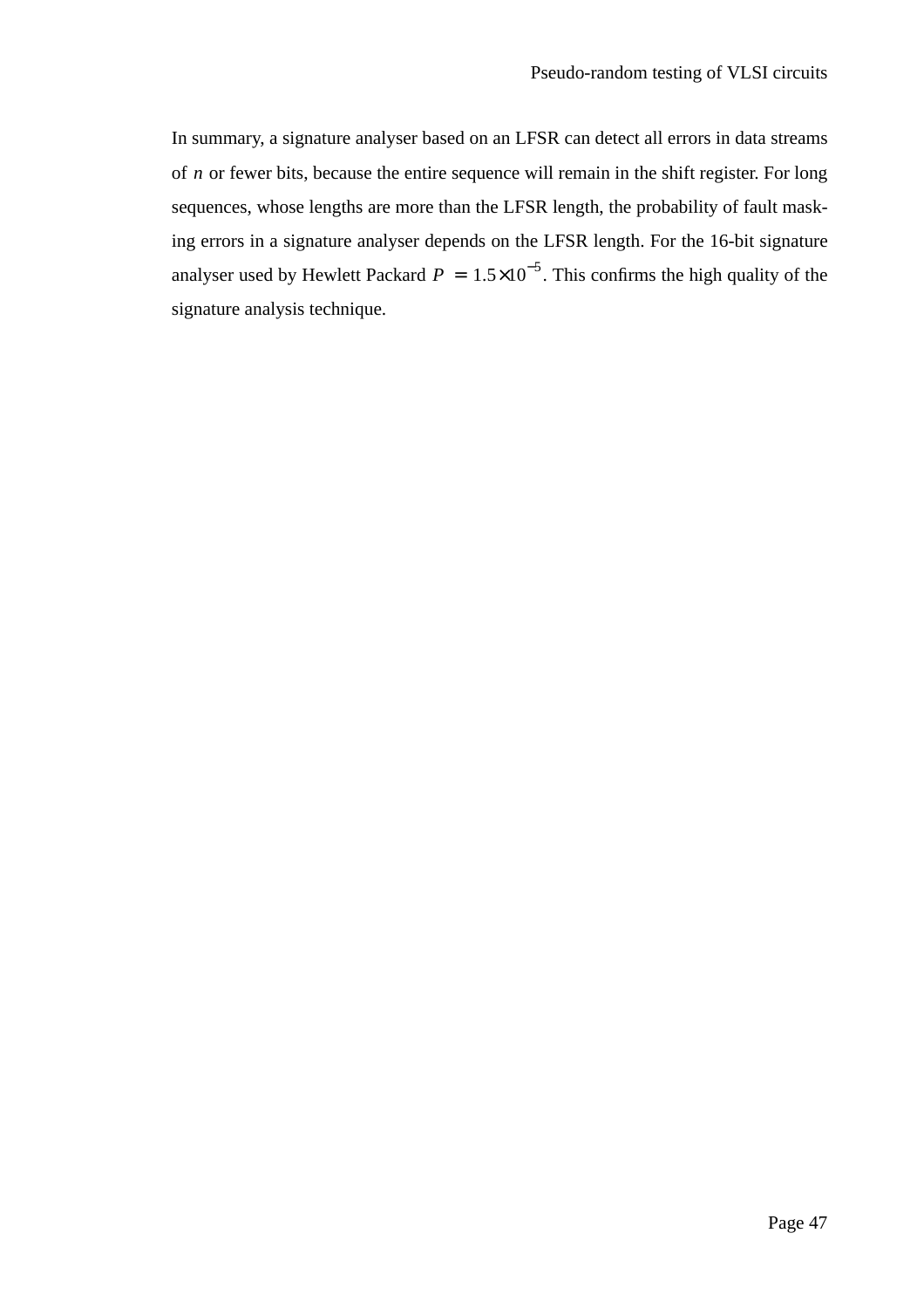In summary, a signature analyser based on an LFSR can detect all errors in data streams of *n* or fewer bits, because the entire sequence will remain in the shift register. For long sequences, whose lengths are more than the LFSR length, the probability of fault masking errors in a signature analyser depends on the LFSR length. For the 16-bit signature analyser used by Hewlett Packard  $P = 1.5 \times 10^{-5}$ . This confirms the high quality of the signature analysis technique.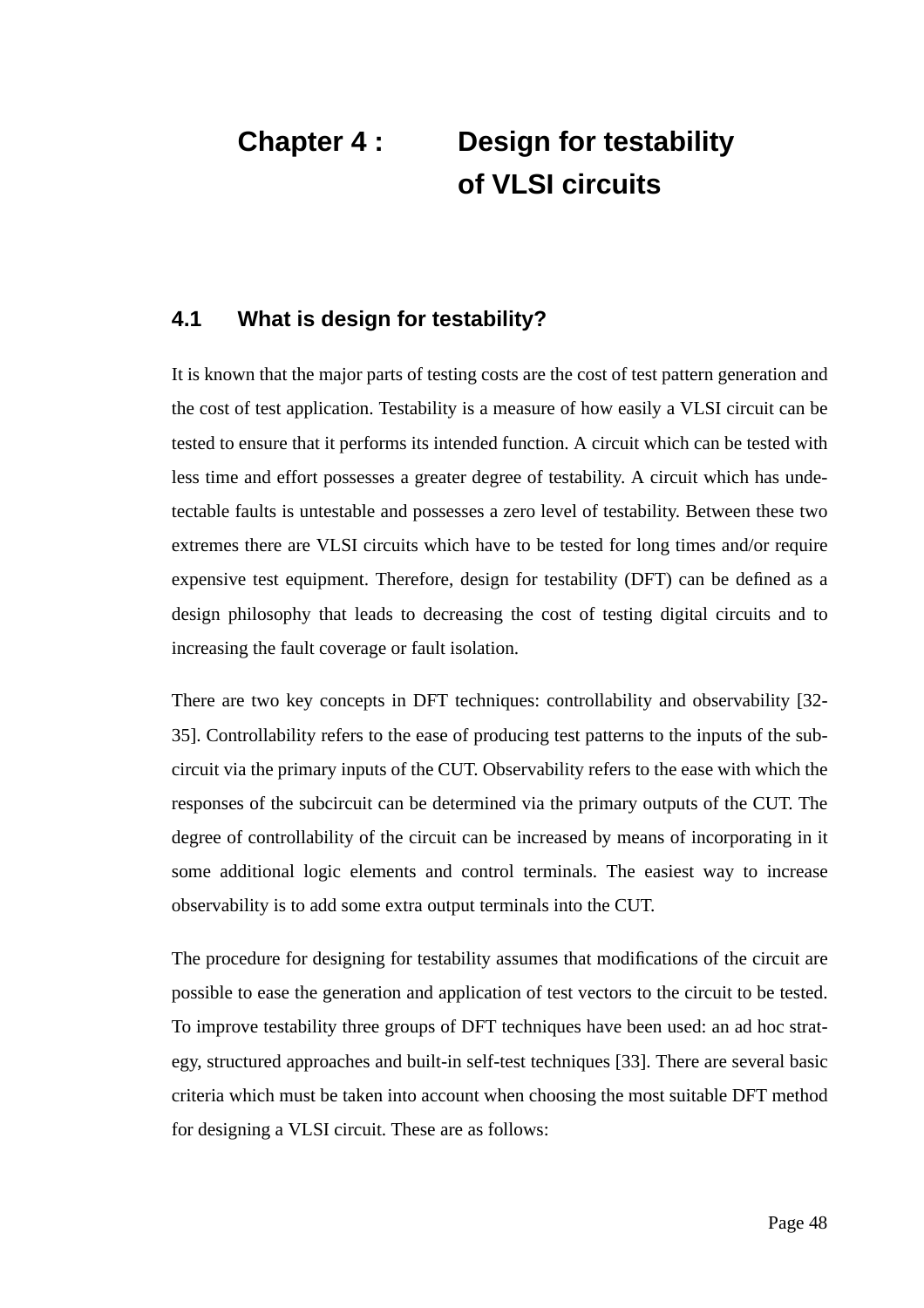# **Chapter 4 : Design for testability of VLSI circuits**

#### **4.1 What is design for testability?**

It is known that the major parts of testing costs are the cost of test pattern generation and the cost of test application. Testability is a measure of how easily a VLSI circuit can be tested to ensure that it performs its intended function. A circuit which can be tested with less time and effort possesses a greater degree of testability. A circuit which has undetectable faults is untestable and possesses a zero level of testability. Between these two extremes there are VLSI circuits which have to be tested for long times and/or require expensive test equipment. Therefore, design for testability (DFT) can be defined as a design philosophy that leads to decreasing the cost of testing digital circuits and to increasing the fault coverage or fault isolation.

There are two key concepts in DFT techniques: controllability and observability [32- 35]. Controllability refers to the ease of producing test patterns to the inputs of the subcircuit via the primary inputs of the CUT. Observability refers to the ease with which the responses of the subcircuit can be determined via the primary outputs of the CUT. The degree of controllability of the circuit can be increased by means of incorporating in it some additional logic elements and control terminals. The easiest way to increase observability is to add some extra output terminals into the CUT.

The procedure for designing for testability assumes that modifications of the circuit are possible to ease the generation and application of test vectors to the circuit to be tested. To improve testability three groups of DFT techniques have been used: an ad hoc strategy, structured approaches and built-in self-test techniques [33]. There are several basic criteria which must be taken into account when choosing the most suitable DFT method for designing a VLSI circuit. These are as follows: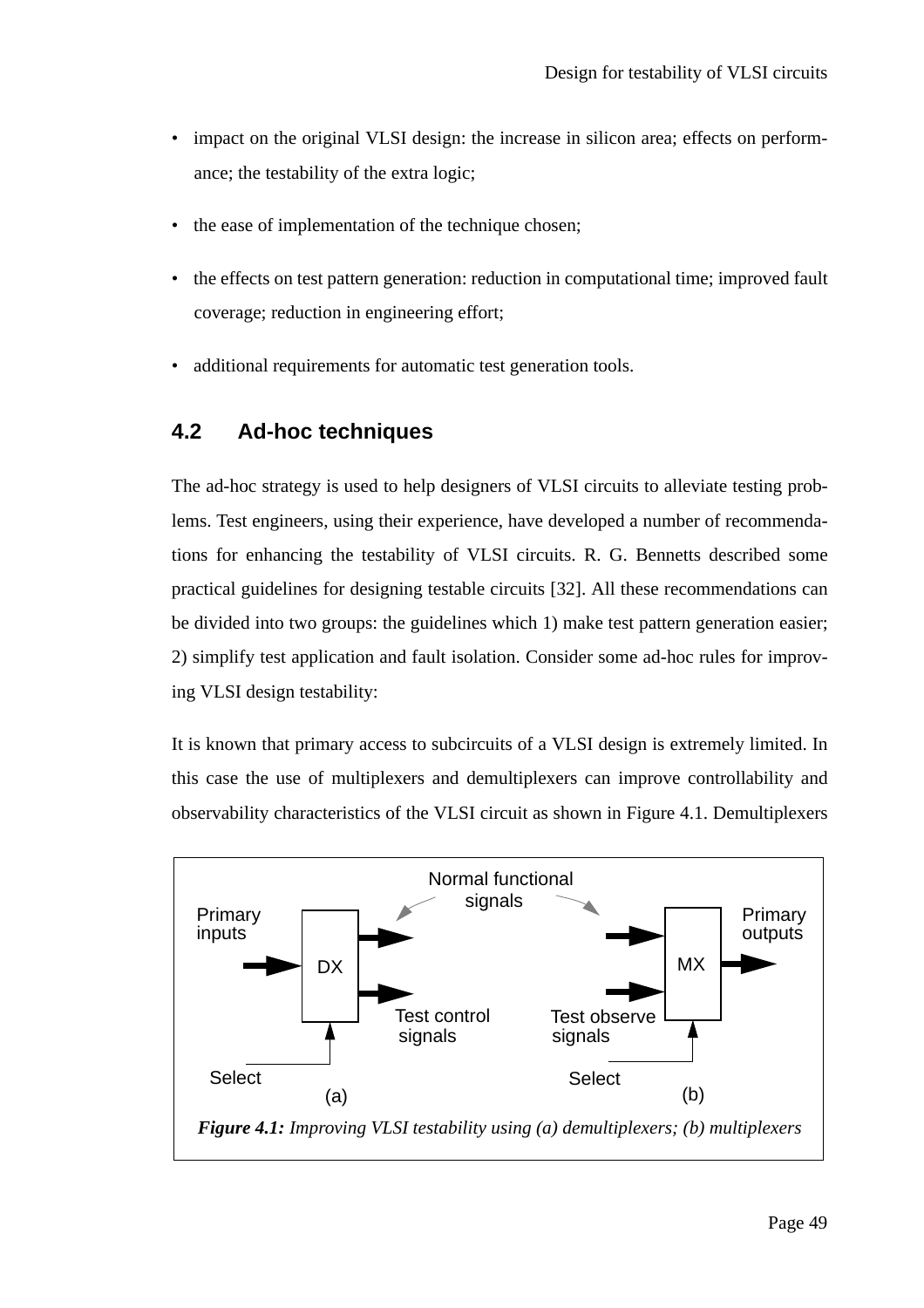- impact on the original VLSI design: the increase in silicon area; effects on performance; the testability of the extra logic;
- the ease of implementation of the technique chosen;
- the effects on test pattern generation: reduction in computational time; improved fault coverage; reduction in engineering effort;
- additional requirements for automatic test generation tools.

#### **4.2 Ad-hoc techniques**

The ad-hoc strategy is used to help designers of VLSI circuits to alleviate testing problems. Test engineers, using their experience, have developed a number of recommendations for enhancing the testability of VLSI circuits. R. G. Bennetts described some practical guidelines for designing testable circuits [32]. All these recommendations can be divided into two groups: the guidelines which 1) make test pattern generation easier; 2) simplify test application and fault isolation. Consider some ad-hoc rules for improving VLSI design testability:

It is known that primary access to subcircuits of a VLSI design is extremely limited. In this case the use of multiplexers and demultiplexers can improve controllability and observability characteristics of the VLSI circuit as shown in Figure 4.1. Demultiplexers

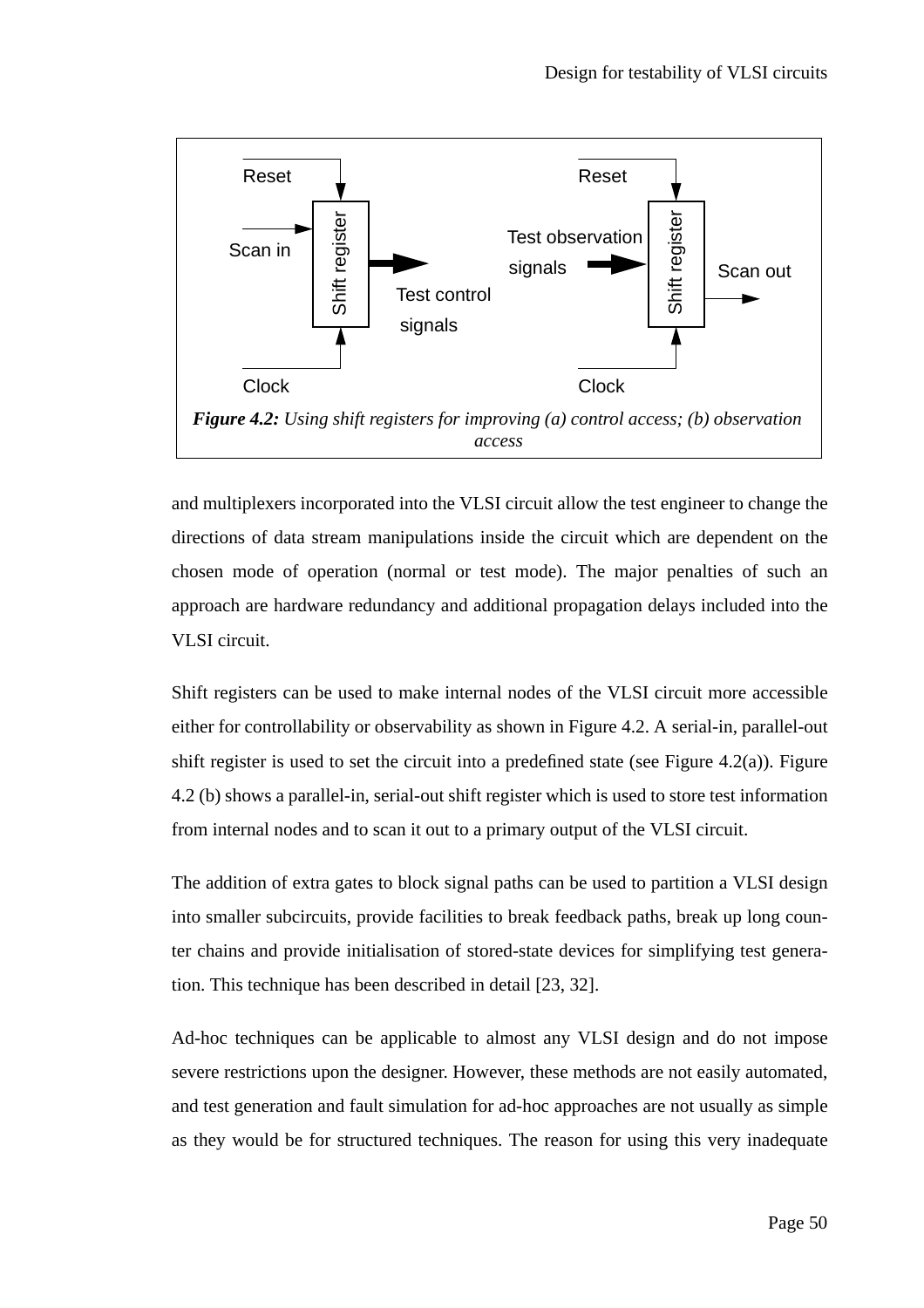

and multiplexers incorporated into the VLSI circuit allow the test engineer to change the directions of data stream manipulations inside the circuit which are dependent on the chosen mode of operation (normal or test mode). The major penalties of such an approach are hardware redundancy and additional propagation delays included into the VLSI circuit.

Shift registers can be used to make internal nodes of the VLSI circuit more accessible either for controllability or observability as shown in Figure 4.2. A serial-in, parallel-out shift register is used to set the circuit into a predefined state (see Figure 4.2(a)). Figure 4.2 (b) shows a parallel-in, serial-out shift register which is used to store test information from internal nodes and to scan it out to a primary output of the VLSI circuit.

The addition of extra gates to block signal paths can be used to partition a VLSI design into smaller subcircuits, provide facilities to break feedback paths, break up long counter chains and provide initialisation of stored-state devices for simplifying test generation. This technique has been described in detail [23, 32].

Ad-hoc techniques can be applicable to almost any VLSI design and do not impose severe restrictions upon the designer. However, these methods are not easily automated, and test generation and fault simulation for ad-hoc approaches are not usually as simple as they would be for structured techniques. The reason for using this very inadequate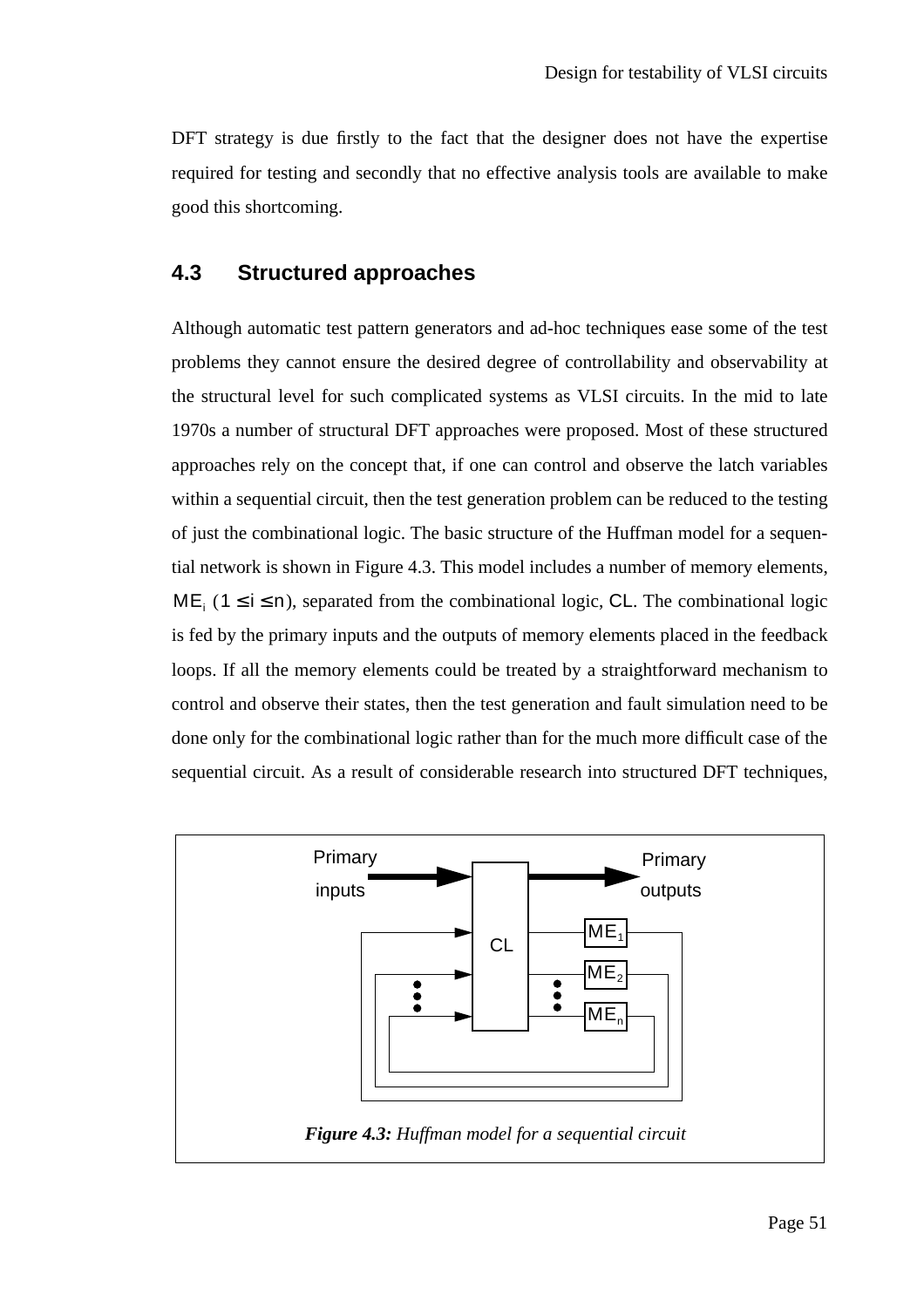DFT strategy is due firstly to the fact that the designer does not have the expertise required for testing and secondly that no effective analysis tools are available to make good this shortcoming.

#### **4.3 Structured approaches**

Although automatic test pattern generators and ad-hoc techniques ease some of the test problems they cannot ensure the desired degree of controllability and observability at the structural level for such complicated systems as VLSI circuits. In the mid to late 1970s a number of structural DFT approaches were proposed. Most of these structured approaches rely on the concept that, if one can control and observe the latch variables within a sequential circuit, then the test generation problem can be reduced to the testing of just the combinational logic. The basic structure of the Huffman model for a sequential network is shown in Figure 4.3. This model includes a number of memory elements,  $ME_i$  (1 ≤ i ≤ n), separated from the combinational logic, CL. The combinational logic is fed by the primary inputs and the outputs of memory elements placed in the feedback loops. If all the memory elements could be treated by a straightforward mechanism to control and observe their states, then the test generation and fault simulation need to be done only for the combinational logic rather than for the much more difficult case of the sequential circuit. As a result of considerable research into structured DFT techniques,

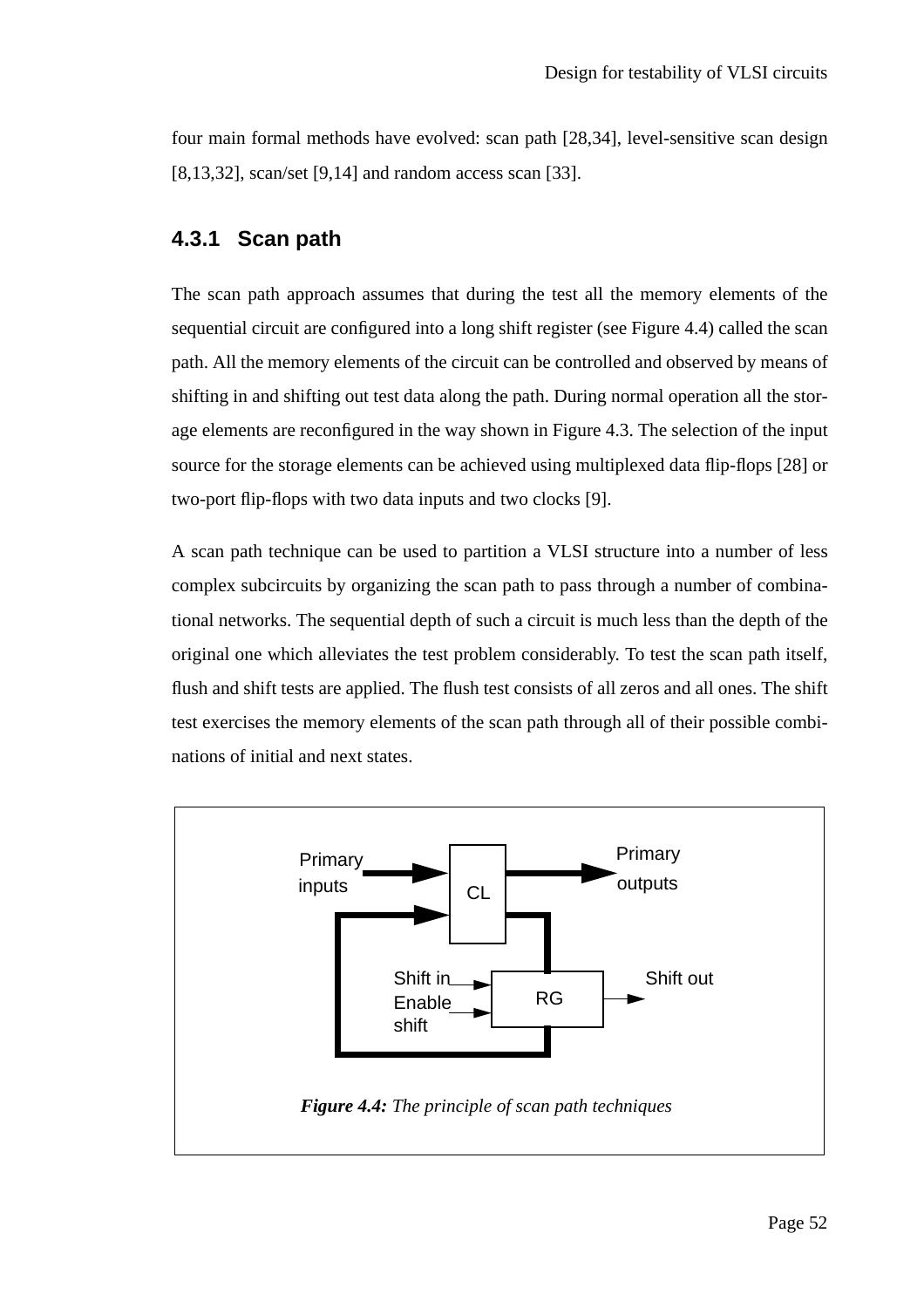four main formal methods have evolved: scan path [28,34], level-sensitive scan design [8,13,32], scan/set [9,14] and random access scan [33].

#### **4.3.1 Scan path**

The scan path approach assumes that during the test all the memory elements of the sequential circuit are configured into a long shift register (see Figure 4.4) called the scan path. All the memory elements of the circuit can be controlled and observed by means of shifting in and shifting out test data along the path. During normal operation all the storage elements are reconfigured in the way shown in Figure 4.3. The selection of the input source for the storage elements can be achieved using multiplexed data flip-flops [28] or two-port flip-flops with two data inputs and two clocks [9].

A scan path technique can be used to partition a VLSI structure into a number of less complex subcircuits by organizing the scan path to pass through a number of combinational networks. The sequential depth of such a circuit is much less than the depth of the original one which alleviates the test problem considerably. To test the scan path itself, flush and shift tests are applied. The flush test consists of all zeros and all ones. The shift test exercises the memory elements of the scan path through all of their possible combinations of initial and next states.

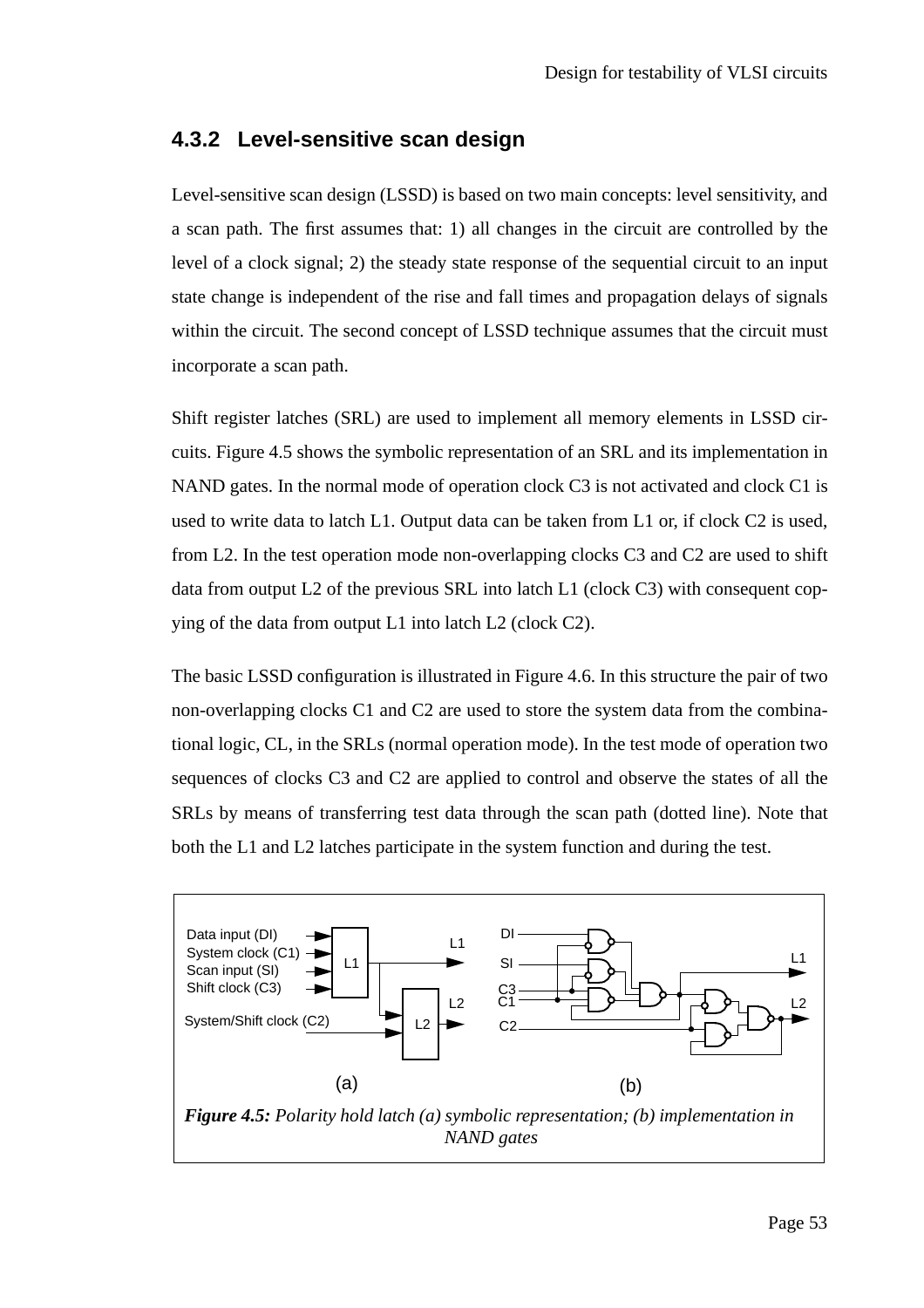#### **4.3.2 Level-sensitive scan design**

Level-sensitive scan design (LSSD) is based on two main concepts: level sensitivity, and a scan path. The first assumes that: 1) all changes in the circuit are controlled by the level of a clock signal; 2) the steady state response of the sequential circuit to an input state change is independent of the rise and fall times and propagation delays of signals within the circuit. The second concept of LSSD technique assumes that the circuit must incorporate a scan path.

Shift register latches (SRL) are used to implement all memory elements in LSSD circuits. Figure 4.5 shows the symbolic representation of an SRL and its implementation in NAND gates. In the normal mode of operation clock C3 is not activated and clock C1 is used to write data to latch L1. Output data can be taken from L1 or, if clock C2 is used, from L2. In the test operation mode non-overlapping clocks C3 and C2 are used to shift data from output L2 of the previous SRL into latch L1 (clock C3) with consequent copying of the data from output L1 into latch L2 (clock C2).

The basic LSSD configuration is illustrated in Figure 4.6. In this structure the pair of two non-overlapping clocks C1 and C2 are used to store the system data from the combinational logic, CL, in the SRLs (normal operation mode). In the test mode of operation two sequences of clocks C3 and C2 are applied to control and observe the states of all the SRLs by means of transferring test data through the scan path (dotted line). Note that both the L1 and L2 latches participate in the system function and during the test.

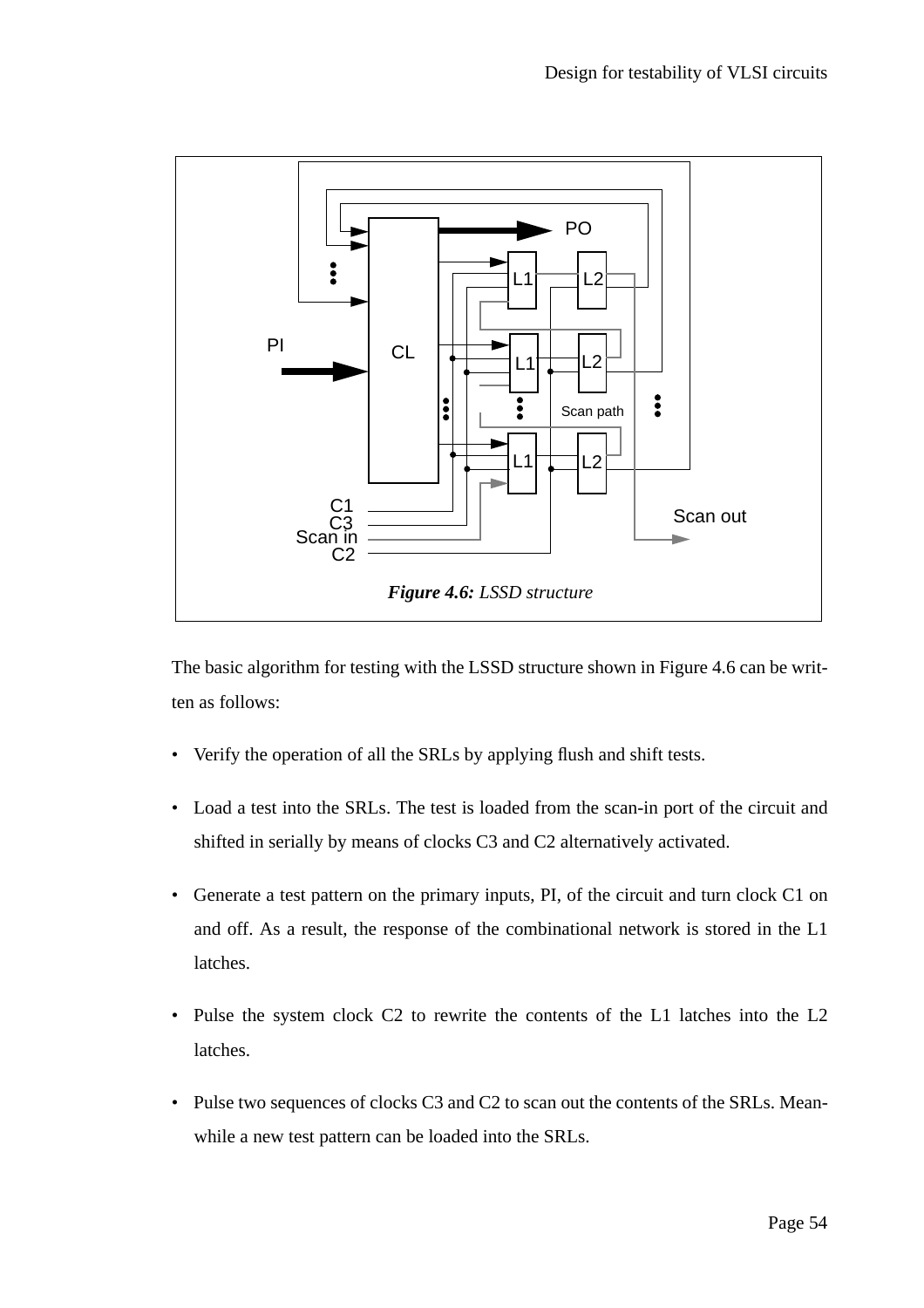

The basic algorithm for testing with the LSSD structure shown in Figure 4.6 can be written as follows:

- Verify the operation of all the SRLs by applying flush and shift tests.
- Load a test into the SRLs. The test is loaded from the scan-in port of the circuit and shifted in serially by means of clocks C3 and C2 alternatively activated.
- Generate a test pattern on the primary inputs, PI, of the circuit and turn clock C1 on and off. As a result, the response of the combinational network is stored in the L1 latches.
- Pulse the system clock C2 to rewrite the contents of the L1 latches into the L2 latches.
- Pulse two sequences of clocks C3 and C2 to scan out the contents of the SRLs. Meanwhile a new test pattern can be loaded into the SRLs.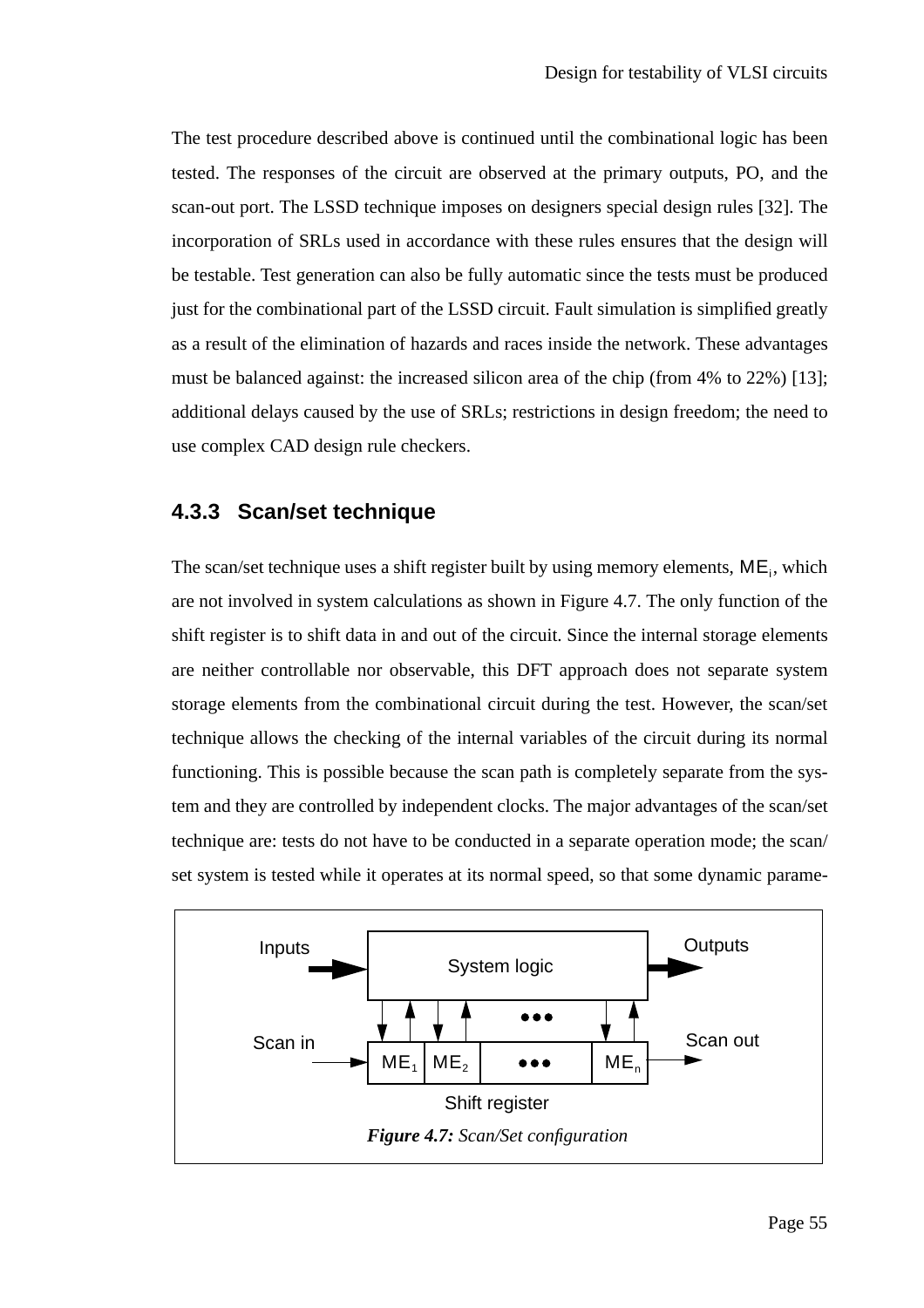The test procedure described above is continued until the combinational logic has been tested. The responses of the circuit are observed at the primary outputs, PO, and the scan-out port. The LSSD technique imposes on designers special design rules [32]. The incorporation of SRLs used in accordance with these rules ensures that the design will be testable. Test generation can also be fully automatic since the tests must be produced just for the combinational part of the LSSD circuit. Fault simulation is simplified greatly as a result of the elimination of hazards and races inside the network. These advantages must be balanced against: the increased silicon area of the chip (from 4% to 22%) [13]; additional delays caused by the use of SRLs; restrictions in design freedom; the need to use complex CAD design rule checkers.

#### **4.3.3 Scan/set technique**

The scan/set technique uses a shift register built by using memory elements,  $ME_i$ , which are not involved in system calculations as shown in Figure 4.7. The only function of the shift register is to shift data in and out of the circuit. Since the internal storage elements are neither controllable nor observable, this DFT approach does not separate system storage elements from the combinational circuit during the test. However, the scan/set technique allows the checking of the internal variables of the circuit during its normal functioning. This is possible because the scan path is completely separate from the system and they are controlled by independent clocks. The major advantages of the scan/set technique are: tests do not have to be conducted in a separate operation mode; the scan/ set system is tested while it operates at its normal speed, so that some dynamic parame-

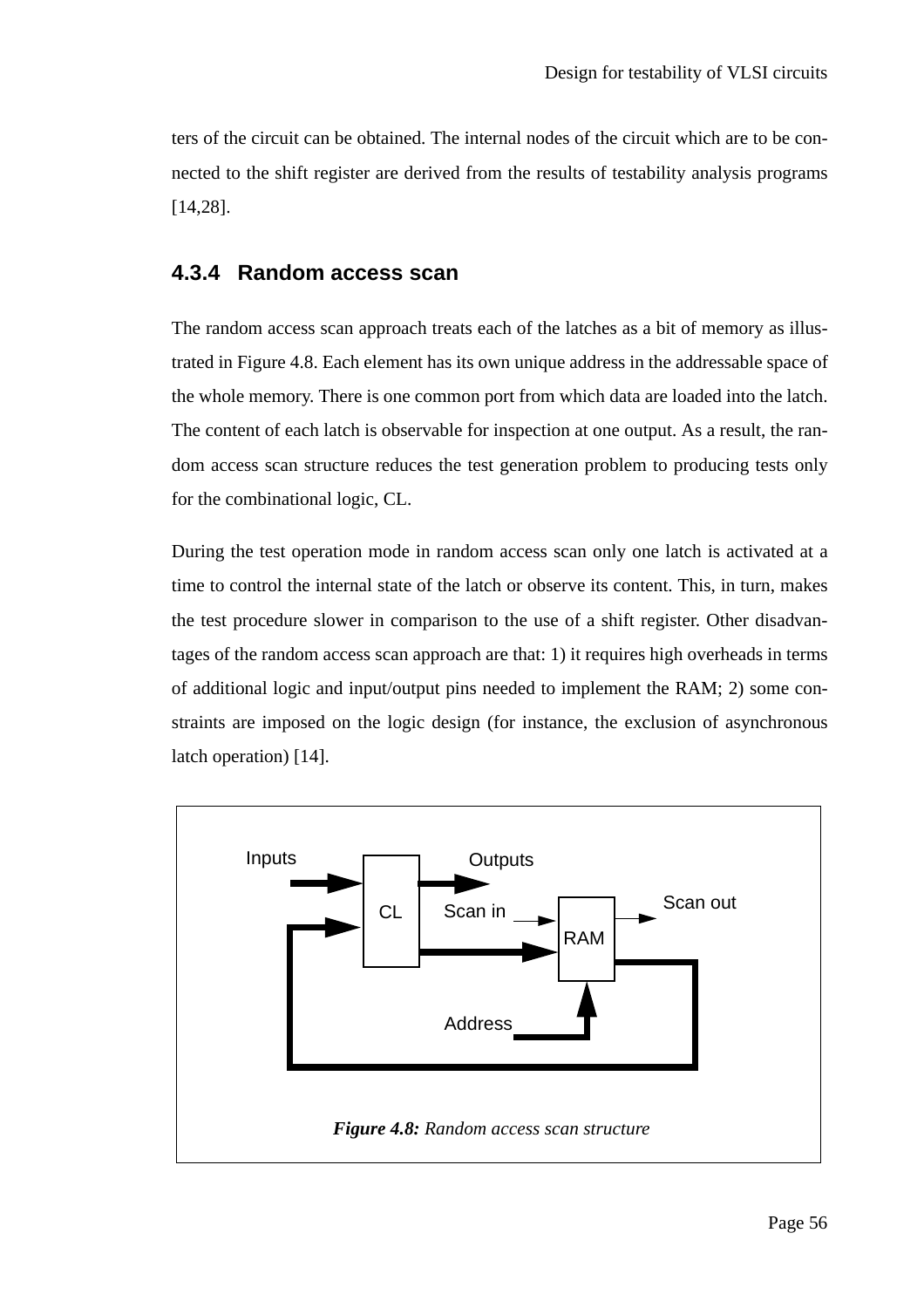ters of the circuit can be obtained. The internal nodes of the circuit which are to be connected to the shift register are derived from the results of testability analysis programs [14,28].

#### **4.3.4 Random access scan**

The random access scan approach treats each of the latches as a bit of memory as illustrated in Figure 4.8. Each element has its own unique address in the addressable space of the whole memory. There is one common port from which data are loaded into the latch. The content of each latch is observable for inspection at one output. As a result, the random access scan structure reduces the test generation problem to producing tests only for the combinational logic, CL.

During the test operation mode in random access scan only one latch is activated at a time to control the internal state of the latch or observe its content. This, in turn, makes the test procedure slower in comparison to the use of a shift register. Other disadvantages of the random access scan approach are that: 1) it requires high overheads in terms of additional logic and input/output pins needed to implement the RAM; 2) some constraints are imposed on the logic design (for instance, the exclusion of asynchronous latch operation) [14].

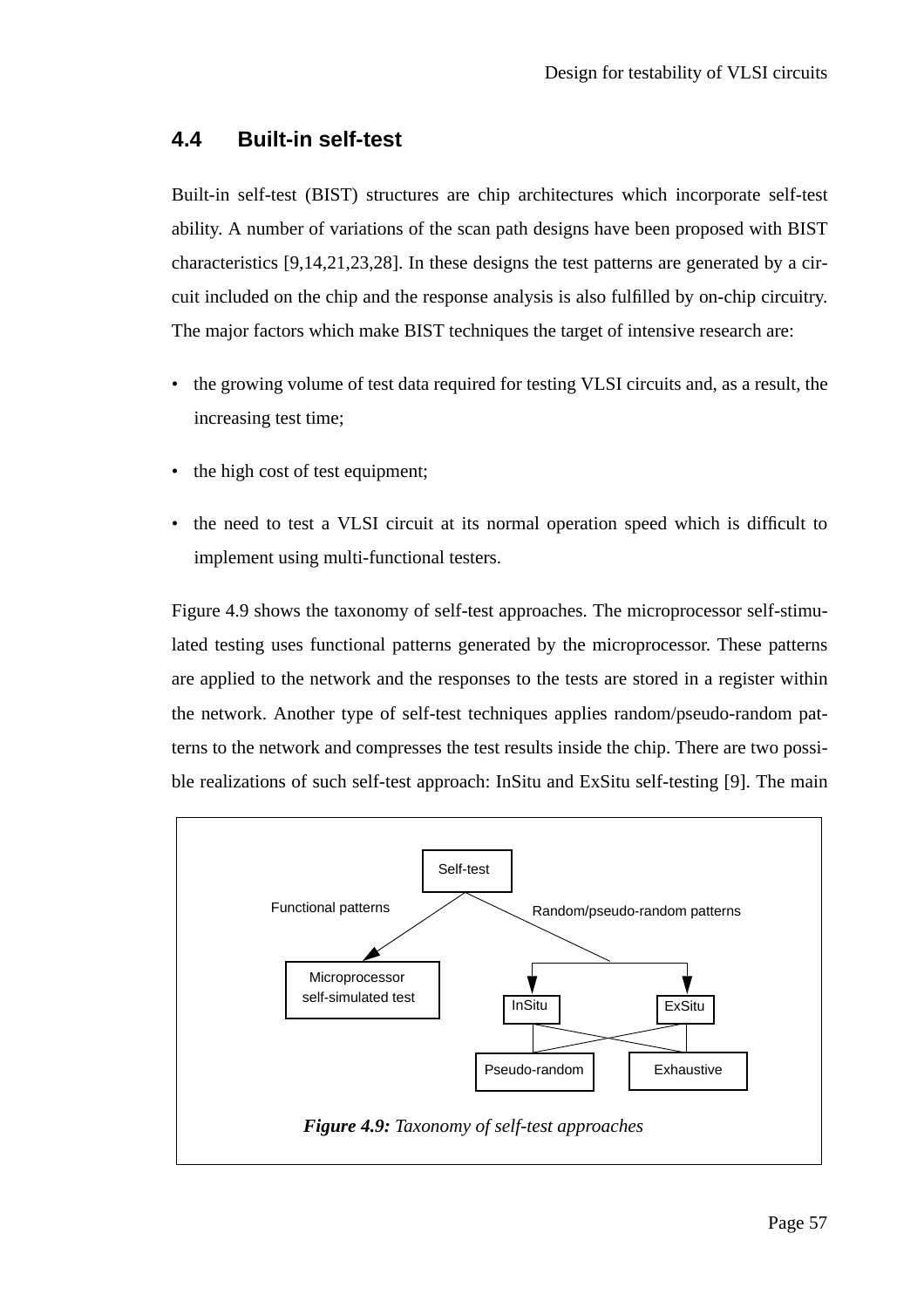#### **4.4 Built-in self-test**

Built-in self-test (BIST) structures are chip architectures which incorporate self-test ability. A number of variations of the scan path designs have been proposed with BIST characteristics [9,14,21,23,28]. In these designs the test patterns are generated by a circuit included on the chip and the response analysis is also fulfilled by on-chip circuitry. The major factors which make BIST techniques the target of intensive research are:

- the growing volume of test data required for testing VLSI circuits and, as a result, the increasing test time;
- the high cost of test equipment;
- the need to test a VLSI circuit at its normal operation speed which is difficult to implement using multi-functional testers.

Figure 4.9 shows the taxonomy of self-test approaches. The microprocessor self-stimulated testing uses functional patterns generated by the microprocessor. These patterns are applied to the network and the responses to the tests are stored in a register within the network. Another type of self-test techniques applies random/pseudo-random patterns to the network and compresses the test results inside the chip. There are two possible realizations of such self-test approach: InSitu and ExSitu self-testing [9]. The main

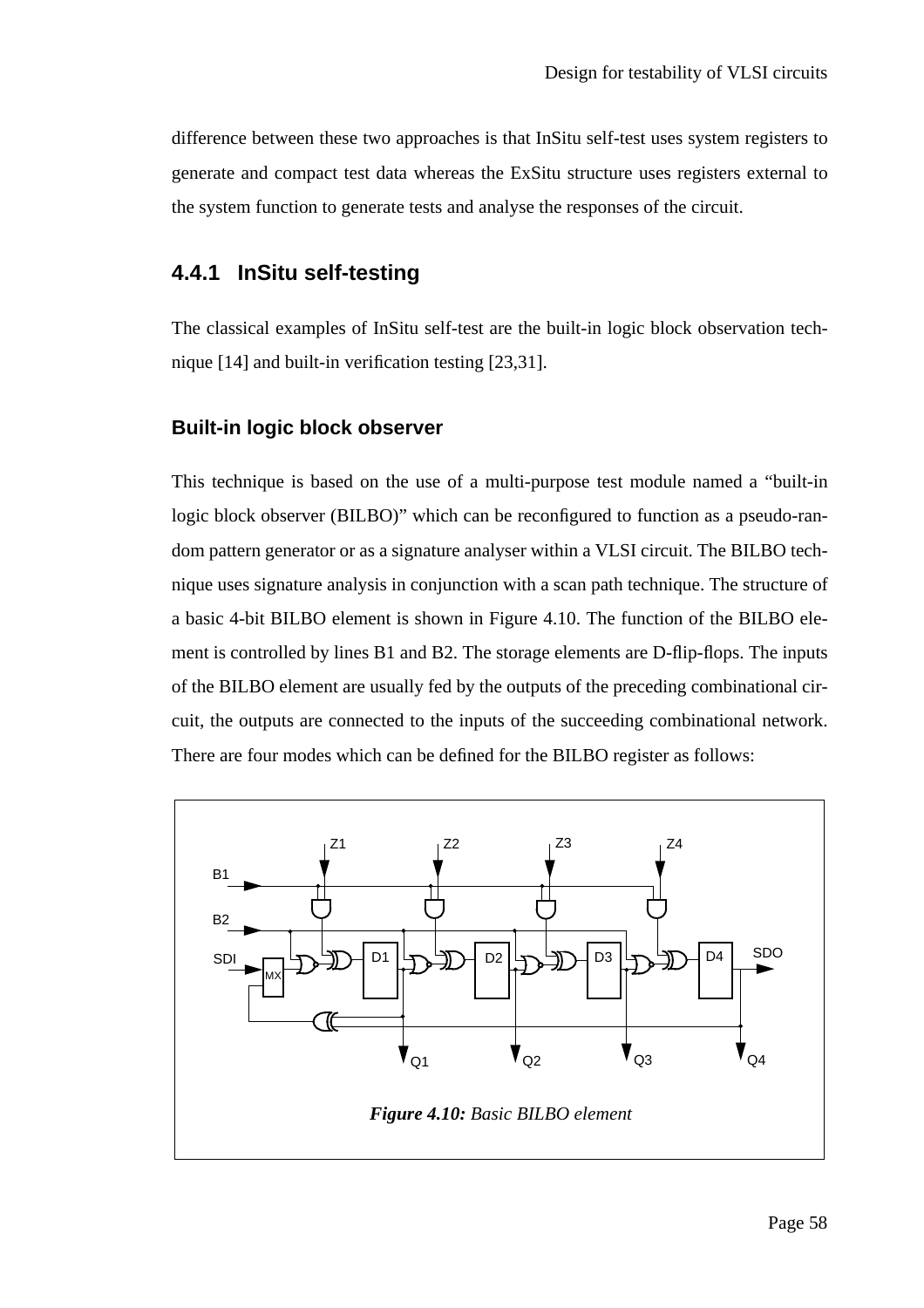difference between these two approaches is that InSitu self-test uses system registers to generate and compact test data whereas the ExSitu structure uses registers external to the system function to generate tests and analyse the responses of the circuit.

#### **4.4.1 InSitu self-testing**

The classical examples of InSitu self-test are the built-in logic block observation technique [14] and built-in verification testing [23,31].

#### **Built-in logic block observer**

This technique is based on the use of a multi-purpose test module named a "built-in logic block observer (BILBO)" which can be reconfigured to function as a pseudo-random pattern generator or as a signature analyser within a VLSI circuit. The BILBO technique uses signature analysis in conjunction with a scan path technique. The structure of a basic 4-bit BILBO element is shown in Figure 4.10. The function of the BILBO element is controlled by lines B1 and B2. The storage elements are D-flip-flops. The inputs of the BILBO element are usually fed by the outputs of the preceding combinational circuit, the outputs are connected to the inputs of the succeeding combinational network. There are four modes which can be defined for the BILBO register as follows:

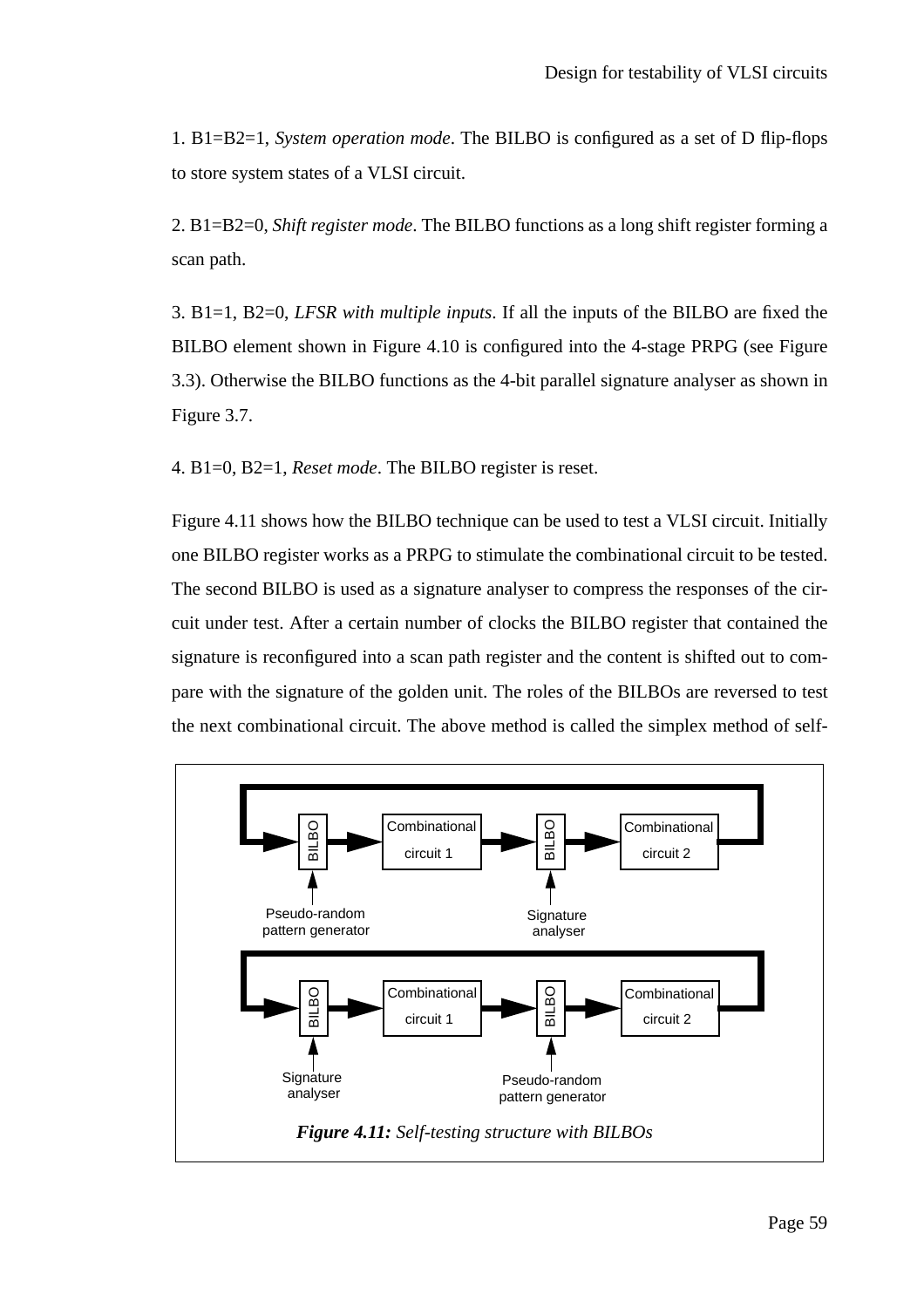1. B1=B2=1, *System operation mode*. The BILBO is configured as a set of D flip-flops to store system states of a VLSI circuit.

2. B1=B2=0, *Shift register mode*. The BILBO functions as a long shift register forming a scan path.

3. B1=1, B2=0, *LFSR with multiple inputs*. If all the inputs of the BILBO are fixed the BILBO element shown in Figure 4.10 is configured into the 4-stage PRPG (see Figure 3.3). Otherwise the BILBO functions as the 4-bit parallel signature analyser as shown in Figure 3.7.

4. B1=0, B2=1, *Reset mode*. The BILBO register is reset.

Figure 4.11 shows how the BILBO technique can be used to test a VLSI circuit. Initially one BILBO register works as a PRPG to stimulate the combinational circuit to be tested. The second BILBO is used as a signature analyser to compress the responses of the circuit under test. After a certain number of clocks the BILBO register that contained the signature is reconfigured into a scan path register and the content is shifted out to compare with the signature of the golden unit. The roles of the BILBOs are reversed to test the next combinational circuit. The above method is called the simplex method of self-

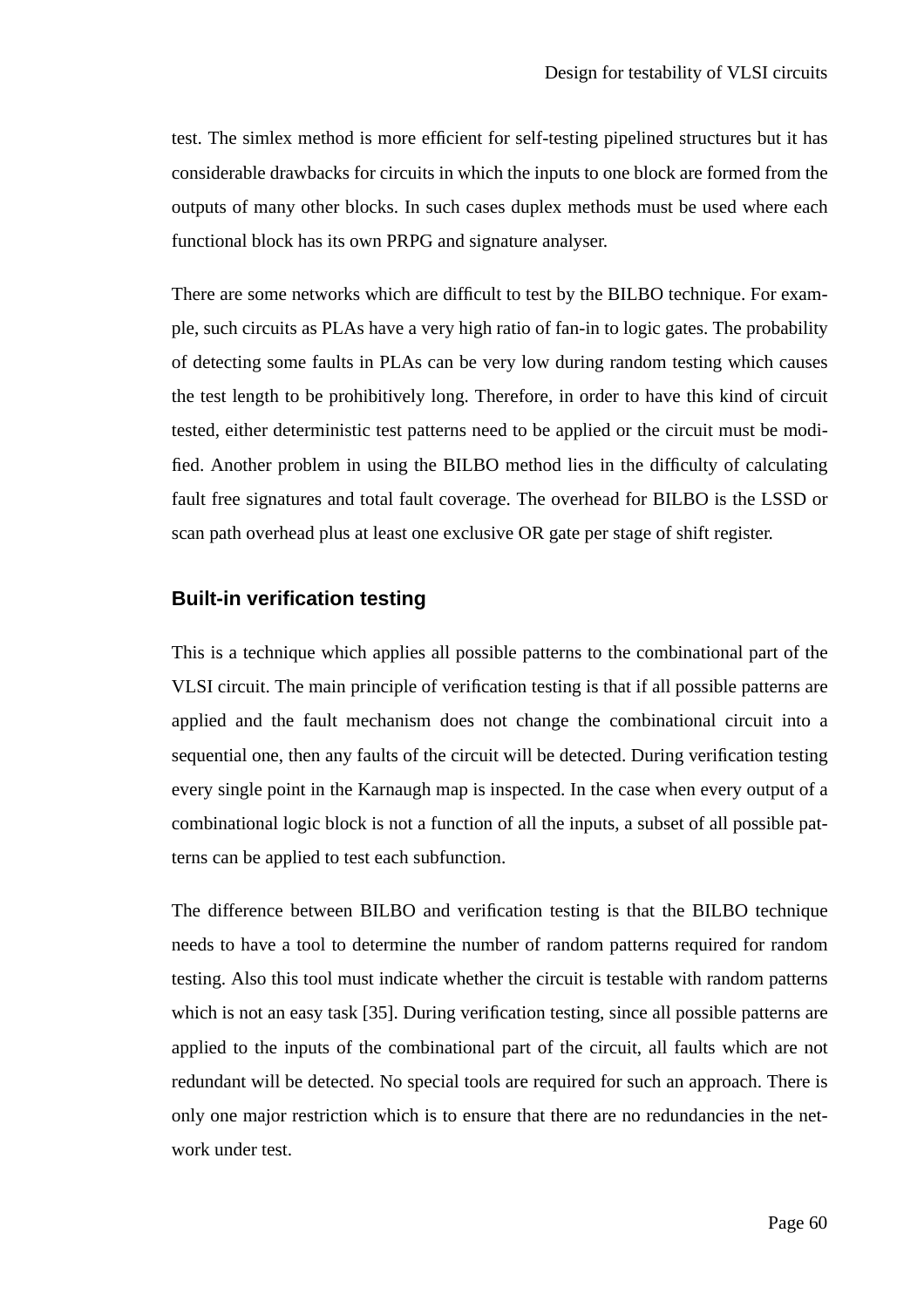test. The simlex method is more efficient for self-testing pipelined structures but it has considerable drawbacks for circuits in which the inputs to one block are formed from the outputs of many other blocks. In such cases duplex methods must be used where each functional block has its own PRPG and signature analyser.

There are some networks which are difficult to test by the BILBO technique. For example, such circuits as PLAs have a very high ratio of fan-in to logic gates. The probability of detecting some faults in PLAs can be very low during random testing which causes the test length to be prohibitively long. Therefore, in order to have this kind of circuit tested, either deterministic test patterns need to be applied or the circuit must be modified. Another problem in using the BILBO method lies in the difficulty of calculating fault free signatures and total fault coverage. The overhead for BILBO is the LSSD or scan path overhead plus at least one exclusive OR gate per stage of shift register.

#### **Built-in verification testing**

This is a technique which applies all possible patterns to the combinational part of the VLSI circuit. The main principle of verification testing is that if all possible patterns are applied and the fault mechanism does not change the combinational circuit into a sequential one, then any faults of the circuit will be detected. During verification testing every single point in the Karnaugh map is inspected. In the case when every output of a combinational logic block is not a function of all the inputs, a subset of all possible patterns can be applied to test each subfunction.

The difference between BILBO and verification testing is that the BILBO technique needs to have a tool to determine the number of random patterns required for random testing. Also this tool must indicate whether the circuit is testable with random patterns which is not an easy task [35]. During verification testing, since all possible patterns are applied to the inputs of the combinational part of the circuit, all faults which are not redundant will be detected. No special tools are required for such an approach. There is only one major restriction which is to ensure that there are no redundancies in the network under test.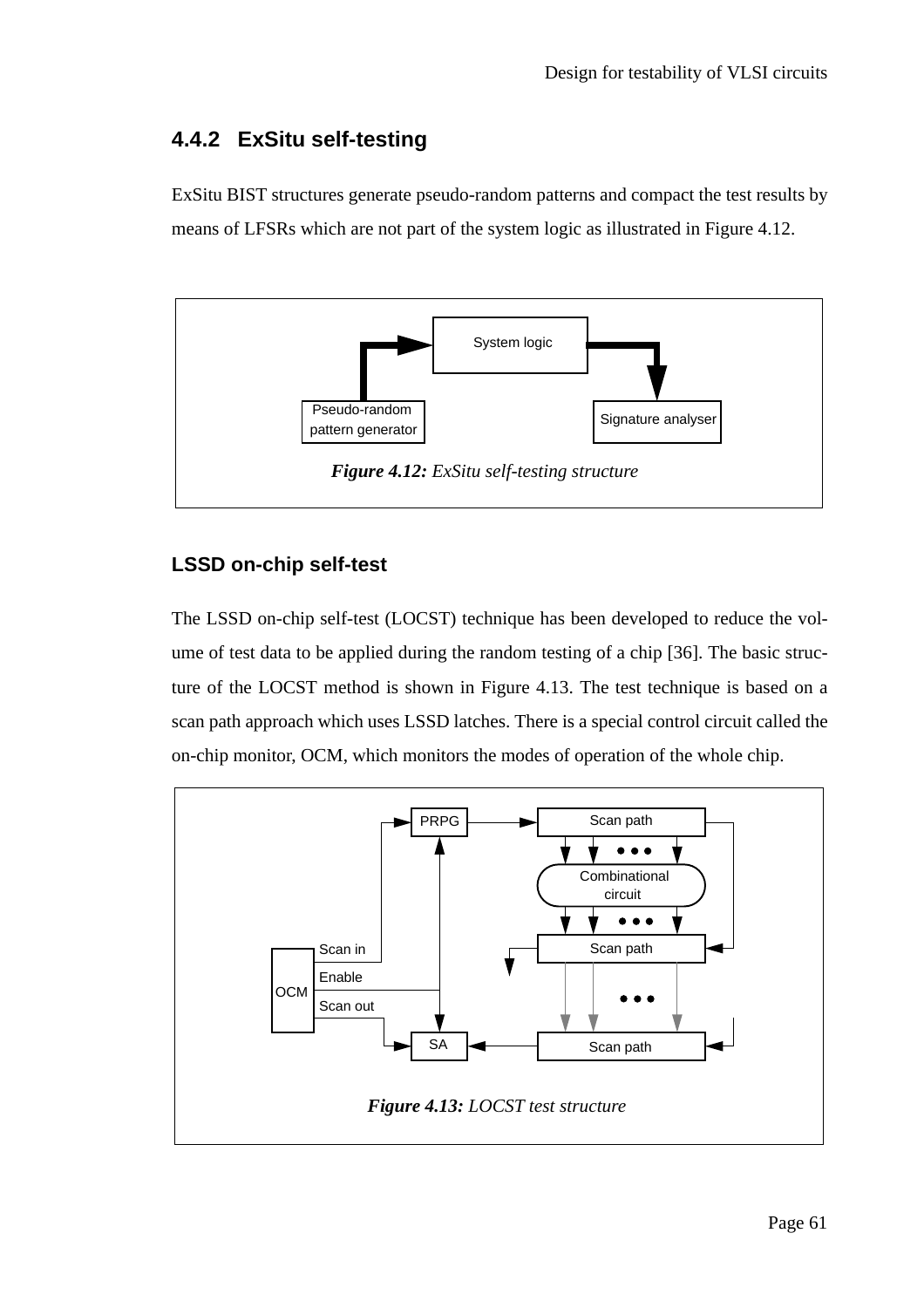### **4.4.2 ExSitu self-testing**

ExSitu BIST structures generate pseudo-random patterns and compact the test results by means of LFSRs which are not part of the system logic as illustrated in Figure 4.12.



#### **LSSD on-chip self-test**

The LSSD on-chip self-test (LOCST) technique has been developed to reduce the volume of test data to be applied during the random testing of a chip [36]. The basic structure of the LOCST method is shown in Figure 4.13. The test technique is based on a scan path approach which uses LSSD latches. There is a special control circuit called the on-chip monitor, OCM, which monitors the modes of operation of the whole chip.

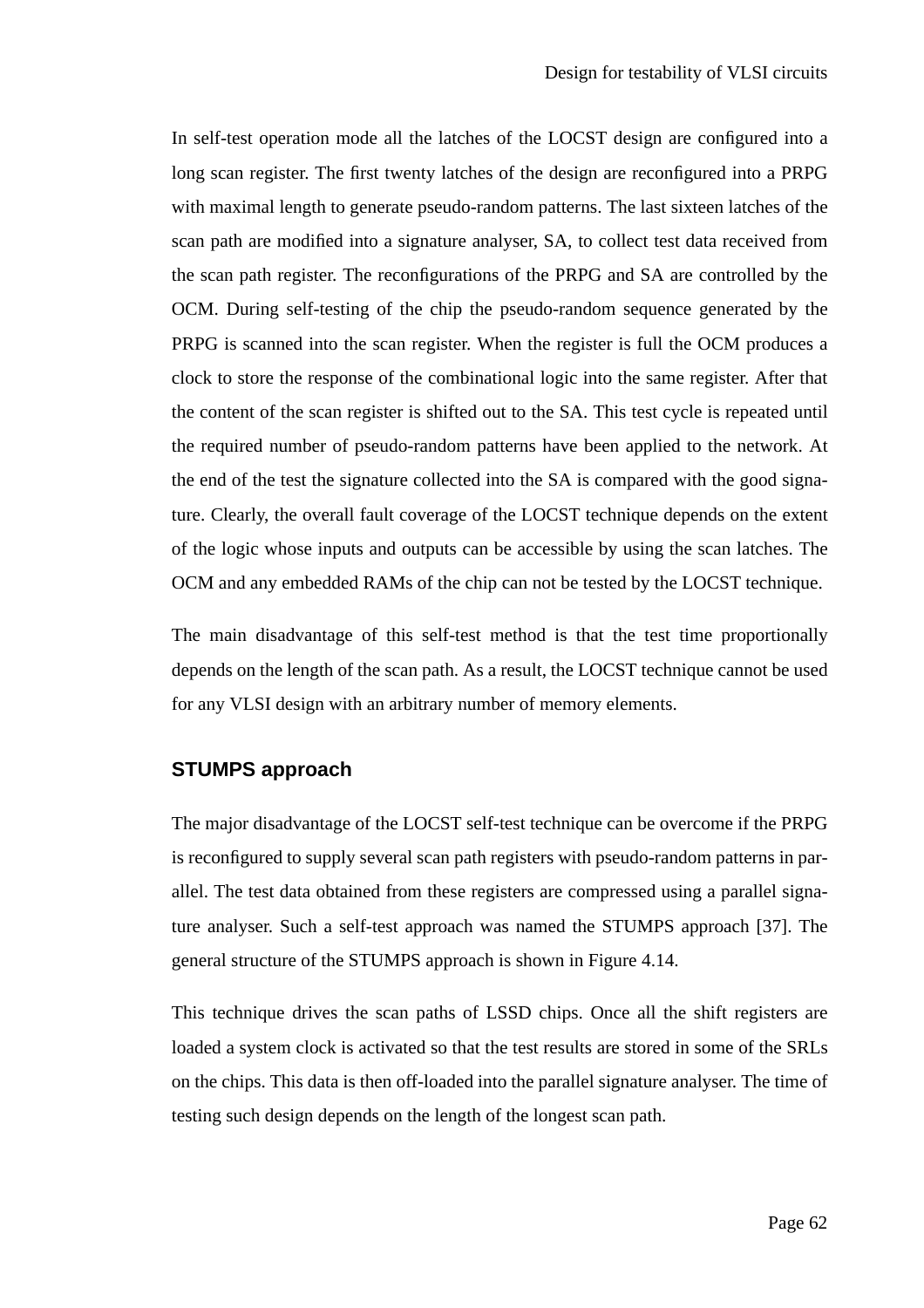In self-test operation mode all the latches of the LOCST design are configured into a long scan register. The first twenty latches of the design are reconfigured into a PRPG with maximal length to generate pseudo-random patterns. The last sixteen latches of the scan path are modified into a signature analyser, SA, to collect test data received from the scan path register. The reconfigurations of the PRPG and SA are controlled by the OCM. During self-testing of the chip the pseudo-random sequence generated by the PRPG is scanned into the scan register. When the register is full the OCM produces a clock to store the response of the combinational logic into the same register. After that the content of the scan register is shifted out to the SA. This test cycle is repeated until the required number of pseudo-random patterns have been applied to the network. At the end of the test the signature collected into the SA is compared with the good signature. Clearly, the overall fault coverage of the LOCST technique depends on the extent of the logic whose inputs and outputs can be accessible by using the scan latches. The OCM and any embedded RAMs of the chip can not be tested by the LOCST technique.

The main disadvantage of this self-test method is that the test time proportionally depends on the length of the scan path. As a result, the LOCST technique cannot be used for any VLSI design with an arbitrary number of memory elements.

#### **STUMPS approach**

The major disadvantage of the LOCST self-test technique can be overcome if the PRPG is reconfigured to supply several scan path registers with pseudo-random patterns in parallel. The test data obtained from these registers are compressed using a parallel signature analyser. Such a self-test approach was named the STUMPS approach [37]. The general structure of the STUMPS approach is shown in Figure 4.14.

This technique drives the scan paths of LSSD chips. Once all the shift registers are loaded a system clock is activated so that the test results are stored in some of the SRLs on the chips. This data is then off-loaded into the parallel signature analyser. The time of testing such design depends on the length of the longest scan path.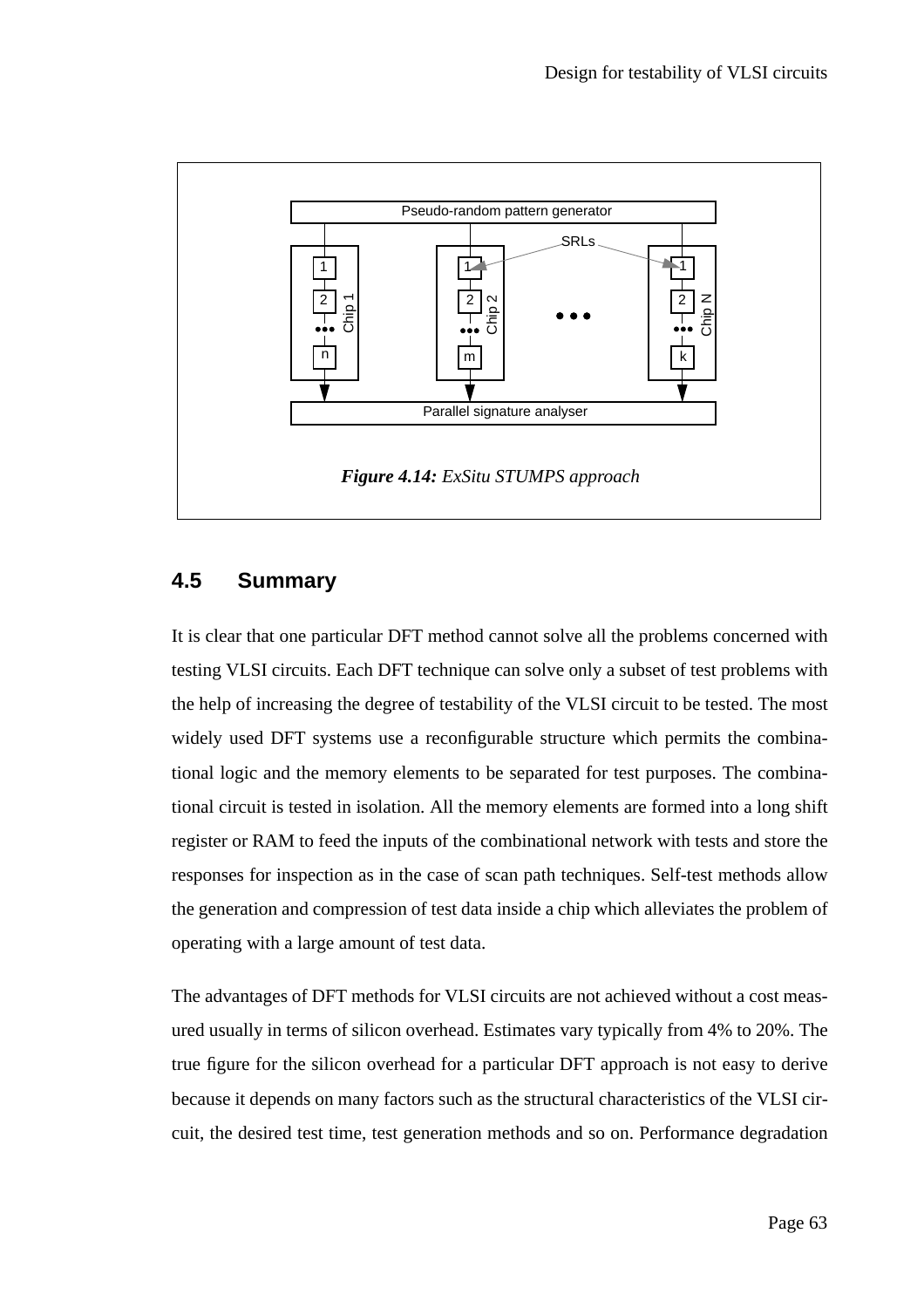

#### **4.5 Summary**

It is clear that one particular DFT method cannot solve all the problems concerned with testing VLSI circuits. Each DFT technique can solve only a subset of test problems with the help of increasing the degree of testability of the VLSI circuit to be tested. The most widely used DFT systems use a reconfigurable structure which permits the combinational logic and the memory elements to be separated for test purposes. The combinational circuit is tested in isolation. All the memory elements are formed into a long shift register or RAM to feed the inputs of the combinational network with tests and store the responses for inspection as in the case of scan path techniques. Self-test methods allow the generation and compression of test data inside a chip which alleviates the problem of operating with a large amount of test data.

The advantages of DFT methods for VLSI circuits are not achieved without a cost measured usually in terms of silicon overhead. Estimates vary typically from 4% to 20%. The true figure for the silicon overhead for a particular DFT approach is not easy to derive because it depends on many factors such as the structural characteristics of the VLSI circuit, the desired test time, test generation methods and so on. Performance degradation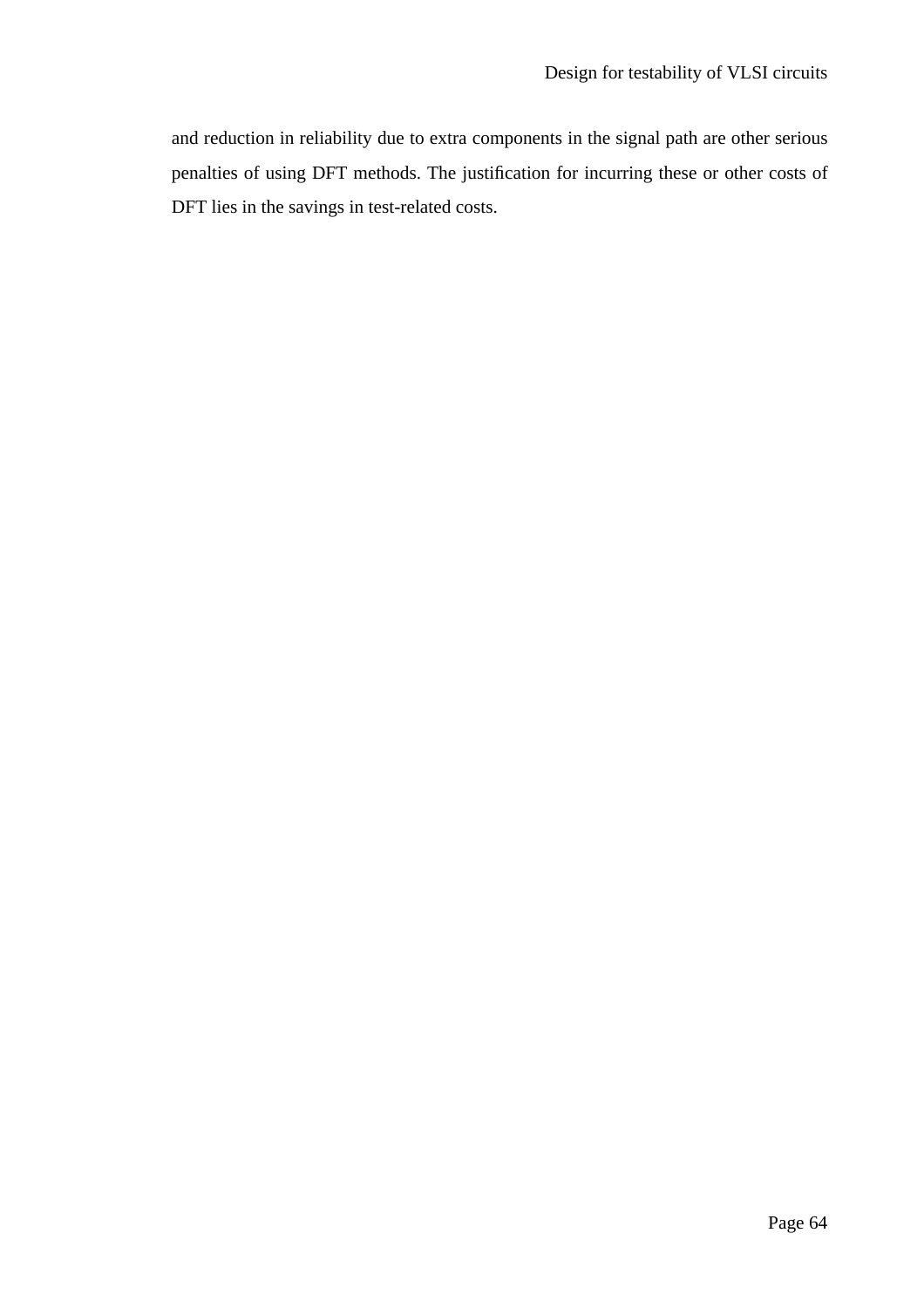and reduction in reliability due to extra components in the signal path are other serious penalties of using DFT methods. The justification for incurring these or other costs of DFT lies in the savings in test-related costs.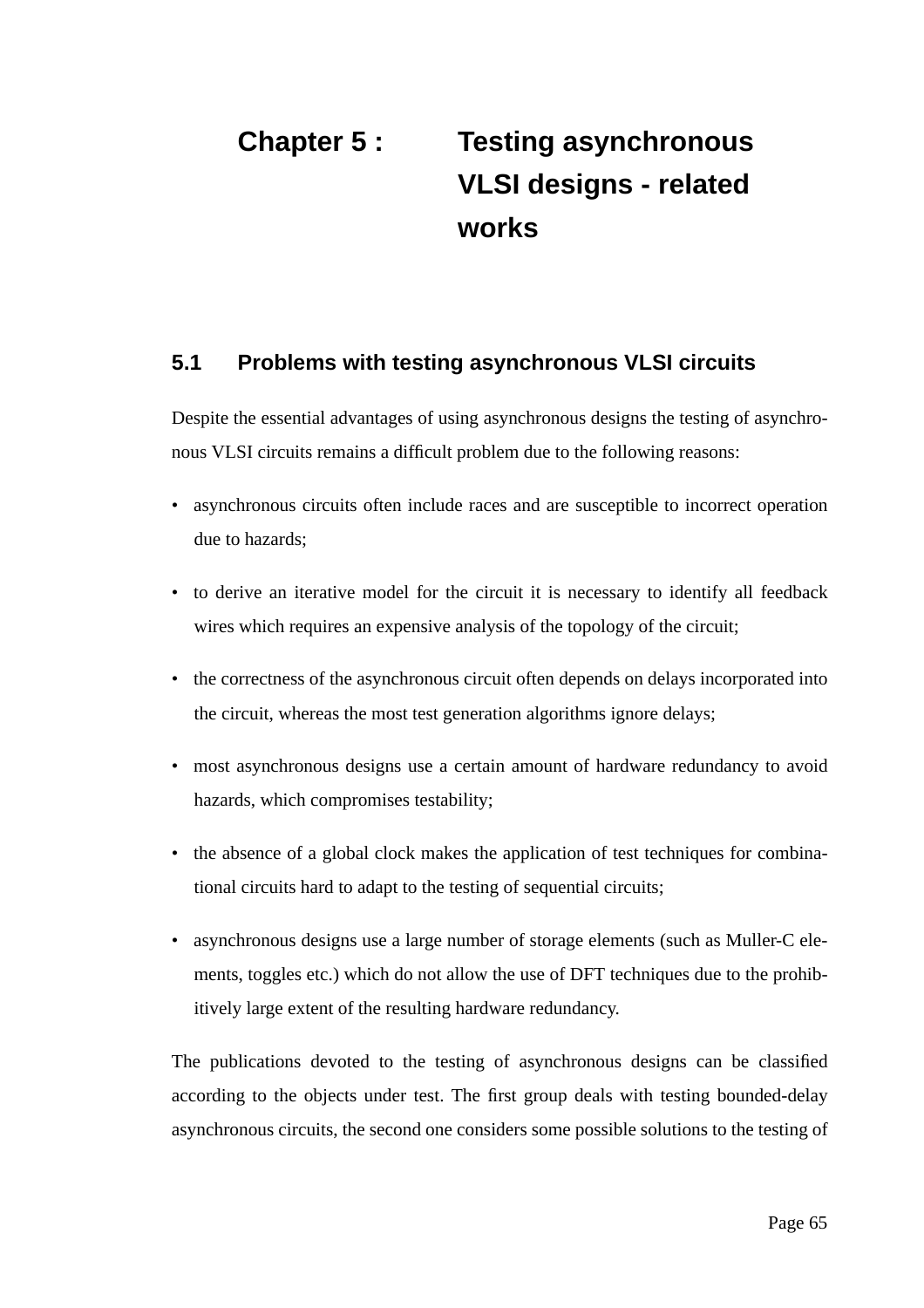# **Chapter 5 : Testing asynchronous VLSI designs - related works**

#### **5.1 Problems with testing asynchronous VLSI circuits**

Despite the essential advantages of using asynchronous designs the testing of asynchronous VLSI circuits remains a difficult problem due to the following reasons:

- asynchronous circuits often include races and are susceptible to incorrect operation due to hazards;
- to derive an iterative model for the circuit it is necessary to identify all feedback wires which requires an expensive analysis of the topology of the circuit;
- the correctness of the asynchronous circuit often depends on delays incorporated into the circuit, whereas the most test generation algorithms ignore delays;
- most asynchronous designs use a certain amount of hardware redundancy to avoid hazards, which compromises testability;
- the absence of a global clock makes the application of test techniques for combinational circuits hard to adapt to the testing of sequential circuits;
- asynchronous designs use a large number of storage elements (such as Muller-C elements, toggles etc.) which do not allow the use of DFT techniques due to the prohibitively large extent of the resulting hardware redundancy.

The publications devoted to the testing of asynchronous designs can be classified according to the objects under test. The first group deals with testing bounded-delay asynchronous circuits, the second one considers some possible solutions to the testing of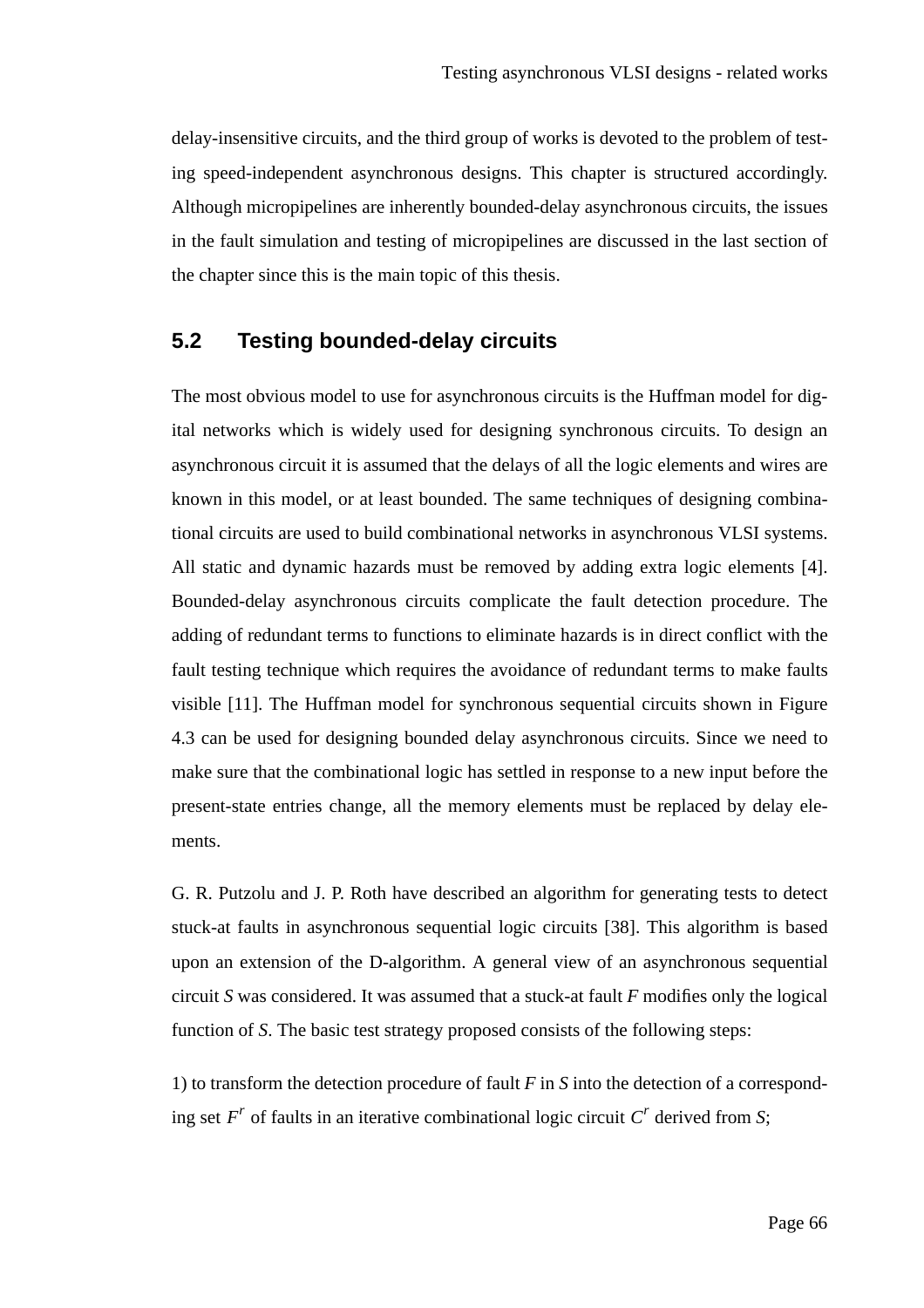delay-insensitive circuits, and the third group of works is devoted to the problem of testing speed-independent asynchronous designs. This chapter is structured accordingly. Although micropipelines are inherently bounded-delay asynchronous circuits, the issues in the fault simulation and testing of micropipelines are discussed in the last section of the chapter since this is the main topic of this thesis.

#### **5.2 Testing bounded-delay circuits**

The most obvious model to use for asynchronous circuits is the Huffman model for digital networks which is widely used for designing synchronous circuits. To design an asynchronous circuit it is assumed that the delays of all the logic elements and wires are known in this model, or at least bounded. The same techniques of designing combinational circuits are used to build combinational networks in asynchronous VLSI systems. All static and dynamic hazards must be removed by adding extra logic elements [4]. Bounded-delay asynchronous circuits complicate the fault detection procedure. The adding of redundant terms to functions to eliminate hazards is in direct conflict with the fault testing technique which requires the avoidance of redundant terms to make faults visible [11]. The Huffman model for synchronous sequential circuits shown in Figure 4.3 can be used for designing bounded delay asynchronous circuits. Since we need to make sure that the combinational logic has settled in response to a new input before the present-state entries change, all the memory elements must be replaced by delay elements.

G. R. Putzolu and J. P. Roth have described an algorithm for generating tests to detect stuck-at faults in asynchronous sequential logic circuits [38]. This algorithm is based upon an extension of the D-algorithm. A general view of an asynchronous sequential circuit *S* was considered. It was assumed that a stuck-at fault *F* modifies only the logical function of *S*. The basic test strategy proposed consists of the following steps:

1) to transform the detection procedure of fault *F* in *S* into the detection of a corresponding set  $F^r$  of faults in an iterative combinational logic circuit  $C^r$  derived from *S*;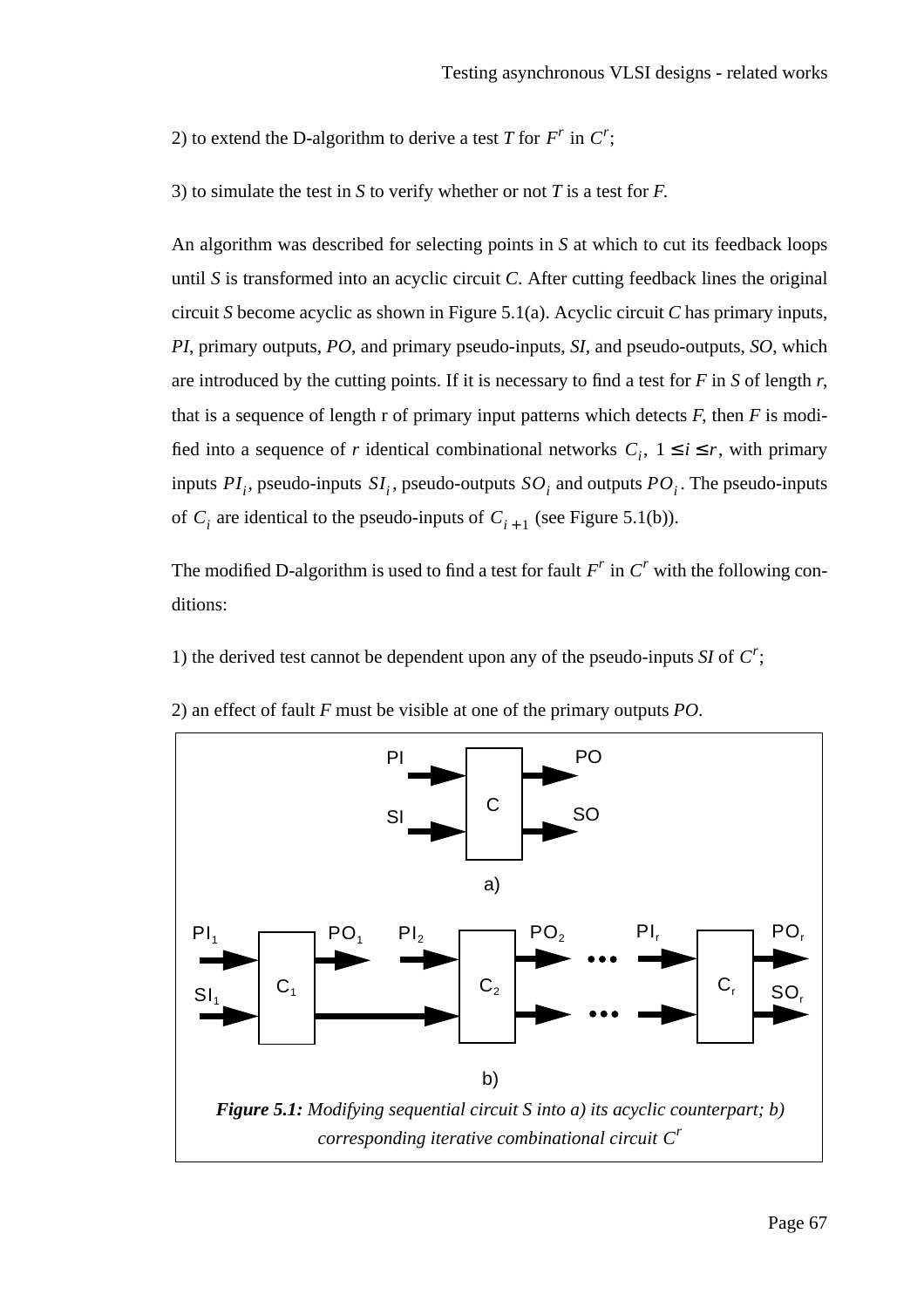2) to extend the D-algorithm to derive a test *T* for  $F^r$  in  $C^r$ ;

3) to simulate the test in *S* to verify whether or not *T* is a test for *F*.

An algorithm was described for selecting points in *S* at which to cut its feedback loops until *S* is transformed into an acyclic circuit *C*. After cutting feedback lines the original circuit *S* become acyclic as shown in Figure 5.1(a). Acyclic circuit *C* has primary inputs, *PI*, primary outputs, *PO*, and primary pseudo-inputs, *SI*, and pseudo-outputs, *SO*, which are introduced by the cutting points. If it is necessary to find a test for *F* in *S* of length *r*, that is a sequence of length r of primary input patterns which detects  $F$ , then  $F$  is modified into a sequence of *r* identical combinational networks  $C_i$ ,  $1 \le i \le r$ , with primary inputs  $PI_i$ , pseudo-inputs  $SI_i$ , pseudo-outputs  $SO_i$  and outputs  $PO_i$ . The pseudo-inputs of  $C_i$  are identical to the pseudo-inputs of  $C_{i+1}$  (see Figure 5.1(b)).

The modified D-algorithm is used to find a test for fault  $F^r$  in  $C^r$  with the following conditions:

1) the derived test cannot be dependent upon any of the pseudo-inputs *SI* of  $C^r$ ;



2) an effect of fault *F* must be visible at one of the primary outputs *PO*.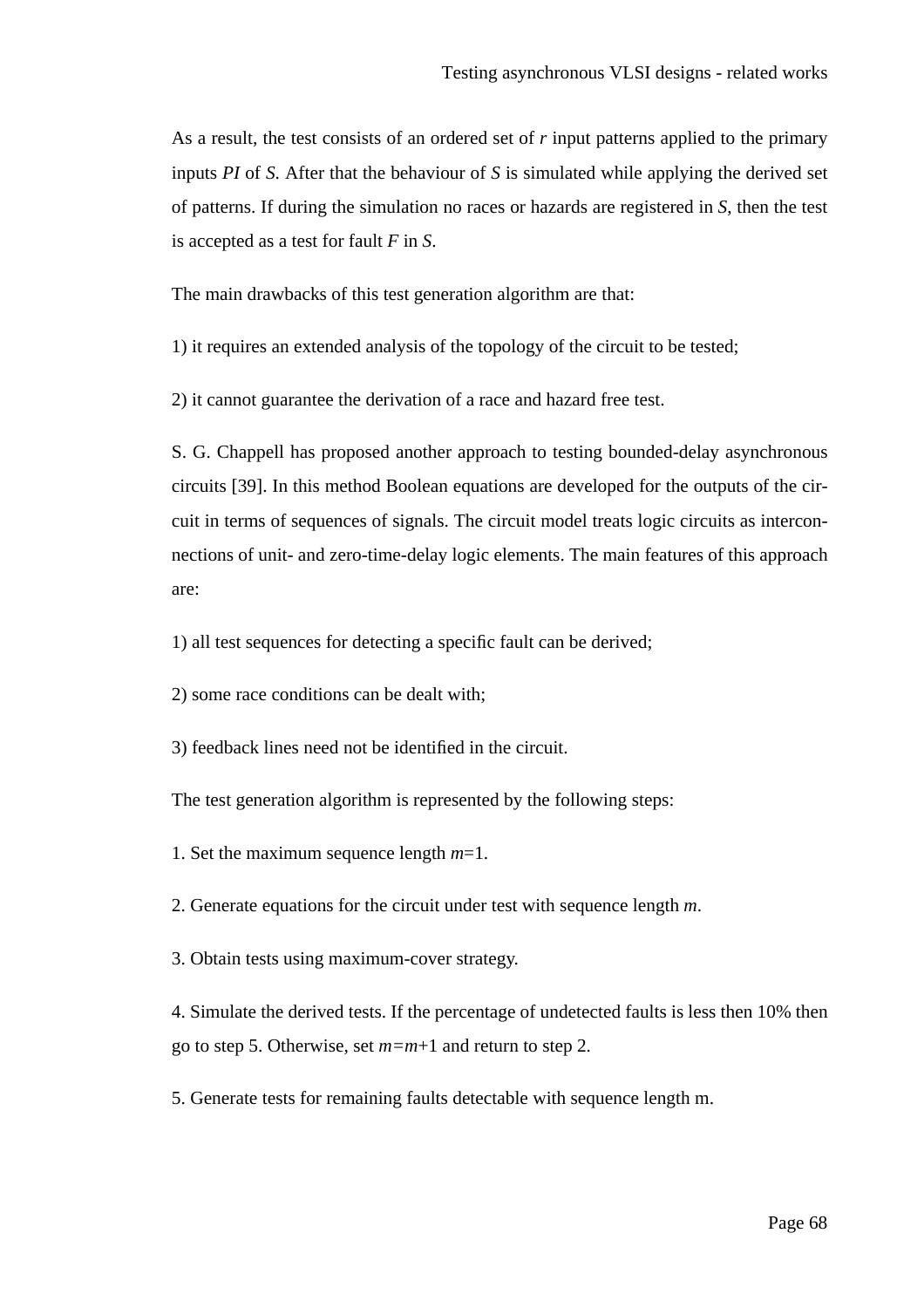As a result, the test consists of an ordered set of *r* input patterns applied to the primary inputs *PI* of *S*. After that the behaviour of *S* is simulated while applying the derived set of patterns. If during the simulation no races or hazards are registered in *S*, then the test is accepted as a test for fault *F* in *S*.

The main drawbacks of this test generation algorithm are that:

1) it requires an extended analysis of the topology of the circuit to be tested;

2) it cannot guarantee the derivation of a race and hazard free test.

S. G. Chappell has proposed another approach to testing bounded-delay asynchronous circuits [39]. In this method Boolean equations are developed for the outputs of the circuit in terms of sequences of signals. The circuit model treats logic circuits as interconnections of unit- and zero-time-delay logic elements. The main features of this approach are:

1) all test sequences for detecting a specific fault can be derived;

2) some race conditions can be dealt with;

3) feedback lines need not be identified in the circuit.

The test generation algorithm is represented by the following steps:

1. Set the maximum sequence length *m*=1.

2. Generate equations for the circuit under test with sequence length *m*.

3. Obtain tests using maximum-cover strategy.

4. Simulate the derived tests. If the percentage of undetected faults is less then 10% then go to step 5. Otherwise, set *m=m*+1 and return to step 2.

5. Generate tests for remaining faults detectable with sequence length m.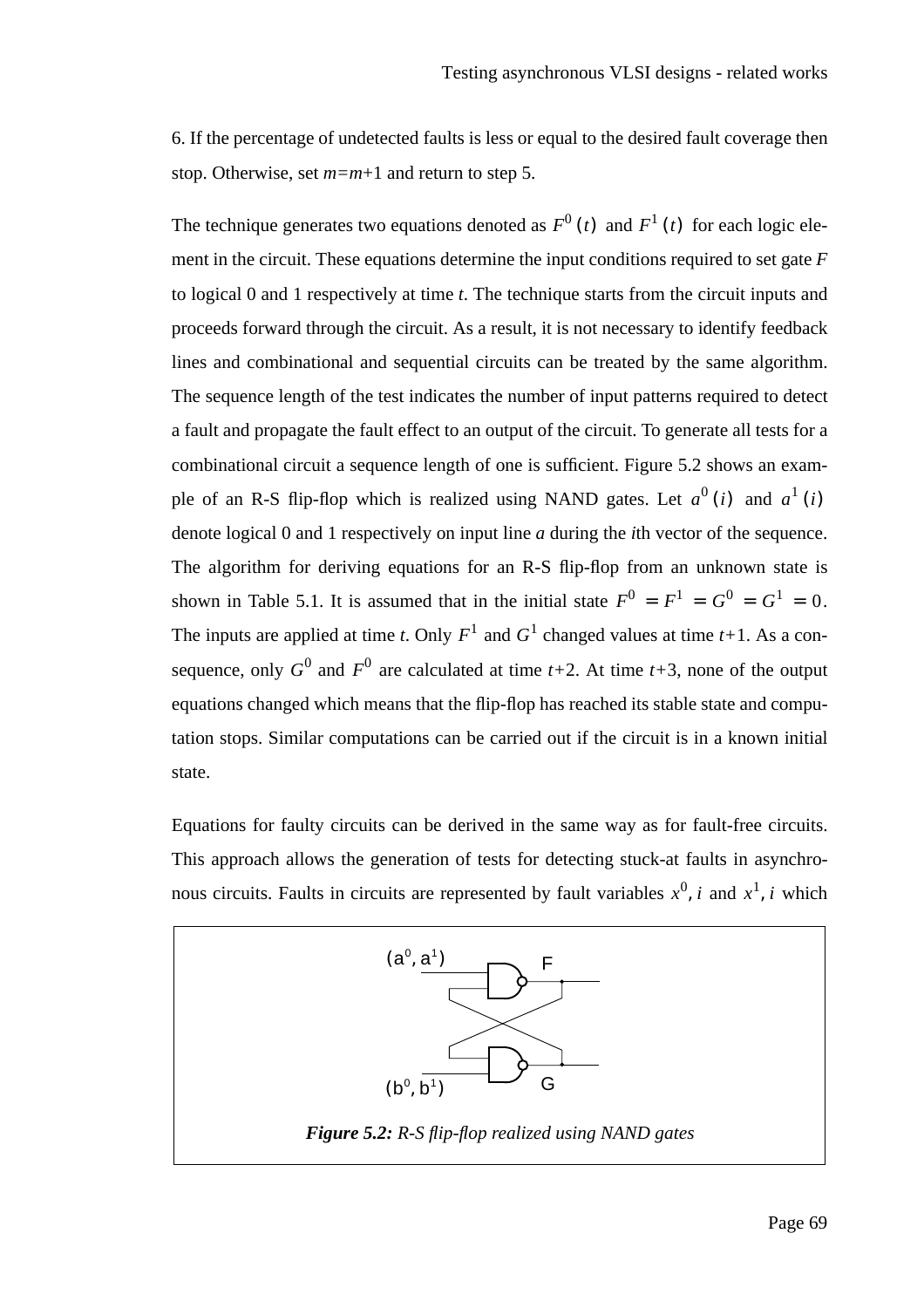6. If the percentage of undetected faults is less or equal to the desired fault coverage then stop. Otherwise, set *m=m*+1 and return to step 5.

The technique generates two equations denoted as  $F^0(t)$  and  $F^1(t)$  for each logic element in the circuit. These equations determine the input conditions required to set gate *F* to logical 0 and 1 respectively at time *t*. The technique starts from the circuit inputs and proceeds forward through the circuit. As a result, it is not necessary to identify feedback lines and combinational and sequential circuits can be treated by the same algorithm. The sequence length of the test indicates the number of input patterns required to detect a fault and propagate the fault effect to an output of the circuit. To generate all tests for a combinational circuit a sequence length of one is sufficient. Figure 5.2 shows an example of an R-S flip-flop which is realized using NAND gates. Let  $a^0(i)$  and  $a^1(i)$ denote logical 0 and 1 respectively on input line *a* during the *i*th vector of the sequence. The algorithm for deriving equations for an R-S flip-flop from an unknown state is shown in Table 5.1. It is assumed that in the initial state  $F^0 = F^1 = G^0 = G^1 = 0$ . The inputs are applied at time *t*. Only  $F^1$  and  $G^1$  changed values at time *t*+1. As a consequence, only  $G^0$  and  $F^0$  are calculated at time  $t+2$ . At time  $t+3$ , none of the output equations changed which means that the flip-flop has reached its stable state and computation stops. Similar computations can be carried out if the circuit is in a known initial state.

Equations for faulty circuits can be derived in the same way as for fault-free circuits. This approach allows the generation of tests for detecting stuck-at faults in asynchronous circuits. Faults in circuits are represented by fault variables  $x^0$ , *i* and  $x^1$ , *i* which

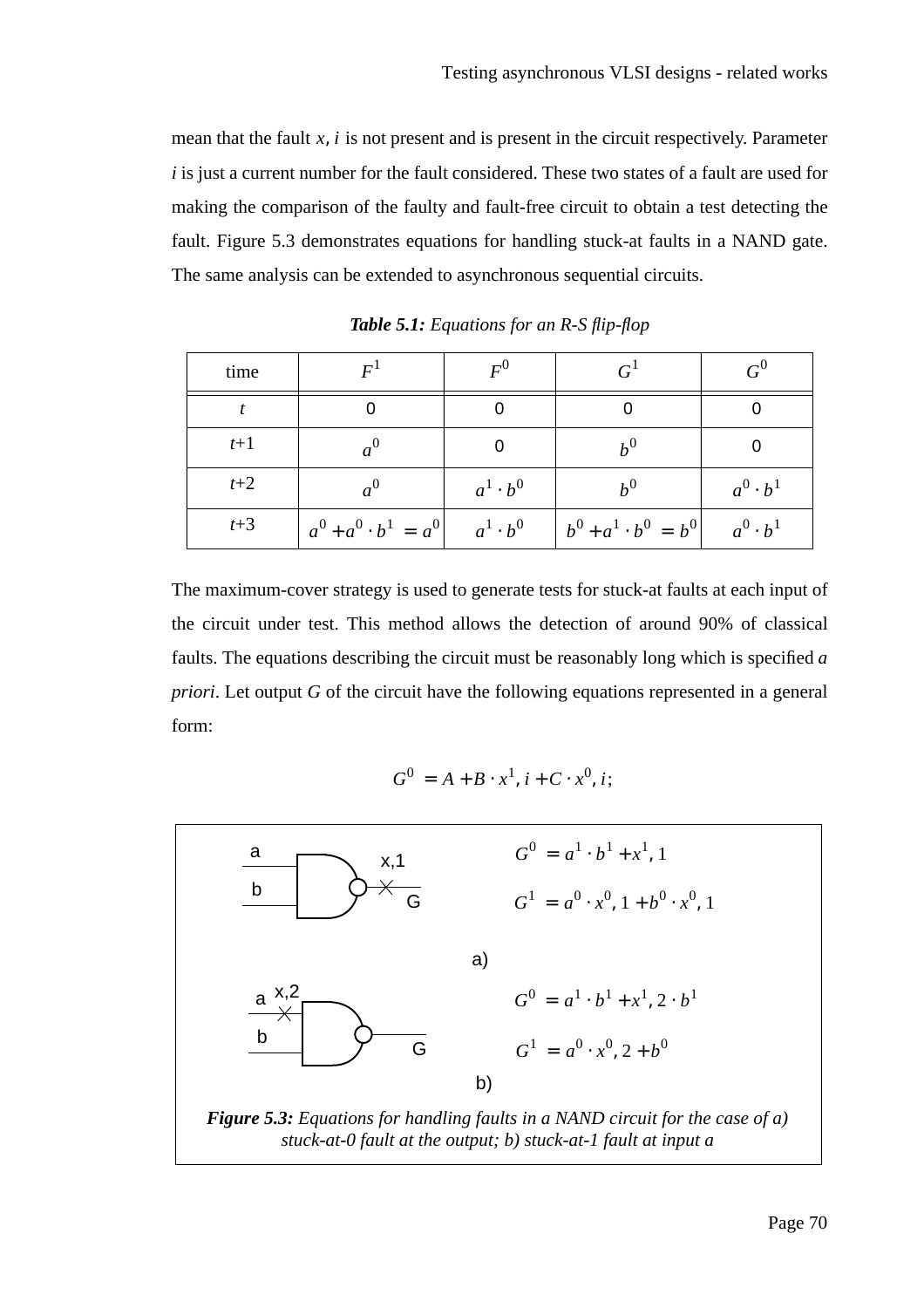mean that the fault  $x$ ,  $i$  is not present and is present in the circuit respectively. Parameter *i* is just a current number for the fault considered. These two states of a fault are used for making the comparison of the faulty and fault-free circuit to obtain a test detecting the fault. Figure 5.3 demonstrates equations for handling stuck-at faults in a NAND gate. The same analysis can be extended to asynchronous sequential circuits.

| time  | $\overline{F}$                                                                                  | $F^0$           |       | $G^0$           |
|-------|-------------------------------------------------------------------------------------------------|-----------------|-------|-----------------|
|       |                                                                                                 |                 |       |                 |
| $t+1$ |                                                                                                 |                 | $h^0$ |                 |
| $t+2$ |                                                                                                 | $a^1 \cdot b^0$ | $h^0$ | $a^0 \cdot b^1$ |
| $t+3$ | $ a^{0} + a^{0} \cdot b^{1} = a^{0} $ $a^{1} \cdot b^{0}$ $ b^{0} + a^{1} \cdot b^{0} = b^{0} $ |                 |       | $a^0 \cdot b^1$ |

*Table 5.1: Equations for an R-S flip-flop*

The maximum-cover strategy is used to generate tests for stuck-at faults at each input of the circuit under test. This method allows the detection of around 90% of classical faults. The equations describing the circuit must be reasonably long which is specified *a priori*. Let output *G* of the circuit have the following equations represented in a general form:

$$
G^0 = A + B \cdot x^1, i + C \cdot x^0, i;
$$

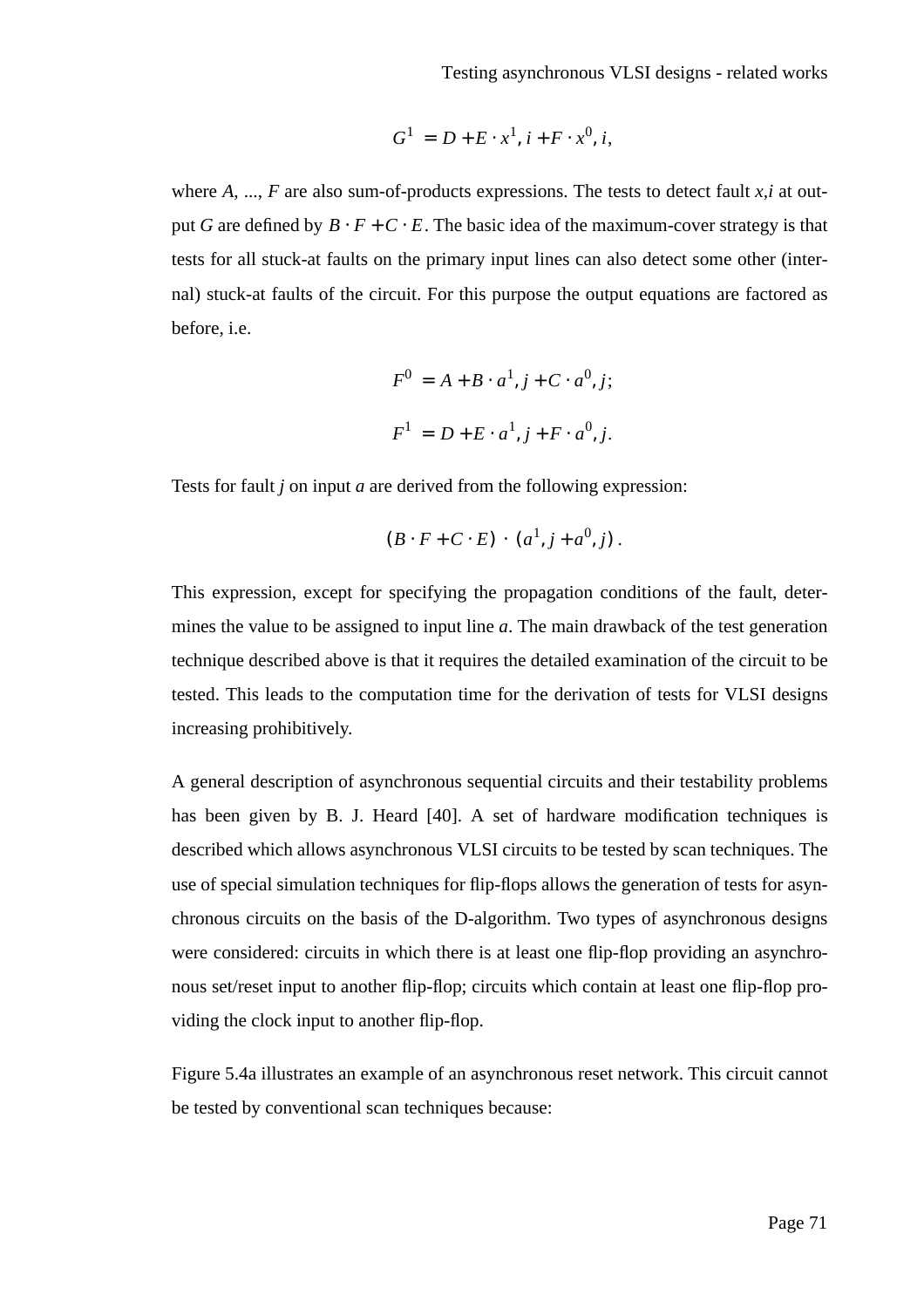$$
G^1 = D + E \cdot x^1, i + F \cdot x^0, i,
$$

where *A*, ..., *F* are also sum-of-products expressions. The tests to detect fault *x*,*i* at output *G* are defined by  $B \cdot F + C \cdot E$ . The basic idea of the maximum-cover strategy is that tests for all stuck-at faults on the primary input lines can also detect some other (internal) stuck-at faults of the circuit. For this purpose the output equations are factored as before, i.e.

$$
F^{0} = A + B \cdot a^{1}, j + C \cdot a^{0}, j;
$$
  

$$
F^{1} = D + E \cdot a^{1}, j + F \cdot a^{0}, j.
$$

Tests for fault *j* on input *a* are derived from the following expression:

$$
(B \cdot F + C \cdot E) \cdot (a^1, j + a^0, j).
$$

This expression, except for specifying the propagation conditions of the fault, determines the value to be assigned to input line *a*. The main drawback of the test generation technique described above is that it requires the detailed examination of the circuit to be tested. This leads to the computation time for the derivation of tests for VLSI designs increasing prohibitively.

A general description of asynchronous sequential circuits and their testability problems has been given by B. J. Heard [40]. A set of hardware modification techniques is described which allows asynchronous VLSI circuits to be tested by scan techniques. The use of special simulation techniques for flip-flops allows the generation of tests for asynchronous circuits on the basis of the D-algorithm. Two types of asynchronous designs were considered: circuits in which there is at least one flip-flop providing an asynchronous set/reset input to another flip-flop; circuits which contain at least one flip-flop providing the clock input to another flip-flop.

Figure 5.4a illustrates an example of an asynchronous reset network. This circuit cannot be tested by conventional scan techniques because: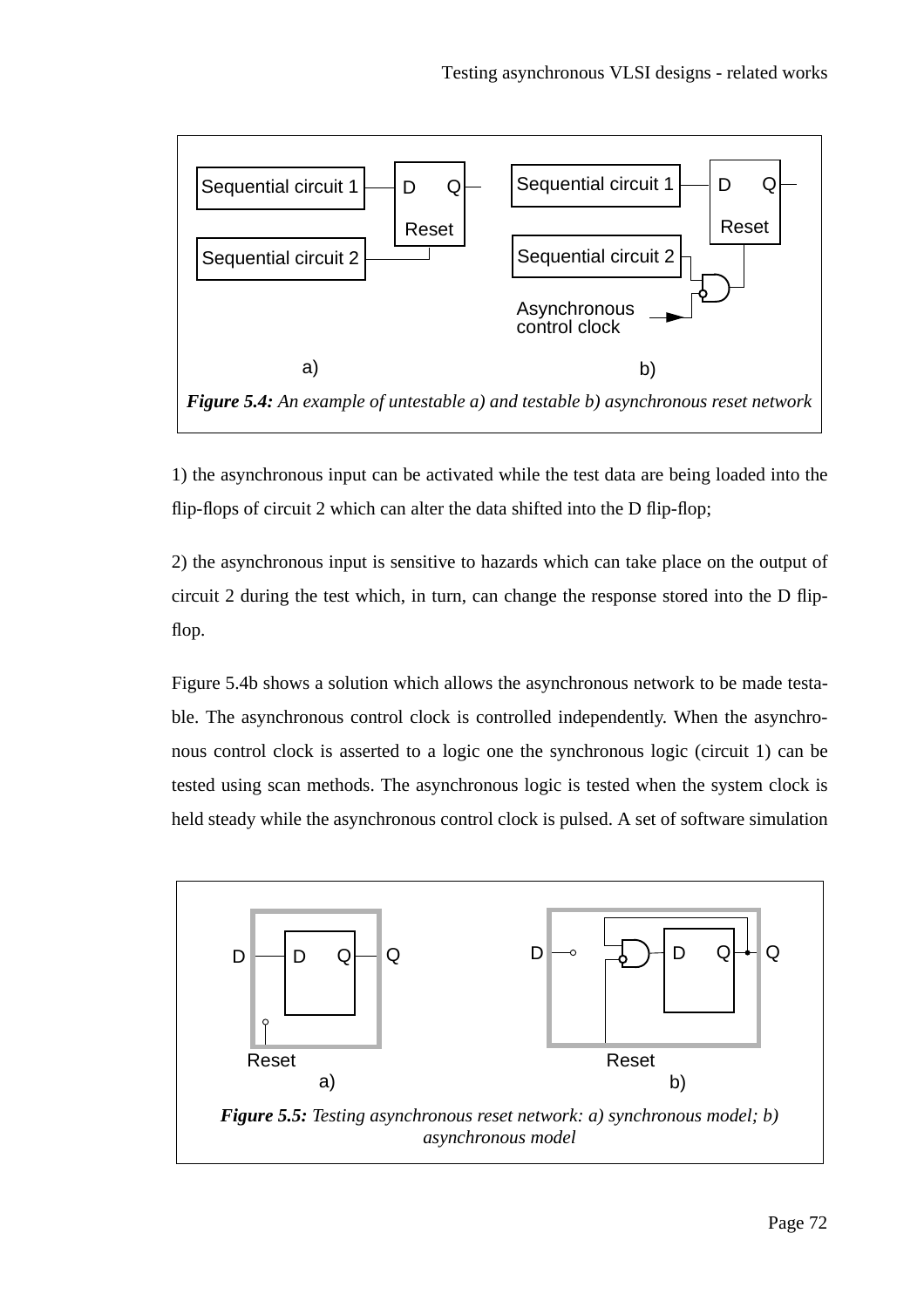

1) the asynchronous input can be activated while the test data are being loaded into the flip-flops of circuit 2 which can alter the data shifted into the D flip-flop;

2) the asynchronous input is sensitive to hazards which can take place on the output of circuit 2 during the test which, in turn, can change the response stored into the D flipflop.

Figure 5.4b shows a solution which allows the asynchronous network to be made testable. The asynchronous control clock is controlled independently. When the asynchronous control clock is asserted to a logic one the synchronous logic (circuit 1) can be tested using scan methods. The asynchronous logic is tested when the system clock is held steady while the asynchronous control clock is pulsed. A set of software simulation

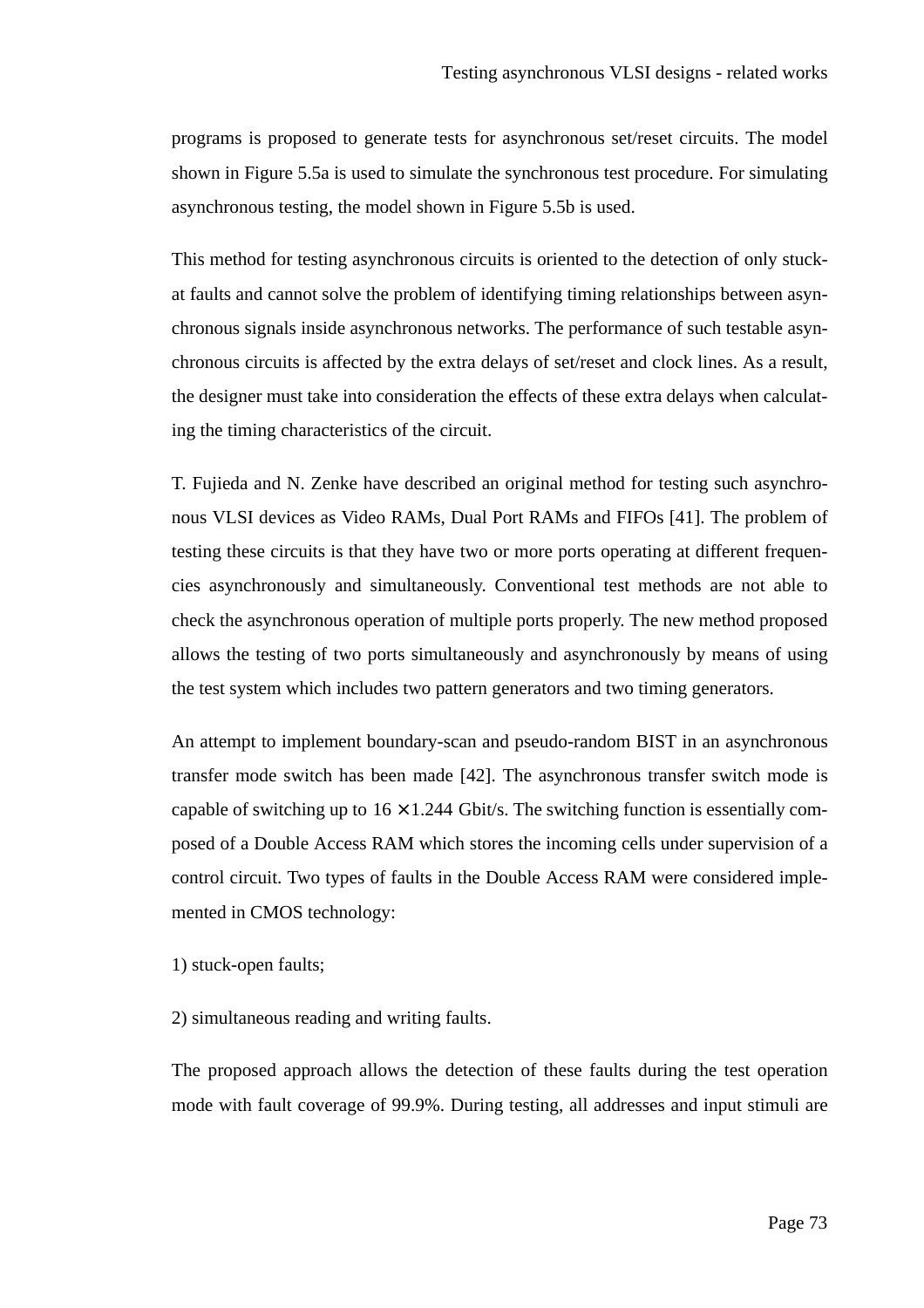programs is proposed to generate tests for asynchronous set/reset circuits. The model shown in Figure 5.5a is used to simulate the synchronous test procedure. For simulating asynchronous testing, the model shown in Figure 5.5b is used.

This method for testing asynchronous circuits is oriented to the detection of only stuckat faults and cannot solve the problem of identifying timing relationships between asynchronous signals inside asynchronous networks. The performance of such testable asynchronous circuits is affected by the extra delays of set/reset and clock lines. As a result, the designer must take into consideration the effects of these extra delays when calculating the timing characteristics of the circuit.

T. Fujieda and N. Zenke have described an original method for testing such asynchronous VLSI devices as Video RAMs, Dual Port RAMs and FIFOs [41]. The problem of testing these circuits is that they have two or more ports operating at different frequencies asynchronously and simultaneously. Conventional test methods are not able to check the asynchronous operation of multiple ports properly. The new method proposed allows the testing of two ports simultaneously and asynchronously by means of using the test system which includes two pattern generators and two timing generators.

An attempt to implement boundary-scan and pseudo-random BIST in an asynchronous transfer mode switch has been made [42]. The asynchronous transfer switch mode is capable of switching up to  $16 \times 1.244$  Gbit/s. The switching function is essentially composed of a Double Access RAM which stores the incoming cells under supervision of a control circuit. Two types of faults in the Double Access RAM were considered implemented in CMOS technology:

1) stuck-open faults;

2) simultaneous reading and writing faults.

The proposed approach allows the detection of these faults during the test operation mode with fault coverage of 99.9%. During testing, all addresses and input stimuli are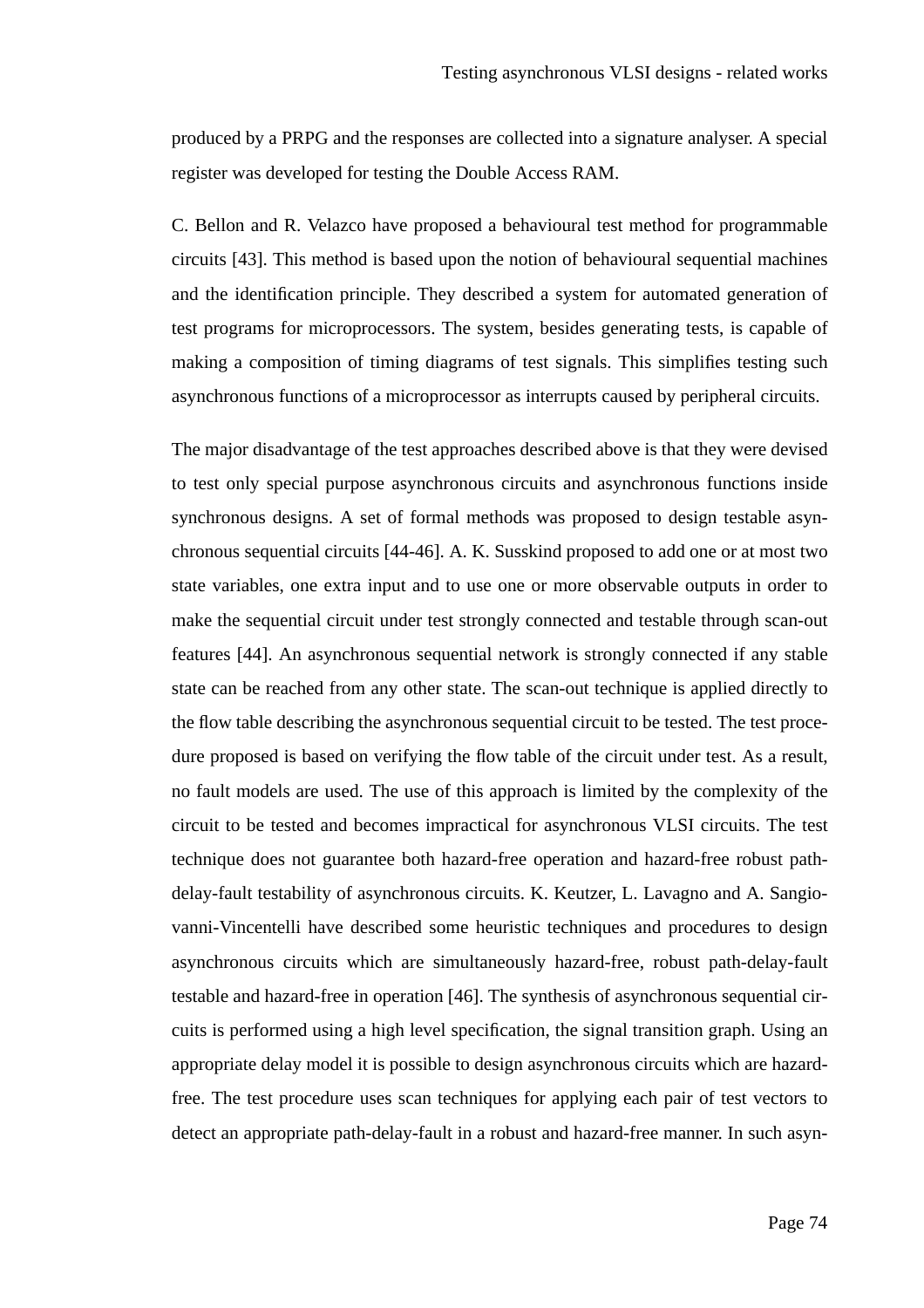produced by a PRPG and the responses are collected into a signature analyser. A special register was developed for testing the Double Access RAM.

C. Bellon and R. Velazco have proposed a behavioural test method for programmable circuits [43]. This method is based upon the notion of behavioural sequential machines and the identification principle. They described a system for automated generation of test programs for microprocessors. The system, besides generating tests, is capable of making a composition of timing diagrams of test signals. This simplifies testing such asynchronous functions of a microprocessor as interrupts caused by peripheral circuits.

The major disadvantage of the test approaches described above is that they were devised to test only special purpose asynchronous circuits and asynchronous functions inside synchronous designs. A set of formal methods was proposed to design testable asynchronous sequential circuits [44-46]. A. K. Susskind proposed to add one or at most two state variables, one extra input and to use one or more observable outputs in order to make the sequential circuit under test strongly connected and testable through scan-out features [44]. An asynchronous sequential network is strongly connected if any stable state can be reached from any other state. The scan-out technique is applied directly to the flow table describing the asynchronous sequential circuit to be tested. The test procedure proposed is based on verifying the flow table of the circuit under test. As a result, no fault models are used. The use of this approach is limited by the complexity of the circuit to be tested and becomes impractical for asynchronous VLSI circuits. The test technique does not guarantee both hazard-free operation and hazard-free robust pathdelay-fault testability of asynchronous circuits. K. Keutzer, L. Lavagno and A. Sangiovanni-Vincentelli have described some heuristic techniques and procedures to design asynchronous circuits which are simultaneously hazard-free, robust path-delay-fault testable and hazard-free in operation [46]. The synthesis of asynchronous sequential circuits is performed using a high level specification, the signal transition graph. Using an appropriate delay model it is possible to design asynchronous circuits which are hazardfree. The test procedure uses scan techniques for applying each pair of test vectors to detect an appropriate path-delay-fault in a robust and hazard-free manner. In such asyn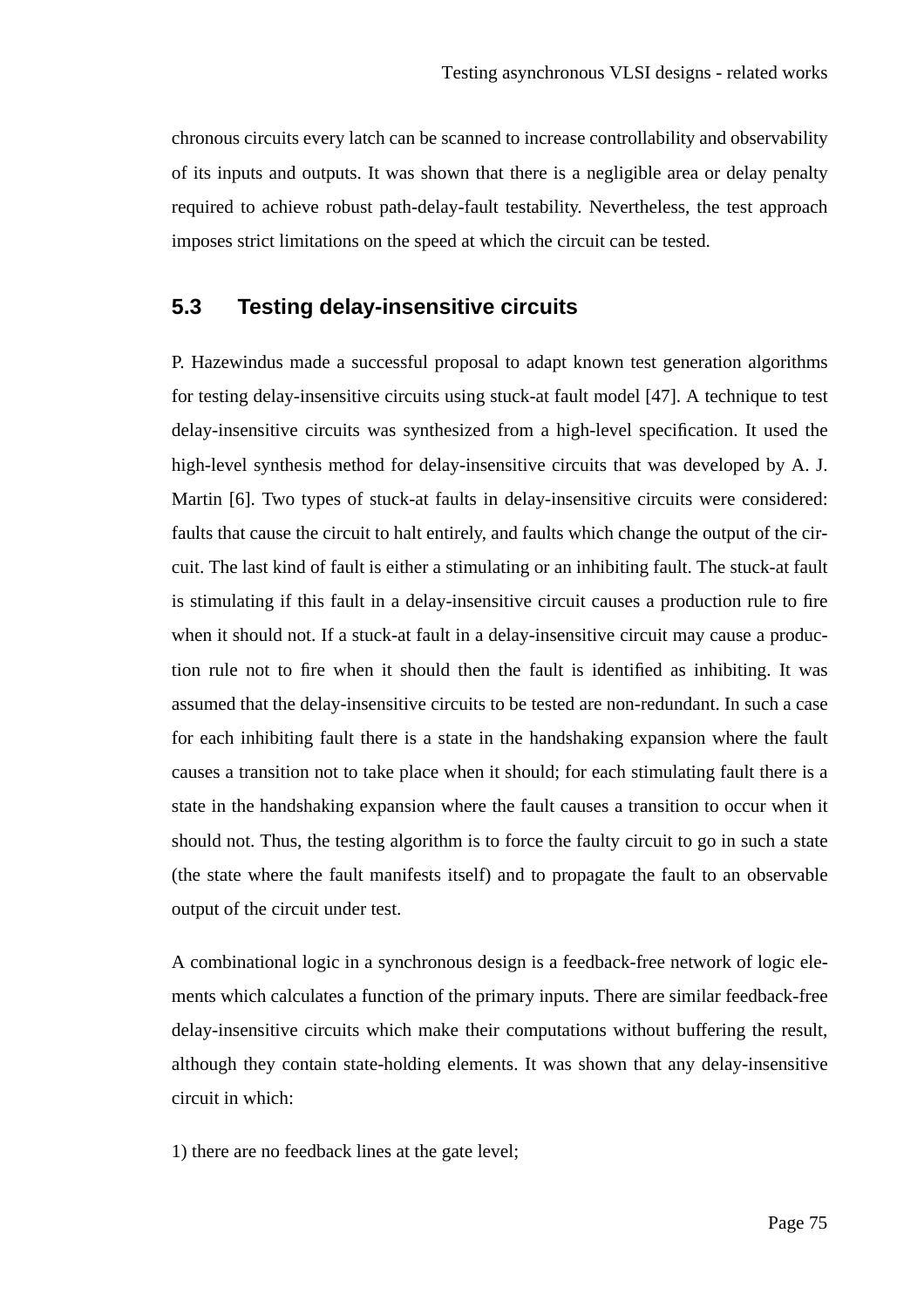chronous circuits every latch can be scanned to increase controllability and observability of its inputs and outputs. It was shown that there is a negligible area or delay penalty required to achieve robust path-delay-fault testability. Nevertheless, the test approach imposes strict limitations on the speed at which the circuit can be tested.

## **5.3 Testing delay-insensitive circuits**

P. Hazewindus made a successful proposal to adapt known test generation algorithms for testing delay-insensitive circuits using stuck-at fault model [47]. A technique to test delay-insensitive circuits was synthesized from a high-level specification. It used the high-level synthesis method for delay-insensitive circuits that was developed by A. J. Martin [6]. Two types of stuck-at faults in delay-insensitive circuits were considered: faults that cause the circuit to halt entirely, and faults which change the output of the circuit. The last kind of fault is either a stimulating or an inhibiting fault. The stuck-at fault is stimulating if this fault in a delay-insensitive circuit causes a production rule to fire when it should not. If a stuck-at fault in a delay-insensitive circuit may cause a production rule not to fire when it should then the fault is identified as inhibiting. It was assumed that the delay-insensitive circuits to be tested are non-redundant. In such a case for each inhibiting fault there is a state in the handshaking expansion where the fault causes a transition not to take place when it should; for each stimulating fault there is a state in the handshaking expansion where the fault causes a transition to occur when it should not. Thus, the testing algorithm is to force the faulty circuit to go in such a state (the state where the fault manifests itself) and to propagate the fault to an observable output of the circuit under test.

A combinational logic in a synchronous design is a feedback-free network of logic elements which calculates a function of the primary inputs. There are similar feedback-free delay-insensitive circuits which make their computations without buffering the result, although they contain state-holding elements. It was shown that any delay-insensitive circuit in which:

1) there are no feedback lines at the gate level;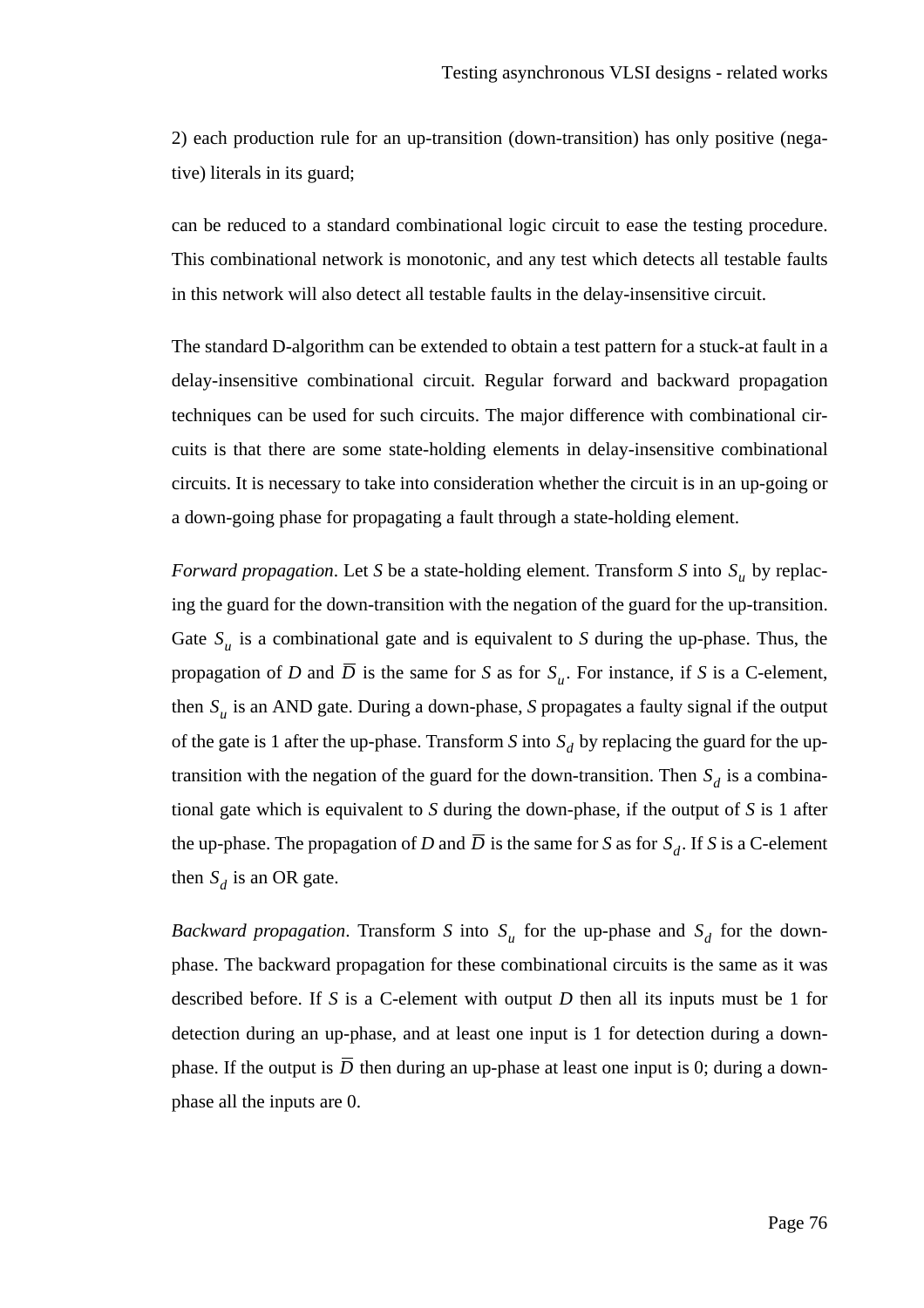2) each production rule for an up-transition (down-transition) has only positive (negative) literals in its guard;

can be reduced to a standard combinational logic circuit to ease the testing procedure. This combinational network is monotonic, and any test which detects all testable faults in this network will also detect all testable faults in the delay-insensitive circuit.

The standard D-algorithm can be extended to obtain a test pattern for a stuck-at fault in a delay-insensitive combinational circuit. Regular forward and backward propagation techniques can be used for such circuits. The major difference with combinational circuits is that there are some state-holding elements in delay-insensitive combinational circuits. It is necessary to take into consideration whether the circuit is in an up-going or a down-going phase for propagating a fault through a state-holding element.

*Forward propagation*. Let *S* be a state-holding element. Transform *S* into  $S_u$  by replacing the guard for the down-transition with the negation of the guard for the up-transition. Gate  $S_u$  is a combinational gate and is equivalent to *S* during the up-phase. Thus, the propagation of *D* and *D* is the same for *S* as for  $S_u$ . For instance, if *S* is a C-element, then  $S_u$  is an AND gate. During a down-phase, *S* propagates a faulty signal if the output of the gate is 1 after the up-phase. Transform *S* into  $S_d$  by replacing the guard for the uptransition with the negation of the guard for the down-transition. Then  $S_d$  is a combinational gate which is equivalent to *S* during the down-phase, if the output of *S* is 1 after the up-phase. The propagation of *D* and *D* is the same for *S* as for  $S_d$ . If *S* is a C-element then  $S_d$  is an OR gate.

*Backward propagation.* Transform *S* into  $S_u$  for the up-phase and  $S_d$  for the downphase. The backward propagation for these combinational circuits is the same as it was described before. If *S* is a C-element with output *D* then all its inputs must be 1 for detection during an up-phase, and at least one input is 1 for detection during a downphase. If the output is  $D$  then during an up-phase at least one input is 0; during a downphase all the inputs are 0.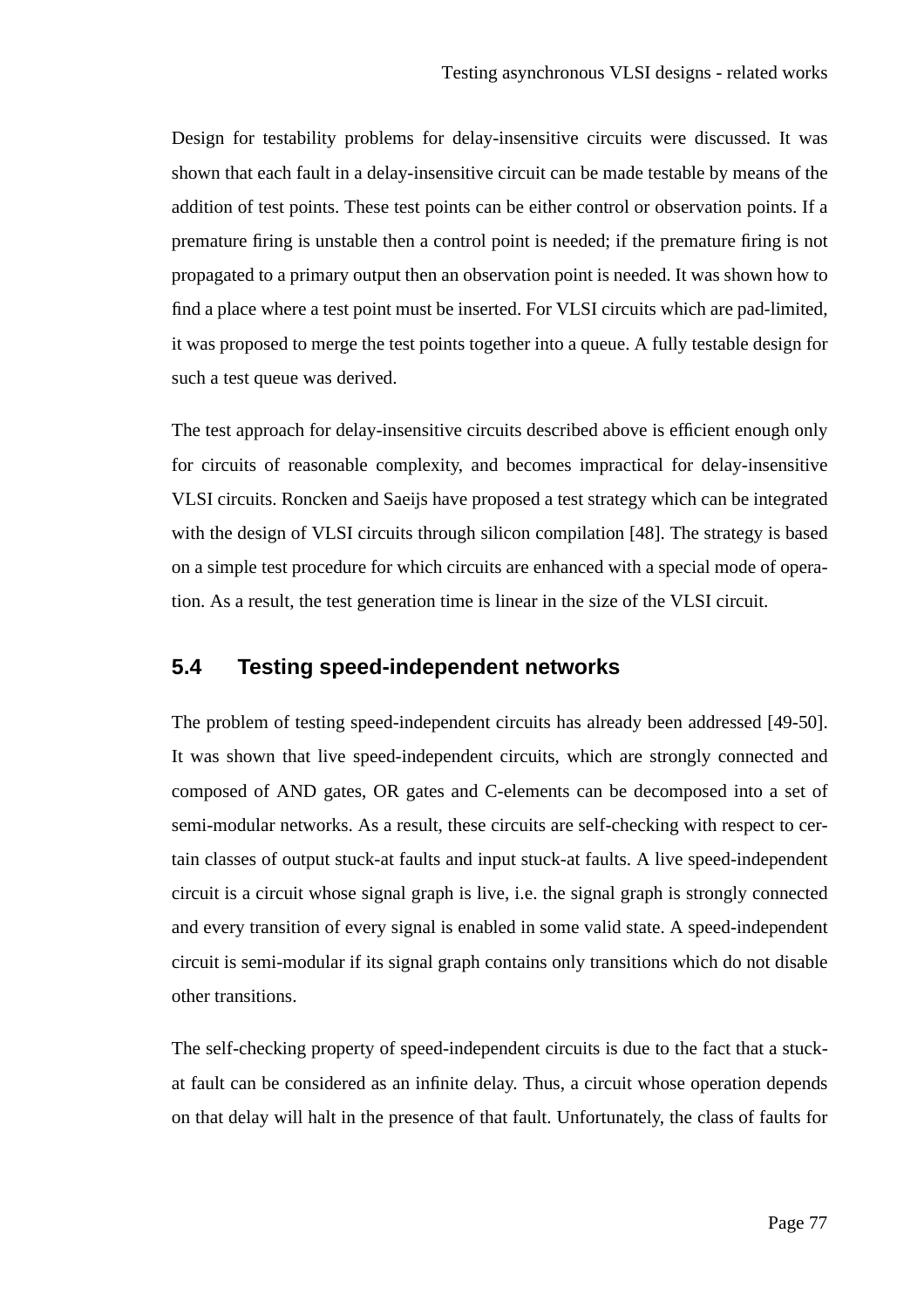Design for testability problems for delay-insensitive circuits were discussed. It was shown that each fault in a delay-insensitive circuit can be made testable by means of the addition of test points. These test points can be either control or observation points. If a premature firing is unstable then a control point is needed; if the premature firing is not propagated to a primary output then an observation point is needed. It was shown how to find a place where a test point must be inserted. For VLSI circuits which are pad-limited, it was proposed to merge the test points together into a queue. A fully testable design for such a test queue was derived.

The test approach for delay-insensitive circuits described above is efficient enough only for circuits of reasonable complexity, and becomes impractical for delay-insensitive VLSI circuits. Roncken and Saeijs have proposed a test strategy which can be integrated with the design of VLSI circuits through silicon compilation [48]. The strategy is based on a simple test procedure for which circuits are enhanced with a special mode of operation. As a result, the test generation time is linear in the size of the VLSI circuit.

### **5.4 Testing speed-independent networks**

The problem of testing speed-independent circuits has already been addressed [49-50]. It was shown that live speed-independent circuits, which are strongly connected and composed of AND gates, OR gates and C-elements can be decomposed into a set of semi-modular networks. As a result, these circuits are self-checking with respect to certain classes of output stuck-at faults and input stuck-at faults. A live speed-independent circuit is a circuit whose signal graph is live, i.e. the signal graph is strongly connected and every transition of every signal is enabled in some valid state. A speed-independent circuit is semi-modular if its signal graph contains only transitions which do not disable other transitions.

The self-checking property of speed-independent circuits is due to the fact that a stuckat fault can be considered as an infinite delay. Thus, a circuit whose operation depends on that delay will halt in the presence of that fault. Unfortunately, the class of faults for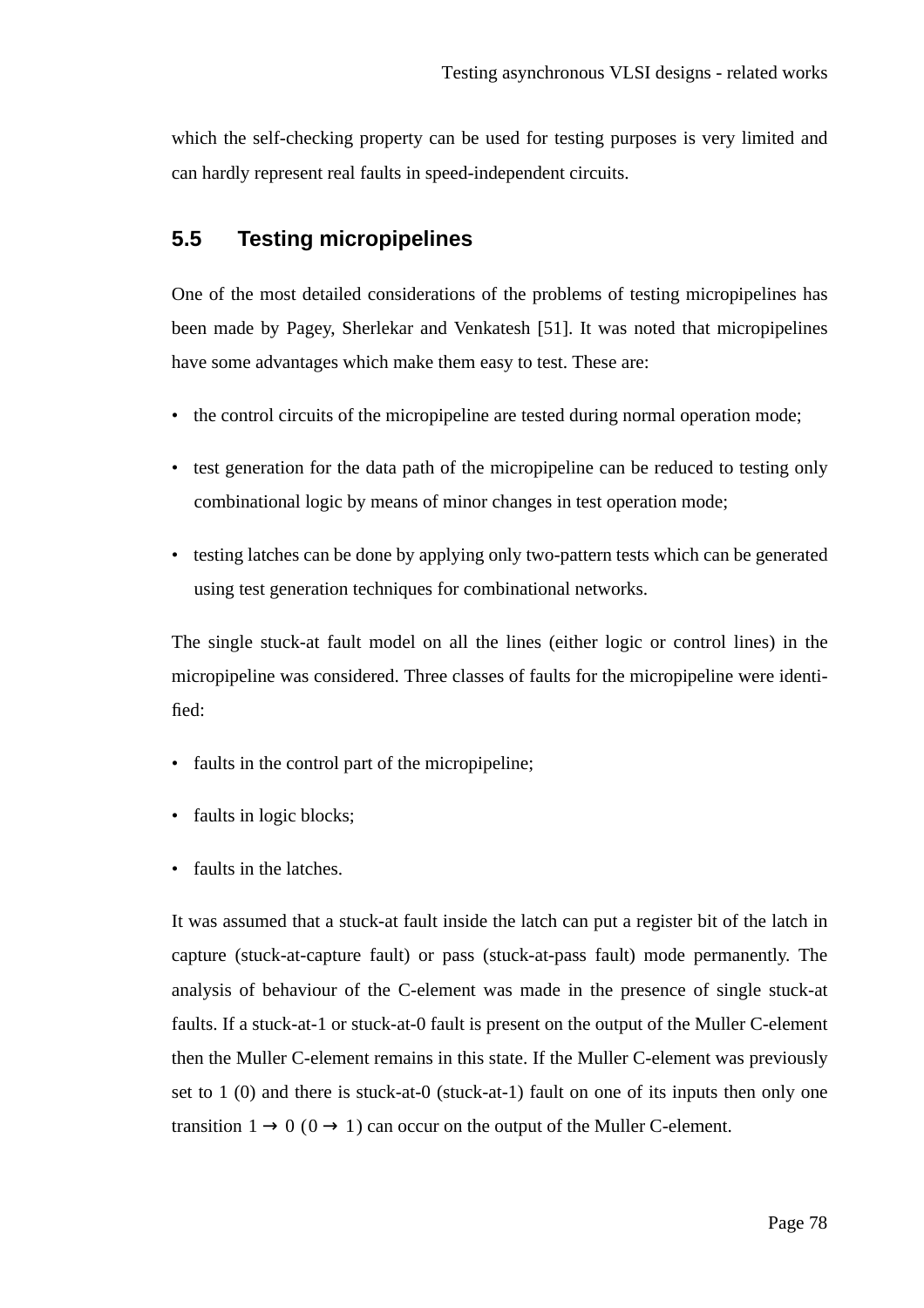which the self-checking property can be used for testing purposes is very limited and can hardly represent real faults in speed-independent circuits.

# **5.5 Testing micropipelines**

One of the most detailed considerations of the problems of testing micropipelines has been made by Pagey, Sherlekar and Venkatesh [51]. It was noted that micropipelines have some advantages which make them easy to test. These are:

- the control circuits of the micropipeline are tested during normal operation mode;
- test generation for the data path of the micropipeline can be reduced to testing only combinational logic by means of minor changes in test operation mode;
- testing latches can be done by applying only two-pattern tests which can be generated using test generation techniques for combinational networks.

The single stuck-at fault model on all the lines (either logic or control lines) in the micropipeline was considered. Three classes of faults for the micropipeline were identified:

- faults in the control part of the micropipeline;
- faults in logic blocks;
- faults in the latches.

It was assumed that a stuck-at fault inside the latch can put a register bit of the latch in capture (stuck-at-capture fault) or pass (stuck-at-pass fault) mode permanently. The analysis of behaviour of the C-element was made in the presence of single stuck-at faults. If a stuck-at-1 or stuck-at-0 fault is present on the output of the Muller C-element then the Muller C-element remains in this state. If the Muller C-element was previously set to 1 (0) and there is stuck-at-0 (stuck-at-1) fault on one of its inputs then only one transition  $1 \rightarrow 0$  ( $0 \rightarrow 1$ ) can occur on the output of the Muller C-element.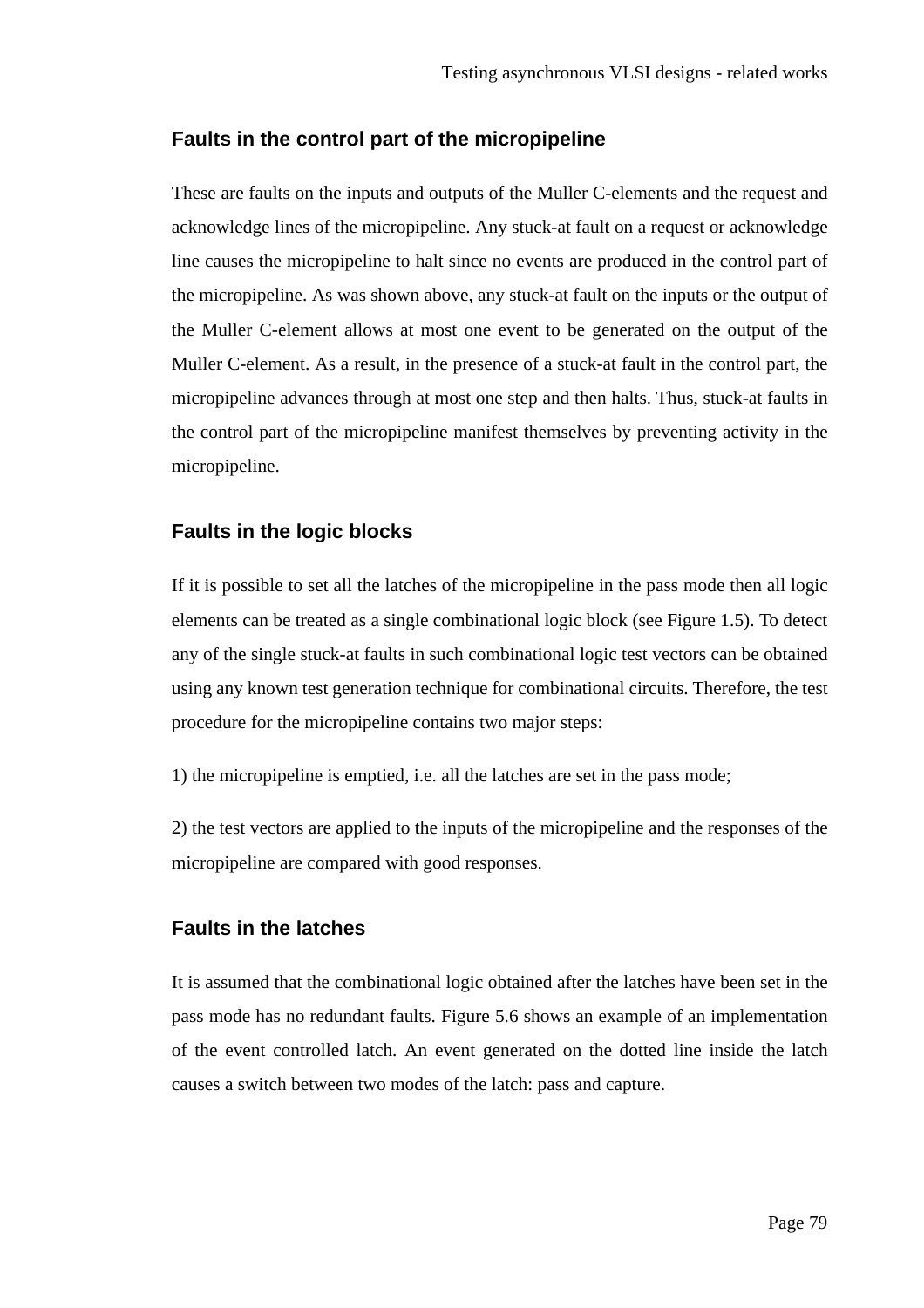### **Faults in the control part of the micropipeline**

These are faults on the inputs and outputs of the Muller C-elements and the request and acknowledge lines of the micropipeline. Any stuck-at fault on a request or acknowledge line causes the micropipeline to halt since no events are produced in the control part of the micropipeline. As was shown above, any stuck-at fault on the inputs or the output of the Muller C-element allows at most one event to be generated on the output of the Muller C-element. As a result, in the presence of a stuck-at fault in the control part, the micropipeline advances through at most one step and then halts. Thus, stuck-at faults in the control part of the micropipeline manifest themselves by preventing activity in the micropipeline.

### **Faults in the logic blocks**

If it is possible to set all the latches of the micropipeline in the pass mode then all logic elements can be treated as a single combinational logic block (see Figure 1.5). To detect any of the single stuck-at faults in such combinational logic test vectors can be obtained using any known test generation technique for combinational circuits. Therefore, the test procedure for the micropipeline contains two major steps:

1) the micropipeline is emptied, i.e. all the latches are set in the pass mode;

2) the test vectors are applied to the inputs of the micropipeline and the responses of the micropipeline are compared with good responses.

### **Faults in the latches**

It is assumed that the combinational logic obtained after the latches have been set in the pass mode has no redundant faults. Figure 5.6 shows an example of an implementation of the event controlled latch. An event generated on the dotted line inside the latch causes a switch between two modes of the latch: pass and capture.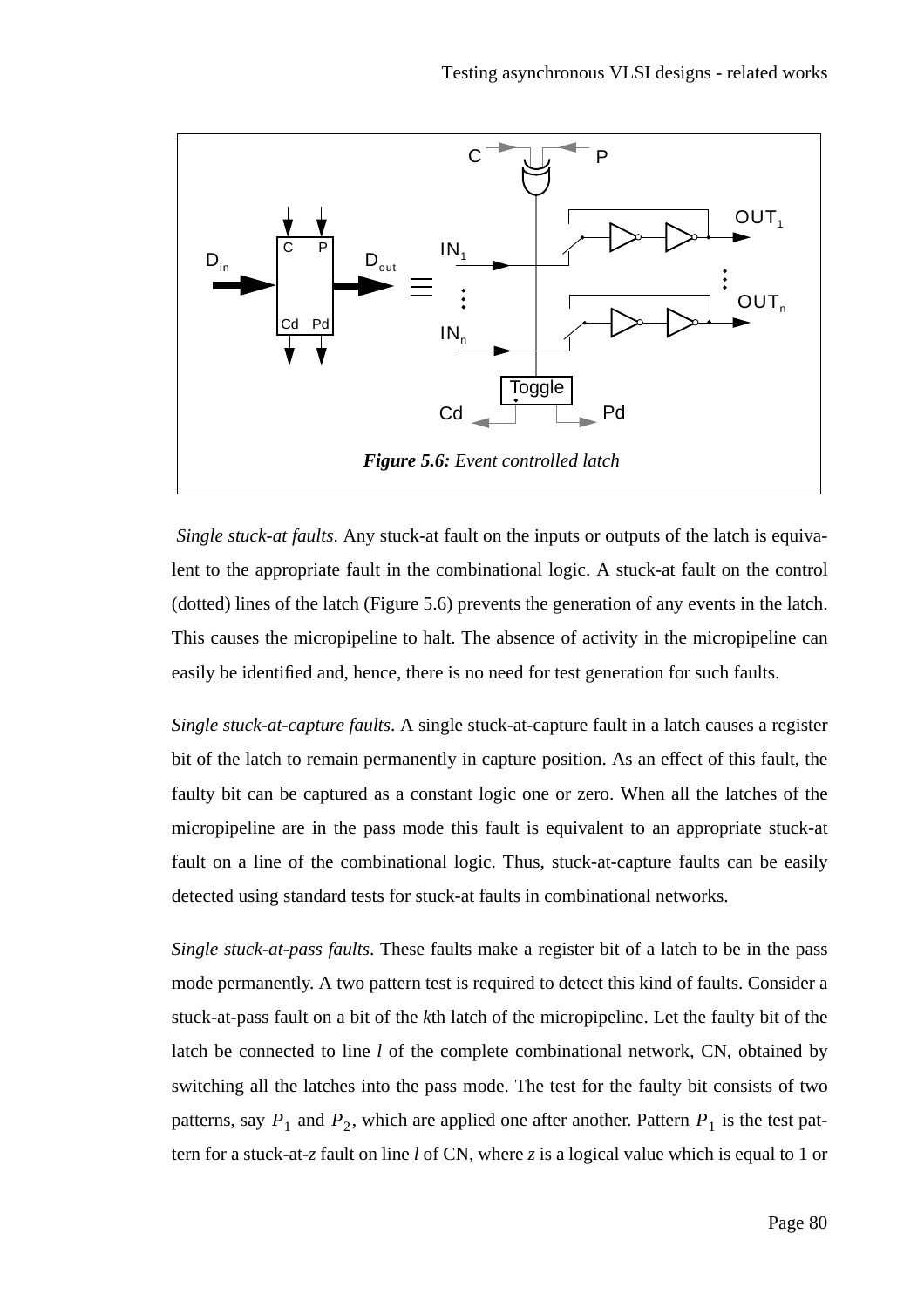

*Single stuck-at faults*. Any stuck-at fault on the inputs or outputs of the latch is equivalent to the appropriate fault in the combinational logic. A stuck-at fault on the control (dotted) lines of the latch (Figure 5.6) prevents the generation of any events in the latch. This causes the micropipeline to halt. The absence of activity in the micropipeline can easily be identified and, hence, there is no need for test generation for such faults.

*Single stuck-at-capture faults*. A single stuck-at-capture fault in a latch causes a register bit of the latch to remain permanently in capture position. As an effect of this fault, the faulty bit can be captured as a constant logic one or zero. When all the latches of the micropipeline are in the pass mode this fault is equivalent to an appropriate stuck-at fault on a line of the combinational logic. Thus, stuck-at-capture faults can be easily detected using standard tests for stuck-at faults in combinational networks.

*Single stuck-at-pass faults*. These faults make a register bit of a latch to be in the pass mode permanently. A two pattern test is required to detect this kind of faults. Consider a stuck-at-pass fault on a bit of the *k*th latch of the micropipeline. Let the faulty bit of the latch be connected to line *l* of the complete combinational network, CN, obtained by switching all the latches into the pass mode. The test for the faulty bit consists of two patterns, say  $P_1$  and  $P_2$ , which are applied one after another. Pattern  $P_1$  is the test pattern for a stuck-at-*z* fault on line *l* of CN, where *z* is a logical value which is equal to 1 or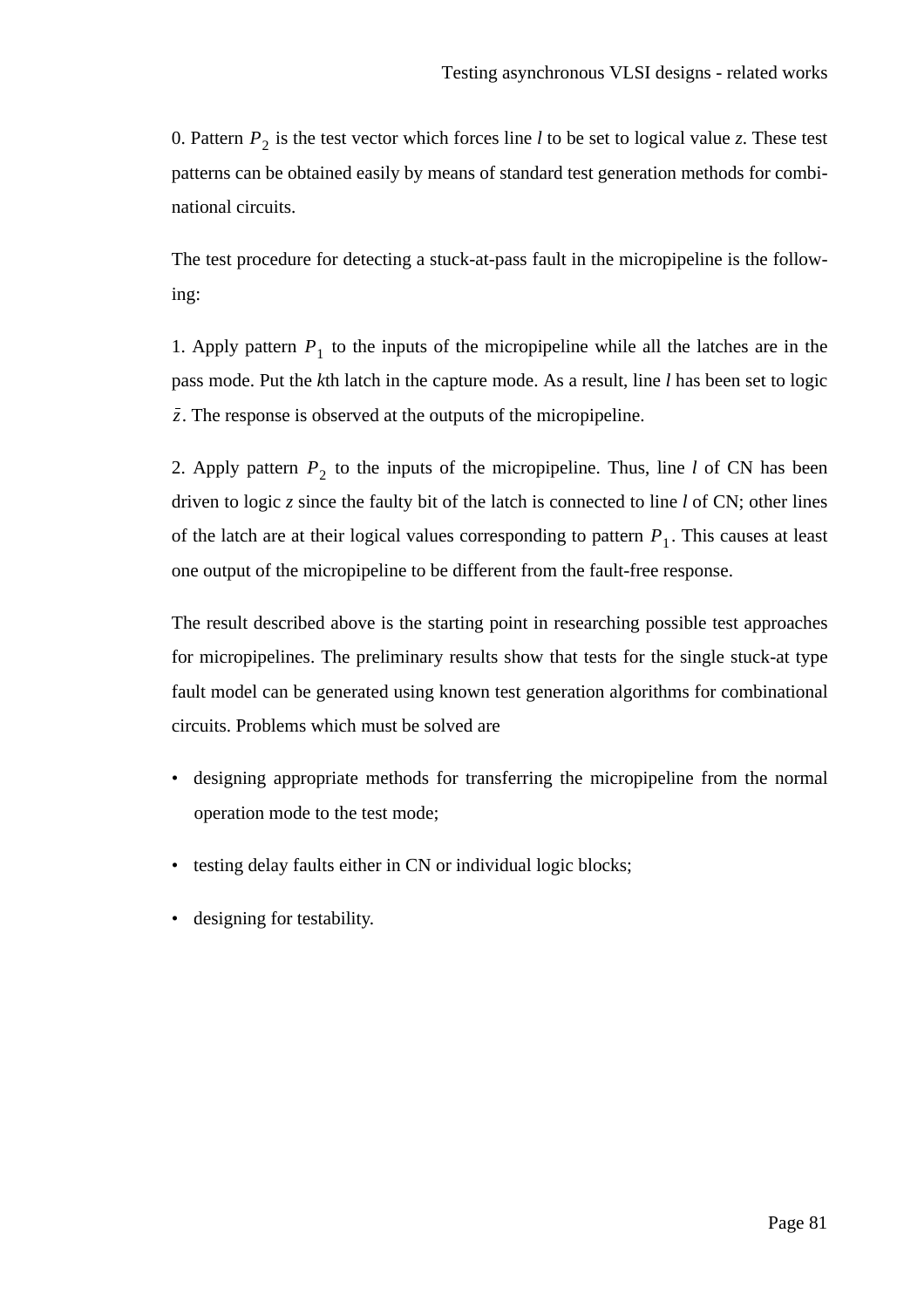0. Pattern  $P_2$  is the test vector which forces line *l* to be set to logical value *z*. These test patterns can be obtained easily by means of standard test generation methods for combinational circuits.

The test procedure for detecting a stuck-at-pass fault in the micropipeline is the following:

1. Apply pattern  $P_1$  to the inputs of the micropipeline while all the latches are in the pass mode. Put the *k*th latch in the capture mode. As a result, line *l* has been set to logic . The response is observed at the outputs of the micropipeline. *z*

2. Apply pattern  $P_2$  to the inputs of the micropipeline. Thus, line *l* of CN has been driven to logic *z* since the faulty bit of the latch is connected to line *l* of CN; other lines of the latch are at their logical values corresponding to pattern  $P_1$ . This causes at least one output of the micropipeline to be different from the fault-free response.

The result described above is the starting point in researching possible test approaches for micropipelines. The preliminary results show that tests for the single stuck-at type fault model can be generated using known test generation algorithms for combinational circuits. Problems which must be solved are

- designing appropriate methods for transferring the micropipeline from the normal operation mode to the test mode;
- testing delay faults either in CN or individual logic blocks;
- designing for testability.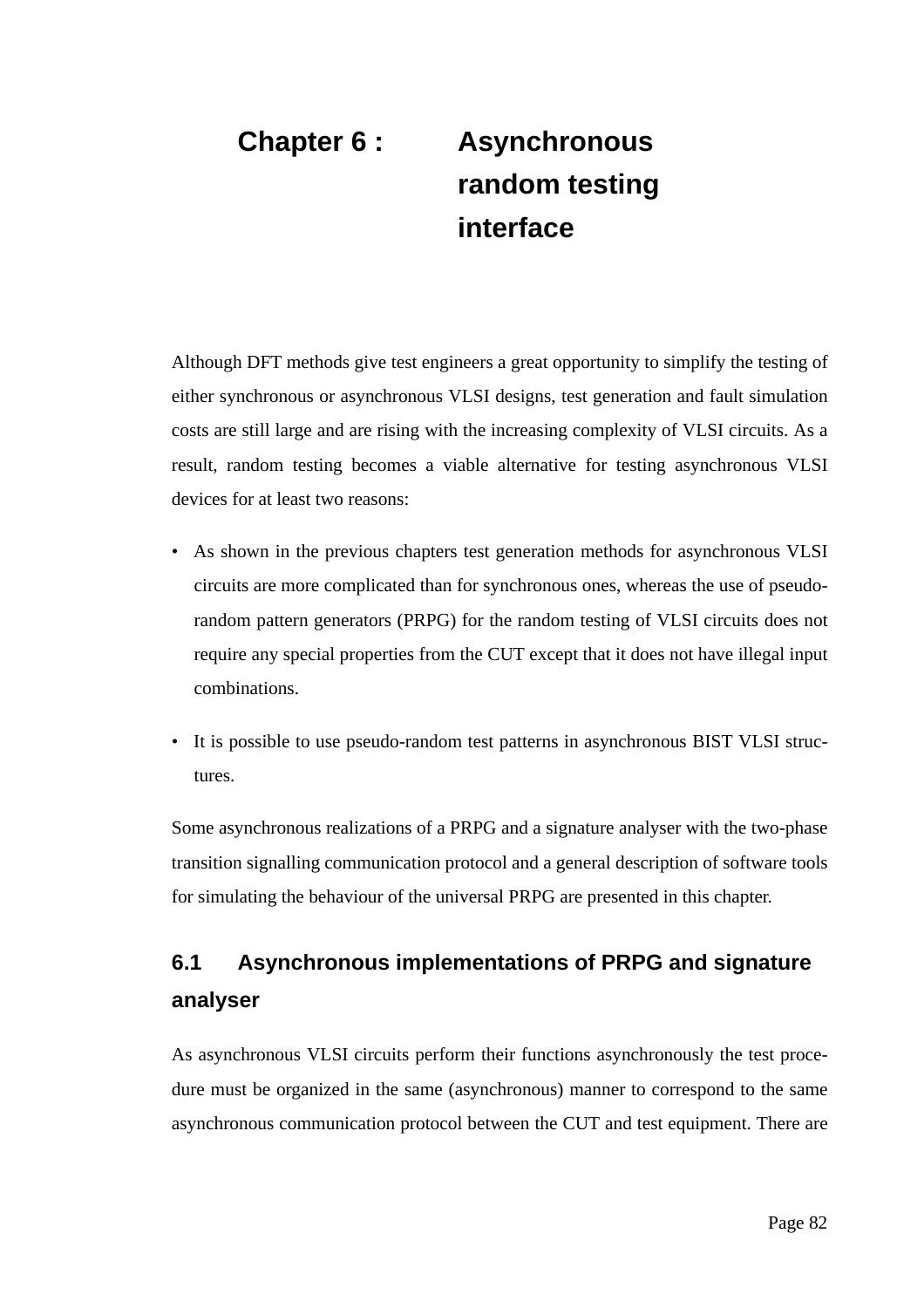# **Chapter 6 : Asynchronous random testing interface**

Although DFT methods give test engineers a great opportunity to simplify the testing of either synchronous or asynchronous VLSI designs, test generation and fault simulation costs are still large and are rising with the increasing complexity of VLSI circuits. As a result, random testing becomes a viable alternative for testing asynchronous VLSI devices for at least two reasons:

- As shown in the previous chapters test generation methods for asynchronous VLSI circuits are more complicated than for synchronous ones, whereas the use of pseudorandom pattern generators (PRPG) for the random testing of VLSI circuits does not require any special properties from the CUT except that it does not have illegal input combinations.
- It is possible to use pseudo-random test patterns in asynchronous BIST VLSI structures.

Some asynchronous realizations of a PRPG and a signature analyser with the two-phase transition signalling communication protocol and a general description of software tools for simulating the behaviour of the universal PRPG are presented in this chapter.

# **6.1 Asynchronous implementations of PRPG and signature analyser**

As asynchronous VLSI circuits perform their functions asynchronously the test procedure must be organized in the same (asynchronous) manner to correspond to the same asynchronous communication protocol between the CUT and test equipment. There are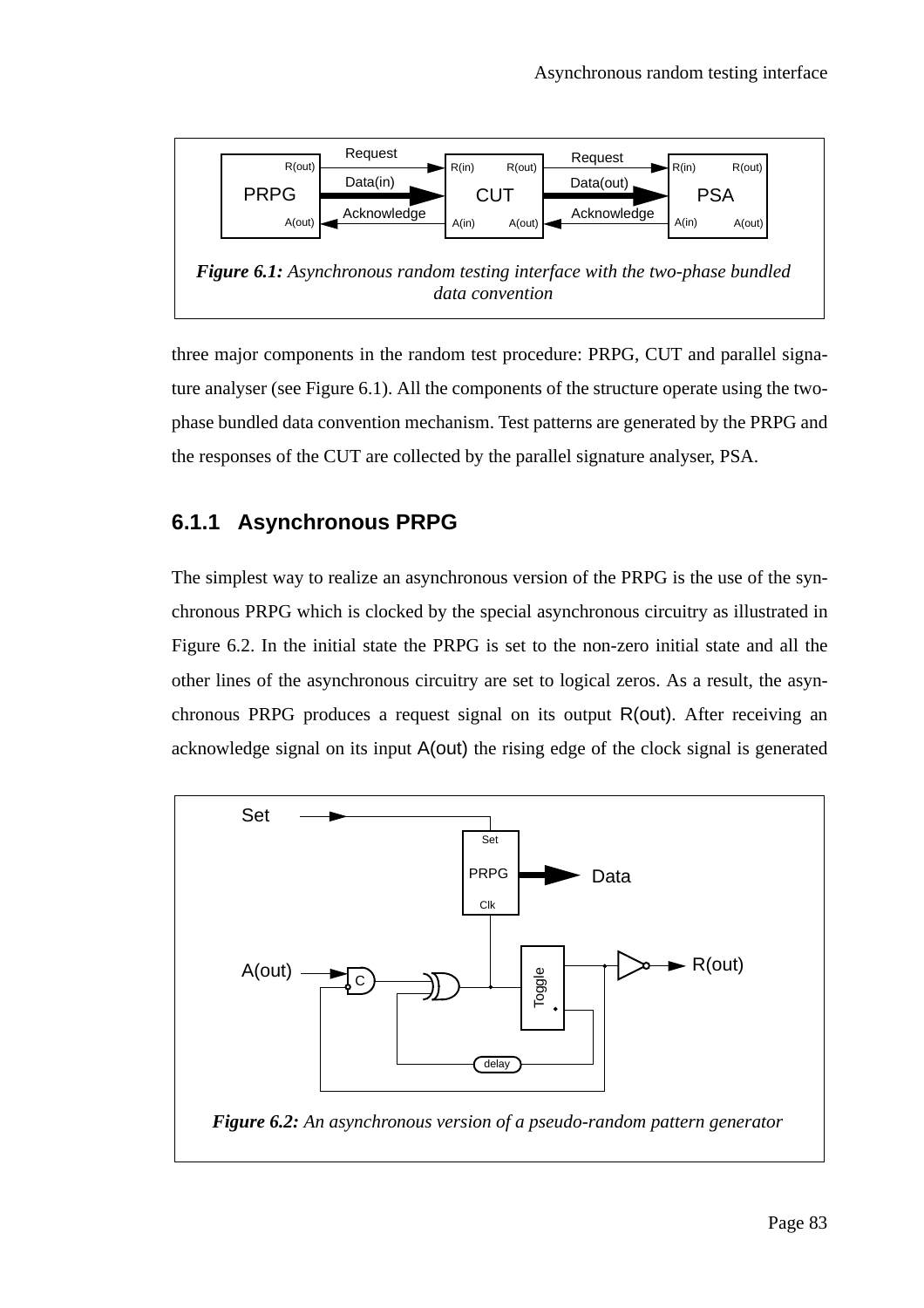

three major components in the random test procedure: PRPG, CUT and parallel signature analyser (see Figure 6.1). All the components of the structure operate using the twophase bundled data convention mechanism. Test patterns are generated by the PRPG and the responses of the CUT are collected by the parallel signature analyser, PSA.

# **6.1.1 Asynchronous PRPG**

The simplest way to realize an asynchronous version of the PRPG is the use of the synchronous PRPG which is clocked by the special asynchronous circuitry as illustrated in Figure 6.2. In the initial state the PRPG is set to the non-zero initial state and all the other lines of the asynchronous circuitry are set to logical zeros. As a result, the asynchronous PRPG produces a request signal on its output R(out). After receiving an acknowledge signal on its input A(out) the rising edge of the clock signal is generated

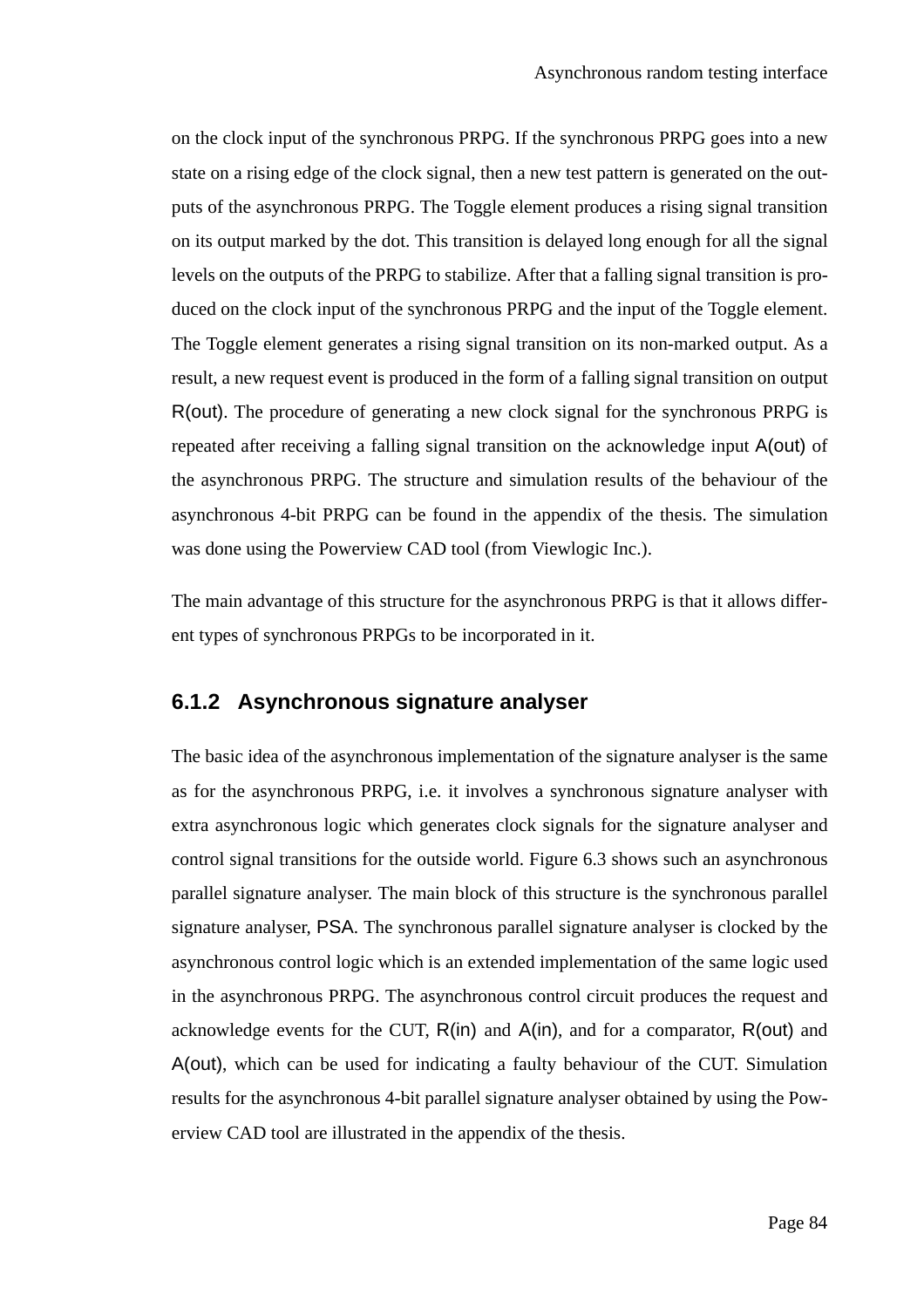on the clock input of the synchronous PRPG. If the synchronous PRPG goes into a new state on a rising edge of the clock signal, then a new test pattern is generated on the outputs of the asynchronous PRPG. The Toggle element produces a rising signal transition on its output marked by the dot. This transition is delayed long enough for all the signal levels on the outputs of the PRPG to stabilize. After that a falling signal transition is produced on the clock input of the synchronous PRPG and the input of the Toggle element. The Toggle element generates a rising signal transition on its non-marked output. As a result, a new request event is produced in the form of a falling signal transition on output R(out). The procedure of generating a new clock signal for the synchronous PRPG is repeated after receiving a falling signal transition on the acknowledge input A(out) of the asynchronous PRPG. The structure and simulation results of the behaviour of the asynchronous 4-bit PRPG can be found in the appendix of the thesis. The simulation was done using the Powerview CAD tool (from Viewlogic Inc.).

The main advantage of this structure for the asynchronous PRPG is that it allows different types of synchronous PRPGs to be incorporated in it.

### **6.1.2 Asynchronous signature analyser**

The basic idea of the asynchronous implementation of the signature analyser is the same as for the asynchronous PRPG, i.e. it involves a synchronous signature analyser with extra asynchronous logic which generates clock signals for the signature analyser and control signal transitions for the outside world. Figure 6.3 shows such an asynchronous parallel signature analyser. The main block of this structure is the synchronous parallel signature analyser, PSA. The synchronous parallel signature analyser is clocked by the asynchronous control logic which is an extended implementation of the same logic used in the asynchronous PRPG. The asynchronous control circuit produces the request and acknowledge events for the CUT, R(in) and A(in), and for a comparator, R(out) and A(out), which can be used for indicating a faulty behaviour of the CUT. Simulation results for the asynchronous 4-bit parallel signature analyser obtained by using the Powerview CAD tool are illustrated in the appendix of the thesis.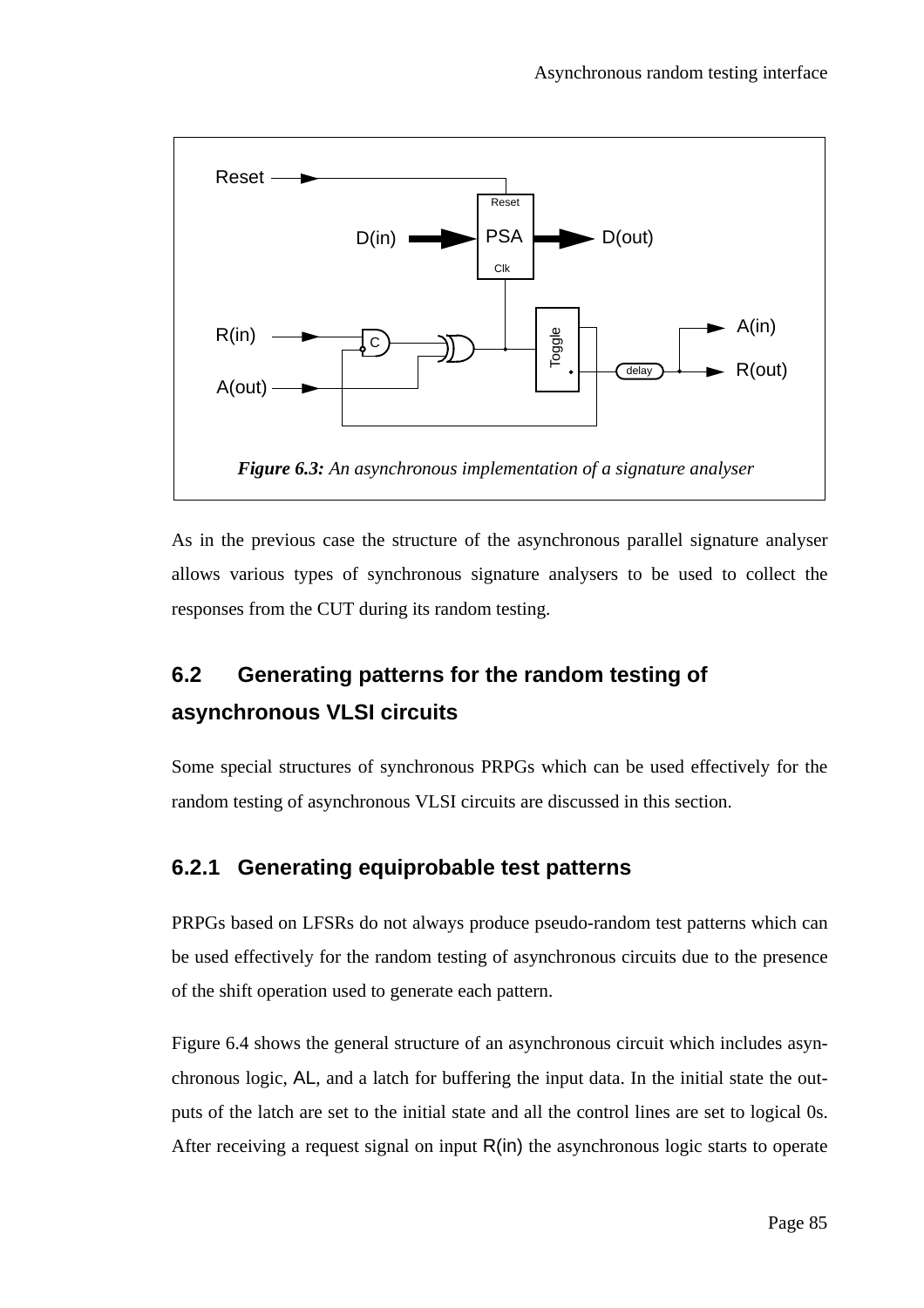

As in the previous case the structure of the asynchronous parallel signature analyser allows various types of synchronous signature analysers to be used to collect the responses from the CUT during its random testing.

# **6.2 Generating patterns for the random testing of asynchronous VLSI circuits**

Some special structures of synchronous PRPGs which can be used effectively for the random testing of asynchronous VLSI circuits are discussed in this section.

# **6.2.1 Generating equiprobable test patterns**

PRPGs based on LFSRs do not always produce pseudo-random test patterns which can be used effectively for the random testing of asynchronous circuits due to the presence of the shift operation used to generate each pattern.

Figure 6.4 shows the general structure of an asynchronous circuit which includes asynchronous logic, AL, and a latch for buffering the input data. In the initial state the outputs of the latch are set to the initial state and all the control lines are set to logical 0s. After receiving a request signal on input  $R(in)$  the asynchronous logic starts to operate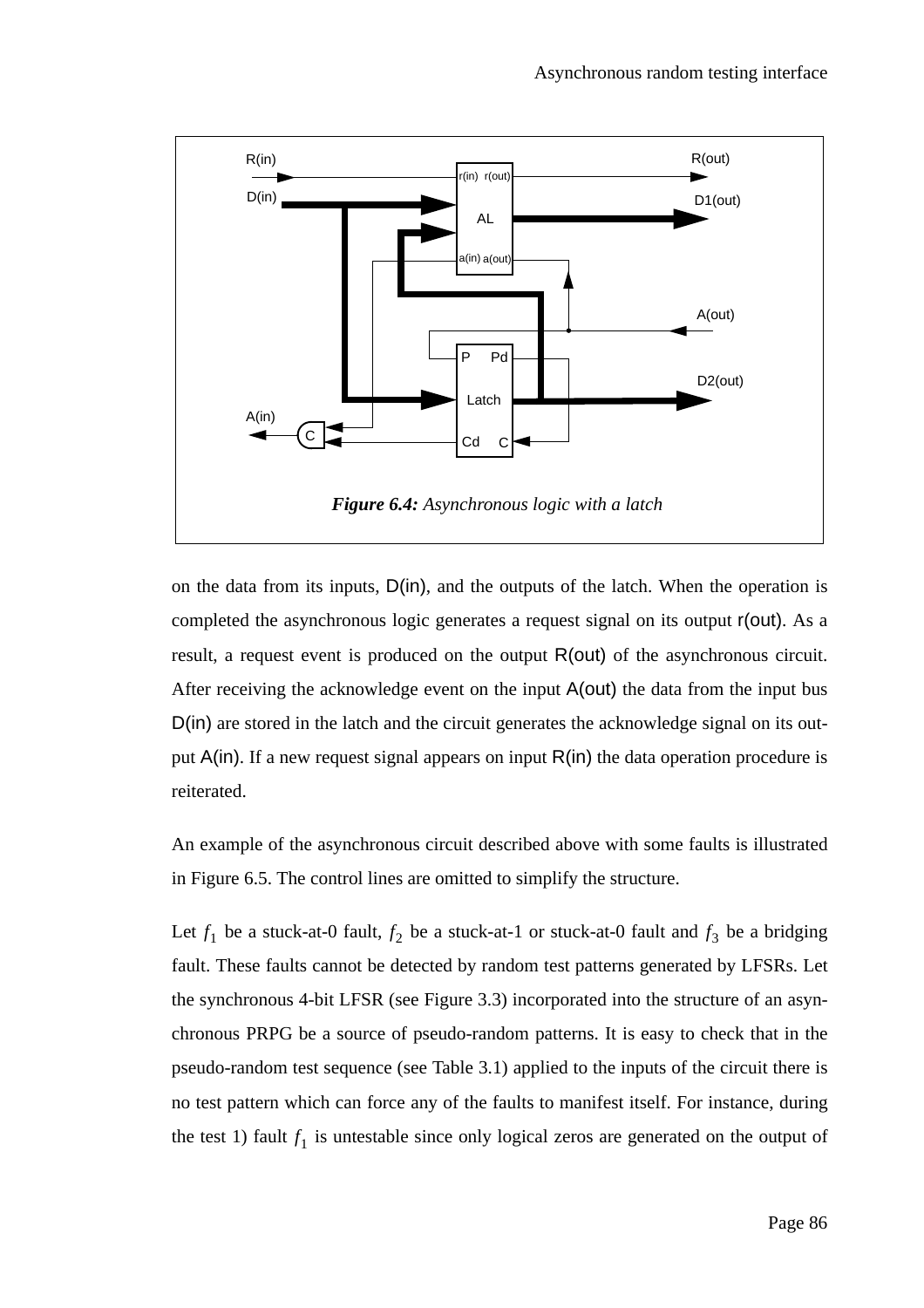

on the data from its inputs, D(in), and the outputs of the latch. When the operation is completed the asynchronous logic generates a request signal on its output r(out). As a result, a request event is produced on the output R(out) of the asynchronous circuit. After receiving the acknowledge event on the input A(out) the data from the input bus D(in) are stored in the latch and the circuit generates the acknowledge signal on its output  $A(in)$ . If a new request signal appears on input  $R(in)$  the data operation procedure is reiterated.

An example of the asynchronous circuit described above with some faults is illustrated in Figure 6.5. The control lines are omitted to simplify the structure.

Let  $f_1$  be a stuck-at-0 fault,  $f_2$  be a stuck-at-1 or stuck-at-0 fault and  $f_3$  be a bridging fault. These faults cannot be detected by random test patterns generated by LFSRs. Let the synchronous 4-bit LFSR (see Figure 3.3) incorporated into the structure of an asynchronous PRPG be a source of pseudo-random patterns. It is easy to check that in the pseudo-random test sequence (see Table 3.1) applied to the inputs of the circuit there is no test pattern which can force any of the faults to manifest itself. For instance, during the test 1) fault  $f_1$  is untestable since only logical zeros are generated on the output of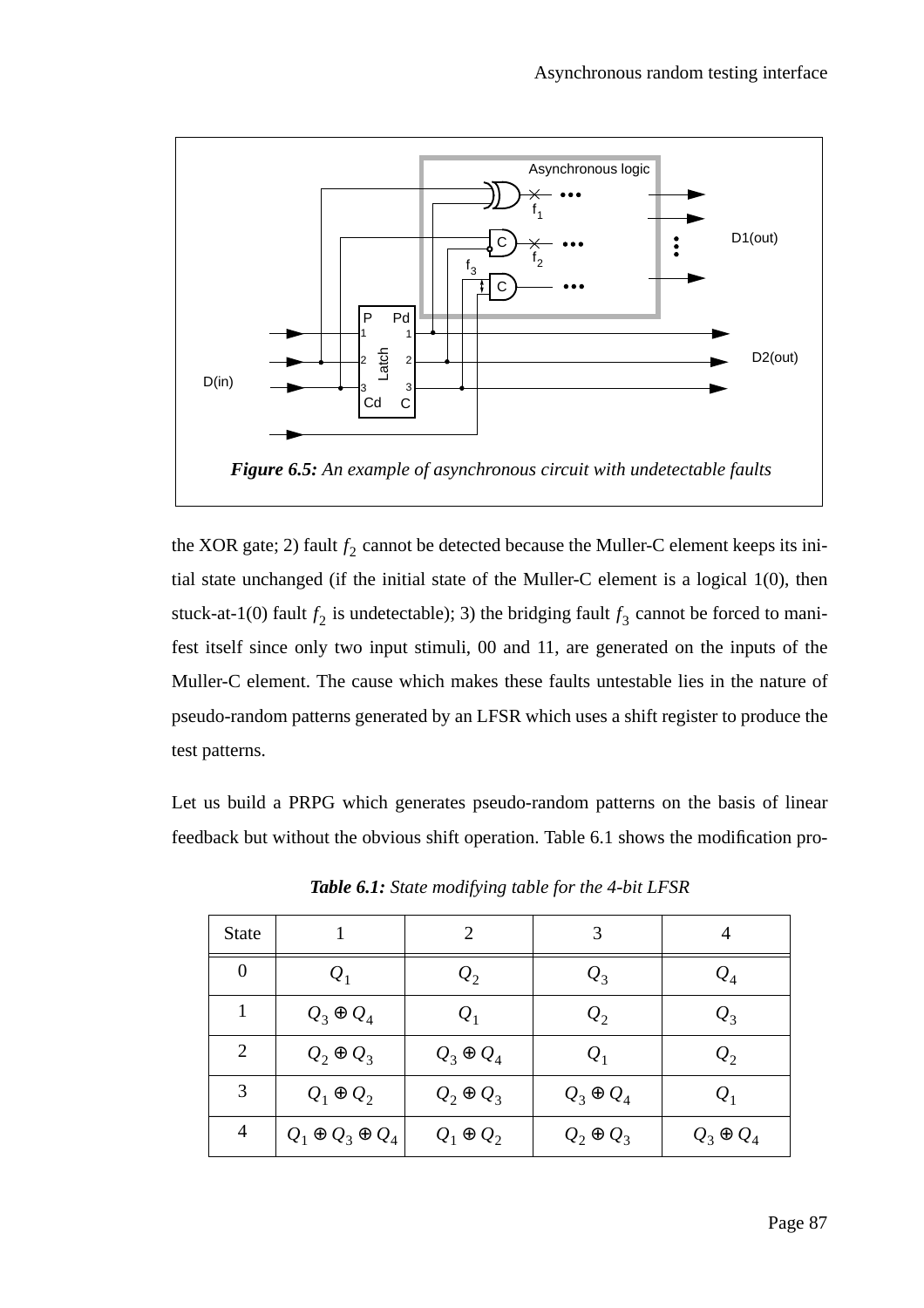

the XOR gate; 2) fault  $f_2$  cannot be detected because the Muller-C element keeps its initial state unchanged (if the initial state of the Muller-C element is a logical 1(0), then stuck-at-1(0) fault  $f_2$  is undetectable); 3) the bridging fault  $f_3$  cannot be forced to manifest itself since only two input stimuli, 00 and 11, are generated on the inputs of the Muller-C element. The cause which makes these faults untestable lies in the nature of pseudo-random patterns generated by an LFSR which uses a shift register to produce the test patterns.

Let us build a PRPG which generates pseudo-random patterns on the basis of linear feedback but without the obvious shift operation. Table 6.1 shows the modification pro-

| <b>State</b>   |                             | $\mathcal{D}_{\cdot}$ | 3                | 4                |
|----------------|-----------------------------|-----------------------|------------------|------------------|
| $\theta$       | $Q_1$                       | $\mathcal{Q}_2$       | $\mathcal{Q}_3$  | $\mathcal{Q}_4$  |
| 1              | $Q_3 \oplus Q_4$            | $Q_1$                 | $\mathcal{Q}_2$  | $\mathcal{Q}_3$  |
| $\overline{2}$ | $Q_2 \oplus Q_3$            | $Q_3 \oplus Q_4$      | $Q_1$            | $\mathcal{Q}_2$  |
| 3              | $Q_1 \oplus Q_2$            | $Q_2 \oplus Q_3$      | $Q_3 \oplus Q_4$ | $Q_1$            |
| $\overline{4}$ | $Q_1 \oplus Q_3 \oplus Q_4$ | $Q_1 \oplus Q_2$      | $Q_2 \oplus Q_3$ | $Q_3 \oplus Q_4$ |

*Table 6.1: State modifying table for the 4-bit LFSR*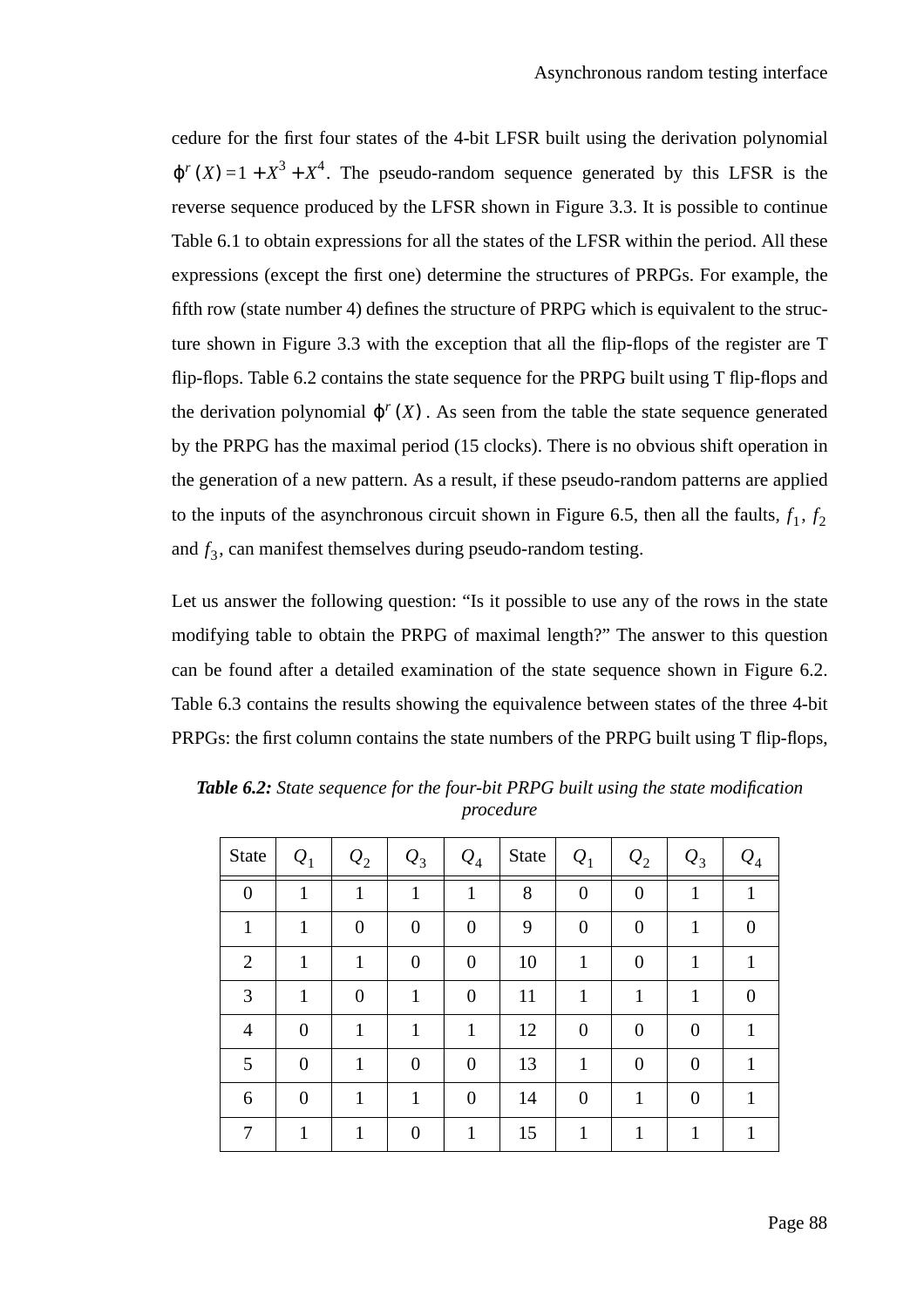cedure for the first four states of the 4-bit LFSR built using the derivation polynomial  $\varphi$ <sup>*r*</sup>(*X*) = 1 +  $X^3$  +  $X^4$ . The pseudo-random sequence generated by this LFSR is the reverse sequence produced by the LFSR shown in Figure 3.3. It is possible to continue Table 6.1 to obtain expressions for all the states of the LFSR within the period. All these expressions (except the first one) determine the structures of PRPGs. For example, the fifth row (state number 4) defines the structure of PRPG which is equivalent to the structure shown in Figure 3.3 with the exception that all the flip-flops of the register are T flip-flops. Table 6.2 contains the state sequence for the PRPG built using T flip-flops and the derivation polynomial  $\varphi^{r}(X)$ . As seen from the table the state sequence generated by the PRPG has the maximal period (15 clocks). There is no obvious shift operation in the generation of a new pattern. As a result, if these pseudo-random patterns are applied to the inputs of the asynchronous circuit shown in Figure 6.5, then all the faults,  $f_1$ ,  $f_2$ and  $f_3$ , can manifest themselves during pseudo-random testing.

Let us answer the following question: "Is it possible to use any of the rows in the state modifying table to obtain the PRPG of maximal length?" The answer to this question can be found after a detailed examination of the state sequence shown in Figure 6.2. Table 6.3 contains the results showing the equivalence between states of the three 4-bit PRPGs: the first column contains the state numbers of the PRPG built using T flip-flops,

| State          | $Q_1$            | $\mathcal{Q}_2$ | $\mathcal{Q}_3$ | $Q_4$            | <b>State</b> | $Q_1$            | $\mathcal{Q}_2$  | $Q_3$          | $\mathcal{Q}_4$ |
|----------------|------------------|-----------------|-----------------|------------------|--------------|------------------|------------------|----------------|-----------------|
| $\overline{0}$ | 1                | 1               | 1               | $\mathbf{1}$     | 8            | $\boldsymbol{0}$ | $\boldsymbol{0}$ | 1              | 1               |
| $\mathbf{1}$   | 1                | $\overline{0}$  | $\overline{0}$  | $\overline{0}$   | 9            | $\overline{0}$   | $\boldsymbol{0}$ | 1              | $\overline{0}$  |
| $\overline{2}$ | 1                | $\mathbf{1}$    | $\overline{0}$  | $\overline{0}$   | 10           | 1                | $\boldsymbol{0}$ | $\mathbf{1}$   | 1               |
| 3              | 1                | $\overline{0}$  | 1               | $\overline{0}$   | 11           | 1                | $\mathbf{1}$     | 1              | $\overline{0}$  |
| $\overline{4}$ | $\overline{0}$   | 1               | $\mathbf{1}$    | $\mathbf{1}$     | 12           | $\overline{0}$   | $\boldsymbol{0}$ | $\theta$       |                 |
| 5              | $\boldsymbol{0}$ | 1               | $\overline{0}$  | $\boldsymbol{0}$ | 13           | 1                | $\overline{0}$   | $\overline{0}$ |                 |
| 6              | $\overline{0}$   | 1               | 1               | $\overline{0}$   | 14           | $\overline{0}$   | 1                | $\theta$       |                 |
| 7              | 1                | 1               | $\theta$        | 1                | 15           | 1                | 1                | 1              | 1               |

*Table 6.2: State sequence for the four-bit PRPG built using the state modification procedure*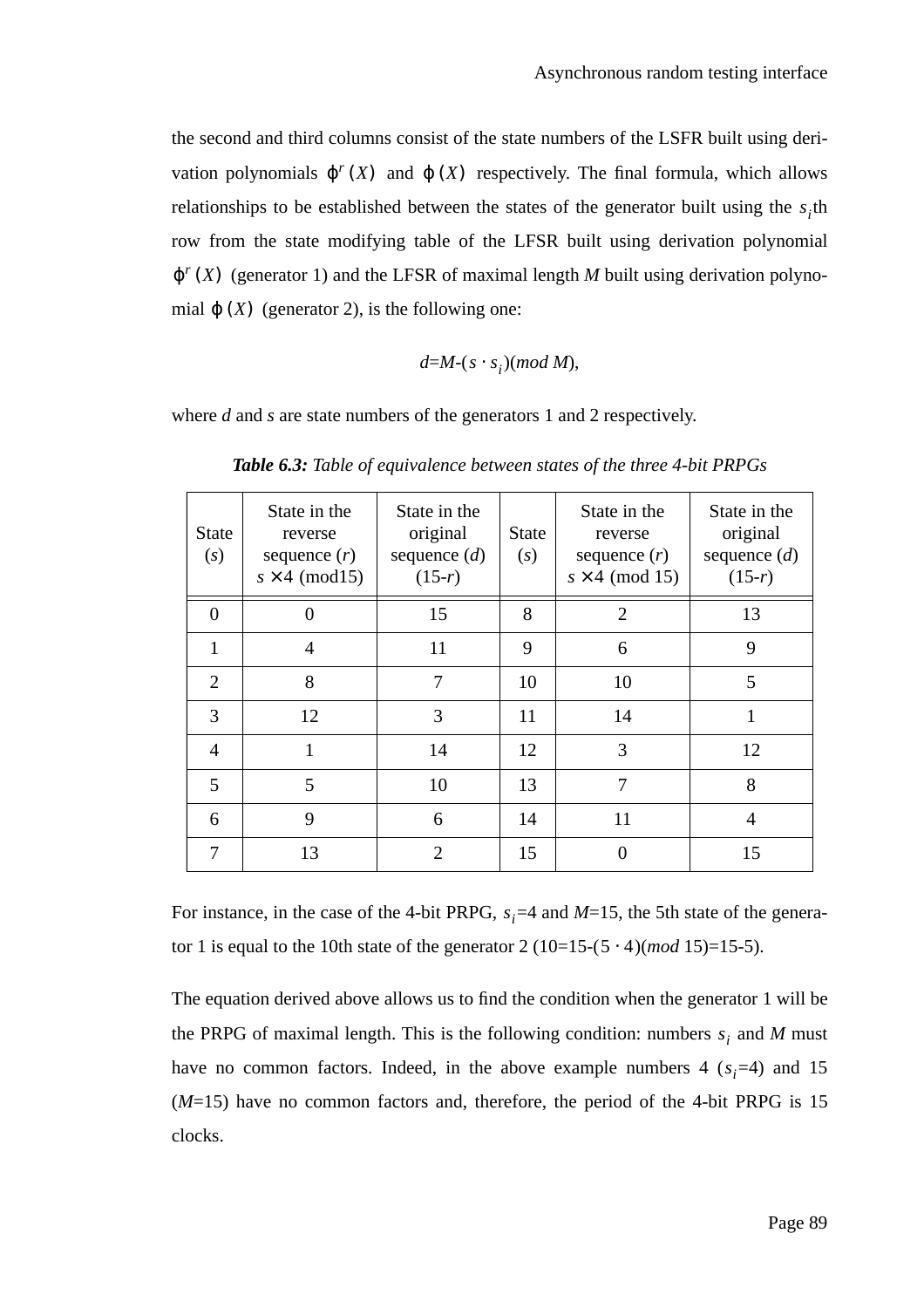the second and third columns consist of the state numbers of the LSFR built using derivation polynomials  $\varphi^{r}(X)$  and  $\varphi(X)$  respectively. The final formula, which allows relationships to be established between the states of the generator built using the  $s<sub>i</sub>$ <sup>th</sup> row from the state modifying table of the LFSR built using derivation polynomial  $\varphi^{r}(X)$  (generator 1) and the LFSR of maximal length *M* built using derivation polynomial  $\varphi(X)$  (generator 2), is the following one:

$$
d=M-(s\cdot s_i)(mod\ M),
$$

where *d* and *s* are state numbers of the generators 1 and 2 respectively.

| <b>State</b><br>(s) | State in the<br>reverse<br>sequence $(r)$<br>$s \times 4 \pmod{15}$ | State in the<br>original<br>sequence $(d)$<br>$(15-r)$ | <b>State</b><br>(s) | State in the<br>reverse<br>sequence $(r)$<br>$s \times 4 \pmod{15}$ | State in the<br>original<br>sequence $(d)$<br>$(15-r)$ |
|---------------------|---------------------------------------------------------------------|--------------------------------------------------------|---------------------|---------------------------------------------------------------------|--------------------------------------------------------|
| $\Omega$            |                                                                     | 15                                                     | 8                   | $\overline{2}$                                                      | 13                                                     |
| $\mathbf{1}$        | $\overline{4}$                                                      | 11                                                     | 9                   | 6                                                                   | 9                                                      |
| $\overline{2}$      | 8                                                                   | 7                                                      | 10                  | 10                                                                  | 5                                                      |
| 3                   | 12                                                                  | 3                                                      | 11                  | 14                                                                  |                                                        |
| $\overline{4}$      | 1                                                                   | 14                                                     | 12                  | 3                                                                   | 12                                                     |
| 5                   | 5                                                                   | 10                                                     | 13                  | 7                                                                   | 8                                                      |
| 6                   | 9                                                                   | 6                                                      | 14                  | 11                                                                  | 4                                                      |
| 7                   | 13                                                                  | $\overline{2}$                                         | 15                  | 0                                                                   | 15                                                     |

*Table 6.3: Table of equivalence between states of the three 4-bit PRPGs*

For instance, in the case of the 4-bit PRPG,  $s_i = 4$  and  $M = 15$ , the 5th state of the generator 1 is equal to the 10th state of the generator  $2(10=15-(5 \cdot 4)(mod 15)=15-5)$ .

The equation derived above allows us to find the condition when the generator 1 will be the PRPG of maximal length. This is the following condition: numbers  $s_i$  and *M* must have no common factors. Indeed, in the above example numbers  $4(s_i=4)$  and 15 (*M*=15) have no common factors and, therefore, the period of the 4-bit PRPG is 15 clocks.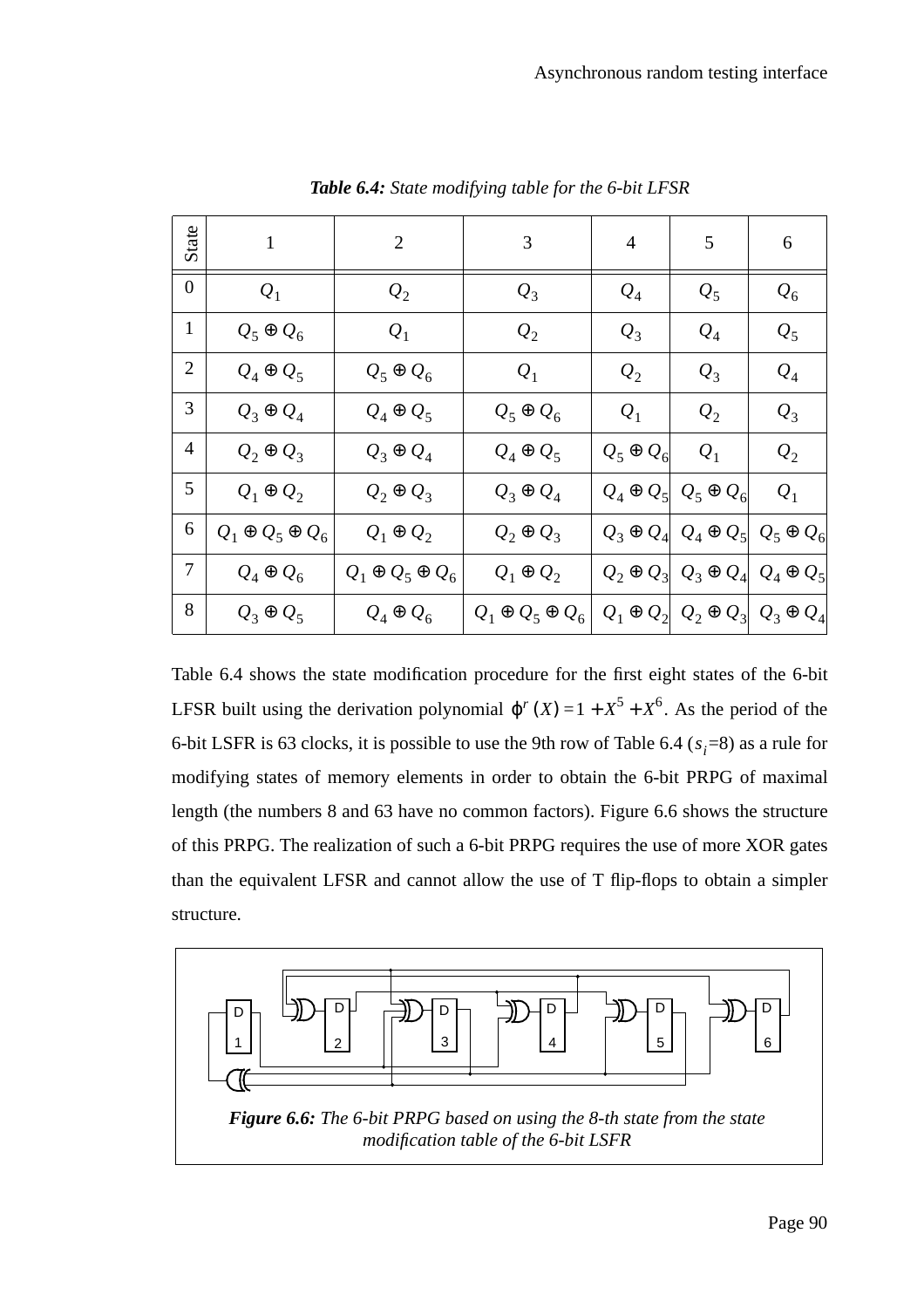| State          | $\mathbf{1}$                | $\overline{2}$              | 3                           | 4                | 5                                                  | 6                |
|----------------|-----------------------------|-----------------------------|-----------------------------|------------------|----------------------------------------------------|------------------|
| $\overline{0}$ | $Q_1$                       | $\mathcal{Q}_2$             | $Q_3$                       | $\mathcal{Q}_4$  | $Q_5$                                              | $Q_6$            |
| $\mathbf{1}$   | $Q_5 \oplus Q_6$            | $Q_1$                       | $\mathcal{Q}_2$             | $\mathcal{Q}_3$  | $\mathcal{Q}_4$                                    | $Q_5$            |
| $\overline{2}$ | $Q_4 \oplus Q_5$            | $Q_5 \oplus Q_6$            | $Q_1$                       | $\mathcal{Q}_2$  | $Q_3$                                              | $\mathcal{Q}_4$  |
| 3              | $Q_3 \oplus Q_4$            | $Q_4 \oplus Q_5$            | $Q_5 \oplus Q_6$            | $Q_1$            | $\mathcal{Q}_2$                                    | $Q_3$            |
| 4              | $Q_2 \oplus Q_3$            | $Q_3 \oplus Q_4$            | $Q_4 \oplus Q_5$            | $Q_5 \oplus Q_6$ | $Q_1$                                              | $Q_{2}$          |
| 5              | $Q_1 \oplus Q_2$            | $Q_2 \oplus Q_3$            | $Q_3 \oplus Q_4$            |                  | $Q_4 \oplus Q_5   Q_5 \oplus Q_6$                  | $Q_1$            |
| 6              | $Q_1 \oplus Q_5 \oplus Q_6$ | $Q_1 \oplus Q_2$            | $Q_2 \oplus Q_3$            |                  | $Q_3 \oplus Q_4   Q_4 \oplus Q_5  $                | $Q_5 \oplus Q_6$ |
| 7              | $Q_4 \oplus Q_6$            | $Q_1 \oplus Q_5 \oplus Q_6$ | $Q_1 \oplus Q_2$            |                  | $Q_2 \oplus Q_3   Q_3 \oplus Q_4$                  | $Q_4 \oplus Q_5$ |
| 8              | $Q_3 \oplus Q_5$            | $Q_4 \oplus Q_6$            | $Q_1 \oplus Q_5 \oplus Q_6$ |                  | $Q_1 \oplus Q_2   Q_2 \oplus Q_3   Q_3 \oplus Q_4$ |                  |

*Table 6.4: State modifying table for the 6-bit LFSR*

Table 6.4 shows the state modification procedure for the first eight states of the 6-bit LFSR built using the derivation polynomial  $\varphi^{r}(X) = 1 + X^{5} + X^{6}$ . As the period of the 6-bit LSFR is 63 clocks, it is possible to use the 9th row of Table 6.4 ( $s_i$ =8) as a rule for modifying states of memory elements in order to obtain the 6-bit PRPG of maximal length (the numbers 8 and 63 have no common factors). Figure 6.6 shows the structure of this PRPG. The realization of such a 6-bit PRPG requires the use of more XOR gates than the equivalent LFSR and cannot allow the use of T flip-flops to obtain a simpler structure.

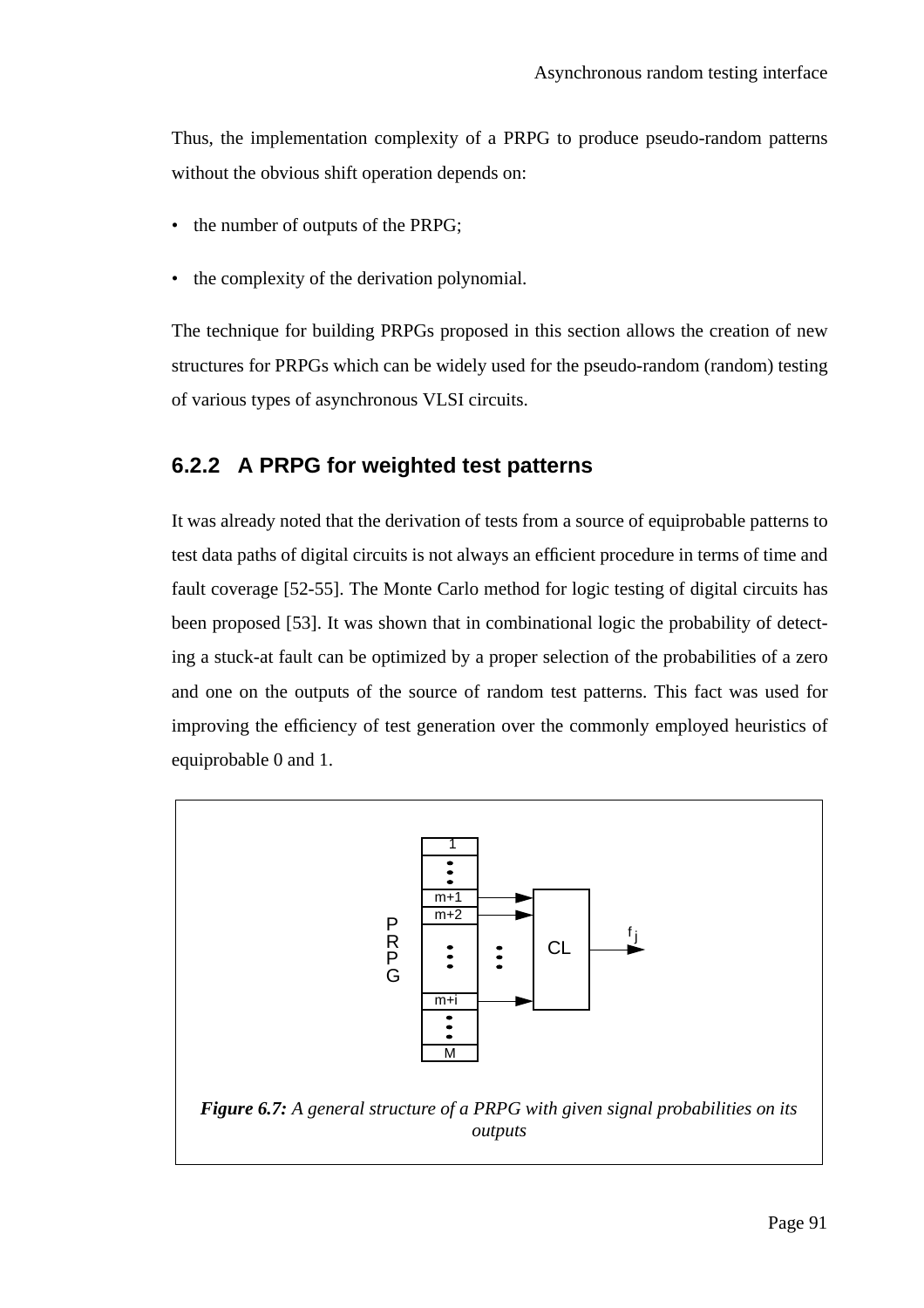Thus, the implementation complexity of a PRPG to produce pseudo-random patterns without the obvious shift operation depends on:

- the number of outputs of the PRPG;
- the complexity of the derivation polynomial.

The technique for building PRPGs proposed in this section allows the creation of new structures for PRPGs which can be widely used for the pseudo-random (random) testing of various types of asynchronous VLSI circuits.

# **6.2.2 A PRPG for weighted test patterns**

It was already noted that the derivation of tests from a source of equiprobable patterns to test data paths of digital circuits is not always an efficient procedure in terms of time and fault coverage [52-55]. The Monte Carlo method for logic testing of digital circuits has been proposed [53]. It was shown that in combinational logic the probability of detecting a stuck-at fault can be optimized by a proper selection of the probabilities of a zero and one on the outputs of the source of random test patterns. This fact was used for improving the efficiency of test generation over the commonly employed heuristics of equiprobable 0 and 1.

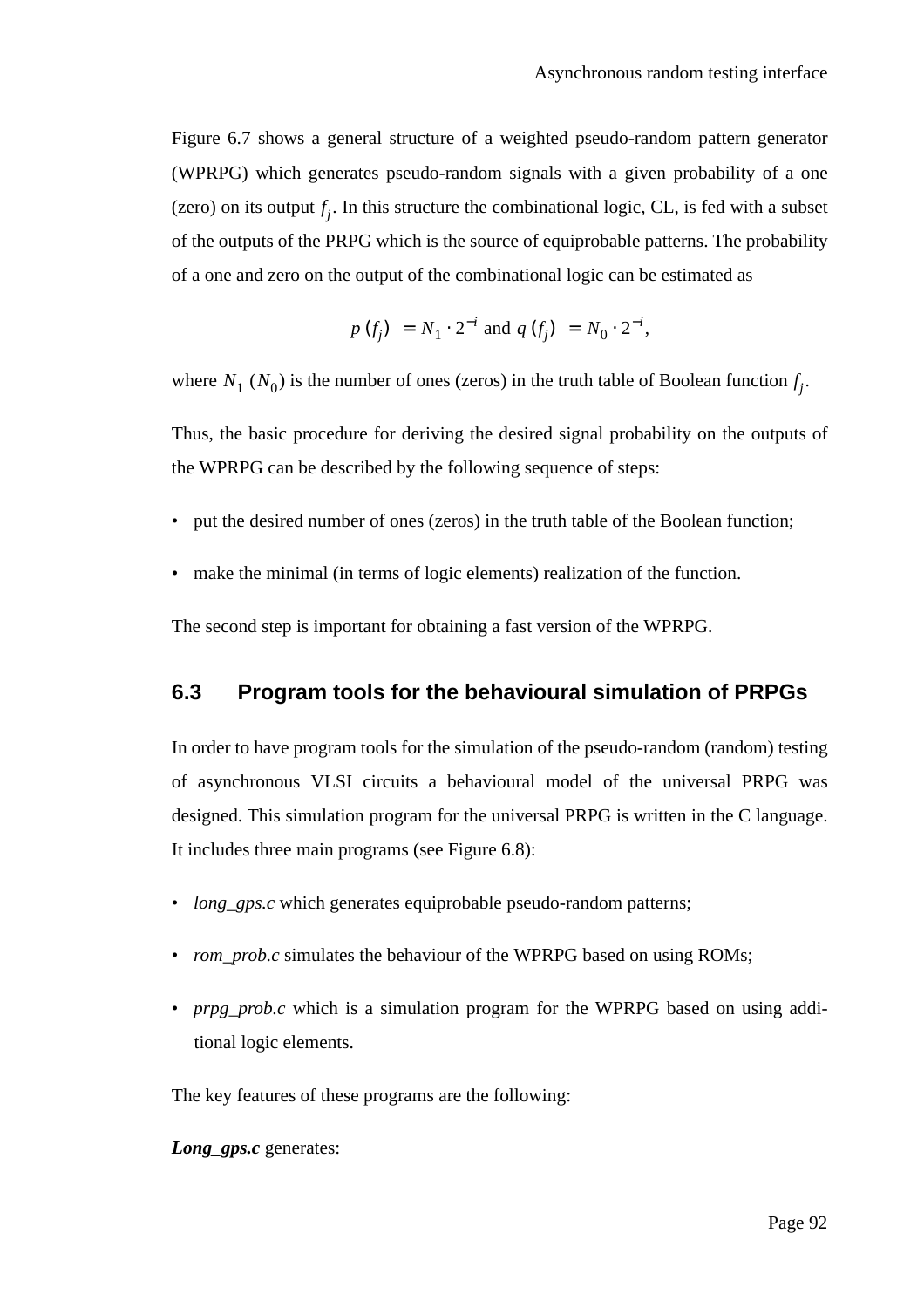Figure 6.7 shows a general structure of a weighted pseudo-random pattern generator (WPRPG) which generates pseudo-random signals with a given probability of a one (zero) on its output  $f_j$ . In this structure the combinational logic, CL, is fed with a subset of the outputs of the PRPG which is the source of equiprobable patterns. The probability of a one and zero on the output of the combinational logic can be estimated as

$$
p(f_j) = N_1 \cdot 2^{-i}
$$
 and  $q(f_j) = N_0 \cdot 2^{-i}$ ,

where  $N_1$  ( $N_0$ ) is the number of ones (zeros) in the truth table of Boolean function  $f_j$ .

Thus, the basic procedure for deriving the desired signal probability on the outputs of the WPRPG can be described by the following sequence of steps:

- put the desired number of ones (zeros) in the truth table of the Boolean function;
- make the minimal (in terms of logic elements) realization of the function.

The second step is important for obtaining a fast version of the WPRPG.

### **6.3 Program tools for the behavioural simulation of PRPGs**

In order to have program tools for the simulation of the pseudo-random (random) testing of asynchronous VLSI circuits a behavioural model of the universal PRPG was designed. This simulation program for the universal PRPG is written in the C language. It includes three main programs (see Figure 6.8):

- *long\_gps.c* which generates equiprobable pseudo-random patterns;
- *rom\_prob.c* simulates the behaviour of the WPRPG based on using ROMs;
- *prpg\_prob.c* which is a simulation program for the WPRPG based on using additional logic elements.

The key features of these programs are the following:

*Long\_gps.c* generates: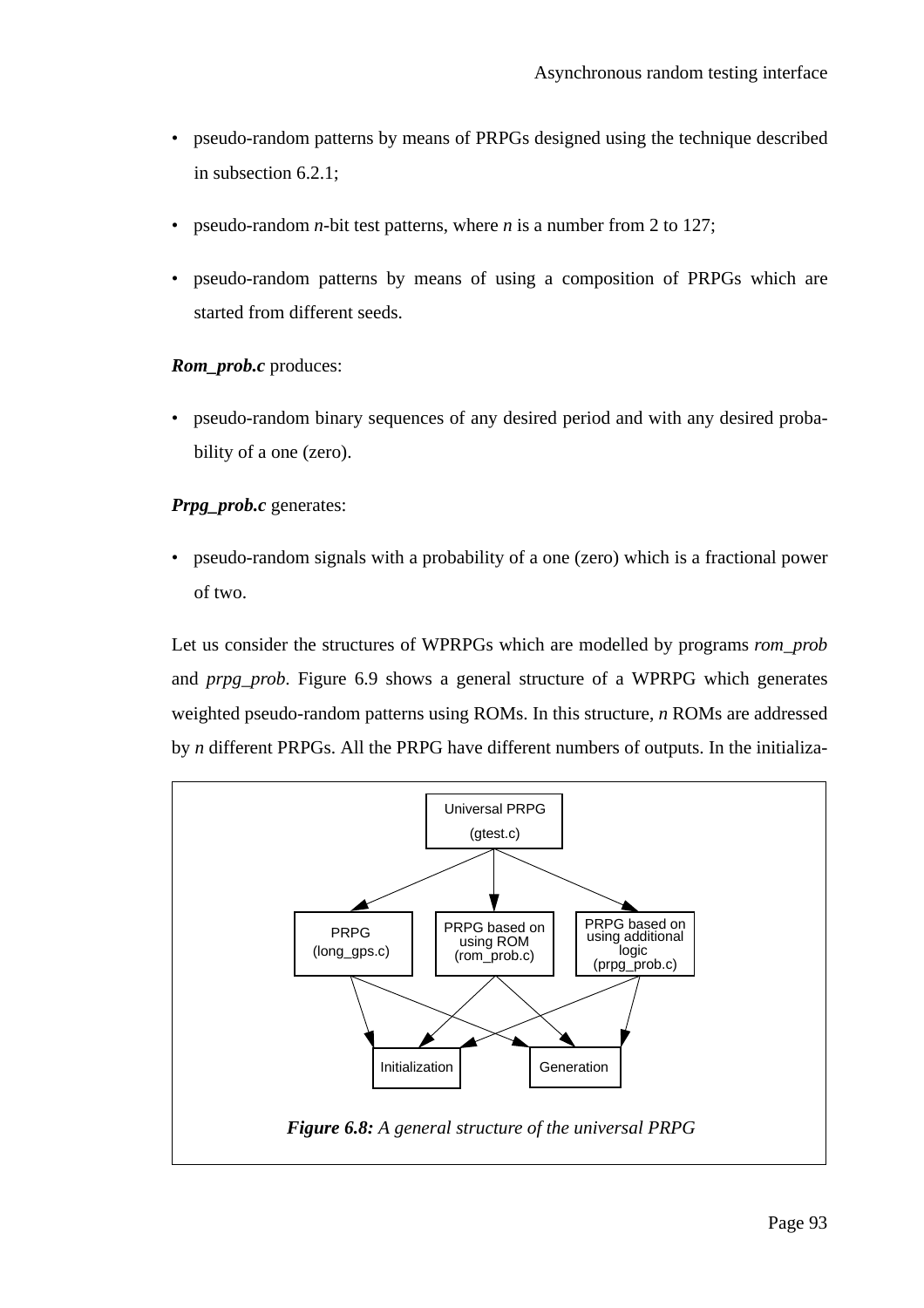- pseudo-random patterns by means of PRPGs designed using the technique described in subsection 6.2.1;
- pseudo-random *n*-bit test patterns, where *n* is a number from 2 to 127;
- pseudo-random patterns by means of using a composition of PRPGs which are started from different seeds.

#### *Rom\_prob.c* produces:

• pseudo-random binary sequences of any desired period and with any desired probability of a one (zero).

### *Prpg\_prob.c* generates:

• pseudo-random signals with a probability of a one (zero) which is a fractional power of two.

Let us consider the structures of WPRPGs which are modelled by programs *rom\_prob* and *prpg\_prob*. Figure 6.9 shows a general structure of a WPRPG which generates weighted pseudo-random patterns using ROMs. In this structure, *n* ROMs are addressed by *n* different PRPGs. All the PRPG have different numbers of outputs. In the initializa-

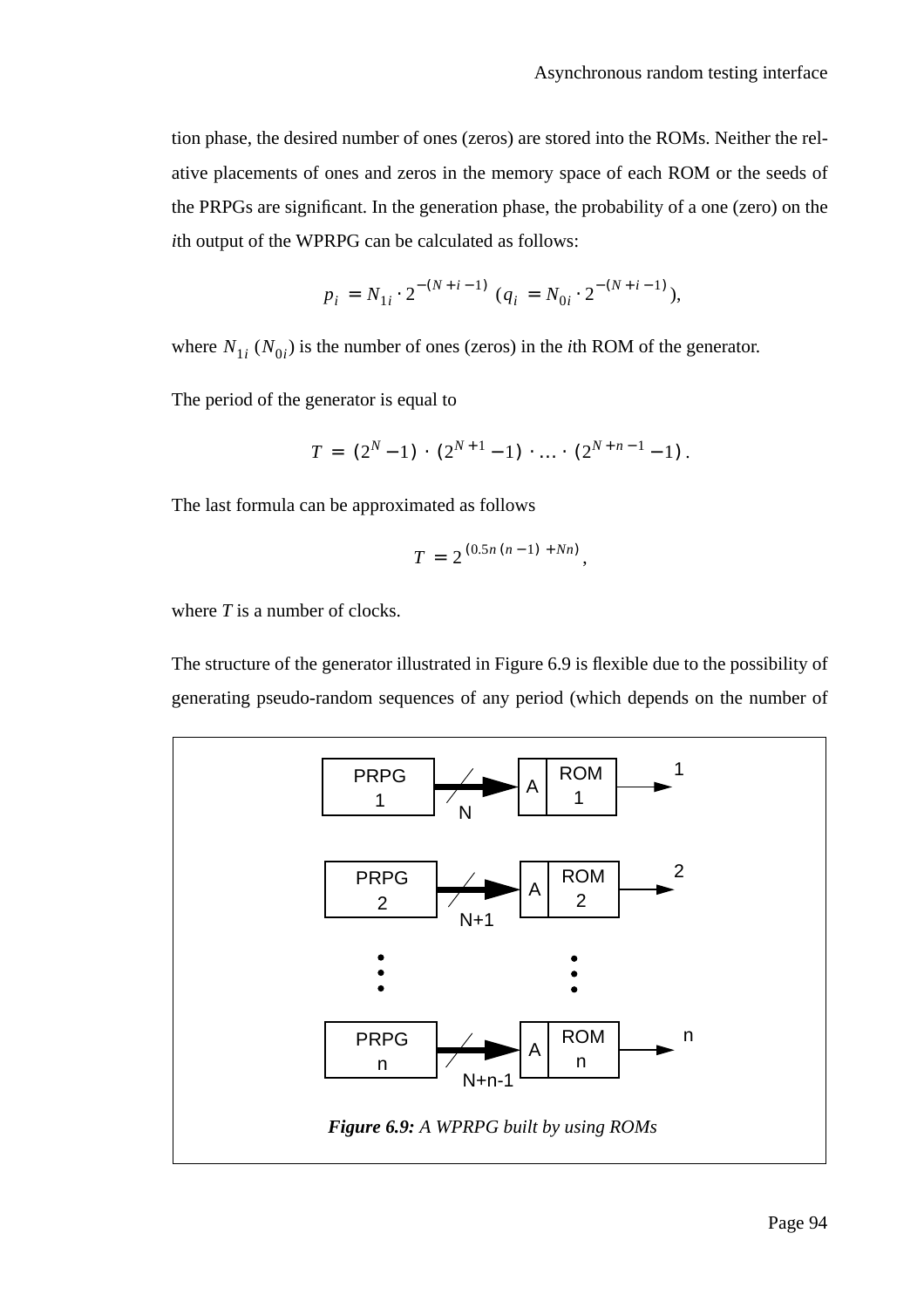tion phase, the desired number of ones (zeros) are stored into the ROMs. Neither the relative placements of ones and zeros in the memory space of each ROM or the seeds of the PRPGs are significant. In the generation phase, the probability of a one (zero) on the *i*th output of the WPRPG can be calculated as follows:

$$
p_i = N_{1i} \cdot 2^{-(N+i-1)} (q_i = N_{0i} \cdot 2^{-(N+i-1)}),
$$

where  $N_{1i}$  ( $N_{0i}$ ) is the number of ones (zeros) in the *i*th ROM of the generator.

The period of the generator is equal to

$$
T = (2N - 1) \cdot (2N+1 - 1) \cdot \ldots \cdot (2N+n-1 - 1).
$$

The last formula can be approximated as follows

$$
T = 2^{(0.5n(n-1) + Nn)},
$$

where *T* is a number of clocks.

The structure of the generator illustrated in Figure 6.9 is flexible due to the possibility of generating pseudo-random sequences of any period (which depends on the number of

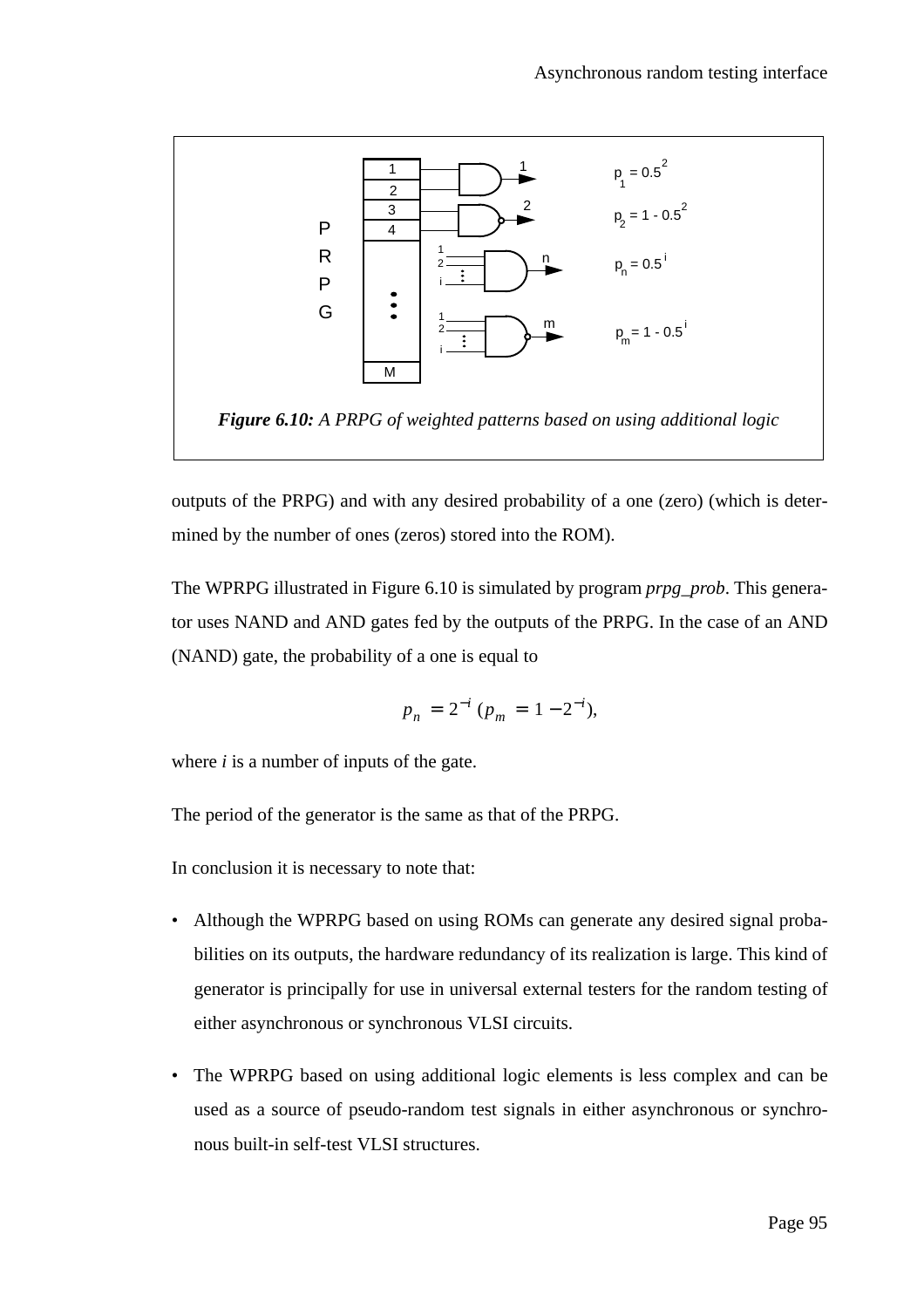

outputs of the PRPG) and with any desired probability of a one (zero) (which is determined by the number of ones (zeros) stored into the ROM).

The WPRPG illustrated in Figure 6.10 is simulated by program *prpg\_prob*. This generator uses NAND and AND gates fed by the outputs of the PRPG. In the case of an AND (NAND) gate, the probability of a one is equal to

$$
p_n = 2^{-i} (p_m = 1 - 2^{-i}),
$$

where *i* is a number of inputs of the gate.

The period of the generator is the same as that of the PRPG.

In conclusion it is necessary to note that:

- Although the WPRPG based on using ROMs can generate any desired signal probabilities on its outputs, the hardware redundancy of its realization is large. This kind of generator is principally for use in universal external testers for the random testing of either asynchronous or synchronous VLSI circuits.
- The WPRPG based on using additional logic elements is less complex and can be used as a source of pseudo-random test signals in either asynchronous or synchronous built-in self-test VLSI structures.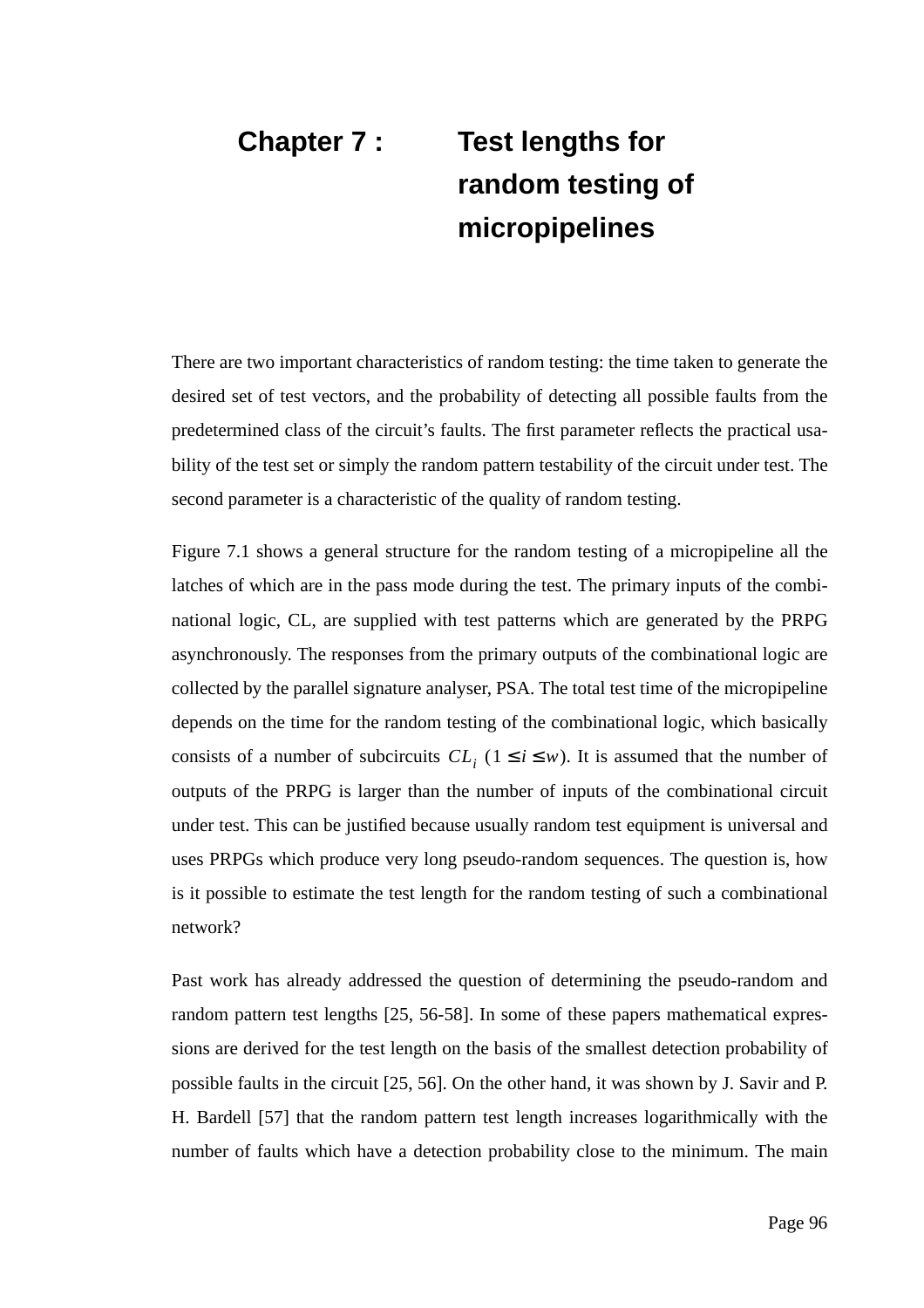# **Chapter 7 : Test lengths for random testing of micropipelines**

There are two important characteristics of random testing: the time taken to generate the desired set of test vectors, and the probability of detecting all possible faults from the predetermined class of the circuit's faults. The first parameter reflects the practical usability of the test set or simply the random pattern testability of the circuit under test. The second parameter is a characteristic of the quality of random testing.

Figure 7.1 shows a general structure for the random testing of a micropipeline all the latches of which are in the pass mode during the test. The primary inputs of the combinational logic, CL, are supplied with test patterns which are generated by the PRPG asynchronously. The responses from the primary outputs of the combinational logic are collected by the parallel signature analyser, PSA. The total test time of the micropipeline depends on the time for the random testing of the combinational logic, which basically consists of a number of subcircuits  $CL_i$  ( $1 \le i \le w$ ). It is assumed that the number of outputs of the PRPG is larger than the number of inputs of the combinational circuit under test. This can be justified because usually random test equipment is universal and uses PRPGs which produce very long pseudo-random sequences. The question is, how is it possible to estimate the test length for the random testing of such a combinational network?

Past work has already addressed the question of determining the pseudo-random and random pattern test lengths [25, 56-58]. In some of these papers mathematical expressions are derived for the test length on the basis of the smallest detection probability of possible faults in the circuit [25, 56]. On the other hand, it was shown by J. Savir and P. H. Bardell [57] that the random pattern test length increases logarithmically with the number of faults which have a detection probability close to the minimum. The main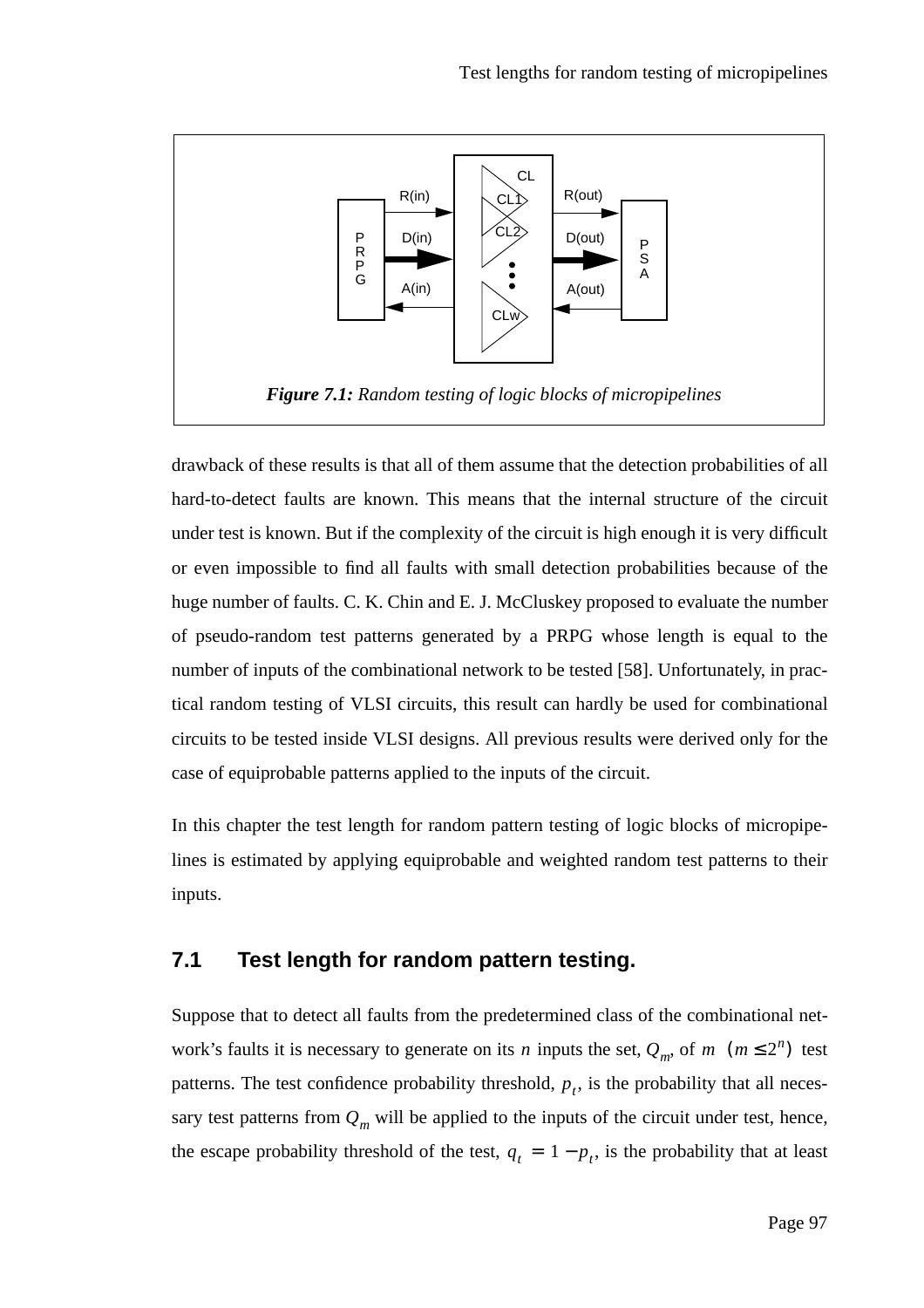![](_page_96_Figure_1.jpeg)

drawback of these results is that all of them assume that the detection probabilities of all hard-to-detect faults are known. This means that the internal structure of the circuit under test is known. But if the complexity of the circuit is high enough it is very difficult or even impossible to find all faults with small detection probabilities because of the huge number of faults. C. K. Chin and E. J. McCluskey proposed to evaluate the number of pseudo-random test patterns generated by a PRPG whose length is equal to the number of inputs of the combinational network to be tested [58]. Unfortunately, in practical random testing of VLSI circuits, this result can hardly be used for combinational circuits to be tested inside VLSI designs. All previous results were derived only for the case of equiprobable patterns applied to the inputs of the circuit.

In this chapter the test length for random pattern testing of logic blocks of micropipelines is estimated by applying equiprobable and weighted random test patterns to their inputs.

# **7.1 Test length for random pattern testing.**

Suppose that to detect all faults from the predetermined class of the combinational network's faults it is necessary to generate on its *n* inputs the set,  $Q_m$ , of *m*  $(m \leq 2^n)$  test patterns. The test confidence probability threshold,  $p_t$ , is the probability that all necessary test patterns from  $Q_m$  will be applied to the inputs of the circuit under test, hence, the escape probability threshold of the test,  $q_t = 1 - p_t$ , is the probability that at least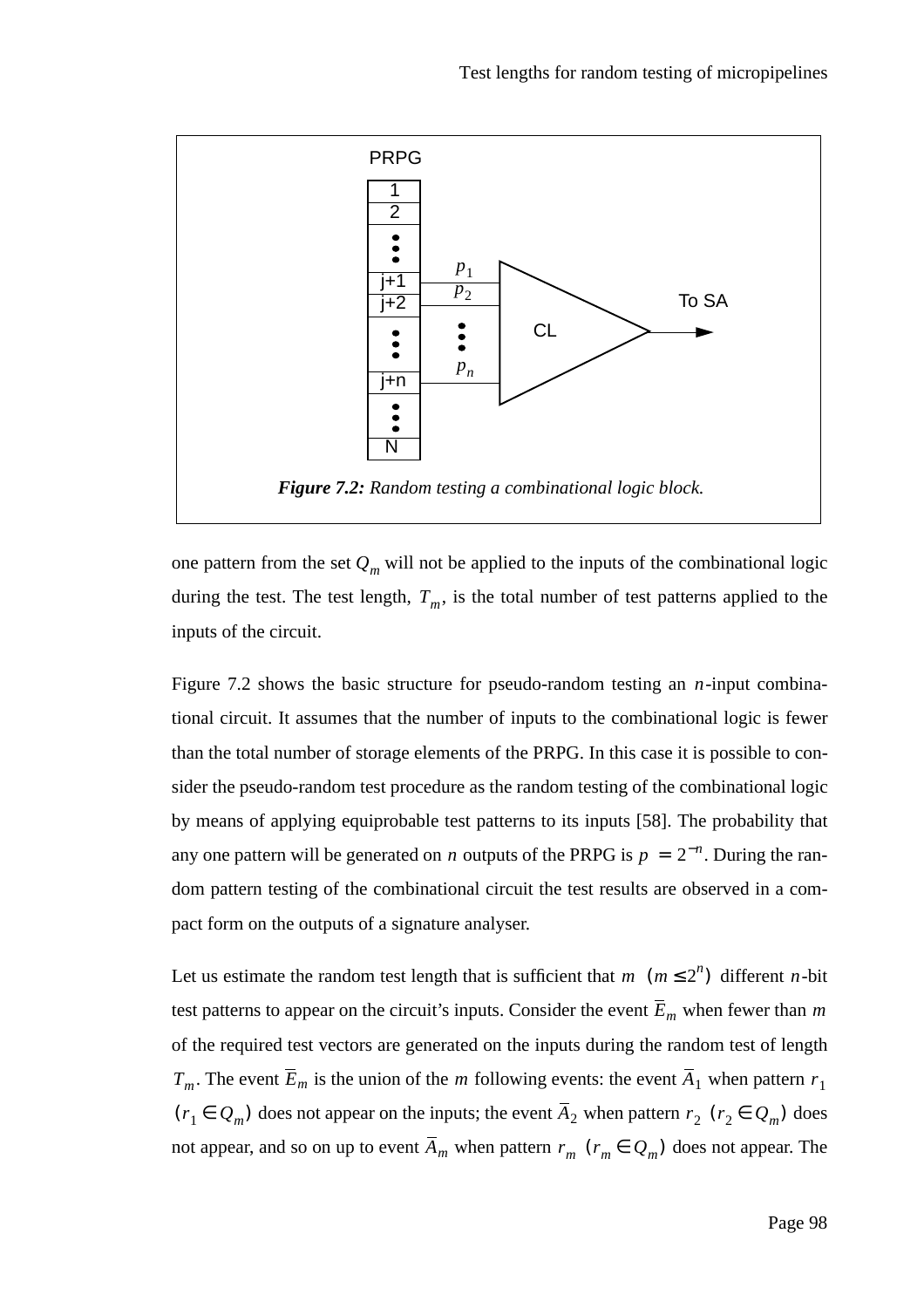![](_page_97_Figure_1.jpeg)

one pattern from the set  $Q_m$  will not be applied to the inputs of the combinational logic during the test. The test length,  $T_m$ , is the total number of test patterns applied to the inputs of the circuit.

Figure 7.2 shows the basic structure for pseudo-random testing an  $n$ -input combinational circuit. It assumes that the number of inputs to the combinational logic is fewer than the total number of storage elements of the PRPG. In this case it is possible to consider the pseudo-random test procedure as the random testing of the combinational logic by means of applying equiprobable test patterns to its inputs [58]. The probability that any one pattern will be generated on *n* outputs of the PRPG is  $p = 2^{-n}$ . During the random pattern testing of the combinational circuit the test results are observed in a compact form on the outputs of a signature analyser.

Let us estimate the random test length that is sufficient that  $m \ (m \leq 2^n)$  different *n*-bit test patterns to appear on the circuit's inputs. Consider the event  $E_m$  when fewer than m of the required test vectors are generated on the inputs during the random test of length  $T_m$ . The event  $E_m$  is the union of the *m* following events: the event  $A_1$  when pattern  $r_1$  $(r_1 \in Q_m)$  does not appear on the inputs; the event  $A_2$  when pattern  $r_2$  ( $r_2 \in Q_m$ ) does not appear, and so on up to event  $A_m$  when pattern  $r_m$  ( $r_m \in Q_m$ ) does not appear. The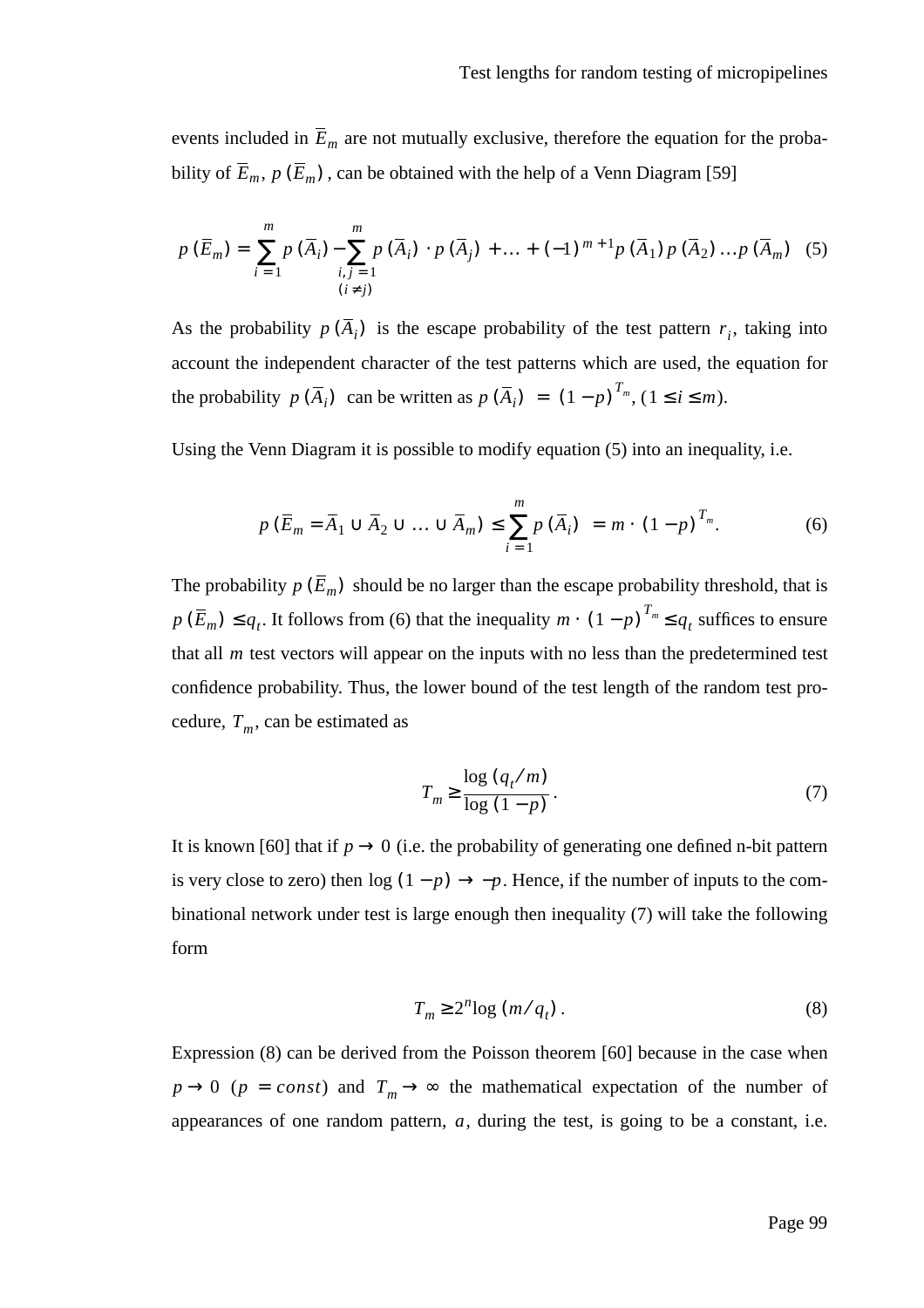events included in  $E_m$  are not mutually exclusive, therefore the equation for the probability of  $E_m$ ,  $p(E_m)$ , can be obtained with the help of a Venn Diagram [59]

$$
p(\overline{E}_m) = \sum_{i=1}^m p(\overline{A}_i) - \sum_{i,j=1}^m p(\overline{A}_i) \cdot p(\overline{A}_j) + \dots + (-1)^{m+1} p(\overline{A}_1) p(\overline{A}_2) \dots p(\overline{A}_m)
$$
 (5)  

$$
(i \neq j)
$$

As the probability  $p(A_i)$  is the escape probability of the test pattern  $r_i$ , taking into account the independent character of the test patterns which are used, the equation for the probability  $p(\overline{A}_i)$  can be written as  $p(\overline{A}_i) = (1-p)^{T_m}, (1 \le i \le m)$ .

Using the Venn Diagram it is possible to modify equation (5) into an inequality, i.e.

$$
p\left(\overline{E}_m = \overline{A}_1 \cup \overline{A}_2 \cup \ldots \cup \overline{A}_m\right) \le \sum_{i=1}^m p\left(\overline{A}_i\right) = m \cdot \left(1 - p\right)^{T_m}.
$$
 (6)

The probability  $p(E_m)$  should be no larger than the escape probability threshold, that is  $p(\overline{E}_m) \le q_t$ . It follows from (6) that the inequality  $m \cdot (1-p)^{T_m} \le q_t$  suffices to ensure that all  $m$  test vectors will appear on the inputs with no less than the predetermined test confidence probability. Thus, the lower bound of the test length of the random test procedure,  $T_m$ , can be estimated as

$$
T_m \ge \frac{\log (q_t/m)}{\log (1-p)}.
$$
\n<sup>(7)</sup>

It is known [60] that if  $p \rightarrow 0$  (i.e. the probability of generating one defined n-bit pattern is very close to zero) then  $\log(1-p) \rightarrow -p$ . Hence, if the number of inputs to the combinational network under test is large enough then inequality (7) will take the following form

$$
T_m \ge 2^n \log \left( m / q_t \right). \tag{8}
$$

Expression (8) can be derived from the Poisson theorem [60] because in the case when  $p \rightarrow 0$  ( $p = const$ ) and  $T_m \rightarrow \infty$  the mathematical expectation of the number of appearances of one random pattern,  $a$ , during the test, is going to be a constant, i.e.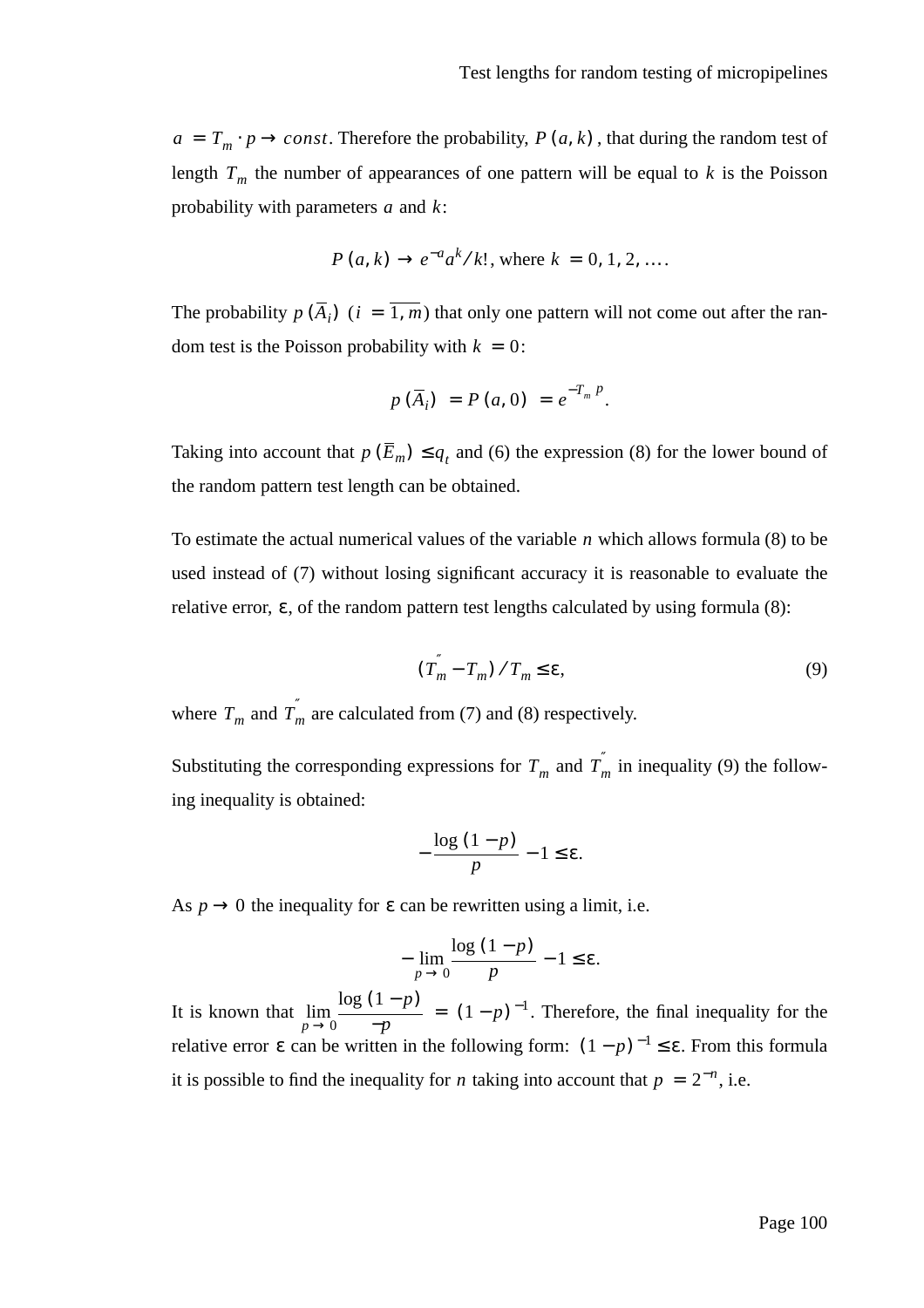$a = T_m \cdot p \rightarrow const.$  Therefore the probability,  $P(a, k)$ , that during the random test of length  $T_m$  the number of appearances of one pattern will be equal to k is the Poisson probability with parameters  $a$  and  $k$ :

$$
P(a, k) \to e^{-a} a^k / k!
$$
, where  $k = 0, 1, 2, ...$ 

The probability  $p(A_i)$  ( $i = 1, m$ ) that only one pattern will not come out after the random test is the Poisson probability with  $k = 0$ :

$$
p(\bar{A}_i) = P(a, 0) = e^{-T_m P}.
$$

Taking into account that  $p(E_m) \leq q_t$  and (6) the expression (8) for the lower bound of the random pattern test length can be obtained.

To estimate the actual numerical values of the variable  $n$  which allows formula  $(8)$  to be used instead of (7) without losing significant accuracy it is reasonable to evaluate the relative error,  $\varepsilon$ , of the random pattern test lengths calculated by using formula (8):

$$
\left(T_m^{\prime} - T_m\right) / T_m \le \varepsilon,\tag{9}
$$

where  $T_m$  and  $T_m^{\prime}$  are calculated from (7) and (8) respectively.

Substituting the corresponding expressions for  $T_m$  and  $T_m$  in inequality (9) the following inequality is obtained:

$$
-\frac{\log(1-p)}{p}-1\leq \varepsilon.
$$

As  $p \rightarrow 0$  the inequality for  $\varepsilon$  can be rewritten using a limit, i.e.

$$
-\lim_{p\to 0}\frac{\log(1-p)}{p}-1\leq \varepsilon.
$$

It is known that  $\lim_{n \to \infty} \frac{\log (1-p)}{n} = (1-p)^{-1}$ . Therefore, the final inequality for the relative error  $\varepsilon$  can be written in the following form:  $(1-p)^{-1} \le \varepsilon$ . From this formula it is possible to find the inequality for *n* taking into account that  $p = 2^{-n}$ , i.e. log (1 − *p*)  $\lim_{p \to 0} \frac{\log (1 - p)}{-p} = (1 - p)^{-1}$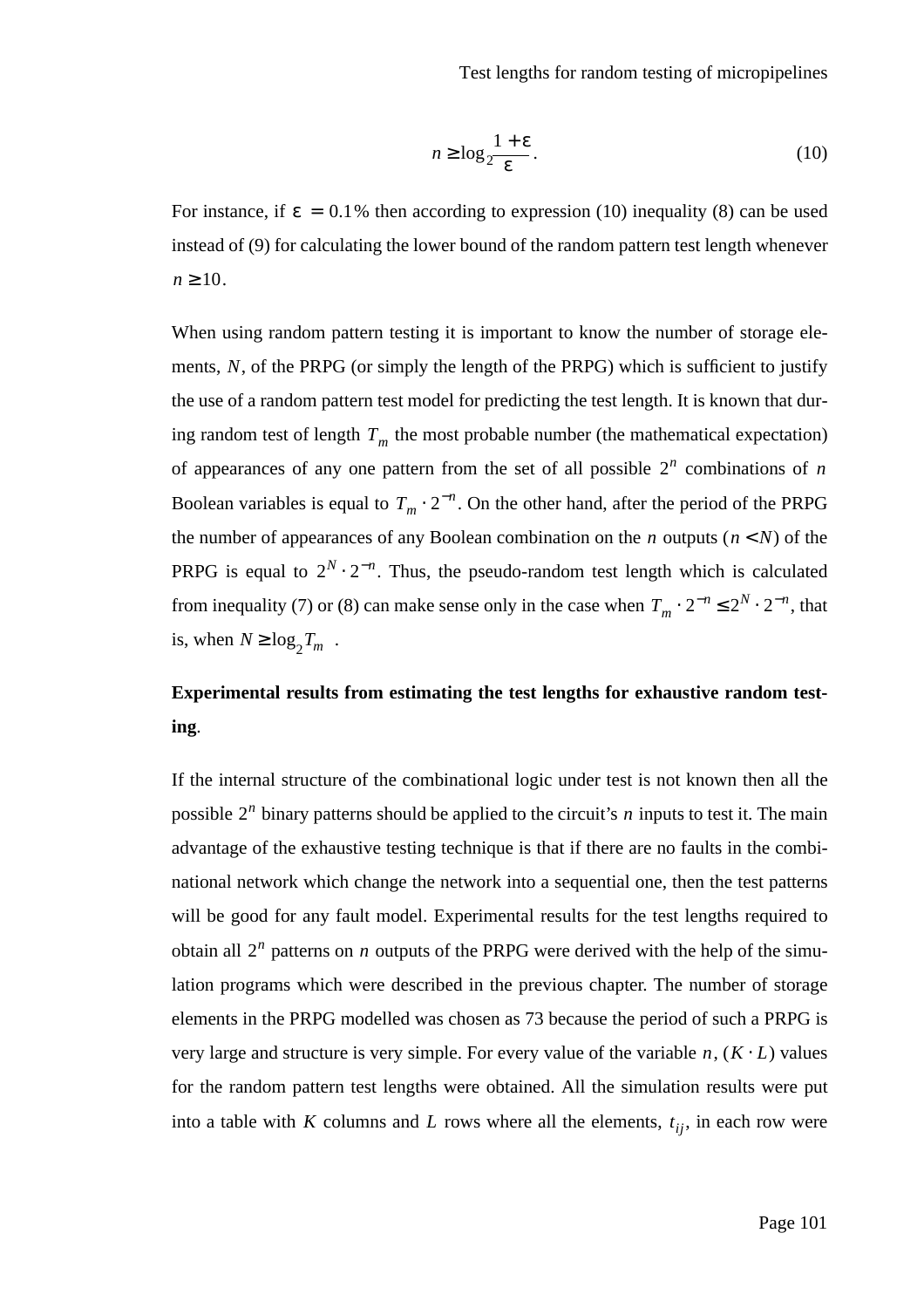$$
n \ge \log_2 \frac{1+\varepsilon}{\varepsilon}.\tag{10}
$$

For instance, if  $\varepsilon = 0.1\%$  then according to expression (10) inequality (8) can be used instead of (9) for calculating the lower bound of the random pattern test length whenever  $n \geq 10$ .

When using random pattern testing it is important to know the number of storage elements, N, of the PRPG (or simply the length of the PRPG) which is sufficient to justify the use of a random pattern test model for predicting the test length. It is known that during random test of length  $T_m$  the most probable number (the mathematical expectation) of appearances of any one pattern from the set of all possible  $2^n$  combinations of *n* Boolean variables is equal to  $T_m \cdot 2^{-n}$ . On the other hand, after the period of the PRPG the number of appearances of any Boolean combination on the *n* outputs  $(n < N)$  of the PRPG is equal to  $2^N \cdot 2^{-n}$ . Thus, the pseudo-random test length which is calculated from inequality (7) or (8) can make sense only in the case when  $T_m \cdot 2^{-n} \le 2^N \cdot 2^{-n}$ , that is, when  $N \ge \log_2 T_m$ .

# **Experimental results from estimating the test lengths for exhaustive random testing**.

If the internal structure of the combinational logic under test is not known then all the possible  $2^n$  binary patterns should be applied to the circuit's *n* inputs to test it. The main advantage of the exhaustive testing technique is that if there are no faults in the combinational network which change the network into a sequential one, then the test patterns will be good for any fault model. Experimental results for the test lengths required to obtain all  $2^n$  patterns on *n* outputs of the PRPG were derived with the help of the simulation programs which were described in the previous chapter. The number of storage elements in the PRPG modelled was chosen as 73 because the period of such a PRPG is very large and structure is very simple. For every value of the variable  $n$ ,  $(K \cdot L)$  values for the random pattern test lengths were obtained. All the simulation results were put into a table with K columns and L rows where all the elements,  $t_{ij}$ , in each row were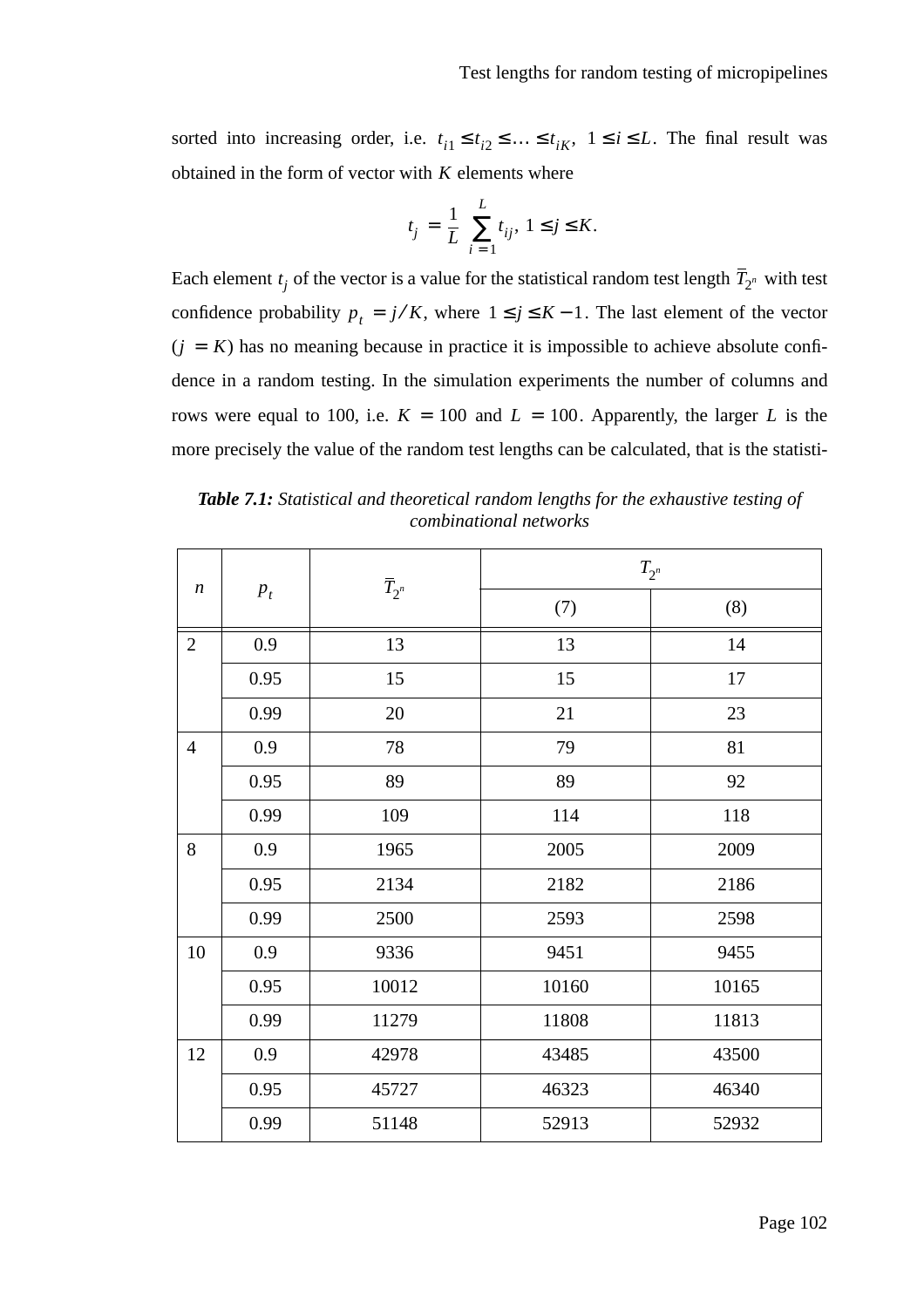sorted into increasing order, i.e.  $t_{i1} \leq t_{i2} \leq \ldots \leq t_{iK}$ ,  $1 \leq i \leq L$ . The final result was obtained in the form of vector with  $K$  elements where

$$
t_j=\frac{1}{L}\sum_{i=1}^L t_{ij},\ 1\leq j\leq K.
$$

Each element  $t_j$  of the vector is a value for the statistical random test length  $T_{2^n}$  with test confidence probability  $p_t = j/K$ , where  $1 \le j \le K - 1$ . The last element of the vector  $(j = K)$  has no meaning because in practice it is impossible to achieve absolute confidence in a random testing. In the simulation experiments the number of columns and rows were equal to 100, i.e.  $K = 100$  and  $L = 100$ . Apparently, the larger L is the more precisely the value of the random test lengths can be calculated, that is the statisti*-*

*Table 7.1: Statistical and theoretical random lengths for the exhaustive testing of combinational networks*

| $\boldsymbol{n}$ | $p_t$ | $\overline{T}_{2^n}$ | $T_{2^n}$ |       |  |
|------------------|-------|----------------------|-----------|-------|--|
|                  |       |                      | (7)       | (8)   |  |
| $\overline{2}$   | 0.9   | 13                   | 13        | 14    |  |
|                  | 0.95  | 15                   | 15        | 17    |  |
|                  | 0.99  | 20                   | 21        | 23    |  |
| $\overline{4}$   | 0.9   | 78                   | 79        | 81    |  |
|                  | 0.95  | 89                   | 89        | 92    |  |
|                  | 0.99  | 109                  | 114       | 118   |  |
| 8                | 0.9   | 1965                 | 2005      | 2009  |  |
|                  | 0.95  | 2134                 | 2182      | 2186  |  |
|                  | 0.99  | 2500                 | 2593      | 2598  |  |
| 10               | 0.9   | 9336                 | 9451      | 9455  |  |
|                  | 0.95  | 10012                | 10160     | 10165 |  |
|                  | 0.99  | 11279                | 11808     | 11813 |  |
| 12               | 0.9   | 42978                | 43485     | 43500 |  |
|                  | 0.95  | 45727                | 46323     | 46340 |  |
|                  | 0.99  | 51148                | 52913     | 52932 |  |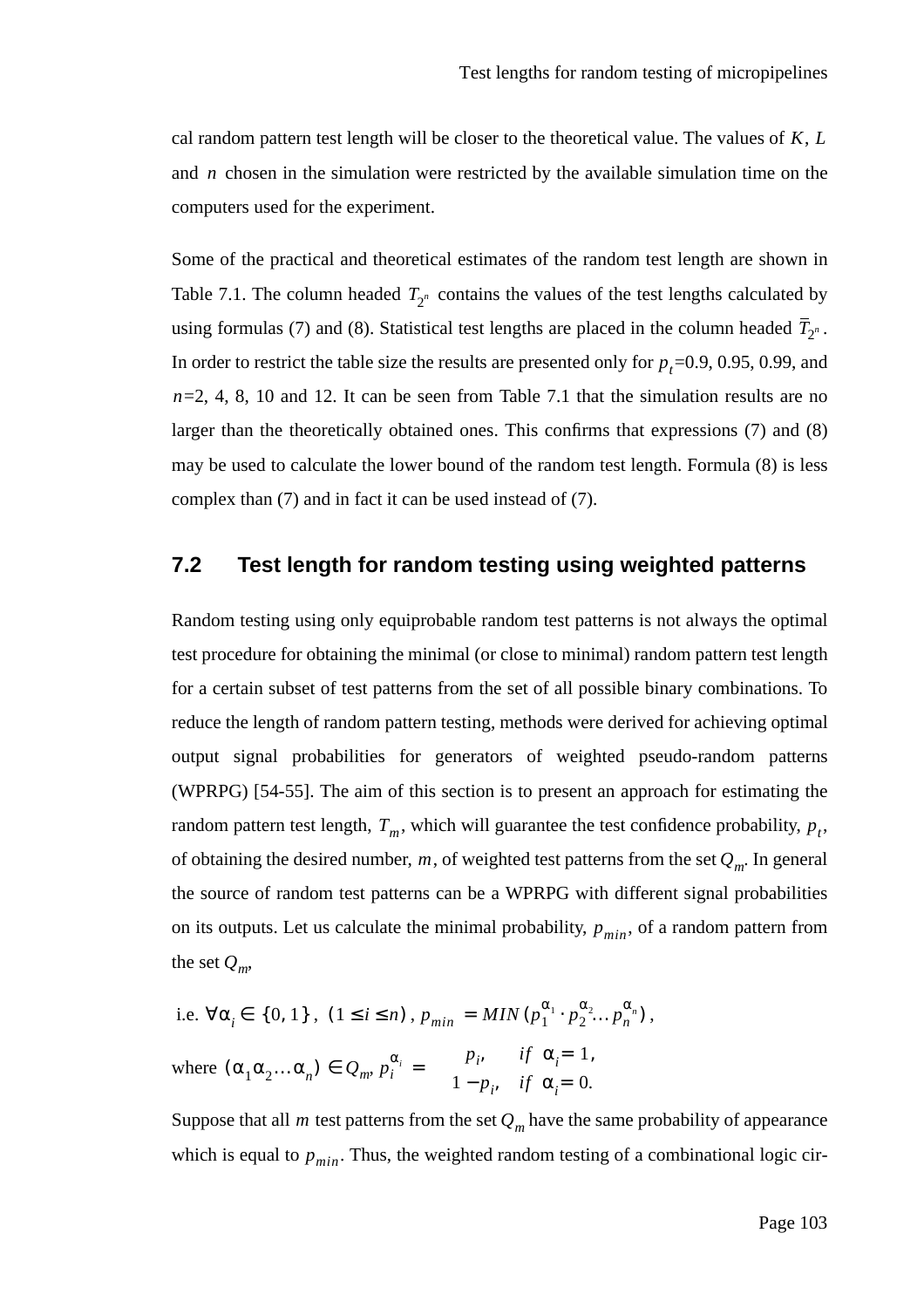cal random pattern test length will be closer to the theoretical value. The values of  $K, L$ and  $n$  chosen in the simulation were restricted by the available simulation time on the computers used for the experiment.

Some of the practical and theoretical estimates of the random test length are shown in Table 7.1. The column headed  $T_{2^n}$  contains the values of the test lengths calculated by using formulas (7) and (8). Statistical test lengths are placed in the column headed  $T_{2^n}$ . In order to restrict the table size the results are presented only for  $p_t$ =0.9, 0.95, 0.99, and =2, 4, 8, 10 and 12. It can be seen from Table 7.1 that the simulation results are no *n* larger than the theoretically obtained ones. This confirms that expressions (7) and (8) may be used to calculate the lower bound of the random test length. Formula (8) is less complex than (7) and in fact it can be used instead of (7).

### **7.2 Test length for random testing using weighted patterns**

Random testing using only equiprobable random test patterns is not always the optimal test procedure for obtaining the minimal (or close to minimal) random pattern test length for a certain subset of test patterns from the set of all possible binary combinations. To reduce the length of random pattern testing, methods were derived for achieving optimal output signal probabilities for generators of weighted pseudo-random patterns (WPRPG) [54-55]. The aim of this section is to present an approach for estimating the random pattern test length,  $T_m$ , which will guarantee the test confidence probability,  $p_t$ , of obtaining the desired number, m, of weighted test patterns from the set  $Q_m$ . In general the source of random test patterns can be a WPRPG with different signal probabilities on its outputs. Let us calculate the minimal probability,  $p_{min}$ , of a random pattern from the set  $Q_m$ ,

i.e. 
$$
\forall \alpha_i \in \{0, 1\}
$$
,  $(1 \le i \le n)$ ,  $p_{min} = MIN(p_1^{\alpha_1} \cdot p_2^{\alpha_2} \dots p_n^{\alpha_n})$ ,  
where  $(\alpha_1 \alpha_2 \dots \alpha_n) \in Q_m$ ,  $p_i^{\alpha_i} = \begin{cases} p_i & \text{if } \alpha_i = 1, \\ 1 - p_i & \text{if } \alpha_i = 0. \end{cases}$ 

Suppose that all *m* test patterns from the set  $Q_m$  have the same probability of appearance which is equal to  $p_{min}$ . Thus, the weighted random testing of a combinational logic cir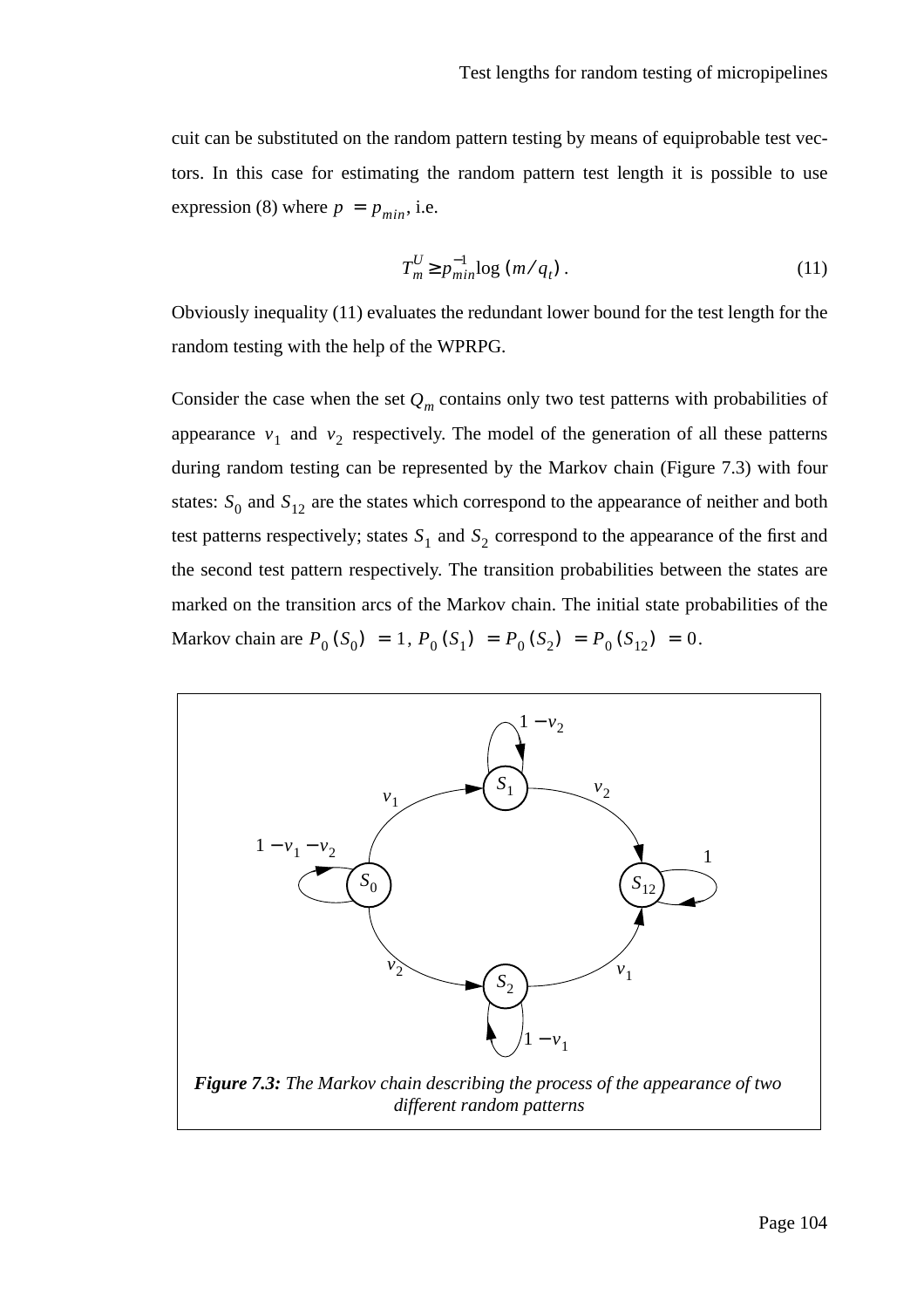cuit can be substituted on the random pattern testing by means of equiprobable test vectors. In this case for estimating the random pattern test length it is possible to use expression (8) where  $p = p_{min}$ , i.e.

$$
T_m^U \ge p_{min}^{-1} \log \left( m / q_t \right). \tag{11}
$$

Obviously inequality (11) evaluates the redundant lower bound for the test length for the random testing with the help of the WPRPG.

Consider the case when the set  $Q_m$  contains only two test patterns with probabilities of appearance  $v_1$  and  $v_2$  respectively. The model of the generation of all these patterns during random testing can be represented by the Markov chain (Figure 7.3) with four states:  $S_0$  and  $S_{12}$  are the states which correspond to the appearance of neither and both test patterns respectively; states  $S_1$  and  $S_2$  correspond to the appearance of the first and the second test pattern respectively. The transition probabilities between the states are marked on the transition arcs of the Markov chain. The initial state probabilities of the Markov chain are  $P_0(S_0) = 1$ ,  $P_0(S_1) = P_0(S_2) = P_0(S_{12}) = 0$ .

![](_page_103_Figure_5.jpeg)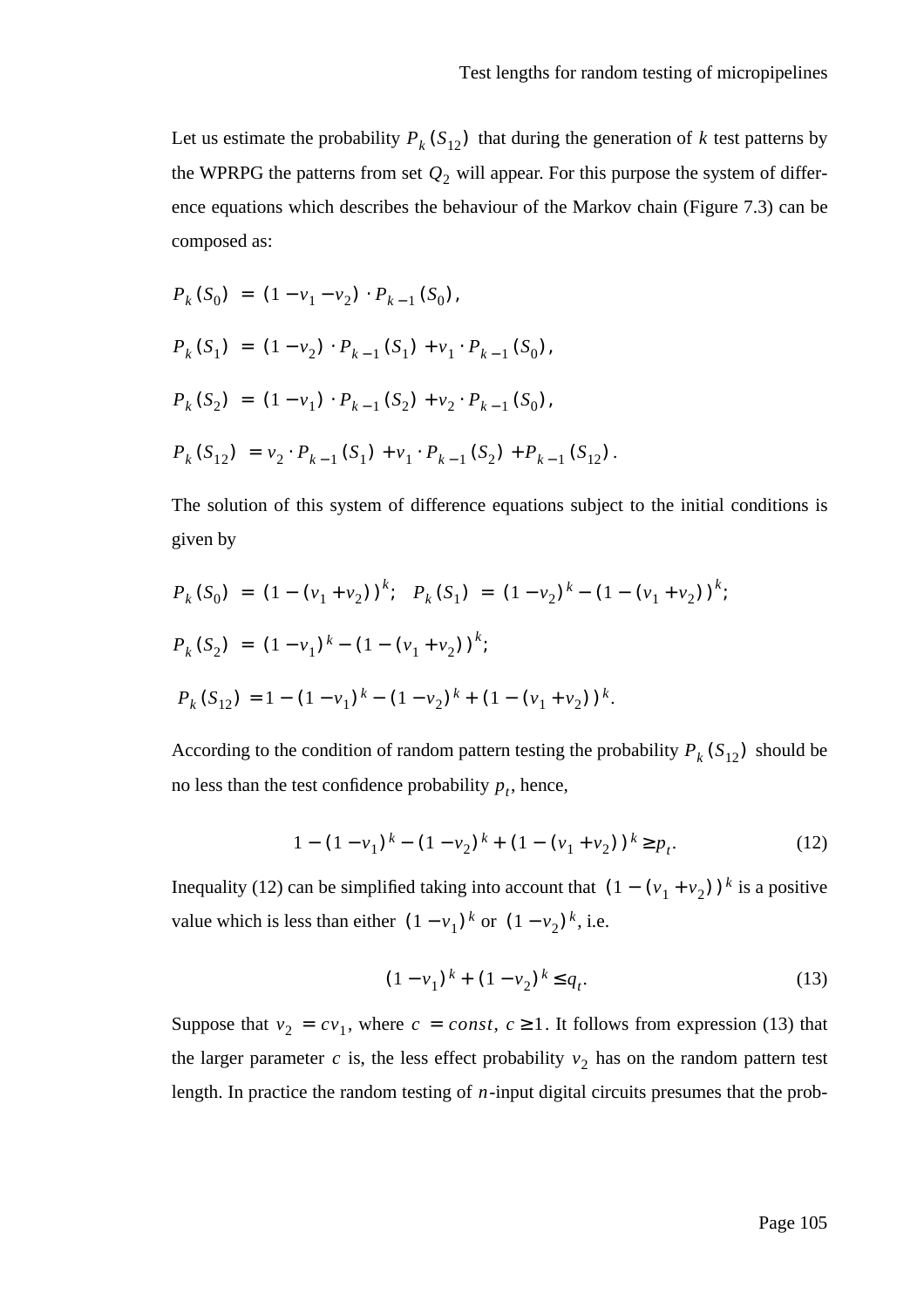Let us estimate the probability  $P_k(S_{12})$  that during the generation of k test patterns by the WPRPG the patterns from set  $Q_2$  will appear. For this purpose the system of difference equations which describes the behaviour of the Markov chain (Figure 7.3) can be composed as:

$$
P_k(S_0) = (1 - v_1 - v_2) \cdot P_{k-1}(S_0),
$$
  
\n
$$
P_k(S_1) = (1 - v_2) \cdot P_{k-1}(S_1) + v_1 \cdot P_{k-1}(S_0),
$$
  
\n
$$
P_k(S_2) = (1 - v_1) \cdot P_{k-1}(S_2) + v_2 \cdot P_{k-1}(S_0),
$$
  
\n
$$
P_k(S_{12}) = v_2 \cdot P_{k-1}(S_1) + v_1 \cdot P_{k-1}(S_2) + P_{k-1}(S_{12}).
$$

The solution of this system of difference equations subject to the initial conditions is given by

$$
P_k(S_0) = (1 - (v_1 + v_2))^{k}; \quad P_k(S_1) = (1 - v_2)^{k} - (1 - (v_1 + v_2))^{k};
$$
  
\n
$$
P_k(S_2) = (1 - v_1)^{k} - (1 - (v_1 + v_2))^{k};
$$
  
\n
$$
P_k(S_{12}) = 1 - (1 - v_1)^{k} - (1 - v_2)^{k} + (1 - (v_1 + v_2))^{k}.
$$

According to the condition of random pattern testing the probability  $P_k(S_{12})$  should be no less than the test confidence probability  $p_t$ , hence,

$$
1 - (1 - v_1)^k - (1 - v_2)^k + (1 - (v_1 + v_2))^k \ge p_t.
$$
 (12)

Inequality (12) can be simplified taking into account that  $(1 - (v_1 + v_2))^k$  is a positive value which is less than either  $(1 - v_1)^k$  or  $(1 - v_2)^k$ , i.e.

$$
(1 - v_1)^k + (1 - v_2)^k \le q_t.
$$
 (13)

Suppose that  $v_2 = cv_1$ , where  $c = const$ ,  $c \ge 1$ . It follows from expression (13) that the larger parameter c is, the less effect probability  $v_2$  has on the random pattern test length. In practice the random testing of  $n$ -input digital circuits presumes that the prob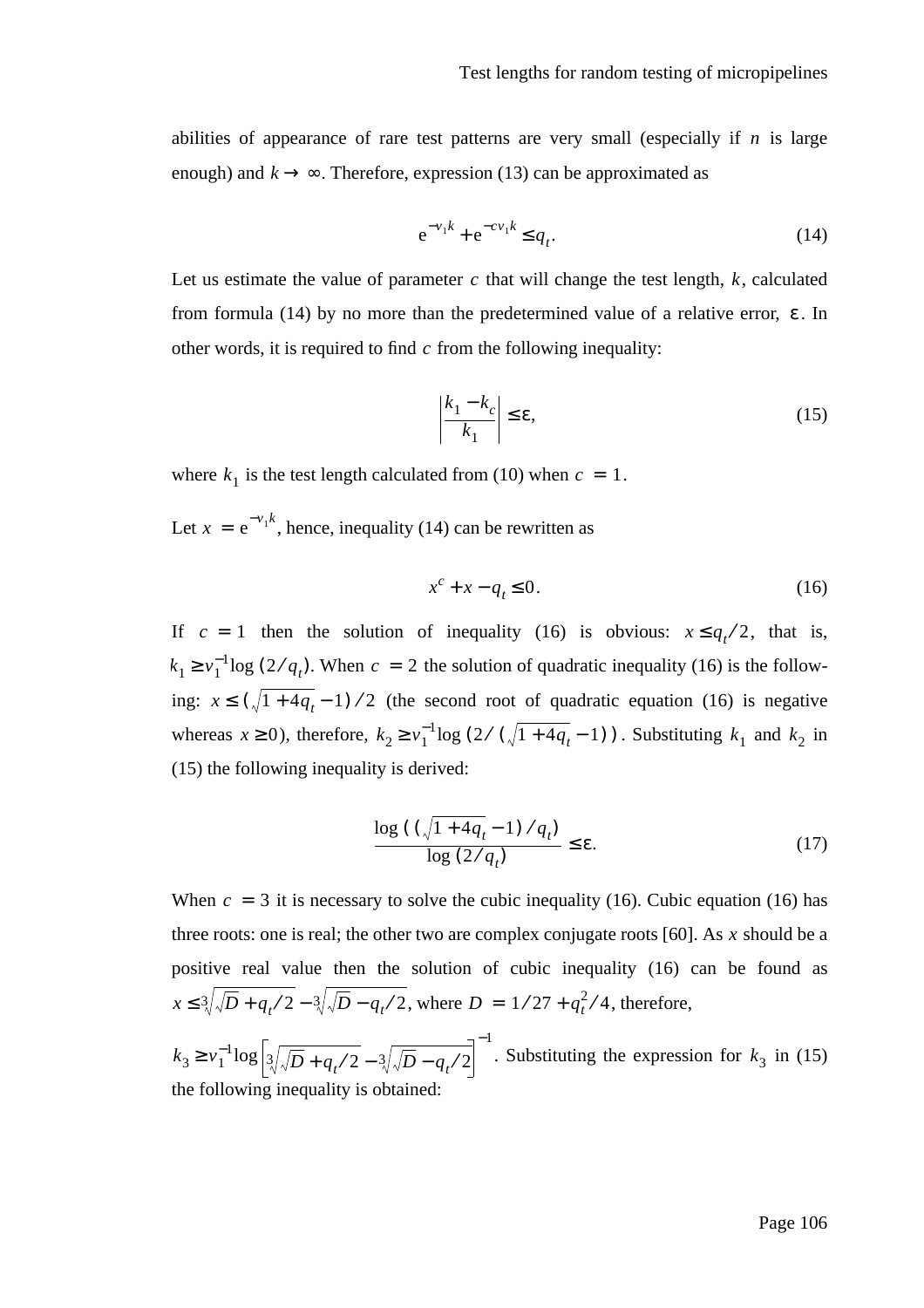abilities of appearance of rare test patterns are very small (especially if  $n$  is large enough) and  $k \rightarrow \infty$ . Therefore, expression (13) can be approximated as

$$
e^{-\nu_1 k} + e^{-c\nu_1 k} \le q_t.
$$
 (14)

Let us estimate the value of parameter  $c$  that will change the test length,  $k$ , calculated from formula (14) by no more than the predetermined value of a relative error,  $\varepsilon$ . In other words, it is required to find  $c$  from the following inequality:

$$
\left|\frac{k_1 - k_c}{k_1}\right| \le \varepsilon,\tag{15}
$$

where  $k_1$  is the test length calculated from (10) when  $c = 1$ .

Let  $x = e^{-v_1 k}$ , hence, inequality (14) can be rewritten as

$$
x^c + x - q_t \le 0. \tag{16}
$$

If  $c = 1$  then the solution of inequality (16) is obvious:  $x \leq q_t/2$ , that is,  $k_1 \ge v_1^{-1} \log (2/q_t)$ . When  $c = 2$  the solution of quadratic inequality (16) is the following:  $x \le (\sqrt{1 + 4q_t} - 1) / 2$  (the second root of quadratic equation (16) is negative whereas  $x \ge 0$ ), therefore,  $k_2 \ge v_1^{-1} \log (2/(\sqrt{1+4q_t}-1))$ . Substituting  $k_1$  and  $k_2$  in (15) the following inequality is derived:

$$
\frac{\log\left(\left(\sqrt{1+4q_t}-1\right)/q_t\right)}{\log\left(2/q_t\right)} \leq \varepsilon.
$$
\n(17)

When  $c = 3$  it is necessary to solve the cubic inequality (16). Cubic equation (16) has three roots: one is real; the other two are complex conjugate roots  $[60]$ . As x should be a positive real value then the solution of cubic inequality (16) can be found as  $x \leq \sqrt[3]{\sqrt{D} + q_t/2} - \sqrt[3]{\sqrt{D} - q_t/2}$ , where  $D = 1/27 + q_t^2/4$ , therefore,

 $k_3 \ge v_1^{-1} \log \left| \sqrt[3]{\sqrt{D} + q_t/2} - \sqrt[3]{\sqrt{D} - q_t/2} \right|$ . Substituting the expression for  $k_3$  in (15) the following inequality is obtained: −1  $\geq v_1^{-1} \log |3/\sqrt{D} + q_{\star}/2 - 3/\sqrt{D} - q_{\star}/2|$ . Substituting the expression for  $k_3$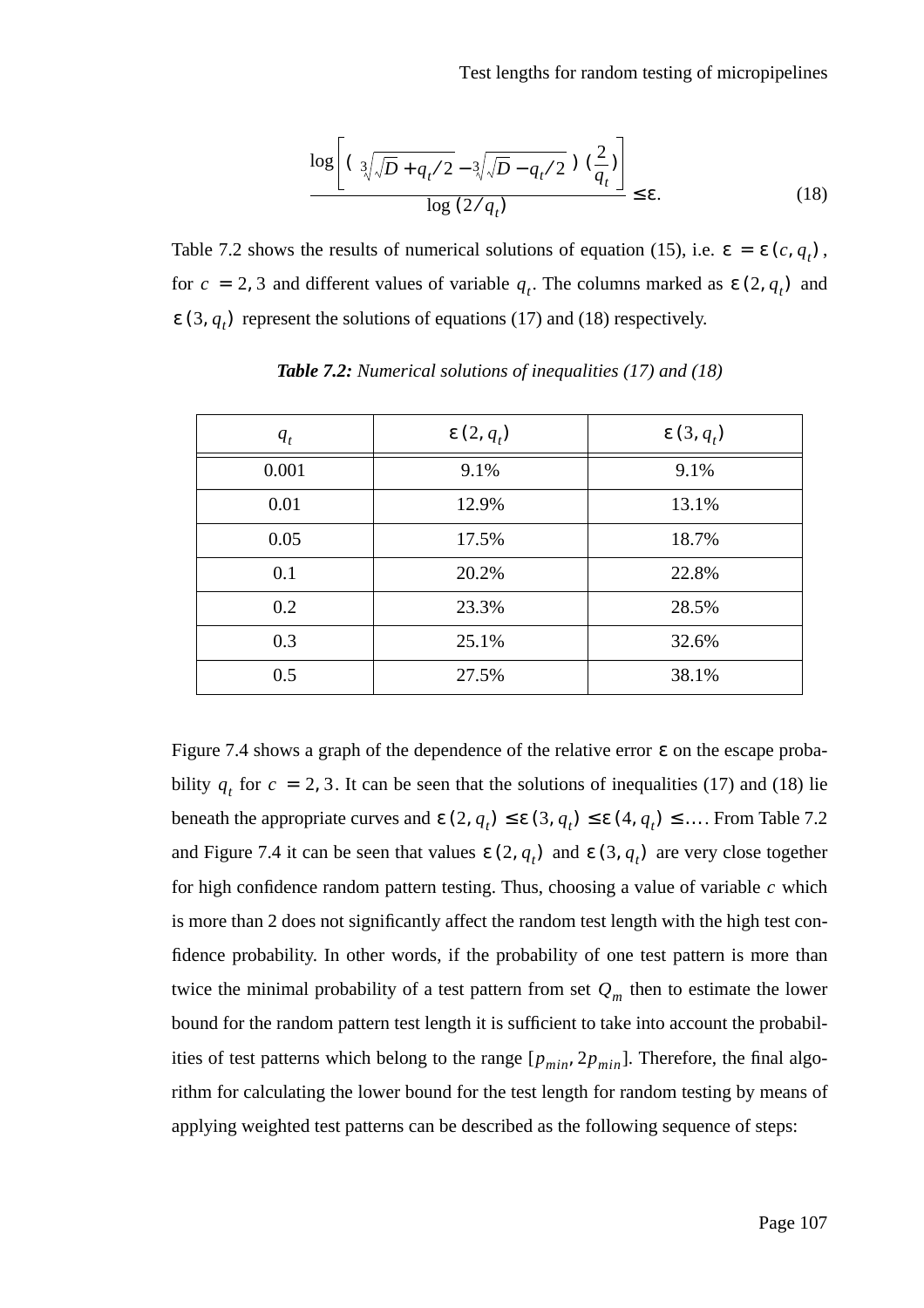$$
\frac{\log\left[\left(\sqrt[3]{\sqrt{D}+q_t/2}-\sqrt[3]{\sqrt{D}-q_t/2}\right)\left(\frac{2}{q_t}\right)\right]}{\log\left(\frac{2}{q_t}\right)} \leq \varepsilon.
$$
\n(18)

Table 7.2 shows the results of numerical solutions of equation (15), i.e.  $\varepsilon = \varepsilon (c, q_t)$ , for  $c = 2, 3$  and different values of variable  $q_t$ . The columns marked as  $\varepsilon(2, q_t)$  and  $\varepsilon$  (3,  $q_t$ ) represent the solutions of equations (17) and (18) respectively.

| $q_t$ | $\epsilon(2,q_t)$ | $\epsilon(3, q_t)$ |
|-------|-------------------|--------------------|
| 0.001 | 9.1%              | 9.1%               |
| 0.01  | 12.9%             | 13.1%              |
| 0.05  | 17.5%             | 18.7%              |
| 0.1   | 20.2%             | 22.8%              |
| 0.2   | 23.3%             | 28.5%              |
| 0.3   | 25.1%             | 32.6%              |
| 0.5   | 27.5%             | 38.1%              |

*Table 7.2: Numerical solutions of inequalities (17) and (18)*

Figure 7.4 shows a graph of the dependence of the relative error  $\varepsilon$  on the escape probability  $q_t$  for  $c = 2, 3$ . It can be seen that the solutions of inequalities (17) and (18) lie beneath the appropriate curves and  $\epsilon(2, q_t) \leq \epsilon(3, q_t) \leq \epsilon(4, q_t) \leq \dots$  From Table 7.2 and Figure 7.4 it can be seen that values  $\varepsilon(2, q_t)$  and  $\varepsilon(3, q_t)$  are very close together for high confidence random pattern testing. Thus, choosing a value of variable  $c$  which is more than 2 does not significantly affect the random test length with the high test confidence probability. In other words, if the probability of one test pattern is more than twice the minimal probability of a test pattern from set  $Q_m$  then to estimate the lower bound for the random pattern test length it is sufficient to take into account the probabilities of test patterns which belong to the range  $[p_{min}, 2p_{min}]$ . Therefore, the final algorithm for calculating the lower bound for the test length for random testing by means of applying weighted test patterns can be described as the following sequence of steps: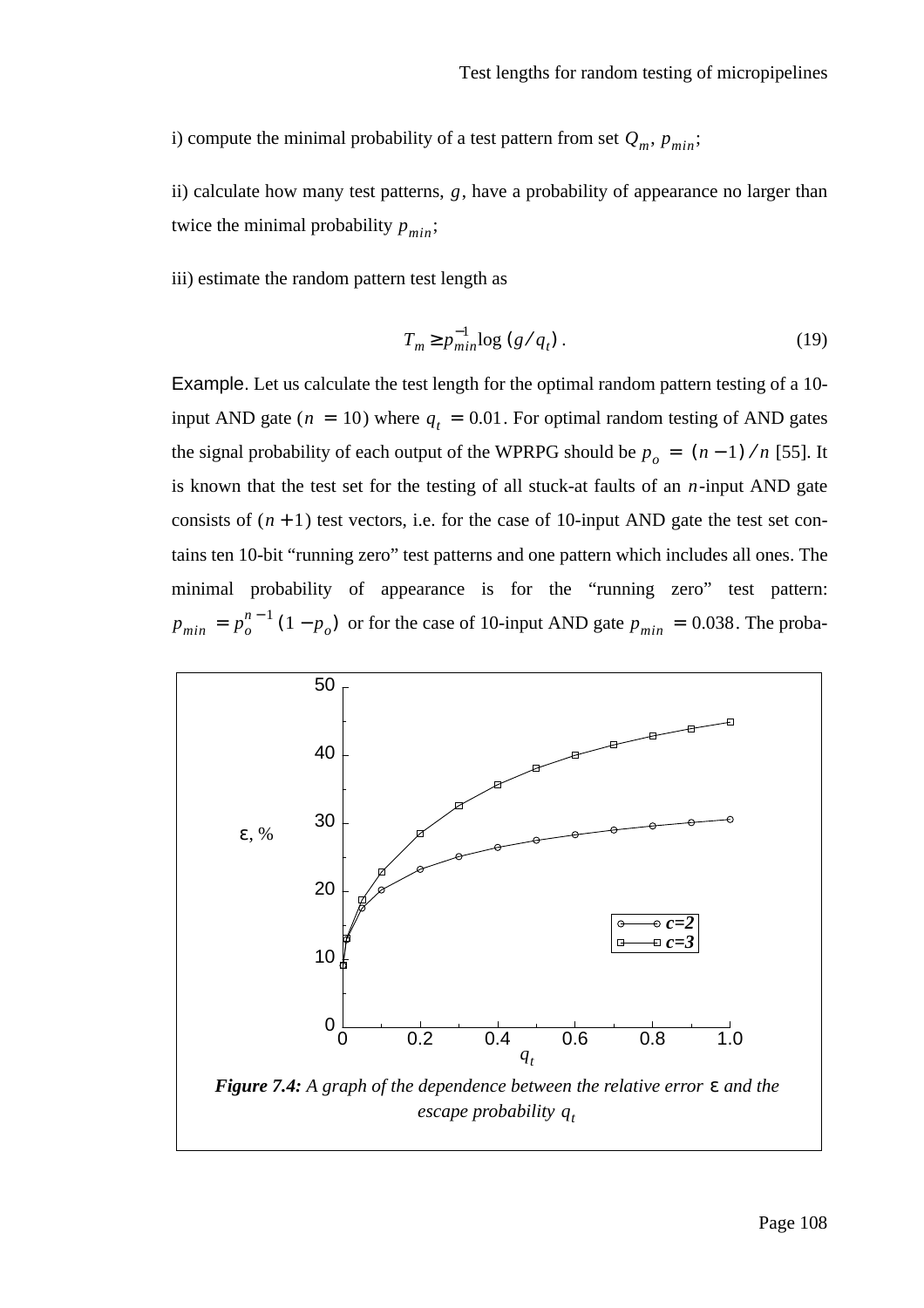i) compute the minimal probability of a test pattern from set  $Q_m$ ,  $p_{min}$ ;

ii) calculate how many test patterns, g, have a probability of appearance no larger than twice the minimal probability  $p_{min}$ ;

iii) estimate the random pattern test length as

$$
T_m \ge p_{min}^{-1} \log \left( g / q_t \right). \tag{19}
$$

Example. Let us calculate the test length for the optimal random pattern testing of a 10 input AND gate ( $n = 10$ ) where  $q_t = 0.01$ . For optimal random testing of AND gates the signal probability of each output of the WPRPG should be  $p_o = (n-1) / n$  [55]. It is known that the test set for the testing of all stuck-at faults of an  $n$ -input AND gate consists of  $(n + 1)$  test vectors, i.e. for the case of 10-input AND gate the test set contains ten 10-bit "running zero" test patterns and one pattern which includes all ones. The minimal probability of appearance is for the "running zero" test pattern:  $p_{min} = p_o^{n-1} (1 - p_o)$  or for the case of 10-input AND gate  $p_{min} = 0.038$ . The proba-

![](_page_107_Figure_6.jpeg)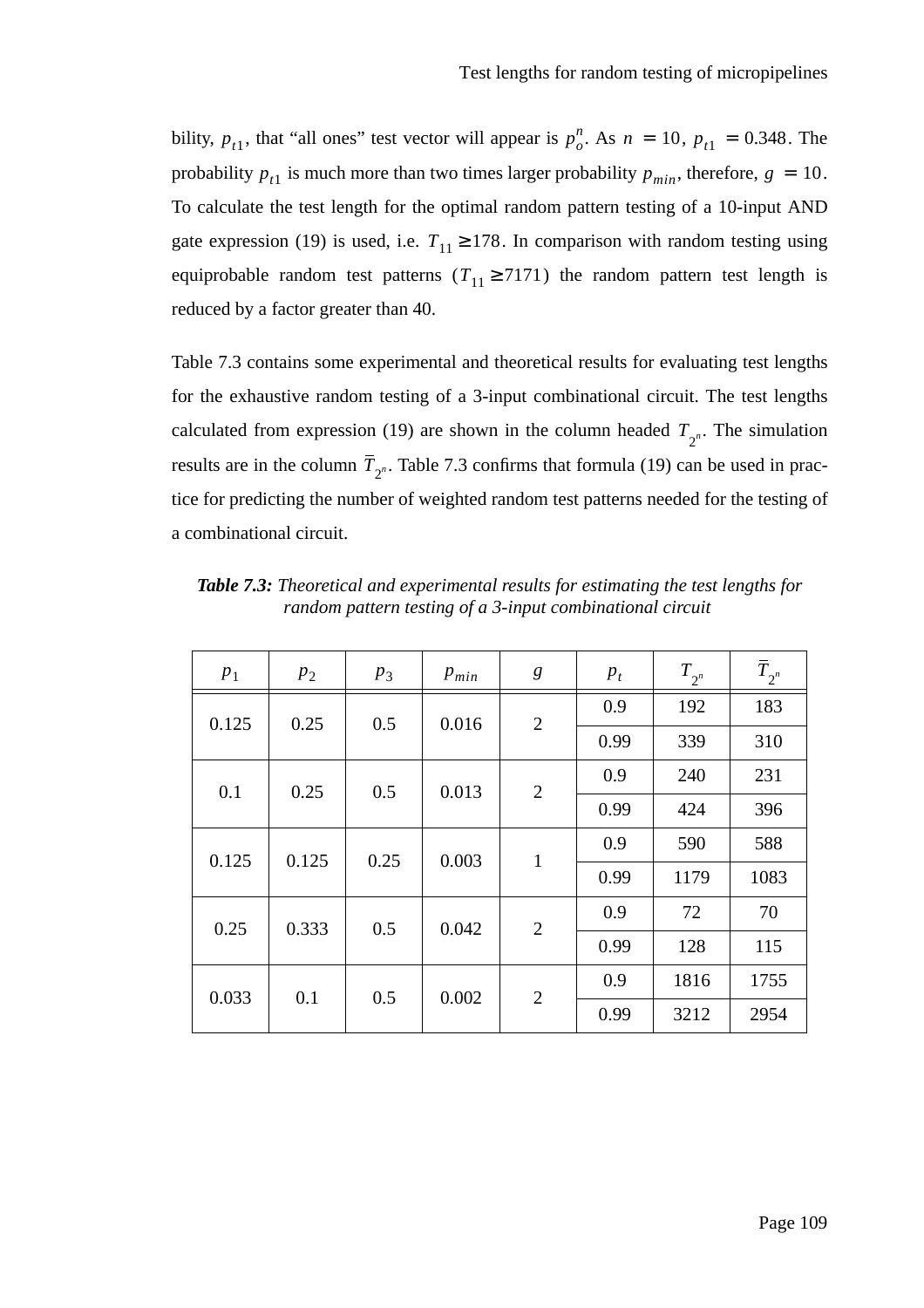bility,  $p_{t_1}$ , that "all ones" test vector will appear is  $p_o^n$ . As  $n = 10$ ,  $p_{t_1} = 0.348$ . The probability  $p_{t1}$  is much more than two times larger probability  $p_{min}$ , therefore,  $g = 10$ . To calculate the test length for the optimal random pattern testing of a 10-input AND gate expression (19) is used, i.e.  $T_{11} \ge 178$ . In comparison with random testing using equiprobable random test patterns  $(T_{11} \geq 7171)$  the random pattern test length is reduced by a factor greater than 40.

Table 7.3 contains some experimental and theoretical results for evaluating test lengths for the exhaustive random testing of a 3-input combinational circuit. The test lengths calculated from expression (19) are shown in the column headed  $T_{2^n}$ . The simulation results are in the column  $T_{2^n}$ . Table 7.3 confirms that formula (19) can be used in practice for predicting the number of weighted random test patterns needed for the testing of a combinational circuit.

| $P_1$ | $p_2$ | $p_3$ | $p_{min}$ | g              | $p_t$ | $T_{2^n}$ | $\overline{T}_{2^n}$ |  |
|-------|-------|-------|-----------|----------------|-------|-----------|----------------------|--|
| 0.125 | 0.25  | 0.5   | 0.016     | $\overline{2}$ | 0.9   | 192       | 183                  |  |
|       |       |       |           |                | 0.99  | 339       | 310                  |  |
| 0.1   | 0.25  | 0.5   | 0.013     | $\overline{2}$ | 0.9   | 240       | 231                  |  |
|       |       |       |           |                | 0.99  | 424       | 396                  |  |
| 0.125 | 0.125 | 0.25  | 0.003     | $\mathbf{1}$   | 0.9   | 590       | 588                  |  |
|       |       |       |           |                | 0.99  | 1179      | 1083                 |  |
| 0.25  | 0.333 | 0.5   | 0.042     | $\overline{2}$ | 0.9   | 72        | 70                   |  |
|       |       |       |           |                | 0.99  | 128       | 115                  |  |
| 0.033 | 0.1   | 0.5   | 0.002     | $\overline{2}$ | 0.9   | 1816      | 1755                 |  |
|       |       |       |           |                | 0.99  | 3212      | 2954                 |  |

*Table 7.3: Theoretical and experimental results for estimating the test lengths for random pattern testing of a 3-input combinational circuit*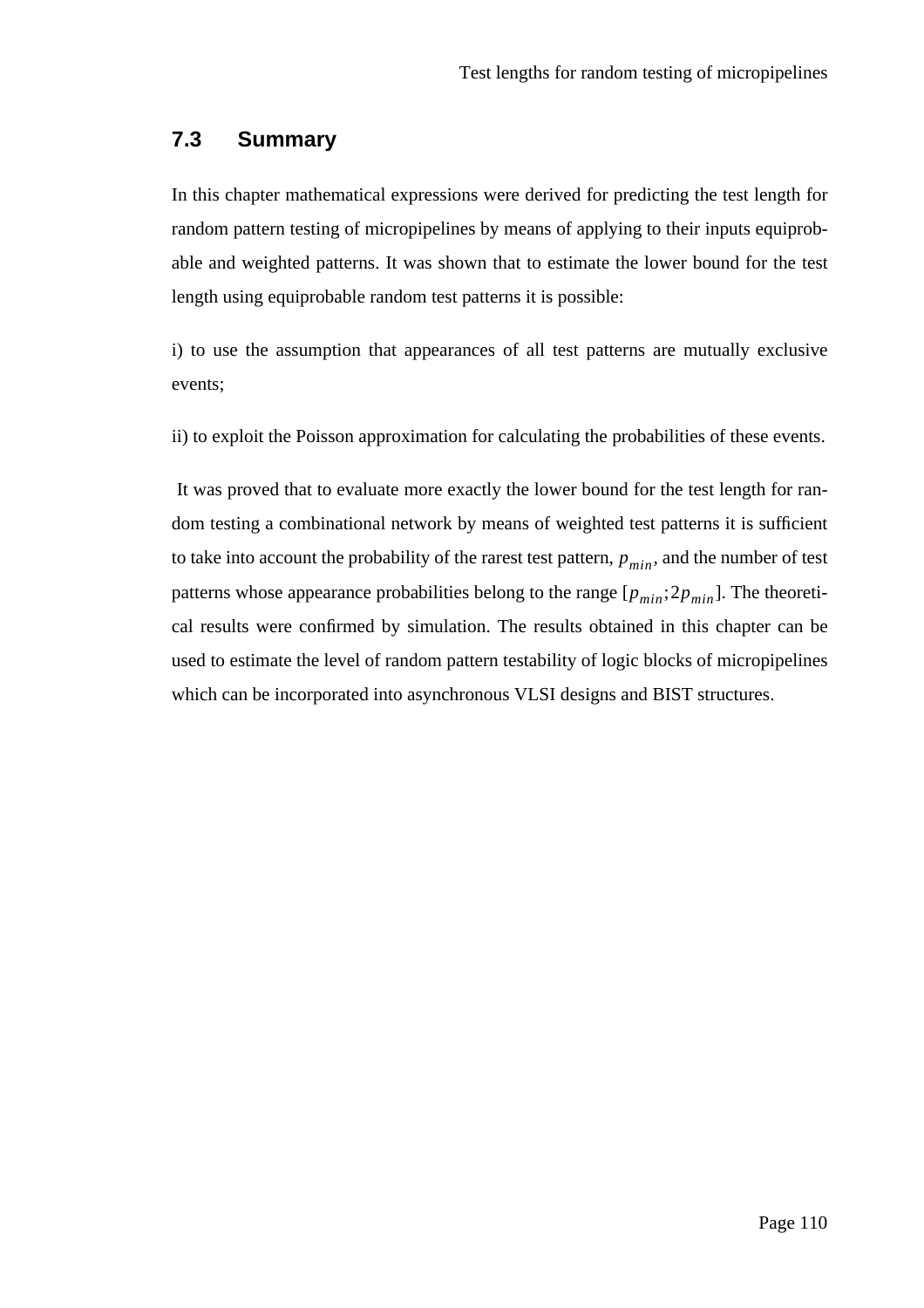#### **7.3 Summary**

In this chapter mathematical expressions were derived for predicting the test length for random pattern testing of micropipelines by means of applying to their inputs equiprobable and weighted patterns. It was shown that to estimate the lower bound for the test length using equiprobable random test patterns it is possible:

i) to use the assumption that appearances of all test patterns are mutually exclusive events;

ii) to exploit the Poisson approximation for calculating the probabilities of these events.

 It was proved that to evaluate more exactly the lower bound for the test length for random testing a combinational network by means of weighted test patterns it is sufficient to take into account the probability of the rarest test pattern,  $p_{min}$ , and the number of test patterns whose appearance probabilities belong to the range  $[p_{min};2p_{min}]$ . The theoretical results were confirmed by simulation. The results obtained in this chapter can be used to estimate the level of random pattern testability of logic blocks of micropipelines which can be incorporated into asynchronous VLSI designs and BIST structures.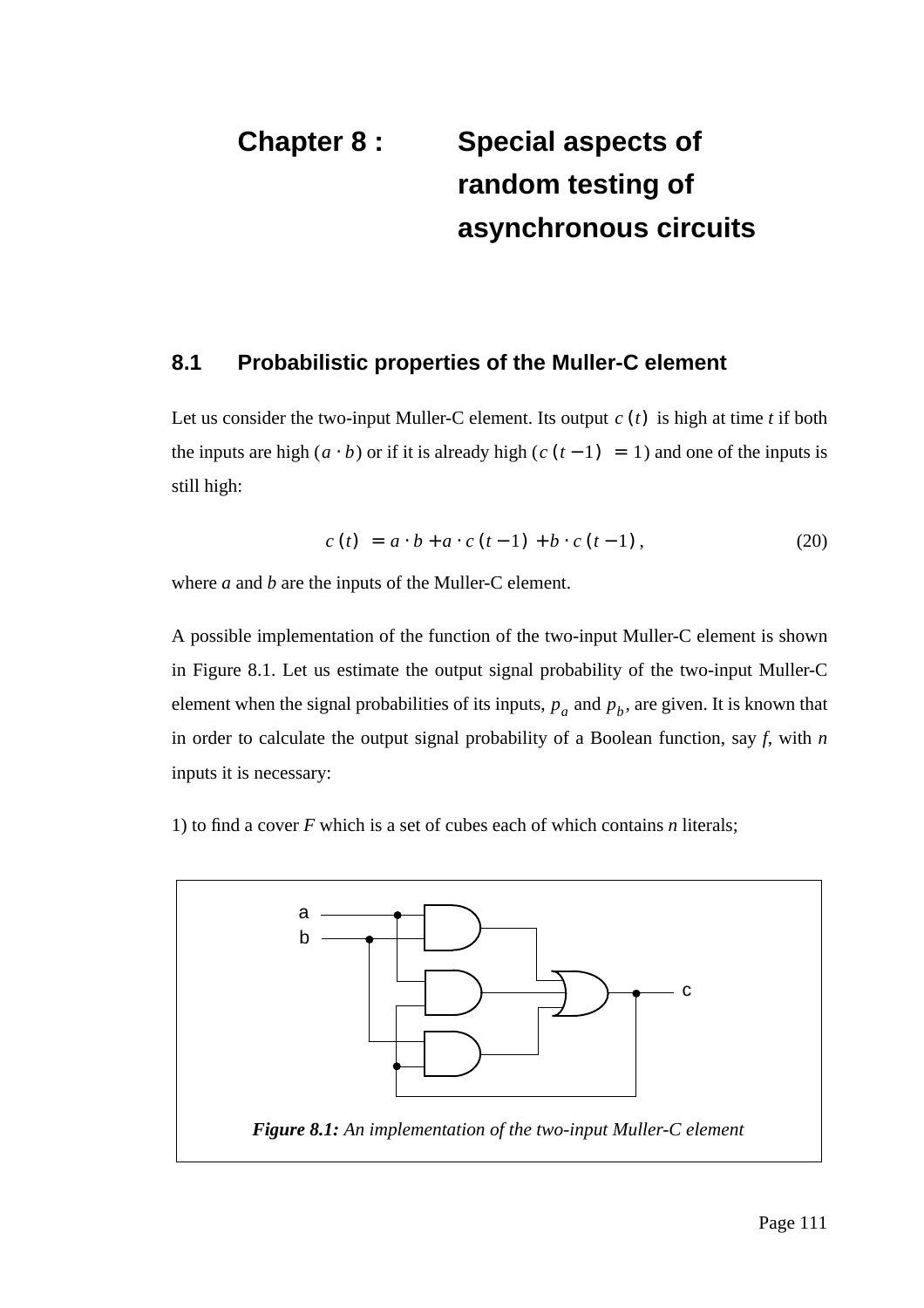# **Chapter 8 : Special aspects of random testing of asynchronous circuits**

#### **8.1 Probabilistic properties of the Muller-C element**

Let us consider the two-input Muller-C element. Its output  $c(t)$  is high at time *t* if both the inputs are high  $(a \cdot b)$  or if it is already high  $(c (t-1) = 1)$  and one of the inputs is still high:

$$
c(t) = a \cdot b + a \cdot c(t-1) + b \cdot c(t-1), \qquad (20)
$$

where *a* and *b* are the inputs of the Muller-C element.

A possible implementation of the function of the two-input Muller-C element is shown in Figure 8.1. Let us estimate the output signal probability of the two-input Muller-C element when the signal probabilities of its inputs,  $p_a$  and  $p_b$ , are given. It is known that in order to calculate the output signal probability of a Boolean function, say *f*, with *n* inputs it is necessary:

1) to find a cover *F* which is a set of cubes each of which contains *n* literals;

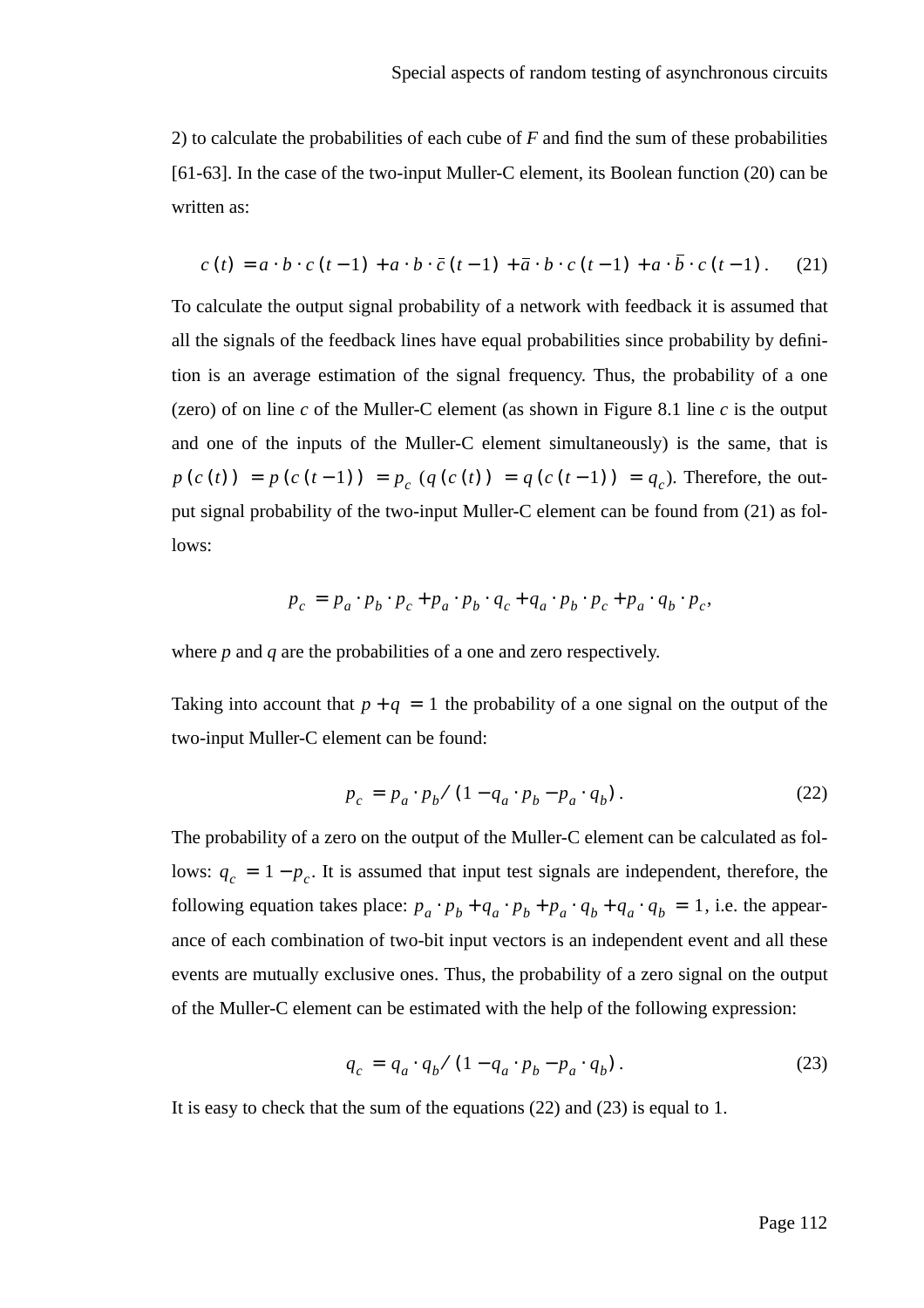2) to calculate the probabilities of each cube of *F* and find the sum of these probabilities [61-63]. In the case of the two-input Muller-C element, its Boolean function (20) can be written as:

$$
c(t) = a \cdot b \cdot c(t-1) + a \cdot b \cdot \overline{c}(t-1) + \overline{a} \cdot b \cdot c(t-1) + a \cdot \overline{b} \cdot c(t-1). \tag{21}
$$

To calculate the output signal probability of a network with feedback it is assumed that all the signals of the feedback lines have equal probabilities since probability by definition is an average estimation of the signal frequency. Thus, the probability of a one (zero) of on line *c* of the Muller-C element (as shown in Figure 8.1 line *c* is the output and one of the inputs of the Muller-C element simultaneously) is the same, that is  $p(c(t)) = p(c(t-1)) = p_c(q(c(t)) = q(c(t-1)) = q_c$ ). Therefore, the output signal probability of the two-input Muller-C element can be found from (21) as follows:

$$
p_c = p_a \cdot p_b \cdot p_c + p_a \cdot p_b \cdot q_c + q_a \cdot p_b \cdot p_c + p_a \cdot q_b \cdot p_c,
$$

where *p* and *q* are the probabilities of a one and zero respectively.

Taking into account that  $p + q = 1$  the probability of a one signal on the output of the two-input Muller-C element can be found:

$$
p_c = p_a \cdot p_b / (1 - q_a \cdot p_b - p_a \cdot q_b). \tag{22}
$$

The probability of a zero on the output of the Muller-C element can be calculated as follows:  $q_c = 1 - p_c$ . It is assumed that input test signals are independent, therefore, the following equation takes place:  $p_a \cdot p_b + q_a \cdot p_b + p_a \cdot q_b + q_a \cdot q_b = 1$ , i.e. the appearance of each combination of two-bit input vectors is an independent event and all these events are mutually exclusive ones. Thus, the probability of a zero signal on the output of the Muller-C element can be estimated with the help of the following expression:

$$
q_c = q_a \cdot q_b / (1 - q_a \cdot p_b - p_a \cdot q_b). \tag{23}
$$

It is easy to check that the sum of the equations (22) and (23) is equal to 1.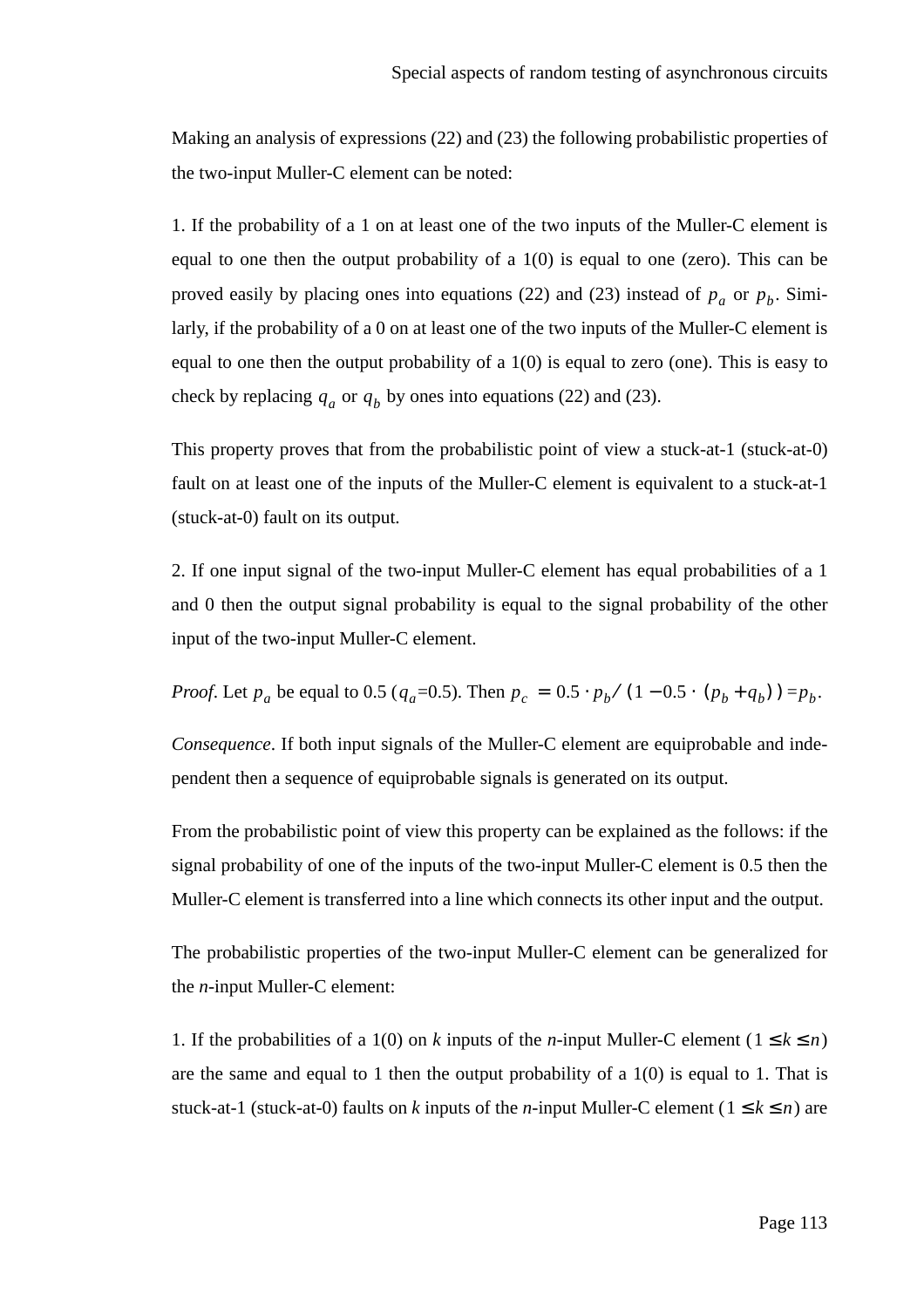Making an analysis of expressions (22) and (23) the following probabilistic properties of the two-input Muller-C element can be noted:

1. If the probability of a 1 on at least one of the two inputs of the Muller-C element is equal to one then the output probability of a  $1(0)$  is equal to one (zero). This can be proved easily by placing ones into equations (22) and (23) instead of  $p_a$  or  $p_b$ . Similarly, if the probability of a 0 on at least one of the two inputs of the Muller-C element is equal to one then the output probability of a  $1(0)$  is equal to zero (one). This is easy to check by replacing  $q_a$  or  $q_b$  by ones into equations (22) and (23).

This property proves that from the probabilistic point of view a stuck-at-1 (stuck-at-0) fault on at least one of the inputs of the Muller-C element is equivalent to a stuck-at-1 (stuck-at-0) fault on its output.

2. If one input signal of the two-input Muller-C element has equal probabilities of a 1 and 0 then the output signal probability is equal to the signal probability of the other input of the two-input Muller-C element.

*Proof.* Let  $p_a$  be equal to 0.5 ( $q_a$ =0.5). Then  $p_c = 0.5 \cdot p_b / (1 - 0.5 \cdot (p_b + q_b)) = p_b$ .

*Consequence*. If both input signals of the Muller-C element are equiprobable and independent then a sequence of equiprobable signals is generated on its output.

From the probabilistic point of view this property can be explained as the follows: if the signal probability of one of the inputs of the two-input Muller-C element is 0.5 then the Muller-C element is transferred into a line which connects its other input and the output.

The probabilistic properties of the two-input Muller-C element can be generalized for the *n*-input Muller-C element:

1. If the probabilities of a 1(0) on *k* inputs of the *n*-input Muller-C element ( $1 \le k \le n$ ) are the same and equal to 1 then the output probability of a 1(0) is equal to 1. That is stuck-at-1 (stuck-at-0) faults on *k* inputs of the *n*-input Muller-C element ( $1 \le k \le n$ ) are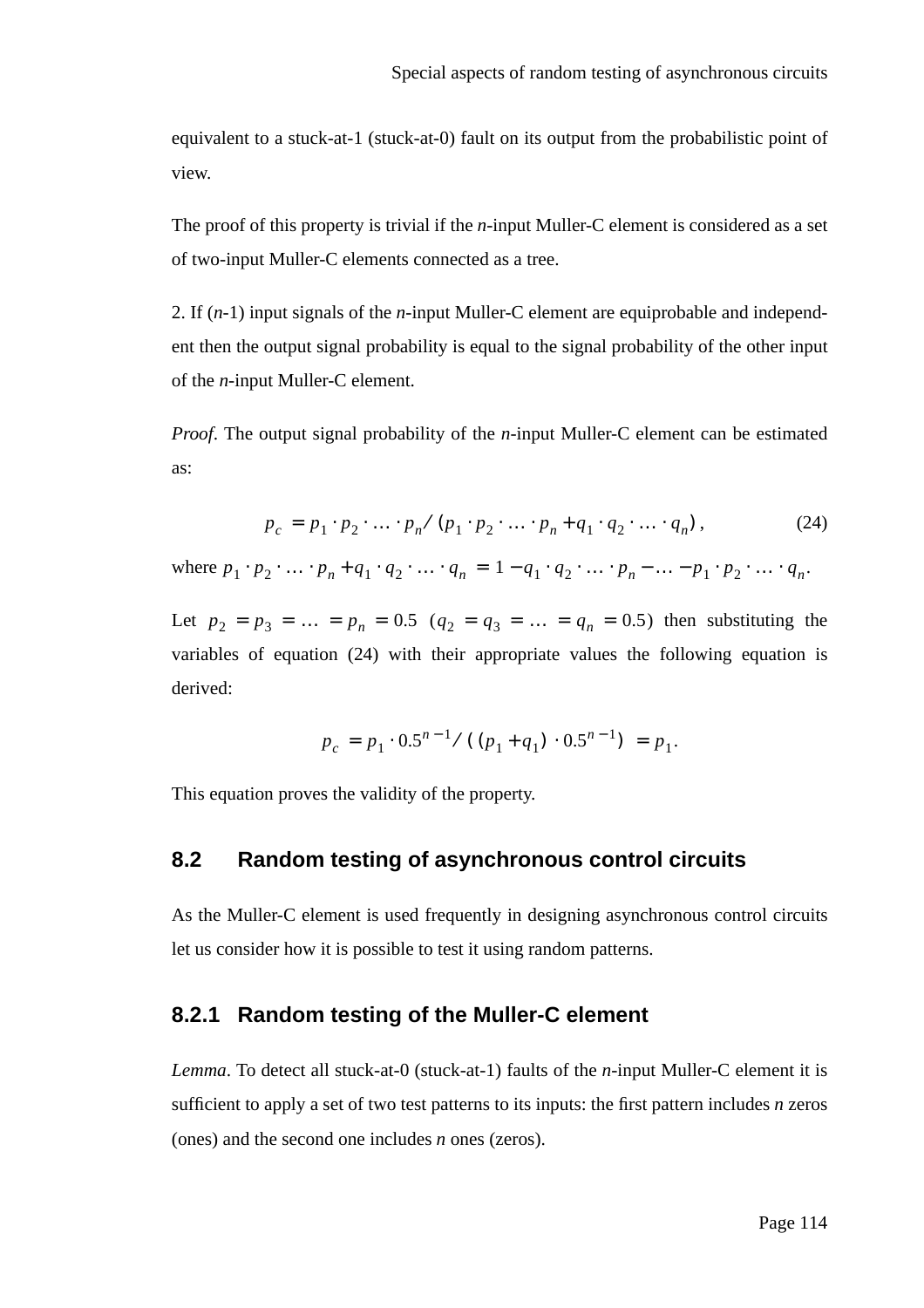equivalent to a stuck-at-1 (stuck-at-0) fault on its output from the probabilistic point of view.

The proof of this property is trivial if the *n*-input Muller-C element is considered as a set of two-input Muller-C elements connected as a tree.

2. If (*n-*1) input signals of the *n*-input Muller-C element are equiprobable and independent then the output signal probability is equal to the signal probability of the other input of the *n*-input Muller-C element.

*Proof.* The output signal probability of the *n*-input Muller-C element can be estimated as:

$$
p_c = p_1 \cdot p_2 \cdot \ldots \cdot p_n / (p_1 \cdot p_2 \cdot \ldots \cdot p_n + q_1 \cdot q_2 \cdot \ldots \cdot q_n), \tag{24}
$$

where  $p_1 \cdot p_2 \cdot \ldots \cdot p_n + q_1 \cdot q_2 \cdot \ldots \cdot q_n = 1 - q_1 \cdot q_2 \cdot \ldots \cdot p_n - \ldots - p_1 \cdot p_2 \cdot \ldots \cdot q_n$ .

Let  $p_2 = p_3 = ... = p_n = 0.5$   $(q_2 = q_3 = ... = q_n = 0.5)$  then substituting the variables of equation (24) with their appropriate values the following equation is derived:

$$
p_c = p_1 \cdot 0.5^{n-1} / ((p_1 + q_1) \cdot 0.5^{n-1}) = p_1.
$$

This equation proves the validity of the property.

### **8.2 Random testing of asynchronous control circuits**

As the Muller-C element is used frequently in designing asynchronous control circuits let us consider how it is possible to test it using random patterns.

### **8.2.1 Random testing of the Muller-C element**

*Lemma*. To detect all stuck-at-0 (stuck-at-1) faults of the *n*-input Muller-C element it is sufficient to apply a set of two test patterns to its inputs: the first pattern includes *n* zeros (ones) and the second one includes *n* ones (zeros).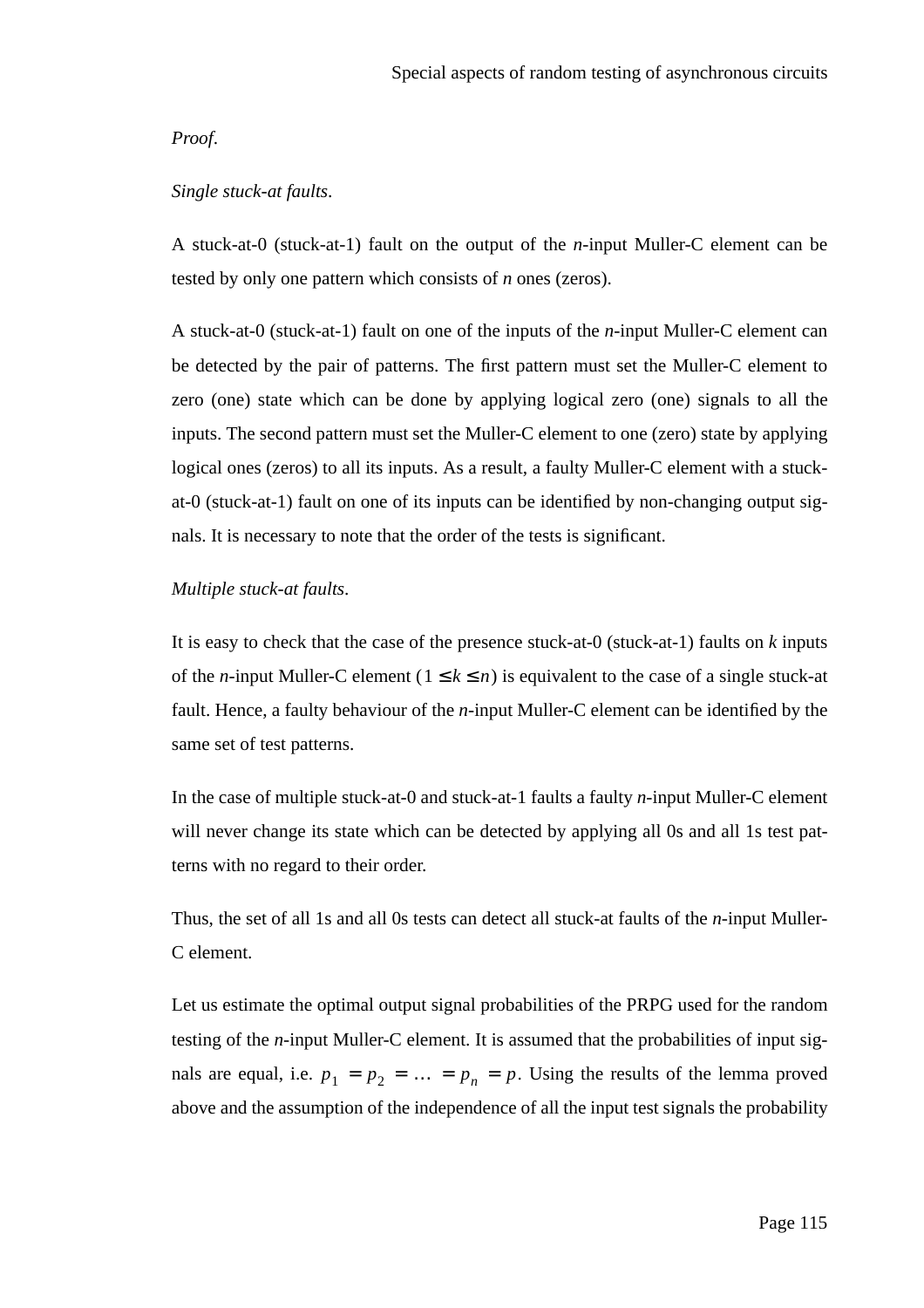#### *Proof*.

#### *Single stuck-at faults*.

A stuck-at-0 (stuck-at-1) fault on the output of the *n*-input Muller-C element can be tested by only one pattern which consists of *n* ones (zeros).

A stuck-at-0 (stuck-at-1) fault on one of the inputs of the *n*-input Muller-C element can be detected by the pair of patterns. The first pattern must set the Muller-C element to zero (one) state which can be done by applying logical zero (one) signals to all the inputs. The second pattern must set the Muller-C element to one (zero) state by applying logical ones (zeros) to all its inputs. As a result, a faulty Muller-C element with a stuckat-0 (stuck-at-1) fault on one of its inputs can be identified by non-changing output signals. It is necessary to note that the order of the tests is significant.

#### *Multiple stuck-at faults*.

It is easy to check that the case of the presence stuck-at*-*0 (stuck-at-1) faults on *k* inputs of the *n*-input Muller-C element ( $1 \le k \le n$ ) is equivalent to the case of a single stuck-at fault. Hence, a faulty behaviour of the *n*-input Muller-C element can be identified by the same set of test patterns.

In the case of multiple stuck-at-0 and stuck-at-1 faults a faulty *n*-input Muller-C element will never change its state which can be detected by applying all 0s and all 1s test patterns with no regard to their order.

Thus, the set of all 1s and all 0s tests can detect all stuck-at faults of the *n*-input Muller-C element.

Let us estimate the optimal output signal probabilities of the PRPG used for the random testing of the *n*-input Muller-C element. It is assumed that the probabilities of input signals are equal, i.e.  $p_1 = p_2 = \dots = p_n = p$ . Using the results of the lemma proved above and the assumption of the independence of all the input test signals the probability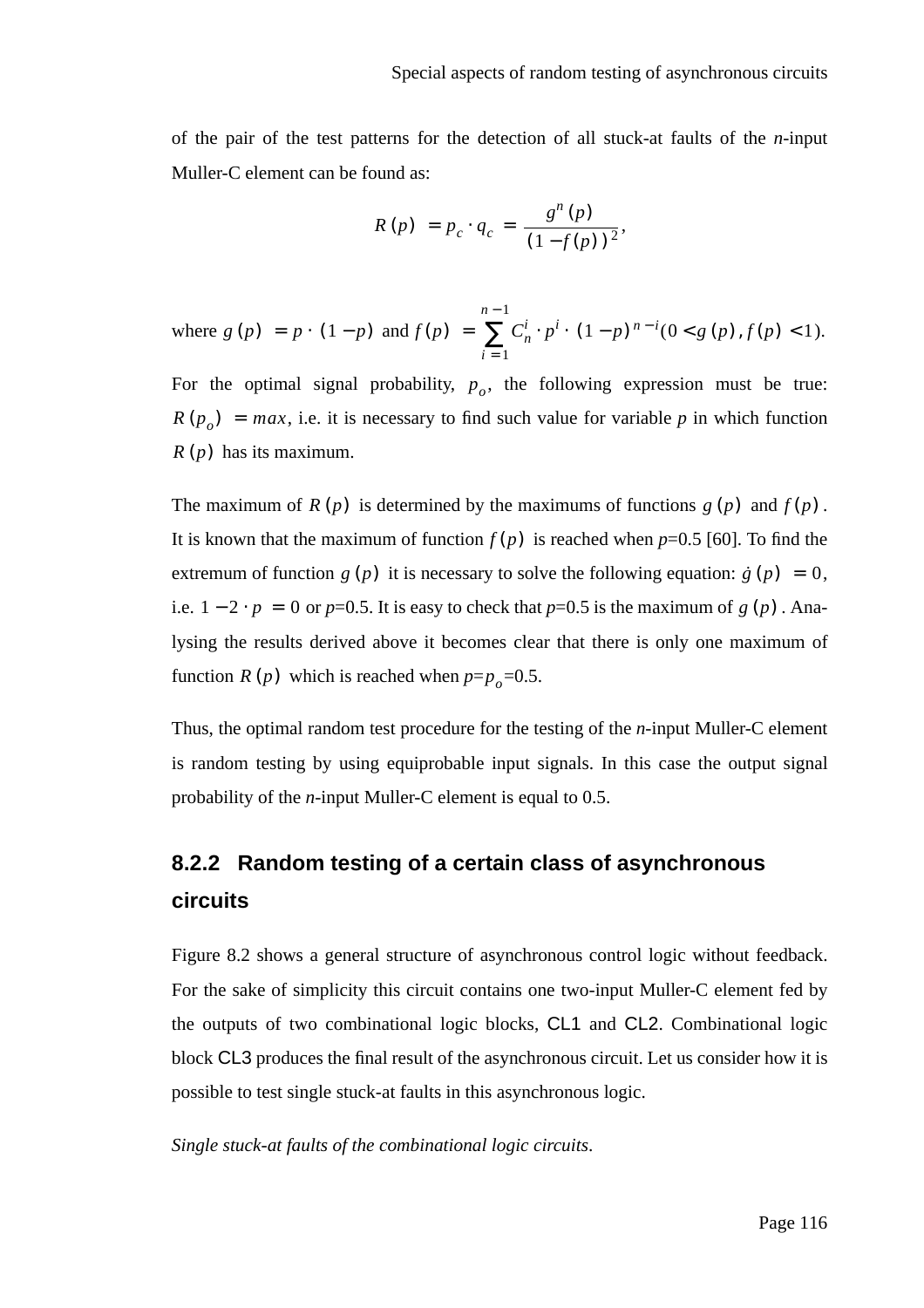of the pair of the test patterns for the detection of all stuck-at faults of the *n*-input Muller-C element can be found as:

$$
R(p) = p_c \cdot q_c = \frac{g^n(p)}{(1 - f(p))^2},
$$

where  $g(p) = p \cdot (1-p)$  and  $f(p) = \sum_{n}^{\infty} C_n^i \cdot p^i \cdot (1-p)^{n-i} (0 \lt g(p), f(p) \lt 1).$ *i* = 1 *n* − 1  $=\sum_{n} C_n^i \cdot p^i \cdot (1-p)^{n-i} (0 \le g(p), f(p) \le 1$ 

For the optimal signal probability,  $p_o$ , the following expression must be true:  $R(p_o) = max$ , i.e. it is necessary to find such value for variable *p* in which function  $R(p)$  has its maximum.

The maximum of  $R(p)$  is determined by the maximums of functions  $g(p)$  and  $f(p)$ . It is known that the maximum of function  $f(p)$  is reached when  $p=0.5$  [60]. To find the extremum of function  $g(p)$  it is necessary to solve the following equation:  $\dot{g}(p) = 0$ , i.e.  $1 - 2 \cdot p = 0$  or  $p=0.5$ . It is easy to check that  $p=0.5$  is the maximum of  $g(p)$ . Analysing the results derived above it becomes clear that there is only one maximum of function  $R(p)$  which is reached when  $p=p_o=0.5$ .

Thus, the optimal random test procedure for the testing of the *n*-input Muller-C element is random testing by using equiprobable input signals. In this case the output signal probability of the *n*-input Muller-C element is equal to 0.5.

### **8.2.2 Random testing of a certain class of asynchronous circuits**

Figure 8.2 shows a general structure of asynchronous control logic without feedback. For the sake of simplicity this circuit contains one two-input Muller-C element fed by the outputs of two combinational logic blocks, CL1 and CL2. Combinational logic block CL3 produces the final result of the asynchronous circuit. Let us consider how it is possible to test single stuck-at faults in this asynchronous logic.

*Single stuck-at faults of the combinational logic circuits*.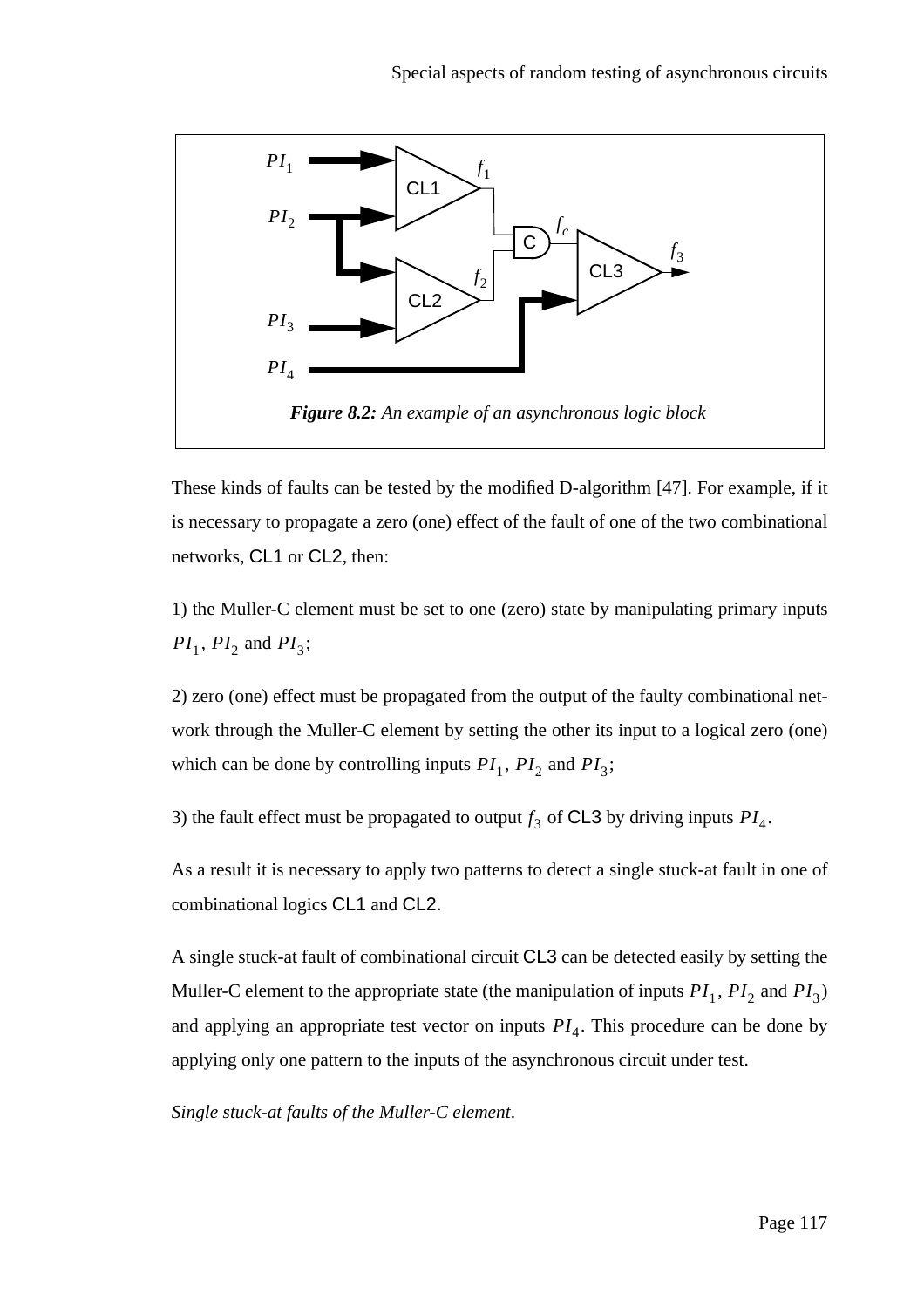

These kinds of faults can be tested by the modified D-algorithm [47]. For example, if it is necessary to propagate a zero (one) effect of the fault of one of the two combinational networks, CL1 or CL2, then:

1) the Muller-C element must be set to one (zero) state by manipulating primary inputs  $PI_1$ ,  $PI_2$  and  $PI_3$ ;

2) zero (one) effect must be propagated from the output of the faulty combinational network through the Muller-C element by setting the other its input to a logical zero (one) which can be done by controlling inputs  $PI_1$ ,  $PI_2$  and  $PI_3$ ;

3) the fault effect must be propagated to output  $f_3$  of CL3 by driving inputs  $PI_4$ .

As a result it is necessary to apply two patterns to detect a single stuck-at fault in one of combinational logics CL1 and CL2.

A single stuck-at fault of combinational circuit CL3 can be detected easily by setting the Muller-C element to the appropriate state (the manipulation of inputs  $PI_1$ ,  $PI_2$  and  $PI_3$ ) and applying an appropriate test vector on inputs  $PI_4$ . This procedure can be done by applying only one pattern to the inputs of the asynchronous circuit under test.

*Single stuck-at faults of the Muller-C element*.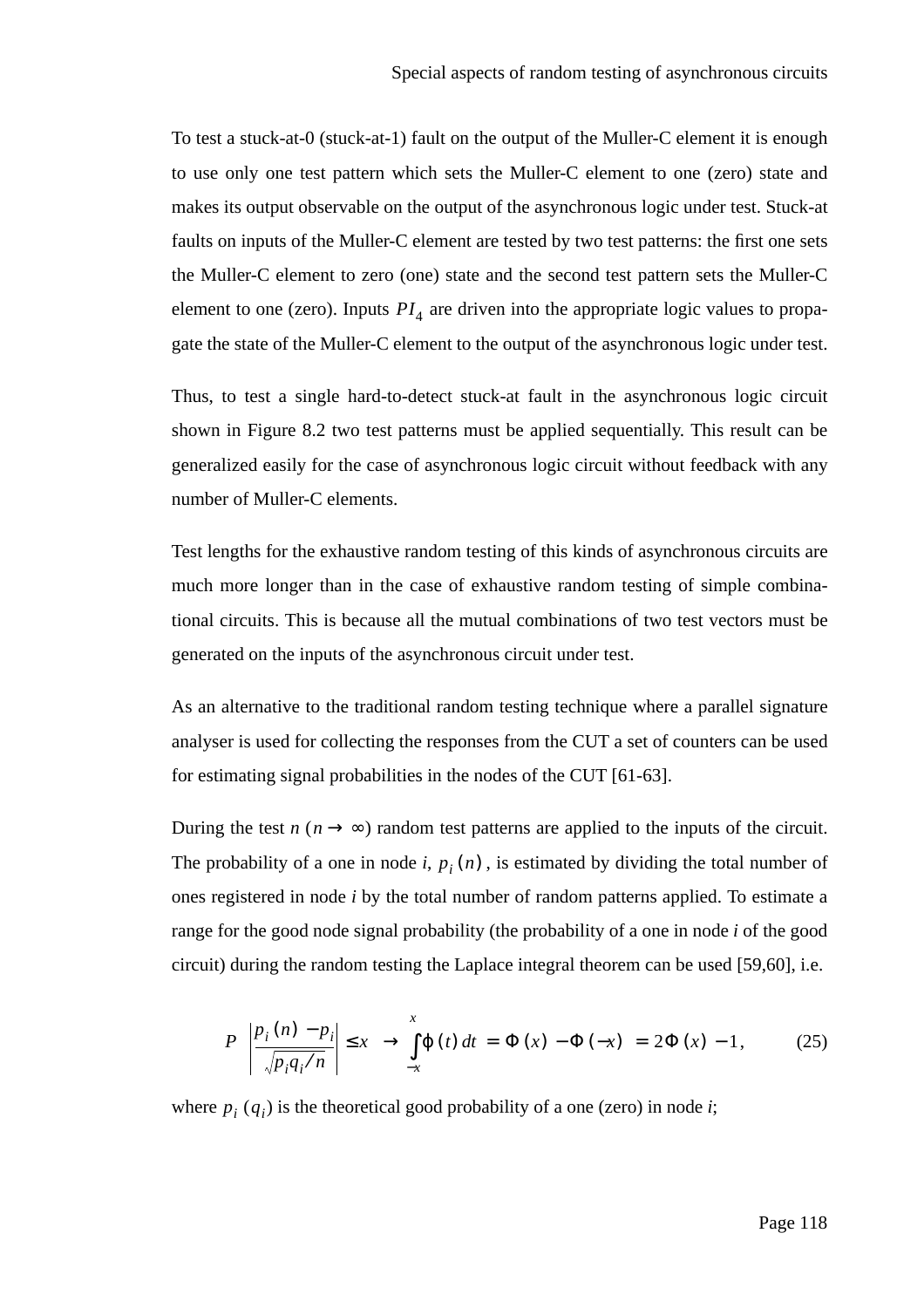To test a stuck-at-0 (stuck-at-1) fault on the output of the Muller-C element it is enough to use only one test pattern which sets the Muller-C element to one (zero) state and makes its output observable on the output of the asynchronous logic under test. Stuck-at faults on inputs of the Muller-C element are tested by two test patterns: the first one sets the Muller-C element to zero (one) state and the second test pattern sets the Muller-C element to one (zero). Inputs  $PI_4$  are driven into the appropriate logic values to propagate the state of the Muller-C element to the output of the asynchronous logic under test.

Thus, to test a single hard-to-detect stuck-at fault in the asynchronous logic circuit shown in Figure 8.2 two test patterns must be applied sequentially. This result can be generalized easily for the case of asynchronous logic circuit without feedback with any number of Muller-C elements.

Test lengths for the exhaustive random testing of this kinds of asynchronous circuits are much more longer than in the case of exhaustive random testing of simple combinational circuits. This is because all the mutual combinations of two test vectors must be generated on the inputs of the asynchronous circuit under test.

As an alternative to the traditional random testing technique where a parallel signature analyser is used for collecting the responses from the CUT a set of counters can be used for estimating signal probabilities in the nodes of the CUT [61-63].

During the test  $n \ (\ n \rightarrow \infty)$  random test patterns are applied to the inputs of the circuit. The probability of a one in node *i*,  $p_i(n)$ , is estimated by dividing the total number of ones registered in node *i* by the total number of random patterns applied. To estimate a range for the good node signal probability (the probability of a one in node *i* of the good circuit) during the random testing the Laplace integral theorem can be used [59,60], i.e.

$$
P\left(\left|\frac{p_i(n) - p_i}{\sqrt{p_i q_i/n}}\right| \le x\right) \to \int_{-x}^{x} \varphi(t) dt = \Phi(x) - \Phi(-x) = 2\Phi(x) - 1, \quad (25)
$$

where  $p_i(q_i)$  is the theoretical good probability of a one (zero) in node *i*;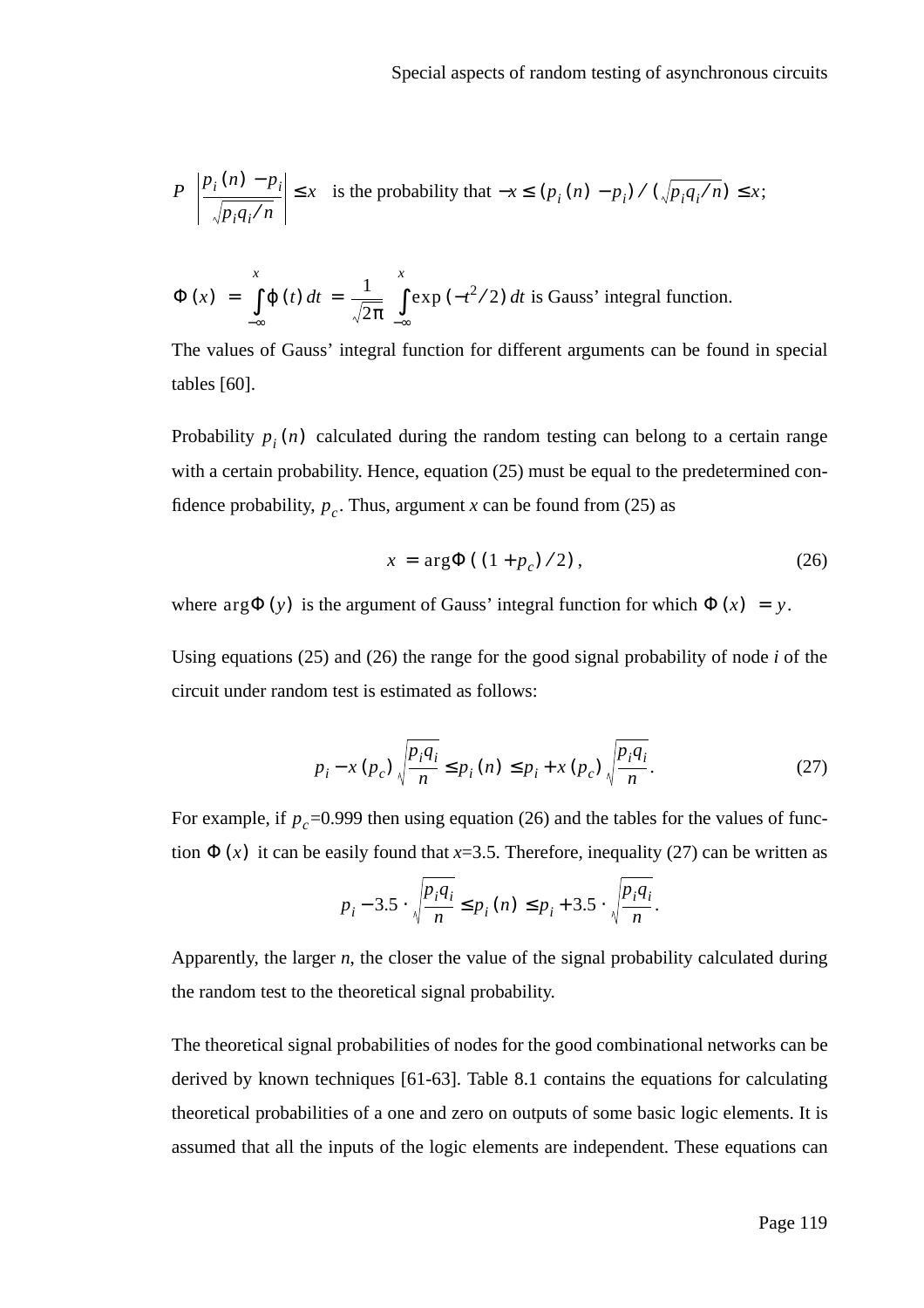$$
P\left(\left|\frac{p_i(n) - p_i}{\sqrt{p_i q_i/n}}\right| \le x\right)
$$
 is the probability that  $-x \le (p_i(n) - p_i) / (\sqrt{p_i q_i/n}) \le x$ ;

$$
\Phi(x) = \int_{-\infty}^{x} \phi(t) dt = \frac{1}{\sqrt{2\pi}} \int_{-\infty}^{x} \exp(-t^2/2) dt
$$
 is Gauss' integral function.

The values of Gauss' integral function for different arguments can be found in special tables [60].

Probability  $p_i(n)$  calculated during the random testing can belong to a certain range with a certain probability. Hence, equation (25) must be equal to the predetermined confidence probability,  $p_c$ . Thus, argument *x* can be found from (25) as

$$
x = \arg \Phi ((1 + p_c) / 2), \tag{26}
$$

where  $\arg\Phi(y)$  is the argument of Gauss' integral function for which  $\Phi(x) = y$ .

Using equations (25) and (26) the range for the good signal probability of node *i* of the circuit under random test is estimated as follows:

$$
p_{i} - x (p_{c}) \sqrt{\frac{p_{i} q_{i}}{n}} \le p_{i} (n) \le p_{i} + x (p_{c}) \sqrt{\frac{p_{i} q_{i}}{n}}.
$$
 (27)

For example, if  $p_c$ =0.999 then using equation (26) and the tables for the values of function  $\Phi(x)$  it can be easily found that *x*=3.5. Therefore, inequality (27) can be written as

$$
p_i - 3.5 \cdot \sqrt{\frac{p_i q_i}{n}} \le p_i(n) \le p_i + 3.5 \cdot \sqrt{\frac{p_i q_i}{n}}.
$$

Apparently, the larger *n*, the closer the value of the signal probability calculated during the random test to the theoretical signal probability.

The theoretical signal probabilities of nodes for the good combinational networks can be derived by known techniques [61-63]. Table 8.1 contains the equations for calculating theoretical probabilities of a one and zero on outputs of some basic logic elements. It is assumed that all the inputs of the logic elements are independent. These equations can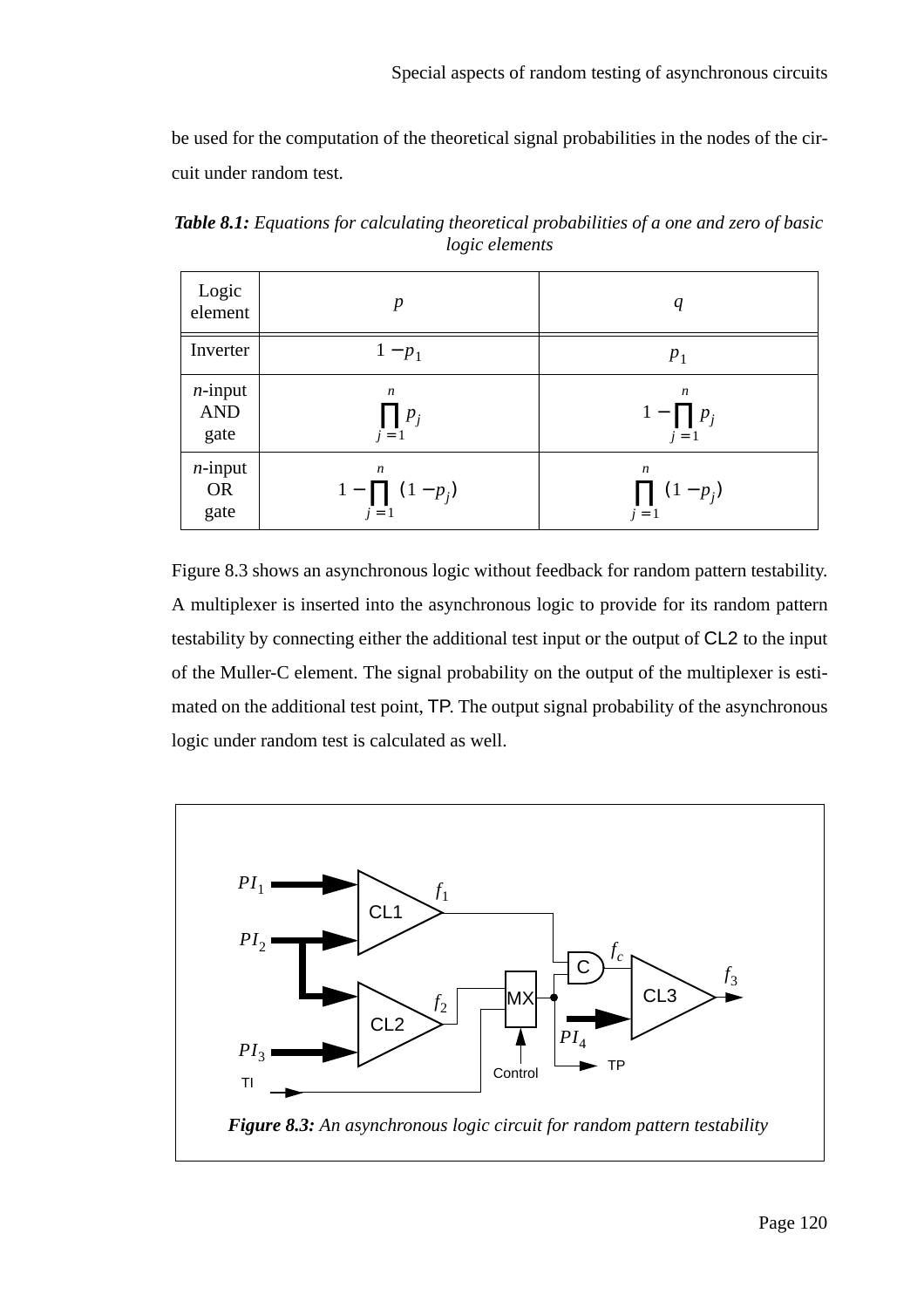be used for the computation of the theoretical signal probabilities in the nodes of the circuit under random test.

| Logic<br>element | $\boldsymbol{p}$      | q                |
|------------------|-----------------------|------------------|
| Inverter         | $1-p_1$               | $P_1$            |
| $n$ -input       | $\boldsymbol{n}$      | $\boldsymbol{n}$ |
| <b>AND</b>       | $\prod p_i$           | $1-\prod p_i$    |
| gate             | $j=1$                 | $j=1$            |
| $n$ -input       | $\boldsymbol{n}$      | $\boldsymbol{n}$ |
| <b>OR</b>        | $1 - \prod (1 - p_j)$ | $\prod (1-p_i)$  |
| gate             | $j=1$                 | $j=1$            |

*Table 8.1: Equations for calculating theoretical probabilities of a one and zero of basic logic elements*

Figure 8.3 shows an asynchronous logic without feedback for random pattern testability. A multiplexer is inserted into the asynchronous logic to provide for its random pattern testability by connecting either the additional test input or the output of CL2 to the input of the Muller-C element. The signal probability on the output of the multiplexer is estimated on the additional test point, TP. The output signal probability of the asynchronous logic under random test is calculated as well.

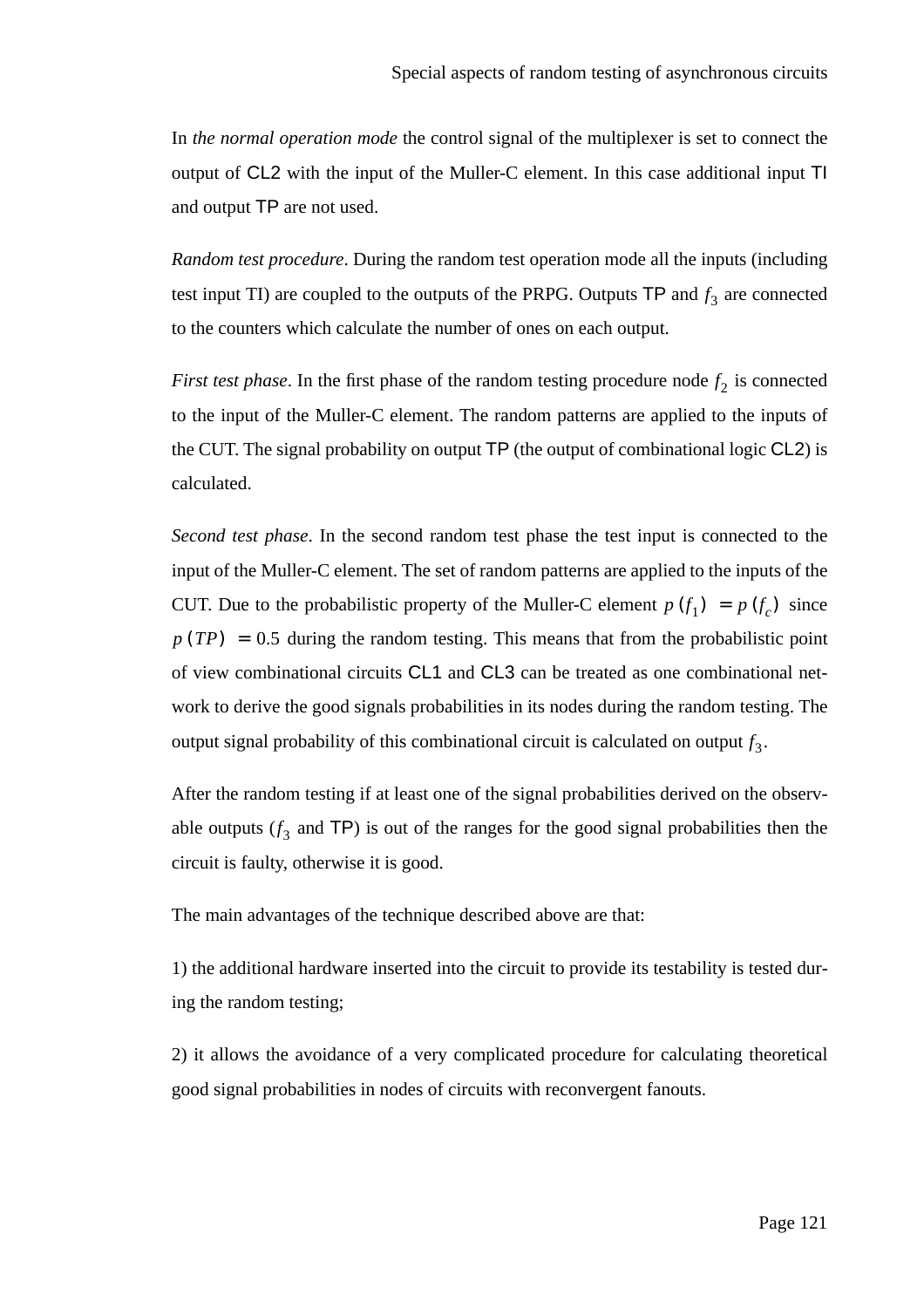In *the normal operation mode* the control signal of the multiplexer is set to connect the output of CL2 with the input of the Muller-C element. In this case additional input TI and output TP are not used.

*Random test procedure*. During the random test operation mode all the inputs (including test input TI) are coupled to the outputs of the PRPG. Outputs  $TP$  and  $f_3$  are connected to the counters which calculate the number of ones on each output.

*First test phase*. In the first phase of the random testing procedure node  $f_2$  is connected to the input of the Muller-C element. The random patterns are applied to the inputs of the CUT. The signal probability on output TP (the output of combinational logic CL2) is calculated.

*Second test phase*. In the second random test phase the test input is connected to the input of the Muller-C element. The set of random patterns are applied to the inputs of the CUT. Due to the probabilistic property of the Muller-C element  $p(f_1) = p(f_c)$  since  $p(TP) = 0.5$  during the random testing. This means that from the probabilistic point of view combinational circuits CL1 and CL3 can be treated as one combinational network to derive the good signals probabilities in its nodes during the random testing. The output signal probability of this combinational circuit is calculated on output  $f_3$ .

After the random testing if at least one of the signal probabilities derived on the observable outputs  $(f_3$  and TP) is out of the ranges for the good signal probabilities then the circuit is faulty, otherwise it is good.

The main advantages of the technique described above are that:

1) the additional hardware inserted into the circuit to provide its testability is tested during the random testing;

2) it allows the avoidance of a very complicated procedure for calculating theoretical good signal probabilities in nodes of circuits with reconvergent fanouts.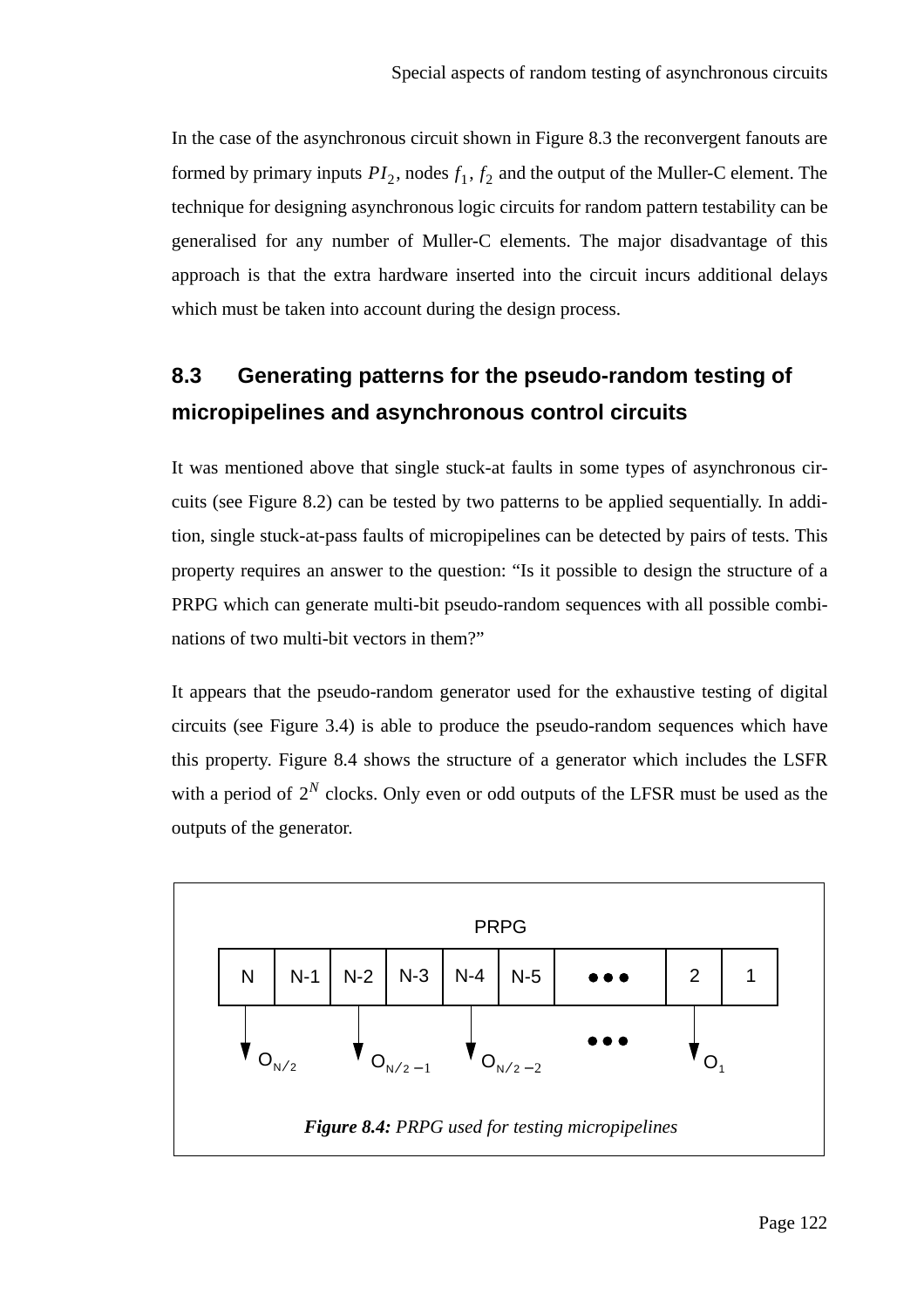In the case of the asynchronous circuit shown in Figure 8.3 the reconvergent fanouts are formed by primary inputs  $PI_2$ , nodes  $f_1, f_2$  and the output of the Muller-C element. The technique for designing asynchronous logic circuits for random pattern testability can be generalised for any number of Muller-C elements. The major disadvantage of this approach is that the extra hardware inserted into the circuit incurs additional delays which must be taken into account during the design process.

## **8.3 Generating patterns for the pseudo-random testing of micropipelines and asynchronous control circuits**

It was mentioned above that single stuck-at faults in some types of asynchronous circuits (see Figure 8.2) can be tested by two patterns to be applied sequentially. In addition, single stuck-at-pass faults of micropipelines can be detected by pairs of tests. This property requires an answer to the question: "Is it possible to design the structure of a PRPG which can generate multi-bit pseudo-random sequences with all possible combinations of two multi-bit vectors in them?"

It appears that the pseudo-random generator used for the exhaustive testing of digital circuits (see Figure 3.4) is able to produce the pseudo-random sequences which have this property. Figure 8.4 shows the structure of a generator which includes the LSFR with a period of  $2^N$  clocks. Only even or odd outputs of the LFSR must be used as the outputs of the generator.

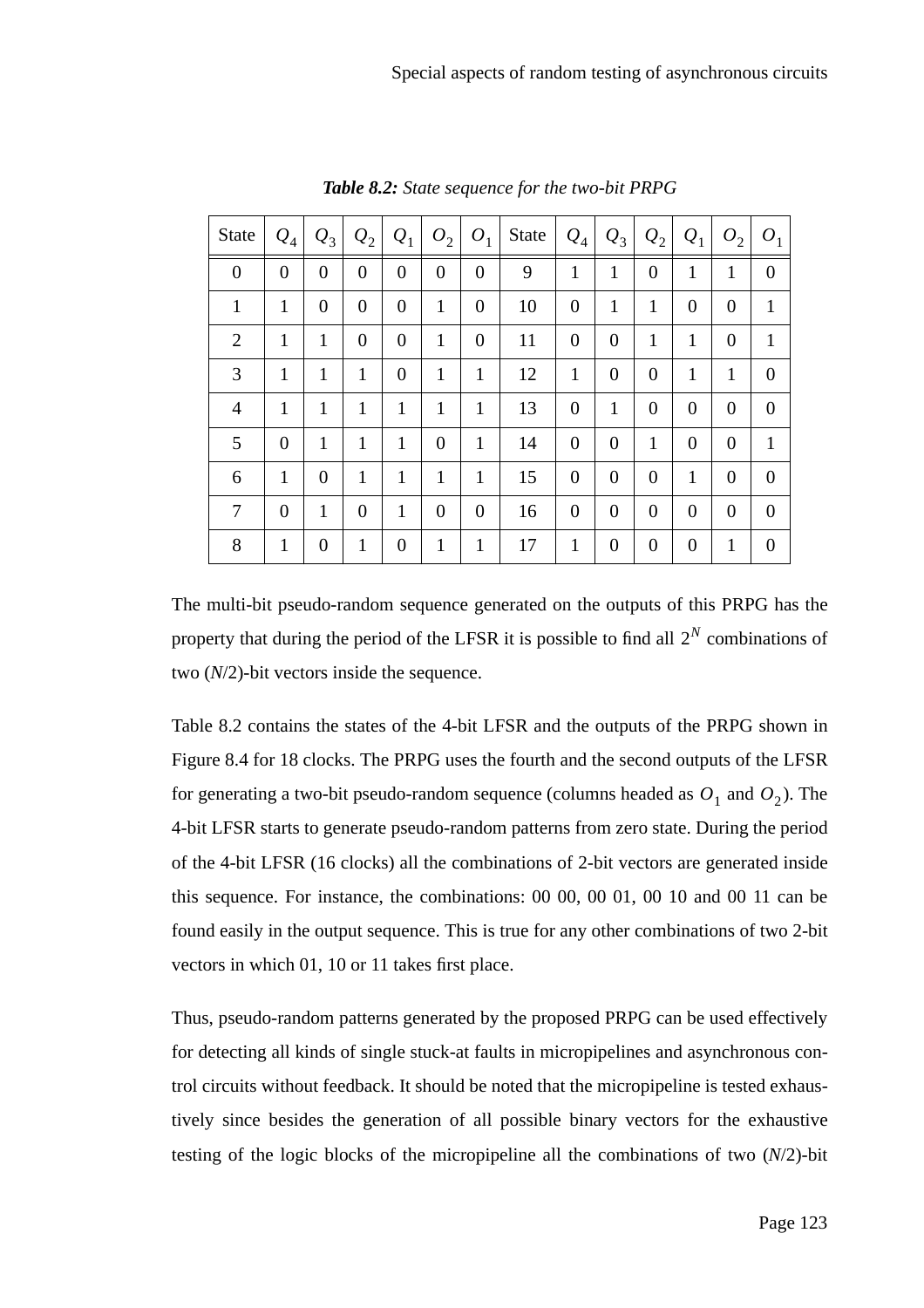| State            | $ Q_4 $        | $ Q_3 $          | $ Q_2 $          | $Q_1$            | $O_2$            | $O_1$            | State | $ Q_4 $          | $Q_3$            | $\mathcal{Q}_2$  | $Q_1$            | $O_2$          | O <sub>1</sub>   |
|------------------|----------------|------------------|------------------|------------------|------------------|------------------|-------|------------------|------------------|------------------|------------------|----------------|------------------|
| $\boldsymbol{0}$ | $\overline{0}$ | $\overline{0}$   | $\boldsymbol{0}$ | $\boldsymbol{0}$ | $\boldsymbol{0}$ | $\boldsymbol{0}$ | 9     | $\mathbf{1}$     | $\mathbf{1}$     | $\overline{0}$   | $\mathbf{1}$     | 1              | $\boldsymbol{0}$ |
| $\mathbf{1}$     | 1              | $\boldsymbol{0}$ | $\overline{0}$   | $\overline{0}$   | $\mathbf{1}$     | $\theta$         | 10    | $\overline{0}$   | $\mathbf{1}$     | $\mathbf{1}$     | $\boldsymbol{0}$ | $\overline{0}$ | 1                |
| 2                | 1              | 1                | $\overline{0}$   | $\boldsymbol{0}$ | 1                | $\boldsymbol{0}$ | 11    | $\boldsymbol{0}$ | $\boldsymbol{0}$ | $\mathbf{1}$     | $\mathbf{1}$     | $\theta$       | 1                |
| 3                | 1              | 1                | 1                | $\boldsymbol{0}$ | 1                | 1                | 12    | $\mathbf{1}$     | $\boldsymbol{0}$ | $\overline{0}$   | 1                | 1              | $\boldsymbol{0}$ |
| $\overline{4}$   | $\mathbf{1}$   | $\mathbf{1}$     | 1                | 1                | 1                | 1                | 13    | $\overline{0}$   | $\mathbf{1}$     | $\overline{0}$   | $\boldsymbol{0}$ | $\overline{0}$ | $\boldsymbol{0}$ |
| 5                | $\theta$       | $\mathbf{1}$     | 1                | 1                | $\overline{0}$   | 1                | 14    | $\overline{0}$   | $\overline{0}$   | $\mathbf{1}$     | $\overline{0}$   | $\overline{0}$ | 1                |
| 6                | $\mathbf{1}$   | $\theta$         | 1                | $\mathbf{1}$     | 1                | 1                | 15    | $\overline{0}$   | $\boldsymbol{0}$ | $\overline{0}$   | 1                | $\overline{0}$ | $\boldsymbol{0}$ |
| 7                | $\overline{0}$ | $\mathbf{1}$     | $\overline{0}$   | $\mathbf{1}$     | $\overline{0}$   | $\theta$         | 16    | $\overline{0}$   | $\boldsymbol{0}$ | $\boldsymbol{0}$ | $\boldsymbol{0}$ | $\overline{0}$ | $\boldsymbol{0}$ |
| 8                | 1              | $\overline{0}$   | $\mathbf{1}$     | $\overline{0}$   | 1                | 1                | 17    | 1                | $\boldsymbol{0}$ | $\boldsymbol{0}$ | $\overline{0}$   | 1              | $\overline{0}$   |

*Table 8.2: State sequence for the two-bit PRPG*

The multi-bit pseudo-random sequence generated on the outputs of this PRPG has the property that during the period of the LFSR it is possible to find all  $2^N$  combinations of two (*N*/2)-bit vectors inside the sequence.

Table 8.2 contains the states of the 4-bit LFSR and the outputs of the PRPG shown in Figure 8.4 for 18 clocks. The PRPG uses the fourth and the second outputs of the LFSR for generating a two-bit pseudo-random sequence (columns headed as  $O_1$  and  $O_2$ ). The 4-bit LFSR starts to generate pseudo-random patterns from zero state. During the period of the 4-bit LFSR (16 clocks) all the combinations of 2-bit vectors are generated inside this sequence. For instance, the combinations: 00 00, 00 01, 00 10 and 00 11 can be found easily in the output sequence. This is true for any other combinations of two 2-bit vectors in which 01, 10 or 11 takes first place.

Thus, pseudo-random patterns generated by the proposed PRPG can be used effectively for detecting all kinds of single stuck-at faults in micropipelines and asynchronous control circuits without feedback. It should be noted that the micropipeline is tested exhaustively since besides the generation of all possible binary vectors for the exhaustive testing of the logic blocks of the micropipeline all the combinations of two (*N*/2)-bit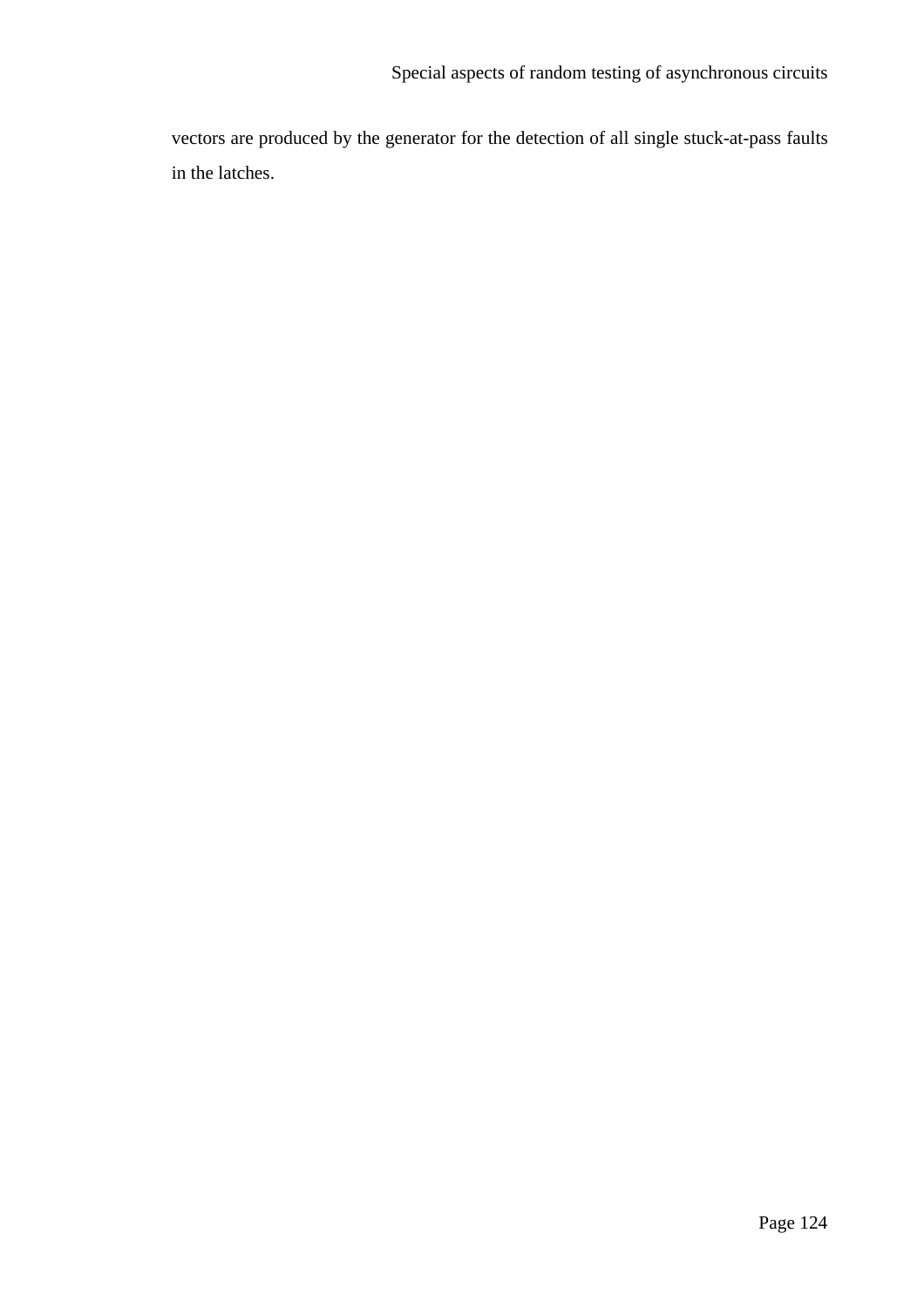vectors are produced by the generator for the detection of all single stuck-at-pass faults in the latches.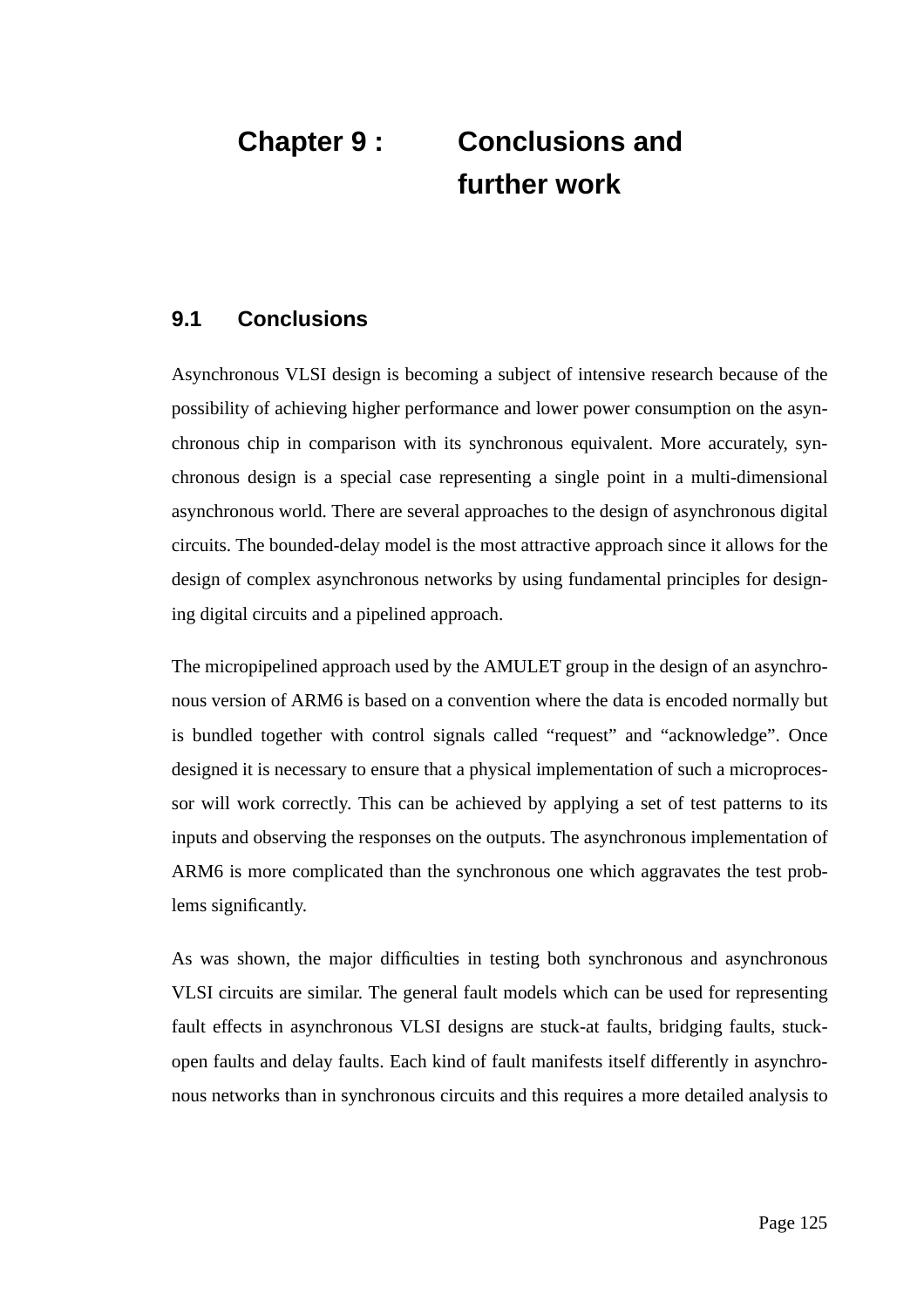## **Chapter 9 : Conclusions and further work**

### **9.1 Conclusions**

Asynchronous VLSI design is becoming a subject of intensive research because of the possibility of achieving higher performance and lower power consumption on the asynchronous chip in comparison with its synchronous equivalent. More accurately, synchronous design is a special case representing a single point in a multi-dimensional asynchronous world. There are several approaches to the design of asynchronous digital circuits. The bounded-delay model is the most attractive approach since it allows for the design of complex asynchronous networks by using fundamental principles for designing digital circuits and a pipelined approach.

The micropipelined approach used by the AMULET group in the design of an asynchronous version of ARM6 is based on a convention where the data is encoded normally but is bundled together with control signals called "request" and "acknowledge". Once designed it is necessary to ensure that a physical implementation of such a microprocessor will work correctly. This can be achieved by applying a set of test patterns to its inputs and observing the responses on the outputs. The asynchronous implementation of ARM6 is more complicated than the synchronous one which aggravates the test problems significantly.

As was shown, the major difficulties in testing both synchronous and asynchronous VLSI circuits are similar. The general fault models which can be used for representing fault effects in asynchronous VLSI designs are stuck-at faults, bridging faults, stuckopen faults and delay faults. Each kind of fault manifests itself differently in asynchronous networks than in synchronous circuits and this requires a more detailed analysis to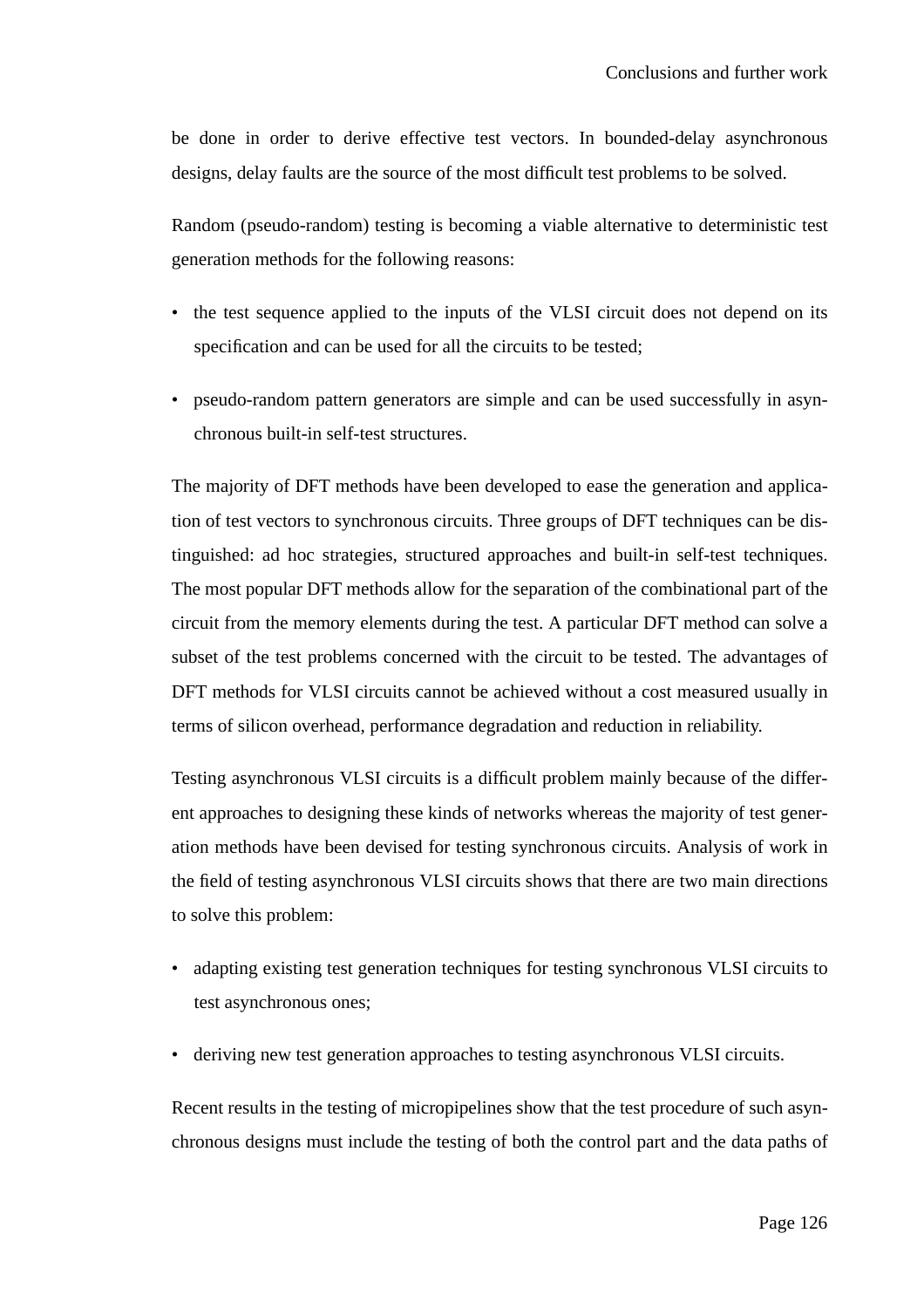be done in order to derive effective test vectors. In bounded-delay asynchronous designs, delay faults are the source of the most difficult test problems to be solved.

Random (pseudo-random) testing is becoming a viable alternative to deterministic test generation methods for the following reasons:

- the test sequence applied to the inputs of the VLSI circuit does not depend on its specification and can be used for all the circuits to be tested;
- pseudo-random pattern generators are simple and can be used successfully in asynchronous built-in self-test structures.

The majority of DFT methods have been developed to ease the generation and application of test vectors to synchronous circuits. Three groups of DFT techniques can be distinguished: ad hoc strategies, structured approaches and built-in self-test techniques. The most popular DFT methods allow for the separation of the combinational part of the circuit from the memory elements during the test. A particular DFT method can solve a subset of the test problems concerned with the circuit to be tested. The advantages of DFT methods for VLSI circuits cannot be achieved without a cost measured usually in terms of silicon overhead, performance degradation and reduction in reliability.

Testing asynchronous VLSI circuits is a difficult problem mainly because of the different approaches to designing these kinds of networks whereas the majority of test generation methods have been devised for testing synchronous circuits. Analysis of work in the field of testing asynchronous VLSI circuits shows that there are two main directions to solve this problem:

- adapting existing test generation techniques for testing synchronous VLSI circuits to test asynchronous ones;
- deriving new test generation approaches to testing asynchronous VLSI circuits.

Recent results in the testing of micropipelines show that the test procedure of such asynchronous designs must include the testing of both the control part and the data paths of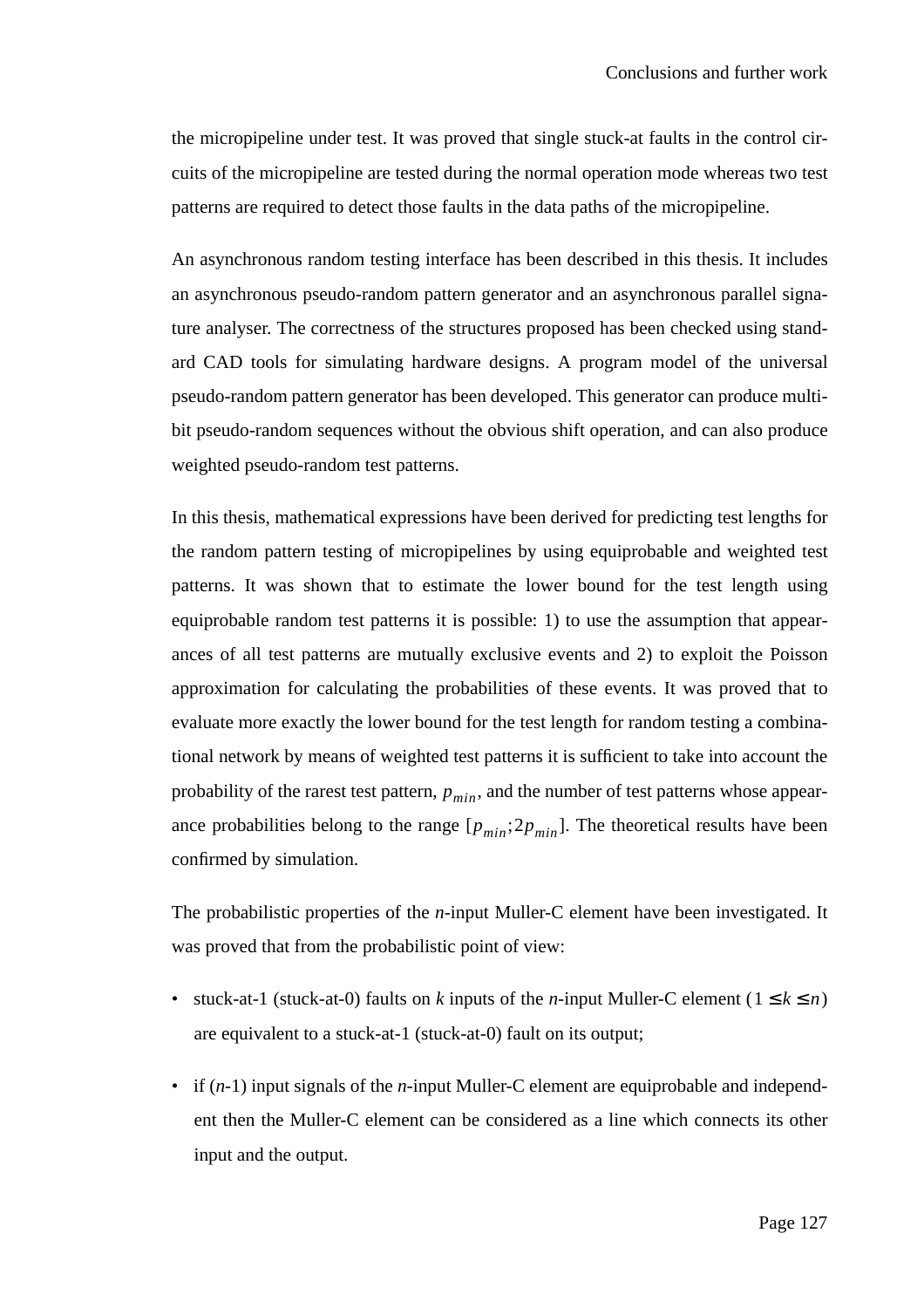the micropipeline under test. It was proved that single stuck-at faults in the control circuits of the micropipeline are tested during the normal operation mode whereas two test patterns are required to detect those faults in the data paths of the micropipeline.

An asynchronous random testing interface has been described in this thesis. It includes an asynchronous pseudo-random pattern generator and an asynchronous parallel signature analyser. The correctness of the structures proposed has been checked using standard CAD tools for simulating hardware designs. A program model of the universal pseudo-random pattern generator has been developed. This generator can produce multibit pseudo-random sequences without the obvious shift operation, and can also produce weighted pseudo-random test patterns.

In this thesis, mathematical expressions have been derived for predicting test lengths for the random pattern testing of micropipelines by using equiprobable and weighted test patterns. It was shown that to estimate the lower bound for the test length using equiprobable random test patterns it is possible: 1) to use the assumption that appearances of all test patterns are mutually exclusive events and 2) to exploit the Poisson approximation for calculating the probabilities of these events. It was proved that to evaluate more exactly the lower bound for the test length for random testing a combinational network by means of weighted test patterns it is sufficient to take into account the probability of the rarest test pattern,  $p_{min}$ , and the number of test patterns whose appearance probabilities belong to the range  $[p_{min}; 2p_{min}]$ . The theoretical results have been confirmed by simulation.

The probabilistic properties of the *n*-input Muller-C element have been investigated. It was proved that from the probabilistic point of view:

- stuck-at-1 (stuck-at-0) faults on *k* inputs of the *n*-input Muller-C element ( $1 \le k \le n$ ) are equivalent to a stuck-at-1 (stuck-at-0) fault on its output;
- if (*n-*1) input signals of the *n*-input Muller-C element are equiprobable and independent then the Muller-C element can be considered as a line which connects its other input and the output.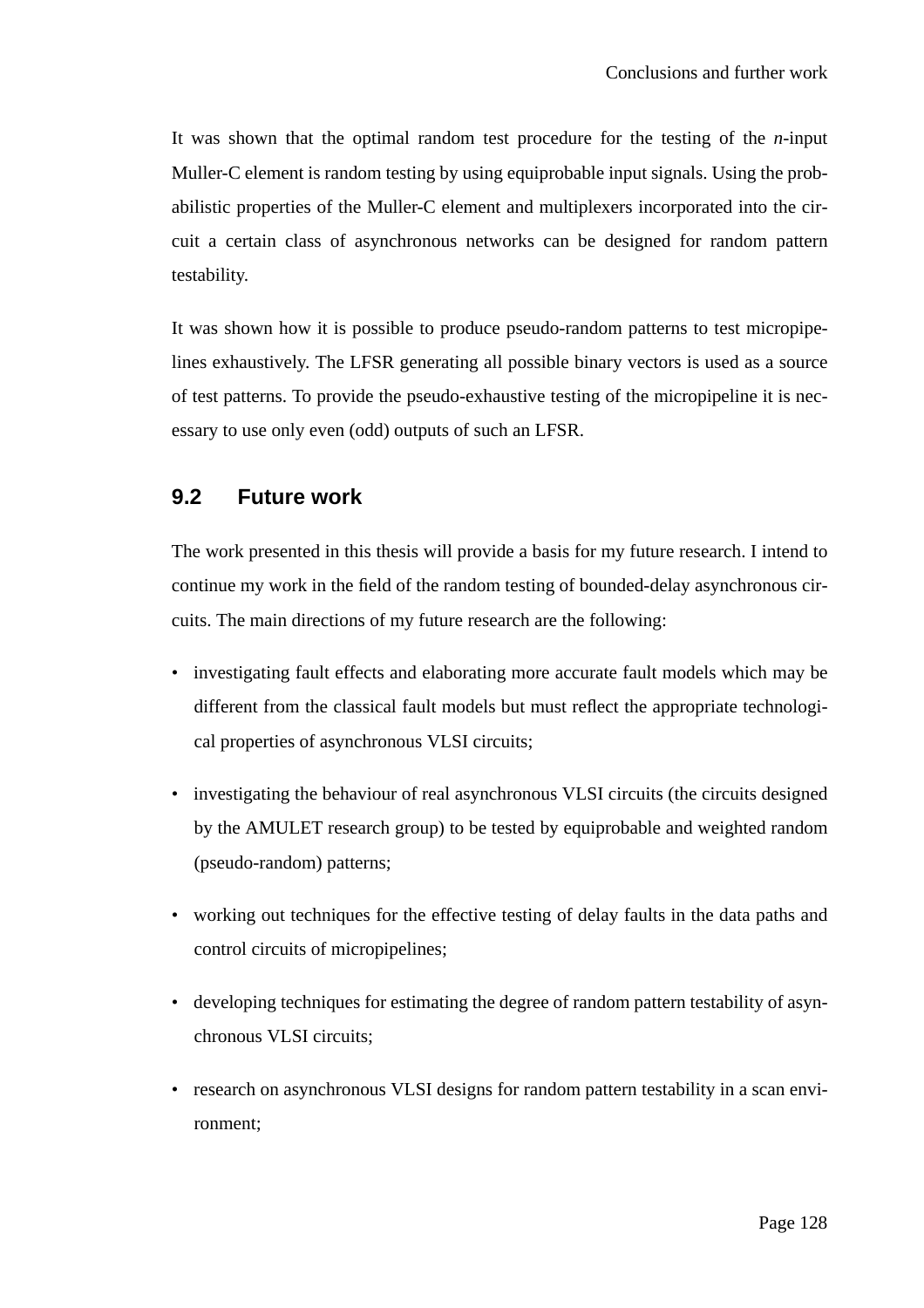It was shown that the optimal random test procedure for the testing of the *n*-input Muller-C element is random testing by using equiprobable input signals. Using the probabilistic properties of the Muller-C element and multiplexers incorporated into the circuit a certain class of asynchronous networks can be designed for random pattern testability.

It was shown how it is possible to produce pseudo-random patterns to test micropipelines exhaustively. The LFSR generating all possible binary vectors is used as a source of test patterns. To provide the pseudo-exhaustive testing of the micropipeline it is necessary to use only even (odd) outputs of such an LFSR.

#### **9.2 Future work**

The work presented in this thesis will provide a basis for my future research. I intend to continue my work in the field of the random testing of bounded-delay asynchronous circuits. The main directions of my future research are the following:

- investigating fault effects and elaborating more accurate fault models which may be different from the classical fault models but must reflect the appropriate technological properties of asynchronous VLSI circuits;
- investigating the behaviour of real asynchronous VLSI circuits (the circuits designed by the AMULET research group) to be tested by equiprobable and weighted random (pseudo-random) patterns;
- working out techniques for the effective testing of delay faults in the data paths and control circuits of micropipelines;
- developing techniques for estimating the degree of random pattern testability of asynchronous VLSI circuits;
- research on asynchronous VLSI designs for random pattern testability in a scan environment;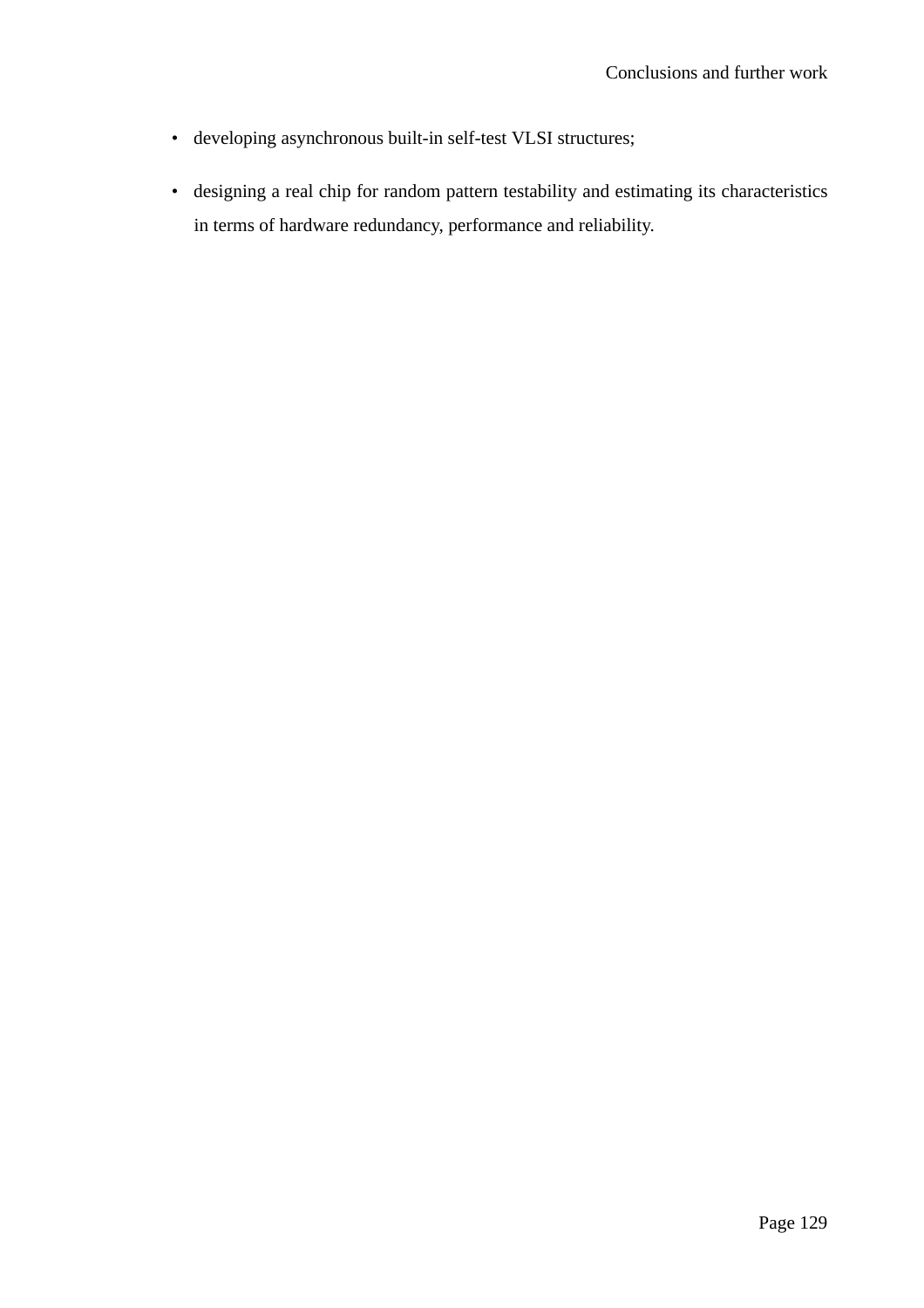- developing asynchronous built-in self-test VLSI structures;
- designing a real chip for random pattern testability and estimating its characteristics in terms of hardware redundancy, performance and reliability.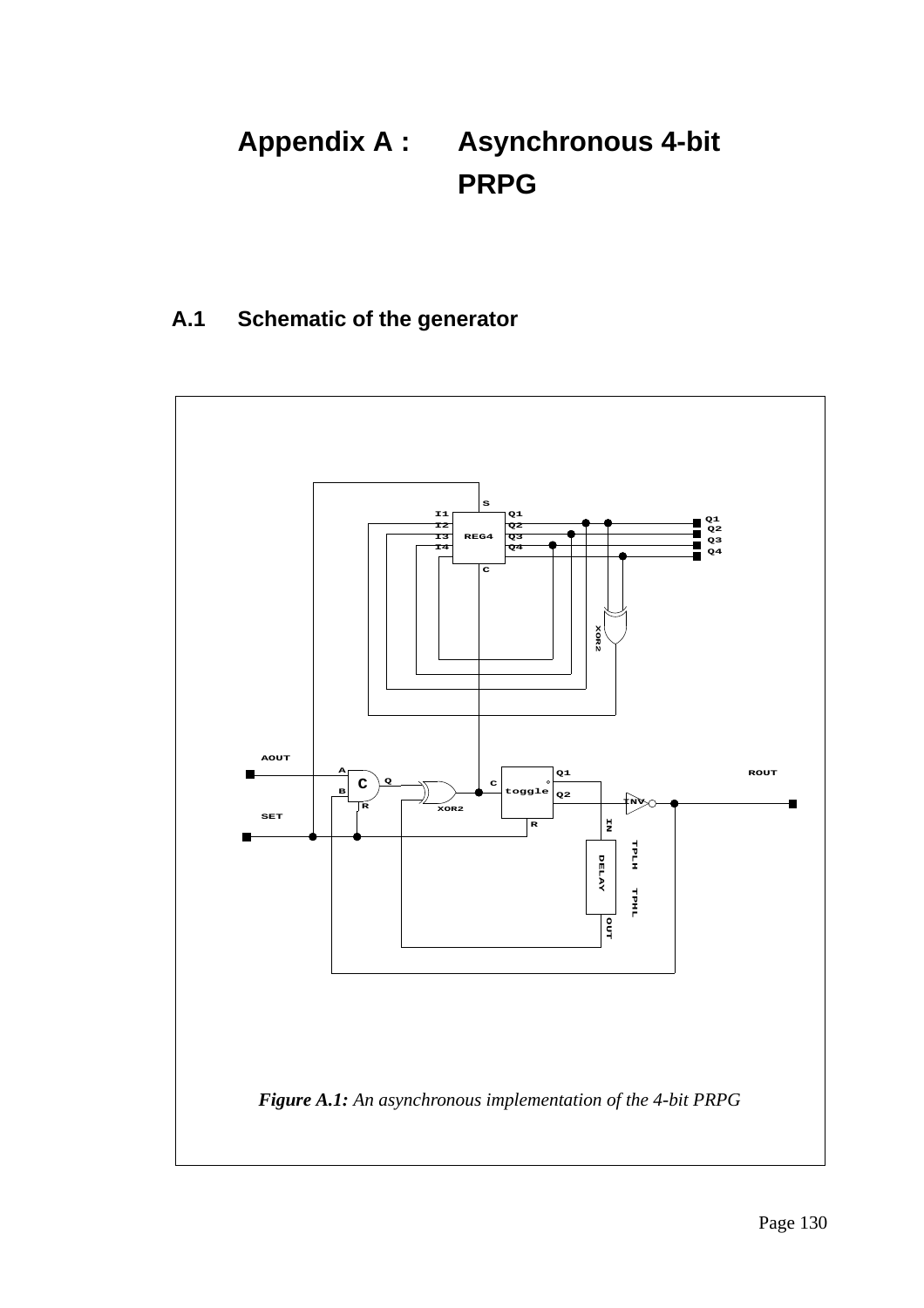# **Appendix A : Asynchronous 4-bit PRPG**

### **A.1 Schematic of the generator**

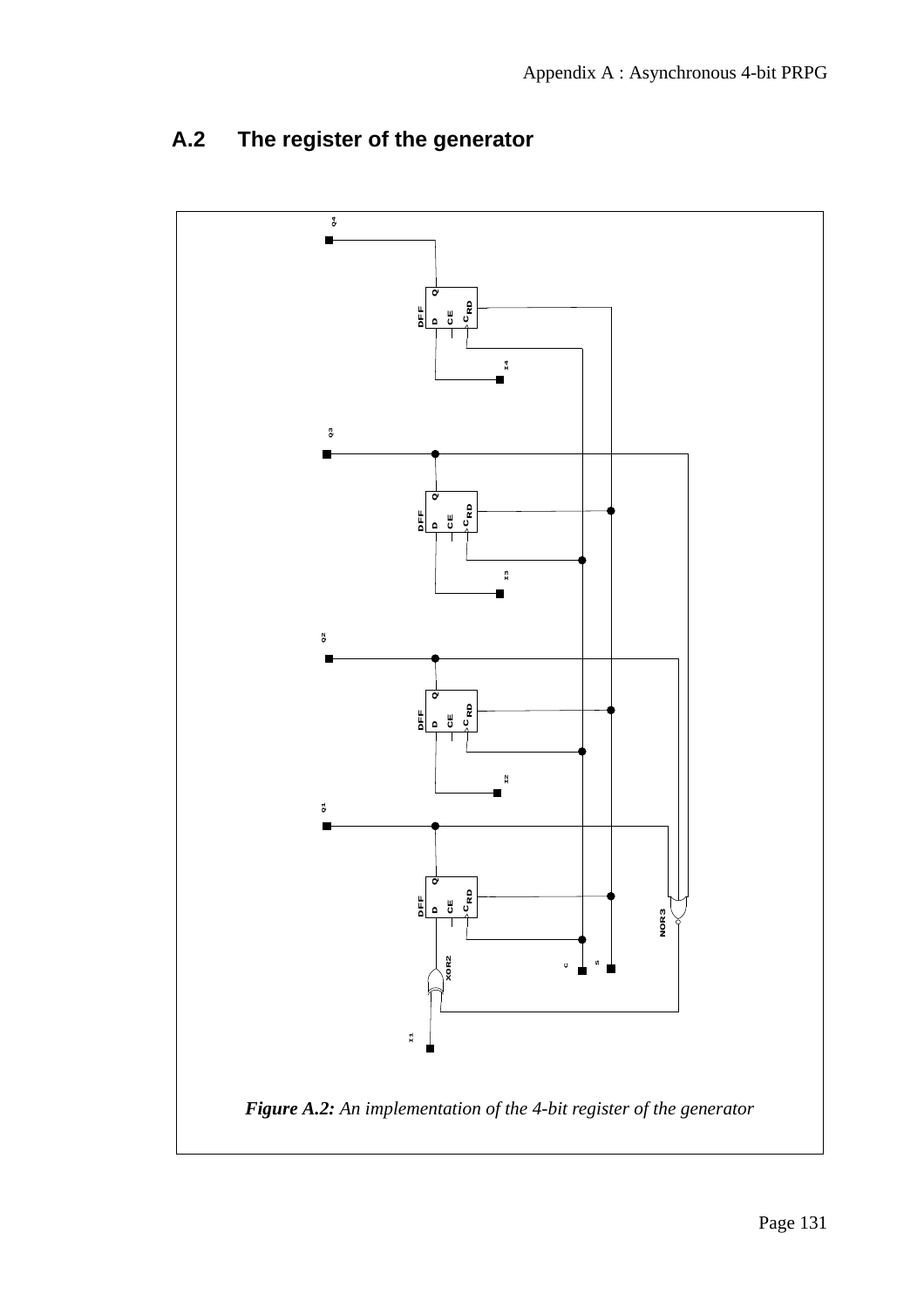

## **A.2 The register of the generator**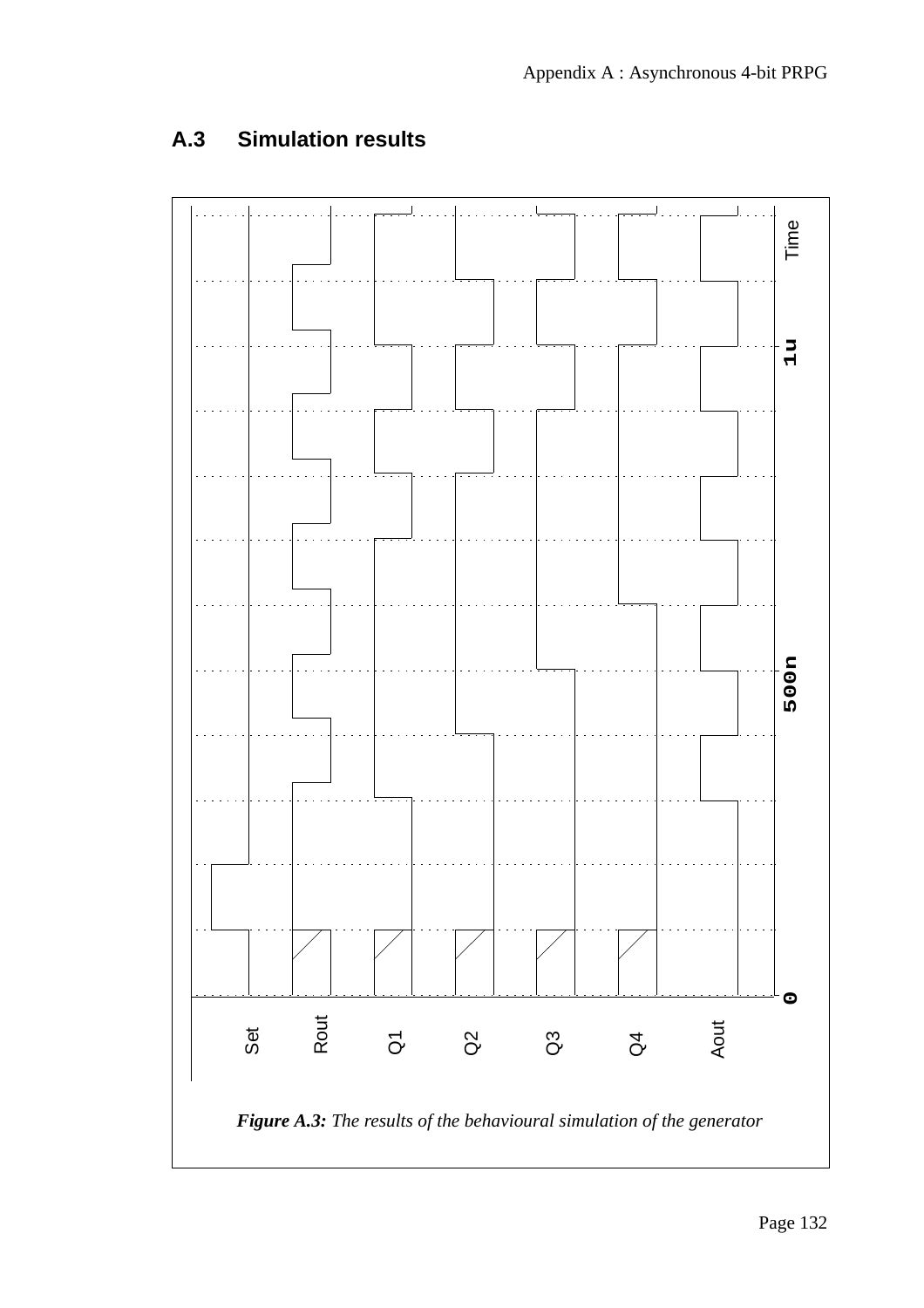## **A.3 Simulation results**

**SET**

**ROUT**

**Q1**

**Q2 Q3**

**Q4**

**AOUT**

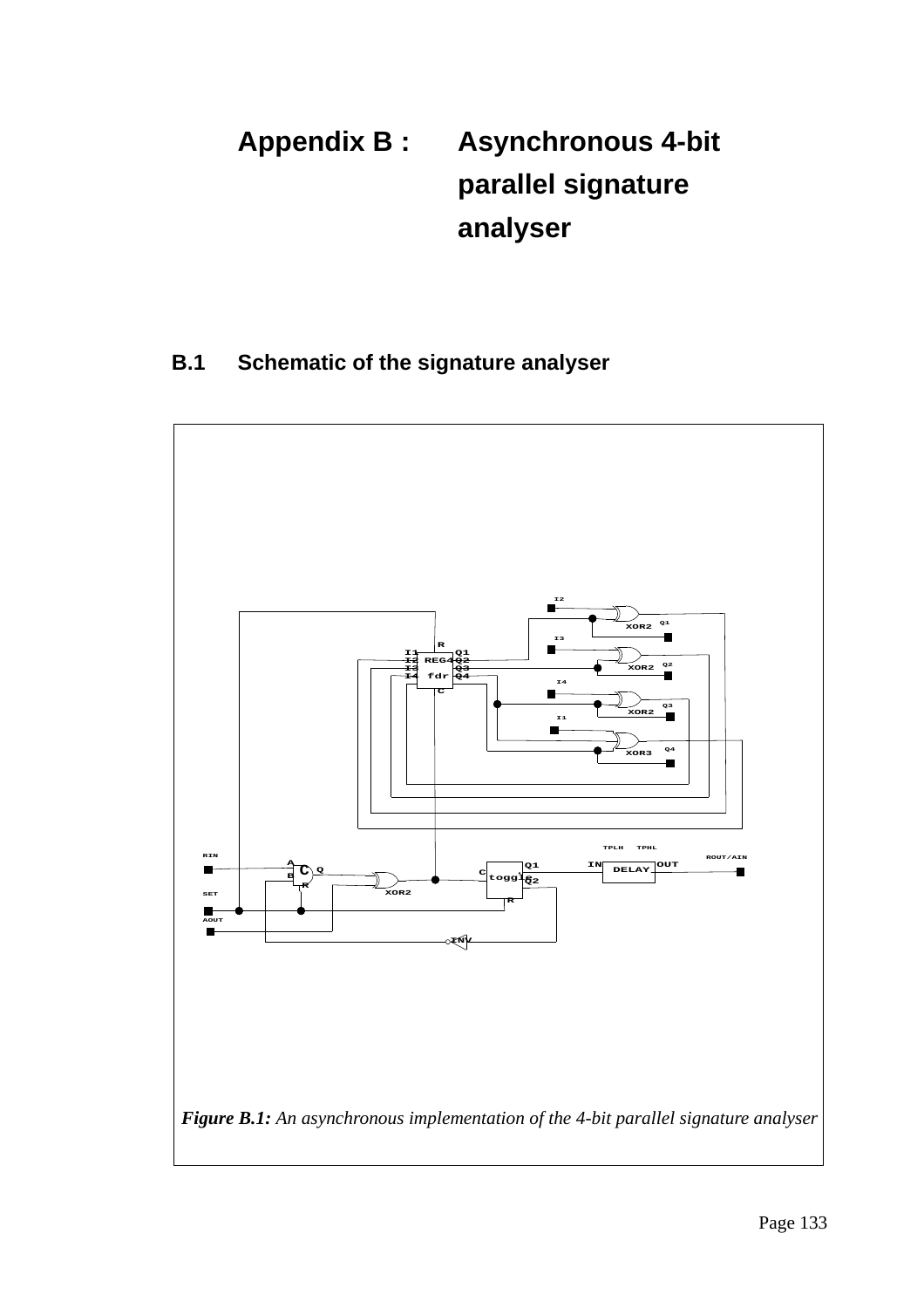# **Appendix B : Asynchronous 4-bit parallel signature analyser**

### **B.1 Schematic of the signature analyser**

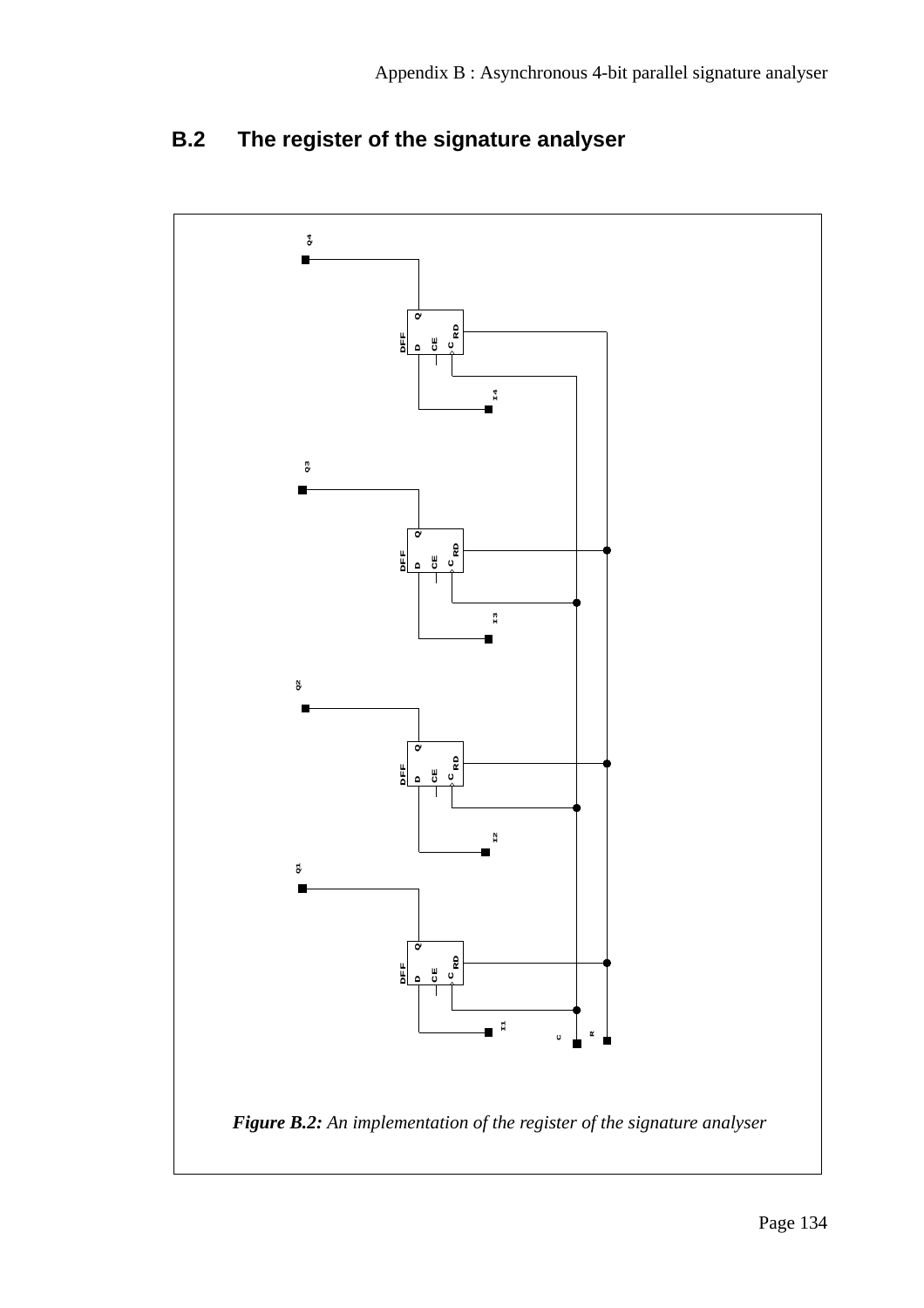

## **B.2 The register of the signature analyser**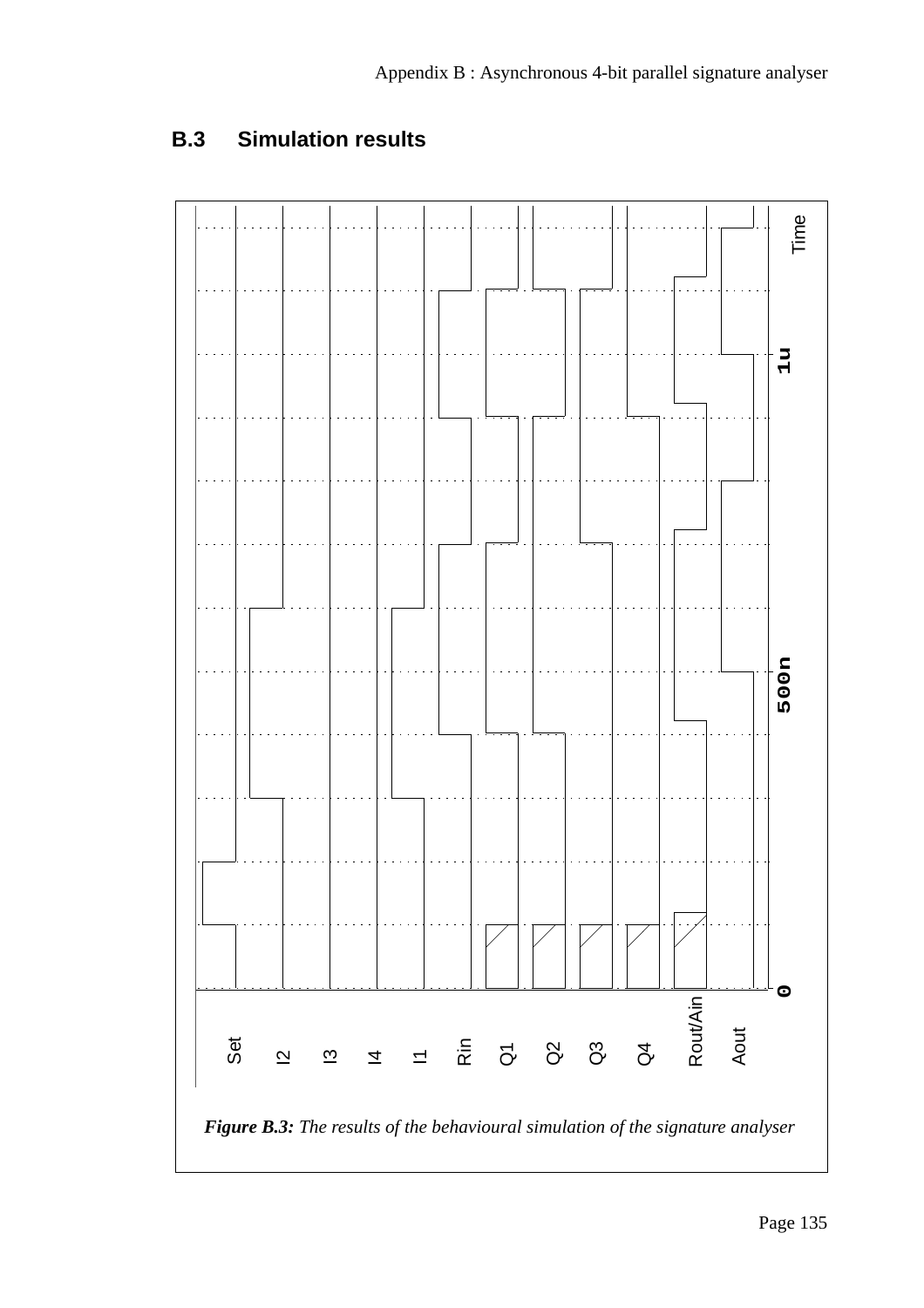### **B.3 Simulation results**

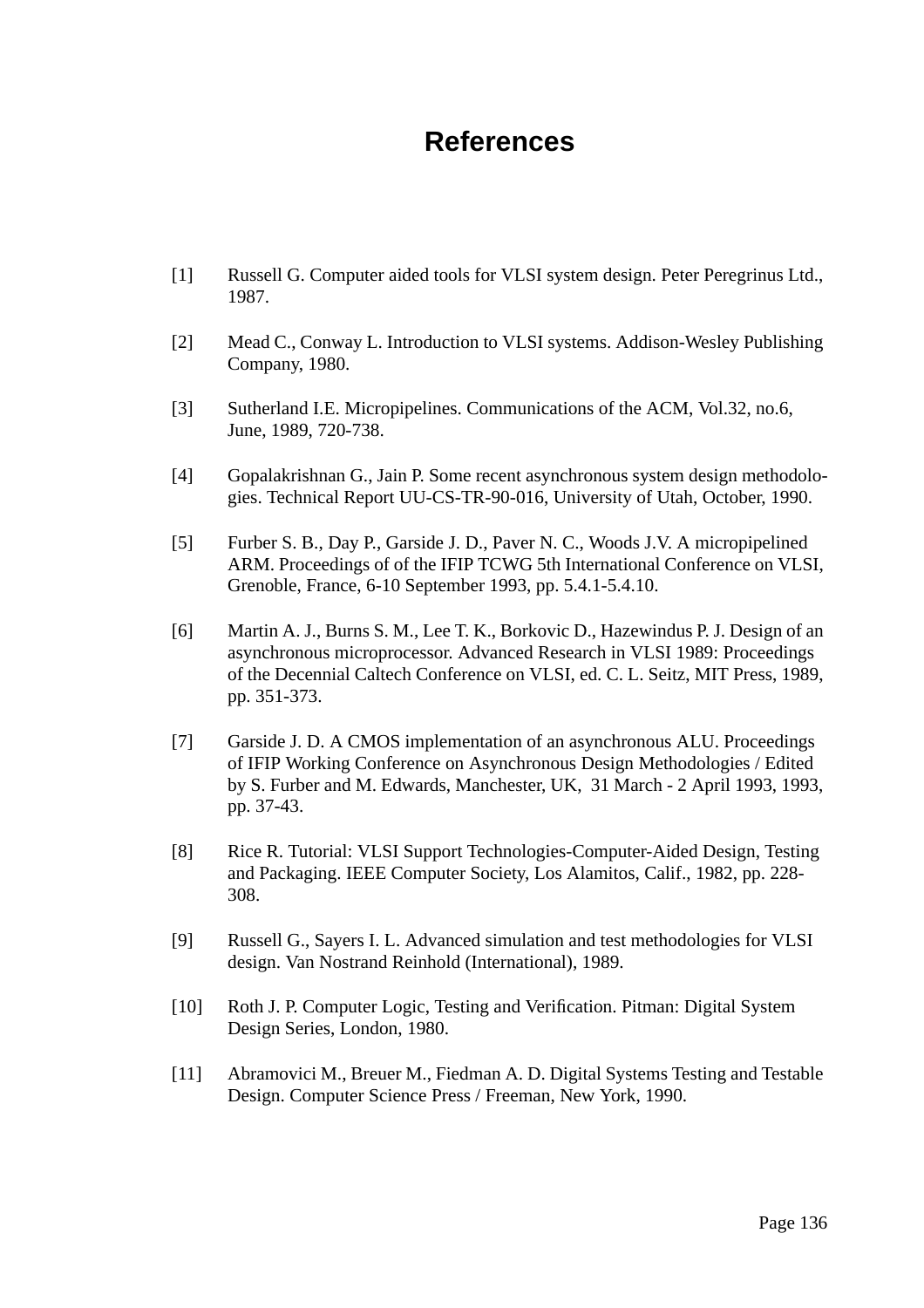## **References**

- [1] Russell G. Computer aided tools for VLSI system design. Peter Peregrinus Ltd., 1987.
- [2] Mead C., Conway L. Introduction to VLSI systems. Addison-Wesley Publishing Company, 1980.
- [3] Sutherland I.E. Micropipelines. Communications of the ACM, Vol.32, no.6, June, 1989, 720-738.
- [4] Gopalakrishnan G., Jain P. Some recent asynchronous system design methodologies. Technical Report UU-CS-TR-90-016, University of Utah, October, 1990.
- [5] Furber S. B., Day P., Garside J. D., Paver N. C., Woods J.V. A micropipelined ARM. Proceedings of of the IFIP TCWG 5th International Conference on VLSI, Grenoble, France, 6-10 September 1993, pp. 5.4.1-5.4.10.
- [6] Martin A. J., Burns S. M., Lee T. K., Borkovic D., Hazewindus P. J. Design of an asynchronous microprocessor. Advanced Research in VLSI 1989: Proceedings of the Decennial Caltech Conference on VLSI, ed. C. L. Seitz, MIT Press, 1989, pp. 351-373.
- [7] Garside J. D. A CMOS implementation of an asynchronous ALU. Proceedings of IFIP Working Conference on Asynchronous Design Methodologies / Edited by S. Furber and M. Edwards, Manchester, UK, 31 March - 2 April 1993, 1993, pp. 37-43.
- [8] Rice R. Tutorial: VLSI Support Technologies-Computer-Aided Design, Testing and Packaging. IEEE Computer Society, Los Alamitos, Calif., 1982, pp. 228- 308.
- [9] Russell G., Sayers I. L. Advanced simulation and test methodologies for VLSI design. Van Nostrand Reinhold (International), 1989.
- [10] Roth J. P. Computer Logic, Testing and Verification. Pitman: Digital System Design Series, London, 1980.
- [11] Abramovici M., Breuer M., Fiedman A. D. Digital Systems Testing and Testable Design. Computer Science Press / Freeman, New York, 1990.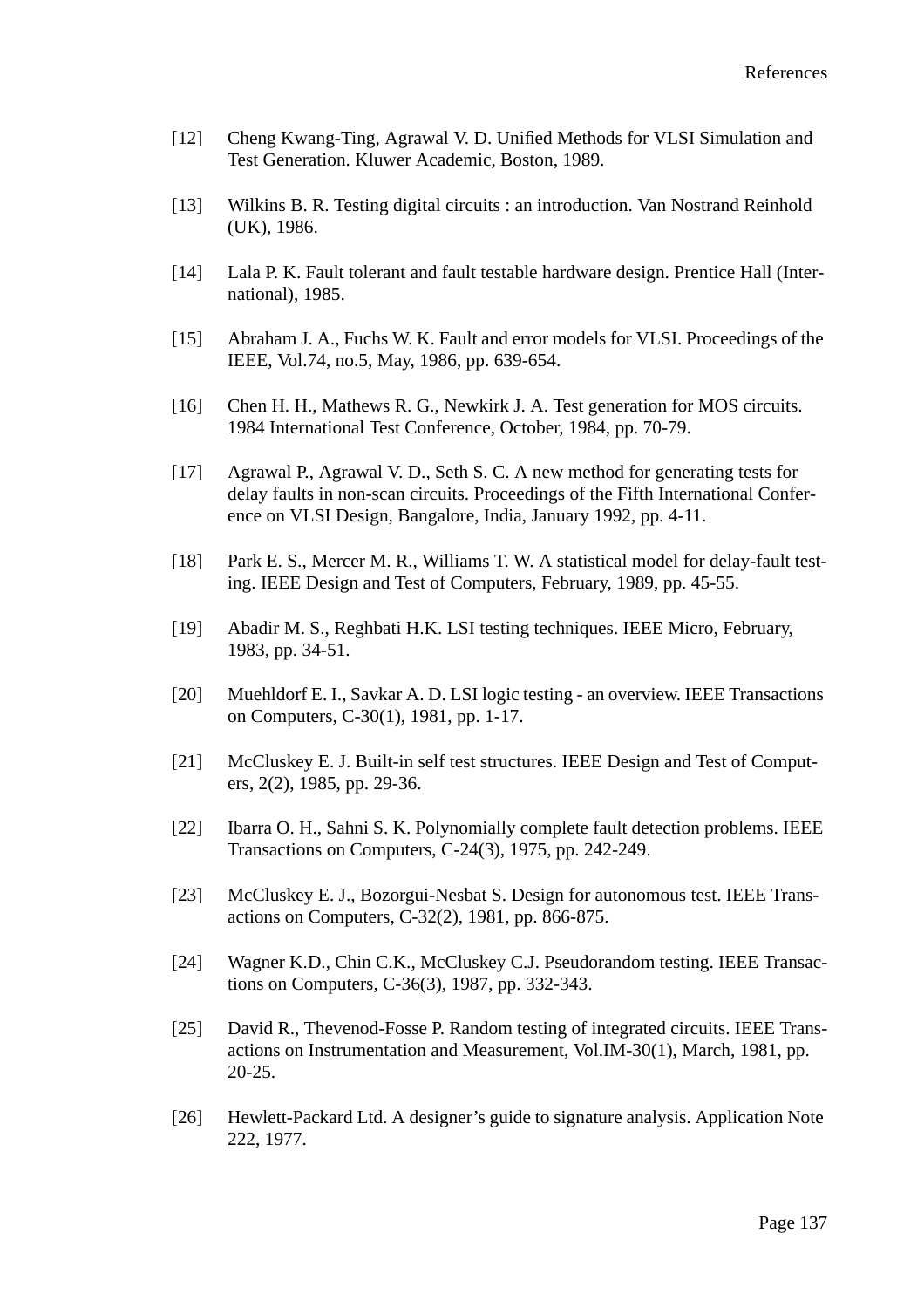- [12] Cheng Kwang-Ting, Agrawal V. D. Unified Methods for VLSI Simulation and Test Generation. Kluwer Academic, Boston, 1989.
- [13] Wilkins B. R. Testing digital circuits : an introduction. Van Nostrand Reinhold (UK), 1986.
- [14] Lala P. K. Fault tolerant and fault testable hardware design. Prentice Hall (International), 1985.
- [15] Abraham J. A., Fuchs W. K. Fault and error models for VLSI. Proceedings of the IEEE, Vol.74, no.5, May, 1986, pp. 639-654.
- [16] Chen H. H., Mathews R. G., Newkirk J. A. Test generation for MOS circuits. 1984 International Test Conference, October, 1984, pp. 70-79.
- [17] Agrawal P., Agrawal V. D., Seth S. C. A new method for generating tests for delay faults in non-scan circuits. Proceedings of the Fifth International Conference on VLSI Design, Bangalore, India, January 1992, pp. 4-11.
- [18] Park E. S., Mercer M. R., Williams T. W. A statistical model for delay-fault testing. IEEE Design and Test of Computers, February, 1989, pp. 45-55.
- [19] Abadir M. S., Reghbati H.K. LSI testing techniques. IEEE Micro, February, 1983, pp. 34-51.
- [20] Muehldorf E. I., Savkar A. D. LSI logic testing an overview. IEEE Transactions on Computers, C-30(1), 1981, pp. 1-17.
- [21] McCluskey E. J. Built-in self test structures. IEEE Design and Test of Computers, 2(2), 1985, pp. 29-36.
- [22] Ibarra O. H., Sahni S. K. Polynomially complete fault detection problems. IEEE Transactions on Computers, C-24(3), 1975, pp. 242-249.
- [23] McCluskey E. J., Bozorgui-Nesbat S. Design for autonomous test. IEEE Transactions on Computers, C-32(2), 1981, pp. 866-875.
- [24] Wagner K.D., Chin C.K., McCluskey C.J. Pseudorandom testing. IEEE Transactions on Computers, C-36(3), 1987, pp. 332-343.
- [25] David R., Thevenod-Fosse P. Random testing of integrated circuits. IEEE Transactions on Instrumentation and Measurement, Vol.IM-30(1), March, 1981, pp. 20-25.
- [26] Hewlett-Packard Ltd. A designer's guide to signature analysis. Application Note 222, 1977.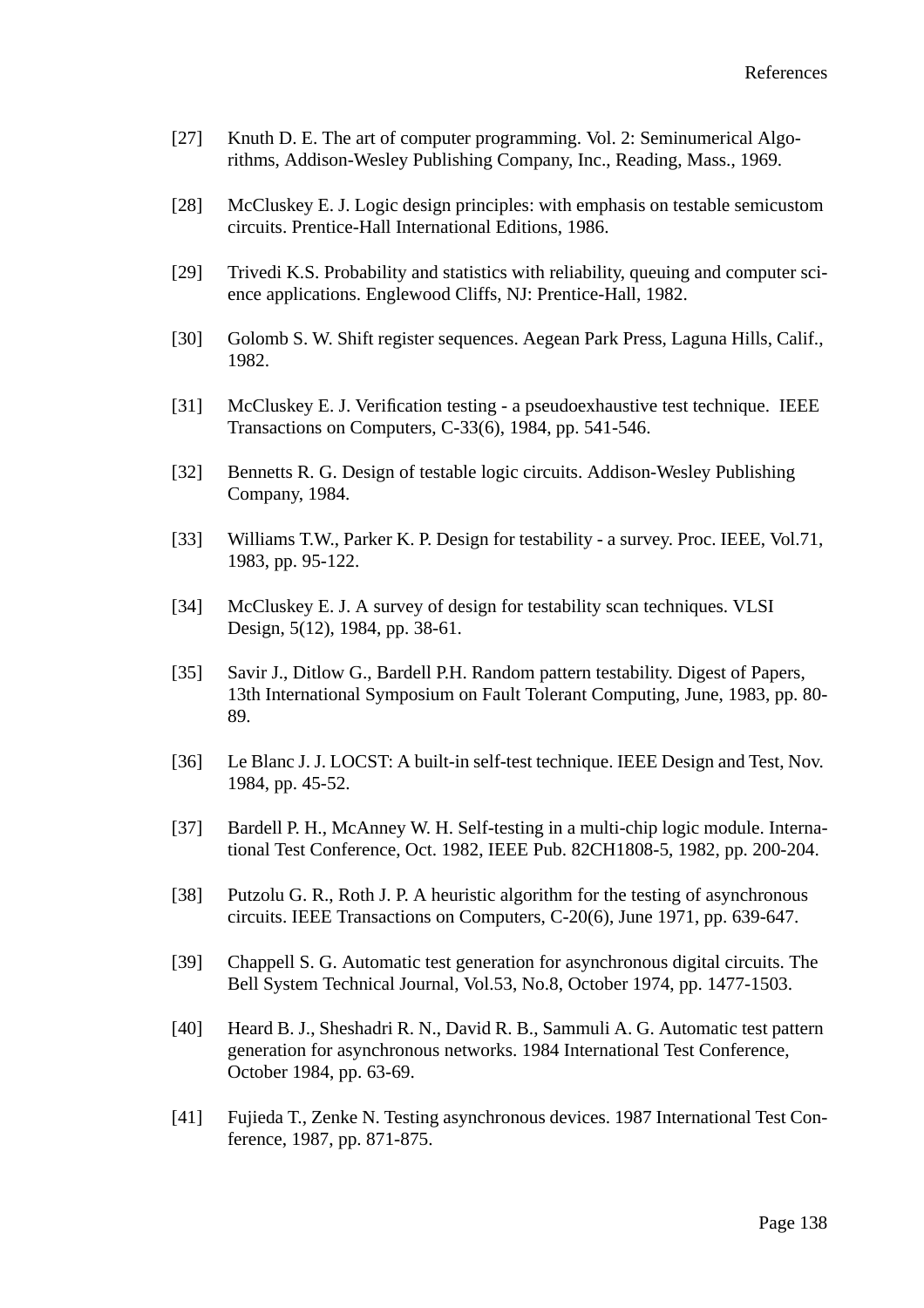- [27] Knuth D. E. The art of computer programming. Vol. 2: Seminumerical Algorithms, Addison-Wesley Publishing Company, Inc., Reading, Mass., 1969.
- [28] McCluskey E. J. Logic design principles: with emphasis on testable semicustom circuits. Prentice-Hall International Editions, 1986.
- [29] Trivedi K.S. Probability and statistics with reliability, queuing and computer science applications. Englewood Cliffs, NJ: Prentice-Hall, 1982.
- [30] Golomb S. W. Shift register sequences. Aegean Park Press, Laguna Hills, Calif., 1982.
- [31] McCluskey E. J. Verification testing a pseudoexhaustive test technique. IEEE Transactions on Computers, C-33(6), 1984, pp. 541-546.
- [32] Bennetts R. G. Design of testable logic circuits. Addison-Wesley Publishing Company, 1984.
- [33] Williams T.W., Parker K. P. Design for testability a survey. Proc. IEEE, Vol.71, 1983, pp. 95-122.
- [34] McCluskey E. J. A survey of design for testability scan techniques. VLSI Design, 5(12), 1984, pp. 38-61.
- [35] Savir J., Ditlow G., Bardell P.H. Random pattern testability. Digest of Papers, 13th International Symposium on Fault Tolerant Computing, June, 1983, pp. 80- 89.
- [36] Le Blanc J. J. LOCST: A built-in self-test technique. IEEE Design and Test, Nov. 1984, pp. 45-52.
- [37] Bardell P. H., McAnney W. H. Self-testing in a multi-chip logic module. International Test Conference, Oct. 1982, IEEE Pub. 82CH1808-5, 1982, pp. 200-204.
- [38] Putzolu G. R., Roth J. P. A heuristic algorithm for the testing of asynchronous circuits. IEEE Transactions on Computers, C-20(6), June 1971, pp. 639-647.
- [39] Chappell S. G. Automatic test generation for asynchronous digital circuits. The Bell System Technical Journal, Vol.53, No.8, October 1974, pp. 1477-1503.
- [40] Heard B. J., Sheshadri R. N., David R. B., Sammuli A. G. Automatic test pattern generation for asynchronous networks. 1984 International Test Conference, October 1984, pp. 63-69.
- [41] Fujieda T., Zenke N. Testing asynchronous devices. 1987 International Test Conference, 1987, pp. 871-875.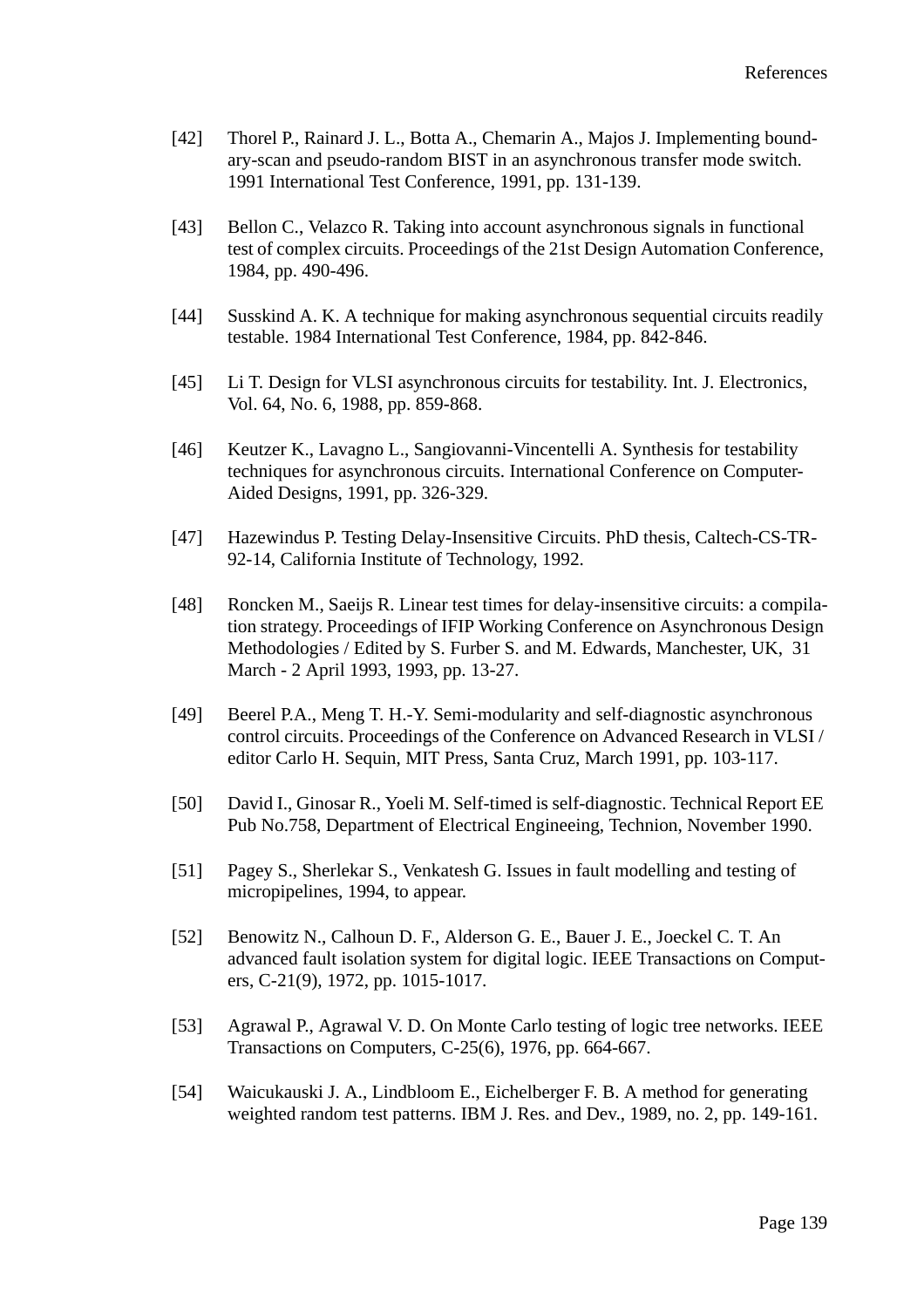- [42] Thorel P., Rainard J. L., Botta A., Chemarin A., Majos J. Implementing boundary-scan and pseudo-random BIST in an asynchronous transfer mode switch. 1991 International Test Conference, 1991, pp. 131-139.
- [43] Bellon C., Velazco R. Taking into account asynchronous signals in functional test of complex circuits. Proceedings of the 21st Design Automation Conference, 1984, pp. 490-496.
- [44] Susskind A. K. A technique for making asynchronous sequential circuits readily testable. 1984 International Test Conference, 1984, pp. 842-846.
- [45] Li T. Design for VLSI asynchronous circuits for testability. Int. J. Electronics, Vol. 64, No. 6, 1988, pp. 859-868.
- [46] Keutzer K., Lavagno L., Sangiovanni-Vincentelli A. Synthesis for testability techniques for asynchronous circuits. International Conference on Computer-Aided Designs, 1991, pp. 326-329.
- [47] Hazewindus P. Testing Delay-Insensitive Circuits. PhD thesis, Caltech-CS-TR-92-14, California Institute of Technology, 1992.
- [48] Roncken M., Saeijs R. Linear test times for delay-insensitive circuits: a compilation strategy. Proceedings of IFIP Working Conference on Asynchronous Design Methodologies / Edited by S. Furber S. and M. Edwards, Manchester, UK, 31 March - 2 April 1993, 1993, pp. 13-27.
- [49] Beerel P.A., Meng T. H.-Y. Semi-modularity and self-diagnostic asynchronous control circuits. Proceedings of the Conference on Advanced Research in VLSI / editor Carlo H. Sequin, MIT Press, Santa Cruz, March 1991, pp. 103-117.
- [50] David I., Ginosar R., Yoeli M. Self-timed is self-diagnostic. Technical Report EE Pub No.758, Department of Electrical Engineeing, Technion, November 1990.
- [51] Pagey S., Sherlekar S., Venkatesh G. Issues in fault modelling and testing of micropipelines, 1994, to appear.
- [52] Benowitz N., Calhoun D. F., Alderson G. E., Bauer J. E., Joeckel C. T. An advanced fault isolation system for digital logic. IEEE Transactions on Computers, C-21(9), 1972, pp. 1015-1017.
- [53] Agrawal P., Agrawal V. D. On Monte Carlo testing of logic tree networks. IEEE Transactions on Computers, C-25(6), 1976, pp. 664-667.
- [54] Waicukauski J. A., Lindbloom E., Eichelberger F. B. A method for generating weighted random test patterns. IBM J. Res. and Dev., 1989, no. 2, pp. 149-161.